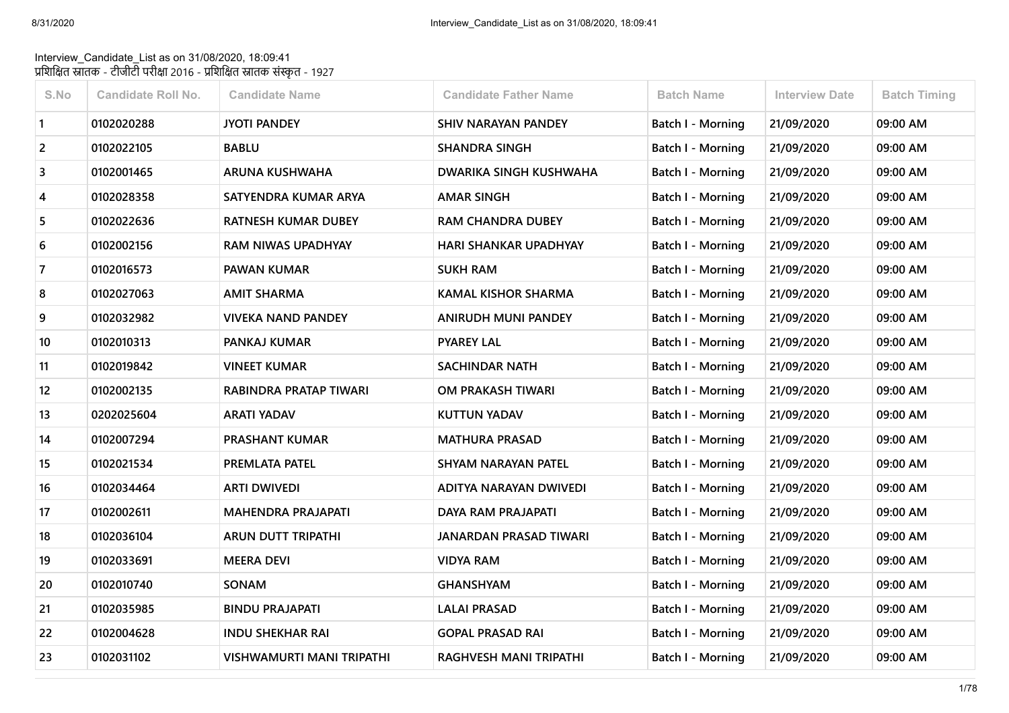## Interview\_Candidate\_List as on 31/08/2020, 18:09:41 प्रशिक्षित स्नातक - टीजीटी परीक्षा 2016 - प्रशिक्षित स्नातक संस्कृत - 1927

| S.No           | <b>Candidate Roll No.</b> | <b>Candidate Name</b>      | <b>Candidate Father Name</b>  | <b>Batch Name</b>        | <b>Interview Date</b> | <b>Batch Timing</b> |
|----------------|---------------------------|----------------------------|-------------------------------|--------------------------|-----------------------|---------------------|
| $\mathbf{1}$   | 0102020288                | <b>JYOTI PANDEY</b>        | <b>SHIV NARAYAN PANDEY</b>    | Batch I - Morning        | 21/09/2020            | 09:00 AM            |
| $\overline{2}$ | 0102022105                | <b>BABLU</b>               | <b>SHANDRA SINGH</b>          | Batch I - Morning        | 21/09/2020            | 09:00 AM            |
| 3              | 0102001465                | <b>ARUNA KUSHWAHA</b>      | DWARIKA SINGH KUSHWAHA        | Batch I - Morning        | 21/09/2020            | 09:00 AM            |
| 4              | 0102028358                | SATYENDRA KUMAR ARYA       | <b>AMAR SINGH</b>             | Batch I - Morning        | 21/09/2020            | 09:00 AM            |
| 5              | 0102022636                | <b>RATNESH KUMAR DUBEY</b> | <b>RAM CHANDRA DUBEY</b>      | Batch I - Morning        | 21/09/2020            | 09:00 AM            |
| 6              | 0102002156                | <b>RAM NIWAS UPADHYAY</b>  | <b>HARI SHANKAR UPADHYAY</b>  | Batch I - Morning        | 21/09/2020            | 09:00 AM            |
| 7              | 0102016573                | <b>PAWAN KUMAR</b>         | <b>SUKH RAM</b>               | Batch I - Morning        | 21/09/2020            | 09:00 AM            |
| 8              | 0102027063                | <b>AMIT SHARMA</b>         | <b>KAMAL KISHOR SHARMA</b>    | Batch I - Morning        | 21/09/2020            | 09:00 AM            |
| 9              | 0102032982                | VIVEKA NAND PANDEY         | ANIRUDH MUNI PANDEY           | Batch I - Morning        | 21/09/2020            | 09:00 AM            |
| 10             | 0102010313                | PANKAJ KUMAR               | <b>PYAREY LAL</b>             | <b>Batch I - Morning</b> | 21/09/2020            | 09:00 AM            |
| 11             | 0102019842                | <b>VINEET KUMAR</b>        | <b>SACHINDAR NATH</b>         | Batch I - Morning        | 21/09/2020            | 09:00 AM            |
| 12             | 0102002135                | RABINDRA PRATAP TIWARI     | <b>OM PRAKASH TIWARI</b>      | <b>Batch I - Morning</b> | 21/09/2020            | 09:00 AM            |
| 13             | 0202025604                | <b>ARATI YADAV</b>         | <b>KUTTUN YADAV</b>           | Batch I - Morning        | 21/09/2020            | 09:00 AM            |
| 14             | 0102007294                | <b>PRASHANT KUMAR</b>      | <b>MATHURA PRASAD</b>         | Batch I - Morning        | 21/09/2020            | 09:00 AM            |
| 15             | 0102021534                | PREMLATA PATEL             | SHYAM NARAYAN PATEL           | Batch I - Morning        | 21/09/2020            | 09:00 AM            |
| 16             | 0102034464                | <b>ARTI DWIVEDI</b>        | ADITYA NARAYAN DWIVEDI        | <b>Batch I - Morning</b> | 21/09/2020            | 09:00 AM            |
| 17             | 0102002611                | <b>MAHENDRA PRAJAPATI</b>  | <b>DAYA RAM PRAJAPATI</b>     | <b>Batch I - Morning</b> | 21/09/2020            | 09:00 AM            |
| 18             | 0102036104                | ARUN DUTT TRIPATHI         | <b>JANARDAN PRASAD TIWARI</b> | Batch I - Morning        | 21/09/2020            | 09:00 AM            |
| 19             | 0102033691                | <b>MEERA DEVI</b>          | <b>VIDYA RAM</b>              | Batch I - Morning        | 21/09/2020            | 09:00 AM            |
| 20             | 0102010740                | SONAM                      | <b>GHANSHYAM</b>              | Batch I - Morning        | 21/09/2020            | 09:00 AM            |
| 21             | 0102035985                | <b>BINDU PRAJAPATI</b>     | <b>LALAI PRASAD</b>           | Batch I - Morning        | 21/09/2020            | 09:00 AM            |
| 22             | 0102004628                | <b>INDU SHEKHAR RAI</b>    | <b>GOPAL PRASAD RAI</b>       | <b>Batch I - Morning</b> | 21/09/2020            | 09:00 AM            |
| 23             | 0102031102                | VISHWAMURTI MANI TRIPATHI  | <b>RAGHVESH MANI TRIPATHI</b> | Batch I - Morning        | 21/09/2020            | 09:00 AM            |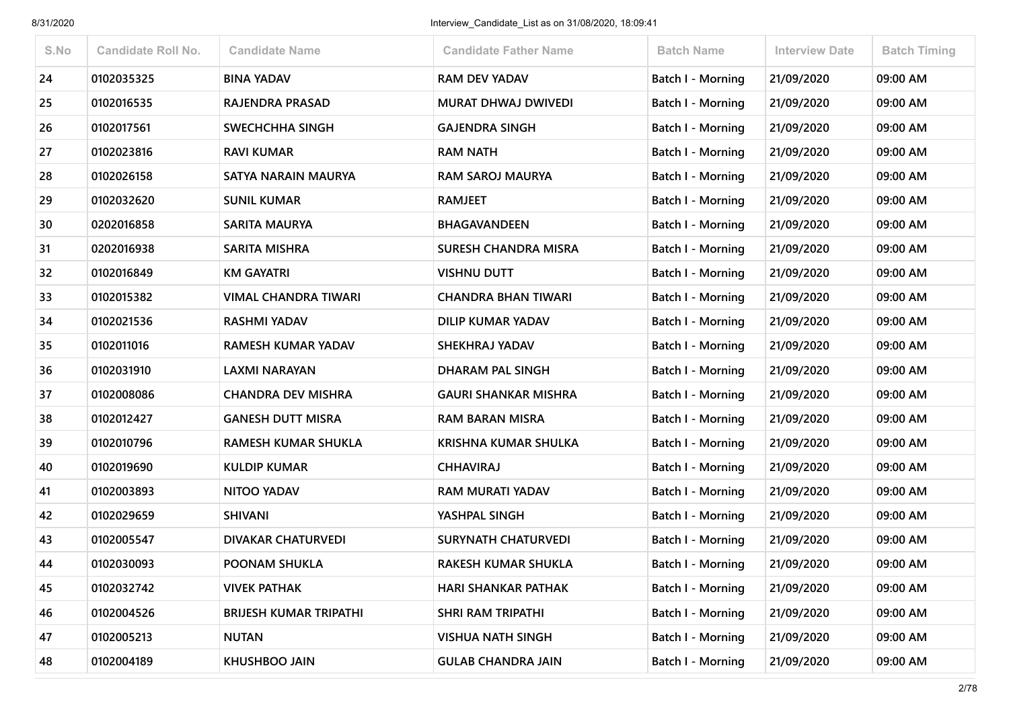| S.No | <b>Candidate Roll No.</b> | <b>Candidate Name</b>         | <b>Candidate Father Name</b> | <b>Batch Name</b>        | <b>Interview Date</b> | <b>Batch Timing</b> |
|------|---------------------------|-------------------------------|------------------------------|--------------------------|-----------------------|---------------------|
| 24   | 0102035325                | <b>BINA YADAV</b>             | <b>RAM DEV YADAV</b>         | <b>Batch I - Morning</b> | 21/09/2020            | 09:00 AM            |
| 25   | 0102016535                | <b>RAJENDRA PRASAD</b>        | <b>MURAT DHWAJ DWIVEDI</b>   | Batch I - Morning        | 21/09/2020            | 09:00 AM            |
| 26   | 0102017561                | SWECHCHHA SINGH               | <b>GAJENDRA SINGH</b>        | Batch I - Morning        | 21/09/2020            | 09:00 AM            |
| 27   | 0102023816                | <b>RAVI KUMAR</b>             | <b>RAM NATH</b>              | <b>Batch I - Morning</b> | 21/09/2020            | 09:00 AM            |
| 28   | 0102026158                | SATYA NARAIN MAURYA           | <b>RAM SAROJ MAURYA</b>      | Batch I - Morning        | 21/09/2020            | 09:00 AM            |
| 29   | 0102032620                | <b>SUNIL KUMAR</b>            | <b>RAMJEET</b>               | <b>Batch I - Morning</b> | 21/09/2020            | 09:00 AM            |
| 30   | 0202016858                | <b>SARITA MAURYA</b>          | BHAGAVANDEEN                 | Batch I - Morning        | 21/09/2020            | 09:00 AM            |
| 31   | 0202016938                | <b>SARITA MISHRA</b>          | <b>SURESH CHANDRA MISRA</b>  | <b>Batch I - Morning</b> | 21/09/2020            | 09:00 AM            |
| 32   | 0102016849                | <b>KM GAYATRI</b>             | <b>VISHNU DUTT</b>           | Batch I - Morning        | 21/09/2020            | 09:00 AM            |
| 33   | 0102015382                | <b>VIMAL CHANDRA TIWARI</b>   | <b>CHANDRA BHAN TIWARI</b>   | Batch I - Morning        | 21/09/2020            | 09:00 AM            |
| 34   | 0102021536                | <b>RASHMI YADAV</b>           | <b>DILIP KUMAR YADAV</b>     | Batch I - Morning        | 21/09/2020            | 09:00 AM            |
| 35   | 0102011016                | <b>RAMESH KUMAR YADAV</b>     | SHEKHRAJ YADAV               | <b>Batch I - Morning</b> | 21/09/2020            | 09:00 AM            |
| 36   | 0102031910                | <b>LAXMI NARAYAN</b>          | <b>DHARAM PAL SINGH</b>      | Batch I - Morning        | 21/09/2020            | 09:00 AM            |
| 37   | 0102008086                | <b>CHANDRA DEV MISHRA</b>     | <b>GAURI SHANKAR MISHRA</b>  | <b>Batch I - Morning</b> | 21/09/2020            | 09:00 AM            |
| 38   | 0102012427                | <b>GANESH DUTT MISRA</b>      | <b>RAM BARAN MISRA</b>       | Batch I - Morning        | 21/09/2020            | 09:00 AM            |
| 39   | 0102010796                | <b>RAMESH KUMAR SHUKLA</b>    | <b>KRISHNA KUMAR SHULKA</b>  | Batch I - Morning        | 21/09/2020            | 09:00 AM            |
| 40   | 0102019690                | <b>KULDIP KUMAR</b>           | <b>CHHAVIRAJ</b>             | Batch I - Morning        | 21/09/2020            | 09:00 AM            |
| 41   | 0102003893                | NITOO YADAV                   | RAM MURATI YADAV             | <b>Batch I - Morning</b> | 21/09/2020            | 09:00 AM            |
| 42   | 0102029659                | <b>SHIVANI</b>                | YASHPAL SINGH                | <b>Batch I - Morning</b> | 21/09/2020            | 09:00 AM            |
| 43   | 0102005547                | <b>DIVAKAR CHATURVEDI</b>     | <b>SURYNATH CHATURVEDI</b>   | <b>Batch I - Morning</b> | 21/09/2020            | 09:00 AM            |
| 44   | 0102030093                | POONAM SHUKLA                 | RAKESH KUMAR SHUKLA          | <b>Batch I - Morning</b> | 21/09/2020            | 09:00 AM            |
| 45   | 0102032742                | <b>VIVEK PATHAK</b>           | <b>HARI SHANKAR PATHAK</b>   | Batch I - Morning        | 21/09/2020            | 09:00 AM            |
| 46   | 0102004526                | <b>BRIJESH KUMAR TRIPATHI</b> | SHRI RAM TRIPATHI            | <b>Batch I - Morning</b> | 21/09/2020            | 09:00 AM            |
| 47   | 0102005213                | <b>NUTAN</b>                  | <b>VISHUA NATH SINGH</b>     | Batch I - Morning        | 21/09/2020            | 09:00 AM            |
| 48   | 0102004189                | KHUSHBOO JAIN                 | <b>GULAB CHANDRA JAIN</b>    | <b>Batch I - Morning</b> | 21/09/2020            | 09:00 AM            |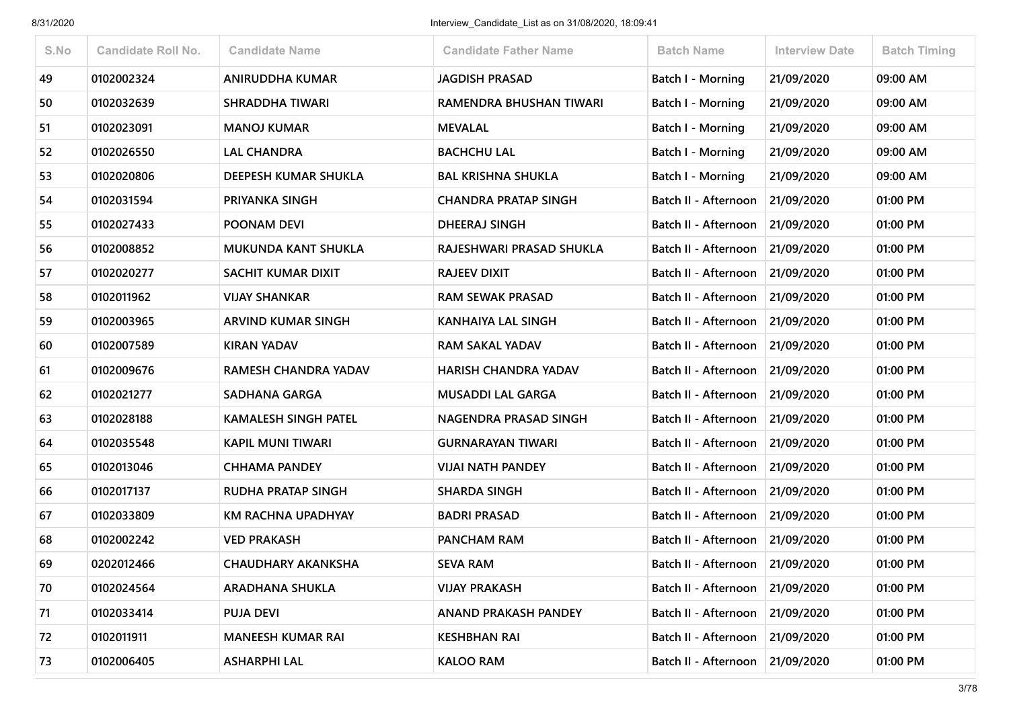| S.No | <b>Candidate Roll No.</b> | <b>Candidate Name</b>       | <b>Candidate Father Name</b> | <b>Batch Name</b>                 | <b>Interview Date</b> | <b>Batch Timing</b> |
|------|---------------------------|-----------------------------|------------------------------|-----------------------------------|-----------------------|---------------------|
| 49   | 0102002324                | <b>ANIRUDDHA KUMAR</b>      | <b>JAGDISH PRASAD</b>        | <b>Batch I - Morning</b>          | 21/09/2020            | 09:00 AM            |
| 50   | 0102032639                | <b>SHRADDHA TIWARI</b>      | RAMENDRA BHUSHAN TIWARI      | Batch I - Morning                 | 21/09/2020            | 09:00 AM            |
| 51   | 0102023091                | <b>MANOJ KUMAR</b>          | <b>MEVALAL</b>               | Batch I - Morning                 | 21/09/2020            | 09:00 AM            |
| 52   | 0102026550                | <b>LAL CHANDRA</b>          | <b>BACHCHU LAL</b>           | <b>Batch I - Morning</b>          | 21/09/2020            | 09:00 AM            |
| 53   | 0102020806                | DEEPESH KUMAR SHUKLA        | <b>BAL KRISHNA SHUKLA</b>    | <b>Batch I - Morning</b>          | 21/09/2020            | 09:00 AM            |
| 54   | 0102031594                | PRIYANKA SINGH              | <b>CHANDRA PRATAP SINGH</b>  | Batch II - Afternoon              | 21/09/2020            | 01:00 PM            |
| 55   | 0102027433                | POONAM DEVI                 | <b>DHEERAJ SINGH</b>         | Batch II - Afternoon              | 21/09/2020            | 01:00 PM            |
| 56   | 0102008852                | <b>MUKUNDA KANT SHUKLA</b>  | RAJESHWARI PRASAD SHUKLA     | Batch II - Afternoon              | 21/09/2020            | 01:00 PM            |
| 57   | 0102020277                | SACHIT KUMAR DIXIT          | <b>RAJEEV DIXIT</b>          | Batch II - Afternoon              | 21/09/2020            | 01:00 PM            |
| 58   | 0102011962                | <b>VIJAY SHANKAR</b>        | <b>RAM SEWAK PRASAD</b>      | Batch II - Afternoon              | 21/09/2020            | 01:00 PM            |
| 59   | 0102003965                | <b>ARVIND KUMAR SINGH</b>   | <b>KANHAIYA LAL SINGH</b>    | Batch II - Afternoon              | 21/09/2020            | 01:00 PM            |
| 60   | 0102007589                | <b>KIRAN YADAV</b>          | <b>RAM SAKAL YADAV</b>       | Batch II - Afternoon              | 21/09/2020            | 01:00 PM            |
| 61   | 0102009676                | RAMESH CHANDRA YADAV        | <b>HARISH CHANDRA YADAV</b>  | Batch II - Afternoon              | 21/09/2020            | 01:00 PM            |
| 62   | 0102021277                | <b>SADHANA GARGA</b>        | <b>MUSADDI LAL GARGA</b>     | Batch II - Afternoon 21/09/2020   |                       | 01:00 PM            |
| 63   | 0102028188                | <b>KAMALESH SINGH PATEL</b> | NAGENDRA PRASAD SINGH        | Batch II - Afternoon              | 21/09/2020            | 01:00 PM            |
| 64   | 0102035548                | <b>KAPIL MUNI TIWARI</b>    | <b>GURNARAYAN TIWARI</b>     | Batch II - Afternoon              | 21/09/2020            | 01:00 PM            |
| 65   | 0102013046                | <b>CHHAMA PANDEY</b>        | <b>VIJAI NATH PANDEY</b>     | Batch II - Afternoon              | 21/09/2020            | 01:00 PM            |
| 66   | 0102017137                | <b>RUDHA PRATAP SINGH</b>   | <b>SHARDA SINGH</b>          | Batch II - Afternoon              | 21/09/2020            | 01:00 PM            |
| 67   | 0102033809                | KM RACHNA UPADHYAY          | <b>BADRI PRASAD</b>          | Batch II - Afternoon   21/09/2020 |                       | 01:00 PM            |
| 68   | 0102002242                | <b>VED PRAKASH</b>          | <b>PANCHAM RAM</b>           | Batch II - Afternoon              | 21/09/2020            | 01:00 PM            |
| 69   | 0202012466                | <b>CHAUDHARY AKANKSHA</b>   | <b>SEVA RAM</b>              | Batch II - Afternoon              | 21/09/2020            | 01:00 PM            |
| 70   | 0102024564                | <b>ARADHANA SHUKLA</b>      | <b>VIJAY PRAKASH</b>         | Batch II - Afternoon 21/09/2020   |                       | 01:00 PM            |
| 71   | 0102033414                | <b>PUJA DEVI</b>            | <b>ANAND PRAKASH PANDEY</b>  | Batch II - Afternoon              | 21/09/2020            | 01:00 PM            |
| 72   | 0102011911                | <b>MANEESH KUMAR RAI</b>    | <b>KESHBHAN RAI</b>          | Batch II - Afternoon              | 21/09/2020            | 01:00 PM            |
| 73   | 0102006405                | <b>ASHARPHI LAL</b>         | <b>KALOO RAM</b>             | Batch II - Afternoon              | 21/09/2020            | 01:00 PM            |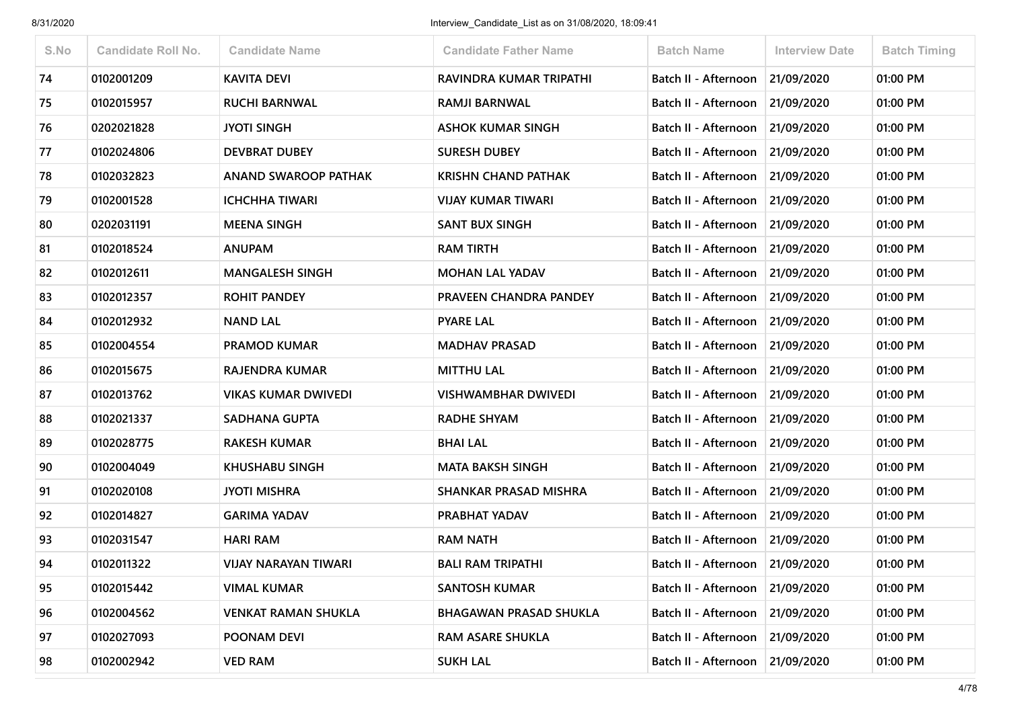| S.No | <b>Candidate Roll No.</b> | <b>Candidate Name</b>       | <b>Candidate Father Name</b>  | <b>Batch Name</b>                 | <b>Interview Date</b> | <b>Batch Timing</b> |
|------|---------------------------|-----------------------------|-------------------------------|-----------------------------------|-----------------------|---------------------|
| 74   | 0102001209                | <b>KAVITA DEVI</b>          | RAVINDRA KUMAR TRIPATHI       | Batch II - Afternoon              | 21/09/2020            | 01:00 PM            |
| 75   | 0102015957                | <b>RUCHI BARNWAL</b>        | <b>RAMJI BARNWAL</b>          | Batch II - Afternoon              | 21/09/2020            | 01:00 PM            |
| 76   | 0202021828                | <b>JYOTI SINGH</b>          | <b>ASHOK KUMAR SINGH</b>      | Batch II - Afternoon              | 21/09/2020            | 01:00 PM            |
| 77   | 0102024806                | <b>DEVBRAT DUBEY</b>        | <b>SURESH DUBEY</b>           | Batch II - Afternoon              | 21/09/2020            | 01:00 PM            |
| 78   | 0102032823                | <b>ANAND SWAROOP PATHAK</b> | <b>KRISHN CHAND PATHAK</b>    | Batch II - Afternoon              | 21/09/2020            | 01:00 PM            |
| 79   | 0102001528                | <b>ICHCHHA TIWARI</b>       | <b>VIJAY KUMAR TIWARI</b>     | Batch II - Afternoon              | 21/09/2020            | 01:00 PM            |
| 80   | 0202031191                | <b>MEENA SINGH</b>          | <b>SANT BUX SINGH</b>         | Batch II - Afternoon              | 21/09/2020            | 01:00 PM            |
| 81   | 0102018524                | <b>ANUPAM</b>               | <b>RAM TIRTH</b>              | Batch II - Afternoon              | 21/09/2020            | 01:00 PM            |
| 82   | 0102012611                | <b>MANGALESH SINGH</b>      | <b>MOHAN LAL YADAV</b>        | Batch II - Afternoon              | 21/09/2020            | 01:00 PM            |
| 83   | 0102012357                | <b>ROHIT PANDEY</b>         | PRAVEEN CHANDRA PANDEY        | Batch II - Afternoon              | 21/09/2020            | 01:00 PM            |
| 84   | 0102012932                | <b>NAND LAL</b>             | <b>PYARE LAL</b>              | Batch II - Afternoon   21/09/2020 |                       | 01:00 PM            |
| 85   | 0102004554                | <b>PRAMOD KUMAR</b>         | <b>MADHAV PRASAD</b>          | Batch II - Afternoon              | 21/09/2020            | 01:00 PM            |
| 86   | 0102015675                | RAJENDRA KUMAR              | <b>MITTHU LAL</b>             | Batch II - Afternoon              | 21/09/2020            | 01:00 PM            |
| 87   | 0102013762                | <b>VIKAS KUMAR DWIVEDI</b>  | <b>VISHWAMBHAR DWIVEDI</b>    | Batch II - Afternoon              | 21/09/2020            | 01:00 PM            |
| 88   | 0102021337                | SADHANA GUPTA               | <b>RADHE SHYAM</b>            | Batch II - Afternoon              | 21/09/2020            | 01:00 PM            |
| 89   | 0102028775                | <b>RAKESH KUMAR</b>         | <b>BHAI LAL</b>               | Batch II - Afternoon              | 21/09/2020            | 01:00 PM            |
| 90   | 0102004049                | <b>KHUSHABU SINGH</b>       | <b>MATA BAKSH SINGH</b>       | Batch II - Afternoon              | 21/09/2020            | 01:00 PM            |
| 91   | 0102020108                | <b>JYOTI MISHRA</b>         | SHANKAR PRASAD MISHRA         | Batch II - Afternoon              | 21/09/2020            | 01:00 PM            |
| 92   | 0102014827                | <b>GARIMA YADAV</b>         | PRABHAT YADAV                 | Batch II - Afternoon   21/09/2020 |                       | 01:00 PM            |
| 93   | 0102031547                | <b>HARI RAM</b>             | <b>RAM NATH</b>               | Batch II - Afternoon              | 21/09/2020            | 01:00 PM            |
| 94   | 0102011322                | VIJAY NARAYAN TIWARI        | <b>BALI RAM TRIPATHI</b>      | Batch II - Afternoon   21/09/2020 |                       | 01:00 PM            |
| 95   | 0102015442                | <b>VIMAL KUMAR</b>          | <b>SANTOSH KUMAR</b>          | Batch II - Afternoon   21/09/2020 |                       | 01:00 PM            |
| 96   | 0102004562                | <b>VENKAT RAMAN SHUKLA</b>  | <b>BHAGAWAN PRASAD SHUKLA</b> | Batch II - Afternoon              | 21/09/2020            | 01:00 PM            |
| 97   | 0102027093                | POONAM DEVI                 | <b>RAM ASARE SHUKLA</b>       | Batch II - Afternoon 21/09/2020   |                       | 01:00 PM            |
| 98   | 0102002942                | <b>VED RAM</b>              | <b>SUKH LAL</b>               | Batch II - Afternoon              | 21/09/2020            | 01:00 PM            |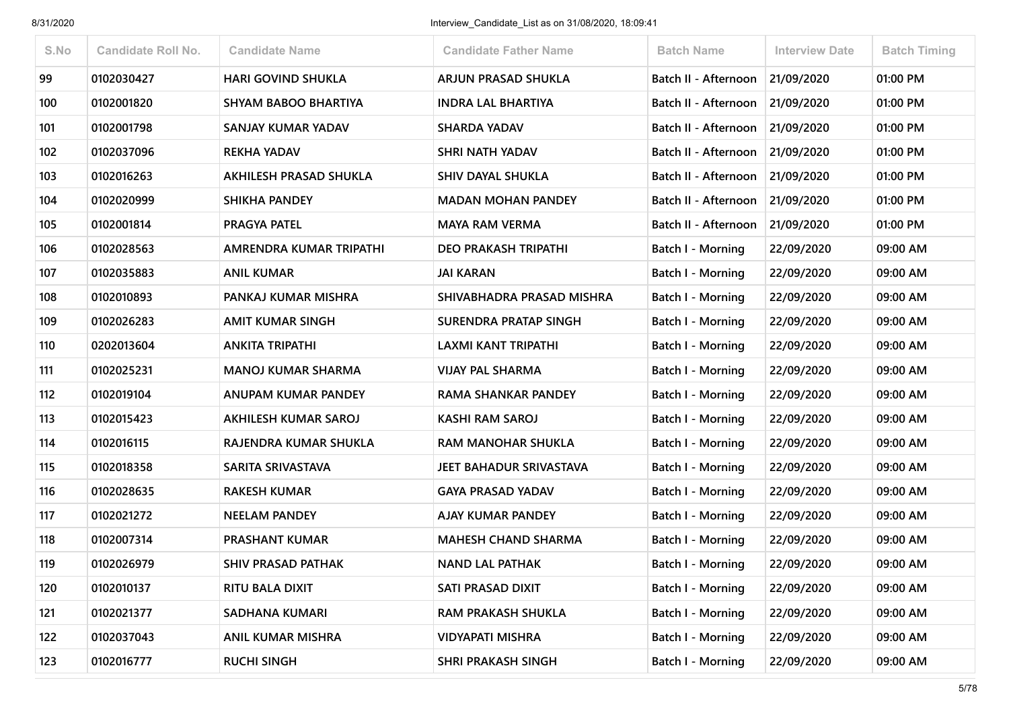| S.No | <b>Candidate Roll No.</b> | <b>Candidate Name</b>       | <b>Candidate Father Name</b> | <b>Batch Name</b>        | <b>Interview Date</b> | <b>Batch Timing</b> |
|------|---------------------------|-----------------------------|------------------------------|--------------------------|-----------------------|---------------------|
| 99   | 0102030427                | <b>HARI GOVIND SHUKLA</b>   | <b>ARJUN PRASAD SHUKLA</b>   | Batch II - Afternoon     | 21/09/2020            | 01:00 PM            |
| 100  | 0102001820                | SHYAM BABOO BHARTIYA        | <b>INDRA LAL BHARTIYA</b>    | Batch II - Afternoon     | 21/09/2020            | 01:00 PM            |
| 101  | 0102001798                | SANJAY KUMAR YADAV          | <b>SHARDA YADAV</b>          | Batch II - Afternoon     | 21/09/2020            | 01:00 PM            |
| 102  | 0102037096                | <b>REKHA YADAV</b>          | <b>SHRI NATH YADAV</b>       | Batch II - Afternoon     | 21/09/2020            | 01:00 PM            |
| 103  | 0102016263                | AKHILESH PRASAD SHUKLA      | <b>SHIV DAYAL SHUKLA</b>     | Batch II - Afternoon     | 21/09/2020            | 01:00 PM            |
| 104  | 0102020999                | <b>SHIKHA PANDEY</b>        | <b>MADAN MOHAN PANDEY</b>    | Batch II - Afternoon     | 21/09/2020            | 01:00 PM            |
| 105  | 0102001814                | <b>PRAGYA PATEL</b>         | <b>MAYA RAM VERMA</b>        | Batch II - Afternoon     | 21/09/2020            | 01:00 PM            |
| 106  | 0102028563                | AMRENDRA KUMAR TRIPATHI     | <b>DEO PRAKASH TRIPATHI</b>  | <b>Batch I - Morning</b> | 22/09/2020            | 09:00 AM            |
| 107  | 0102035883                | ANIL KUMAR                  | <b>JAI KARAN</b>             | Batch I - Morning        | 22/09/2020            | 09:00 AM            |
| 108  | 0102010893                | PANKAJ KUMAR MISHRA         | SHIVABHADRA PRASAD MISHRA    | Batch I - Morning        | 22/09/2020            | 09:00 AM            |
| 109  | 0102026283                | <b>AMIT KUMAR SINGH</b>     | SURENDRA PRATAP SINGH        | Batch I - Morning        | 22/09/2020            | 09:00 AM            |
| 110  | 0202013604                | <b>ANKITA TRIPATHI</b>      | LAXMI KANT TRIPATHI          | Batch I - Morning        | 22/09/2020            | 09:00 AM            |
| 111  | 0102025231                | <b>MANOJ KUMAR SHARMA</b>   | <b>VIJAY PAL SHARMA</b>      | Batch I - Morning        | 22/09/2020            | 09:00 AM            |
| 112  | 0102019104                | ANUPAM KUMAR PANDEY         | RAMA SHANKAR PANDEY          | <b>Batch I - Morning</b> | 22/09/2020            | 09:00 AM            |
| 113  | 0102015423                | <b>AKHILESH KUMAR SAROJ</b> | <b>KASHI RAM SAROJ</b>       | Batch I - Morning        | 22/09/2020            | 09:00 AM            |
| 114  | 0102016115                | RAJENDRA KUMAR SHUKLA       | <b>RAM MANOHAR SHUKLA</b>    | Batch I - Morning        | 22/09/2020            | 09:00 AM            |
| 115  | 0102018358                | SARITA SRIVASTAVA           | JEET BAHADUR SRIVASTAVA      | Batch I - Morning        | 22/09/2020            | 09:00 AM            |
| 116  | 0102028635                | <b>RAKESH KUMAR</b>         | <b>GAYA PRASAD YADAV</b>     | Batch I - Morning        | 22/09/2020            | 09:00 AM            |
| 117  | 0102021272                | <b>NEELAM PANDEY</b>        | <b>AJAY KUMAR PANDEY</b>     | <b>Batch I - Morning</b> | 22/09/2020            | 09:00 AM            |
| 118  | 0102007314                | <b>PRASHANT KUMAR</b>       | <b>MAHESH CHAND SHARMA</b>   | Batch I - Morning        | 22/09/2020            | 09:00 AM            |
| 119  | 0102026979                | <b>SHIV PRASAD PATHAK</b>   | <b>NAND LAL PATHAK</b>       | Batch I - Morning        | 22/09/2020            | 09:00 AM            |
| 120  | 0102010137                | RITU BALA DIXIT             | SATI PRASAD DIXIT            | Batch I - Morning        | 22/09/2020            | 09:00 AM            |
| 121  | 0102021377                | SADHANA KUMARI              | RAM PRAKASH SHUKLA           | Batch I - Morning        | 22/09/2020            | 09:00 AM            |
| 122  | 0102037043                | ANIL KUMAR MISHRA           | <b>VIDYAPATI MISHRA</b>      | <b>Batch I - Morning</b> | 22/09/2020            | 09:00 AM            |
| 123  | 0102016777                | <b>RUCHI SINGH</b>          | <b>SHRI PRAKASH SINGH</b>    | <b>Batch I - Morning</b> | 22/09/2020            | 09:00 AM            |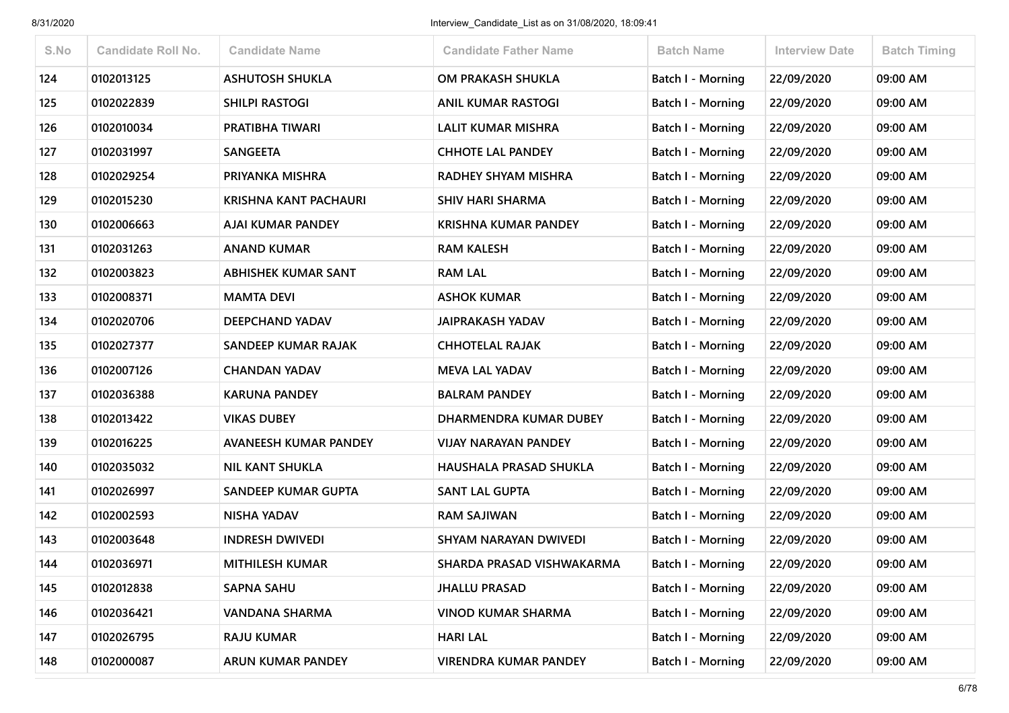| S.No | <b>Candidate Roll No.</b> | <b>Candidate Name</b>        | <b>Candidate Father Name</b>  | <b>Batch Name</b>        | <b>Interview Date</b> | <b>Batch Timing</b> |
|------|---------------------------|------------------------------|-------------------------------|--------------------------|-----------------------|---------------------|
| 124  | 0102013125                | <b>ASHUTOSH SHUKLA</b>       | OM PRAKASH SHUKLA             | <b>Batch I - Morning</b> | 22/09/2020            | 09:00 AM            |
| 125  | 0102022839                | <b>SHILPI RASTOGI</b>        | <b>ANIL KUMAR RASTOGI</b>     | Batch I - Morning        | 22/09/2020            | 09:00 AM            |
| 126  | 0102010034                | PRATIBHA TIWARI              | <b>LALIT KUMAR MISHRA</b>     | <b>Batch I - Morning</b> | 22/09/2020            | 09:00 AM            |
| 127  | 0102031997                | <b>SANGEETA</b>              | <b>CHHOTE LAL PANDEY</b>      | Batch I - Morning        | 22/09/2020            | 09:00 AM            |
| 128  | 0102029254                | PRIYANKA MISHRA              | RADHEY SHYAM MISHRA           | Batch I - Morning        | 22/09/2020            | 09:00 AM            |
| 129  | 0102015230                | <b>KRISHNA KANT PACHAURI</b> | <b>SHIV HARI SHARMA</b>       | Batch I - Morning        | 22/09/2020            | 09:00 AM            |
| 130  | 0102006663                | <b>AJAI KUMAR PANDEY</b>     | <b>KRISHNA KUMAR PANDEY</b>   | Batch I - Morning        | 22/09/2020            | 09:00 AM            |
| 131  | 0102031263                | <b>ANAND KUMAR</b>           | <b>RAM KALESH</b>             | Batch I - Morning        | 22/09/2020            | 09:00 AM            |
| 132  | 0102003823                | <b>ABHISHEK KUMAR SANT</b>   | <b>RAM LAL</b>                | <b>Batch I - Morning</b> | 22/09/2020            | 09:00 AM            |
| 133  | 0102008371                | <b>MAMTA DEVI</b>            | <b>ASHOK KUMAR</b>            | Batch I - Morning        | 22/09/2020            | 09:00 AM            |
| 134  | 0102020706                | DEEPCHAND YADAV              | <b>JAIPRAKASH YADAV</b>       | <b>Batch I - Morning</b> | 22/09/2020            | 09:00 AM            |
| 135  | 0102027377                | SANDEEP KUMAR RAJAK          | <b>CHHOTELAL RAJAK</b>        | Batch I - Morning        | 22/09/2020            | 09:00 AM            |
| 136  | 0102007126                | <b>CHANDAN YADAV</b>         | <b>MEVA LAL YADAV</b>         | Batch I - Morning        | 22/09/2020            | 09:00 AM            |
| 137  | 0102036388                | <b>KARUNA PANDEY</b>         | <b>BALRAM PANDEY</b>          | <b>Batch I - Morning</b> | 22/09/2020            | 09:00 AM            |
| 138  | 0102013422                | <b>VIKAS DUBEY</b>           | DHARMENDRA KUMAR DUBEY        | <b>Batch I - Morning</b> | 22/09/2020            | 09:00 AM            |
| 139  | 0102016225                | <b>AVANEESH KUMAR PANDEY</b> | <b>VIJAY NARAYAN PANDEY</b>   | Batch I - Morning        | 22/09/2020            | 09:00 AM            |
| 140  | 0102035032                | <b>NIL KANT SHUKLA</b>       | <b>HAUSHALA PRASAD SHUKLA</b> | <b>Batch I - Morning</b> | 22/09/2020            | 09:00 AM            |
| 141  | 0102026997                | <b>SANDEEP KUMAR GUPTA</b>   | <b>SANT LAL GUPTA</b>         | Batch I - Morning        | 22/09/2020            | 09:00 AM            |
| 142  | 0102002593                | <b>NISHA YADAV</b>           | <b>RAM SAJIWAN</b>            | <b>Batch I - Morning</b> | 22/09/2020            | 09:00 AM            |
| 143  | 0102003648                | <b>INDRESH DWIVEDI</b>       | SHYAM NARAYAN DWIVEDI         | <b>Batch I - Morning</b> | 22/09/2020            | 09:00 AM            |
| 144  | 0102036971                | <b>MITHILESH KUMAR</b>       | SHARDA PRASAD VISHWAKARMA     | Batch I - Morning        | 22/09/2020            | 09:00 AM            |
| 145  | 0102012838                | <b>SAPNA SAHU</b>            | <b>JHALLU PRASAD</b>          | Batch I - Morning        | 22/09/2020            | 09:00 AM            |
| 146  | 0102036421                | <b>VANDANA SHARMA</b>        | <b>VINOD KUMAR SHARMA</b>     | Batch I - Morning        | 22/09/2020            | 09:00 AM            |
| 147  | 0102026795                | <b>RAJU KUMAR</b>            | <b>HARI LAL</b>               | <b>Batch I - Morning</b> | 22/09/2020            | 09:00 AM            |
| 148  | 0102000087                | <b>ARUN KUMAR PANDEY</b>     | <b>VIRENDRA KUMAR PANDEY</b>  | Batch I - Morning        | 22/09/2020            | 09:00 AM            |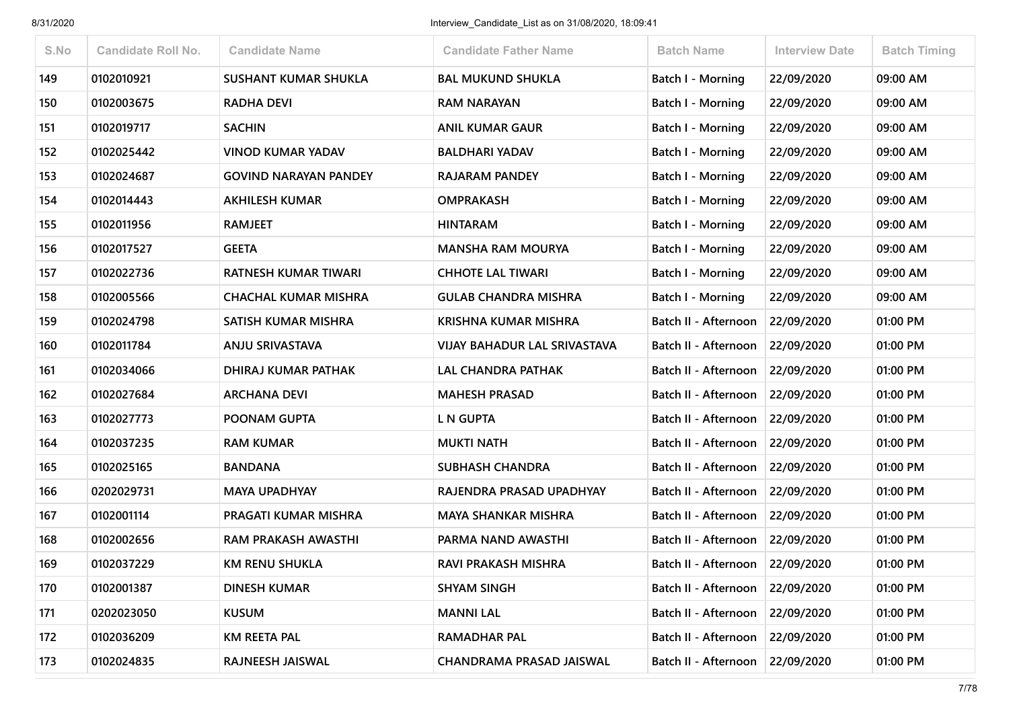| S.No | <b>Candidate Roll No.</b> | <b>Candidate Name</b>        | <b>Candidate Father Name</b>        | <b>Batch Name</b>        | <b>Interview Date</b> | <b>Batch Timing</b> |
|------|---------------------------|------------------------------|-------------------------------------|--------------------------|-----------------------|---------------------|
| 149  | 0102010921                | <b>SUSHANT KUMAR SHUKLA</b>  | <b>BAL MUKUND SHUKLA</b>            | <b>Batch I - Morning</b> | 22/09/2020            | 09:00 AM            |
| 150  | 0102003675                | <b>RADHA DEVI</b>            | <b>RAM NARAYAN</b>                  | <b>Batch I - Morning</b> | 22/09/2020            | 09:00 AM            |
| 151  | 0102019717                | <b>SACHIN</b>                | <b>ANIL KUMAR GAUR</b>              | <b>Batch I - Morning</b> | 22/09/2020            | 09:00 AM            |
| 152  | 0102025442                | <b>VINOD KUMAR YADAV</b>     | <b>BALDHARI YADAV</b>               | Batch I - Morning        | 22/09/2020            | 09:00 AM            |
| 153  | 0102024687                | <b>GOVIND NARAYAN PANDEY</b> | <b>RAJARAM PANDEY</b>               | Batch I - Morning        | 22/09/2020            | 09:00 AM            |
| 154  | 0102014443                | <b>AKHILESH KUMAR</b>        | <b>OMPRAKASH</b>                    | <b>Batch I - Morning</b> | 22/09/2020            | 09:00 AM            |
| 155  | 0102011956                | <b>RAMJEET</b>               | <b>HINTARAM</b>                     | Batch I - Morning        | 22/09/2020            | 09:00 AM            |
| 156  | 0102017527                | <b>GEETA</b>                 | <b>MANSHA RAM MOURYA</b>            | Batch I - Morning        | 22/09/2020            | 09:00 AM            |
| 157  | 0102022736                | RATNESH KUMAR TIWARI         | <b>CHHOTE LAL TIWARI</b>            | <b>Batch I - Morning</b> | 22/09/2020            | 09:00 AM            |
| 158  | 0102005566                | <b>CHACHAL KUMAR MISHRA</b>  | <b>GULAB CHANDRA MISHRA</b>         | Batch I - Morning        | 22/09/2020            | 09:00 AM            |
| 159  | 0102024798                | <b>SATISH KUMAR MISHRA</b>   | <b>KRISHNA KUMAR MISHRA</b>         | Batch II - Afternoon     | 22/09/2020            | 01:00 PM            |
| 160  | 0102011784                | ANJU SRIVASTAVA              | <b>VIJAY BAHADUR LAL SRIVASTAVA</b> | Batch II - Afternoon     | 22/09/2020            | 01:00 PM            |
| 161  | 0102034066                | DHIRAJ KUMAR PATHAK          | <b>LAL CHANDRA PATHAK</b>           | Batch II - Afternoon     | 22/09/2020            | 01:00 PM            |
| 162  | 0102027684                | <b>ARCHANA DEVI</b>          | <b>MAHESH PRASAD</b>                | Batch II - Afternoon     | 22/09/2020            | 01:00 PM            |
| 163  | 0102027773                | POONAM GUPTA                 | <b>L N GUPTA</b>                    | Batch II - Afternoon     | 22/09/2020            | 01:00 PM            |
| 164  | 0102037235                | <b>RAM KUMAR</b>             | <b>MUKTI NATH</b>                   | Batch II - Afternoon     | 22/09/2020            | 01:00 PM            |
| 165  | 0102025165                | <b>BANDANA</b>               | <b>SUBHASH CHANDRA</b>              | Batch II - Afternoon     | 22/09/2020            | 01:00 PM            |
| 166  | 0202029731                | <b>MAYA UPADHYAY</b>         | RAJENDRA PRASAD UPADHYAY            | Batch II - Afternoon     | 22/09/2020            | 01:00 PM            |
| 167  | 0102001114                | PRAGATI KUMAR MISHRA         | <b>MAYA SHANKAR MISHRA</b>          | Batch II - Afternoon     | 22/09/2020            | 01:00 PM            |
| 168  | 0102002656                | <b>RAM PRAKASH AWASTHI</b>   | PARMA NAND AWASTHI                  | Batch II - Afternoon     | 22/09/2020            | 01:00 PM            |
| 169  | 0102037229                | <b>KM RENU SHUKLA</b>        | RAVI PRAKASH MISHRA                 | Batch II - Afternoon     | 22/09/2020            | 01:00 PM            |
| 170  | 0102001387                | <b>DINESH KUMAR</b>          | <b>SHYAM SINGH</b>                  | Batch II - Afternoon     | 22/09/2020            | 01:00 PM            |
| 171  | 0202023050                | <b>KUSUM</b>                 | <b>MANNI LAL</b>                    | Batch II - Afternoon     | 22/09/2020            | 01:00 PM            |
| 172  | 0102036209                | <b>KM REETA PAL</b>          | <b>RAMADHAR PAL</b>                 | Batch II - Afternoon     | 22/09/2020            | 01:00 PM            |
| 173  | 0102024835                | RAJNEESH JAISWAL             | CHANDRAMA PRASAD JAISWAL            | Batch II - Afternoon     | 22/09/2020            | 01:00 PM            |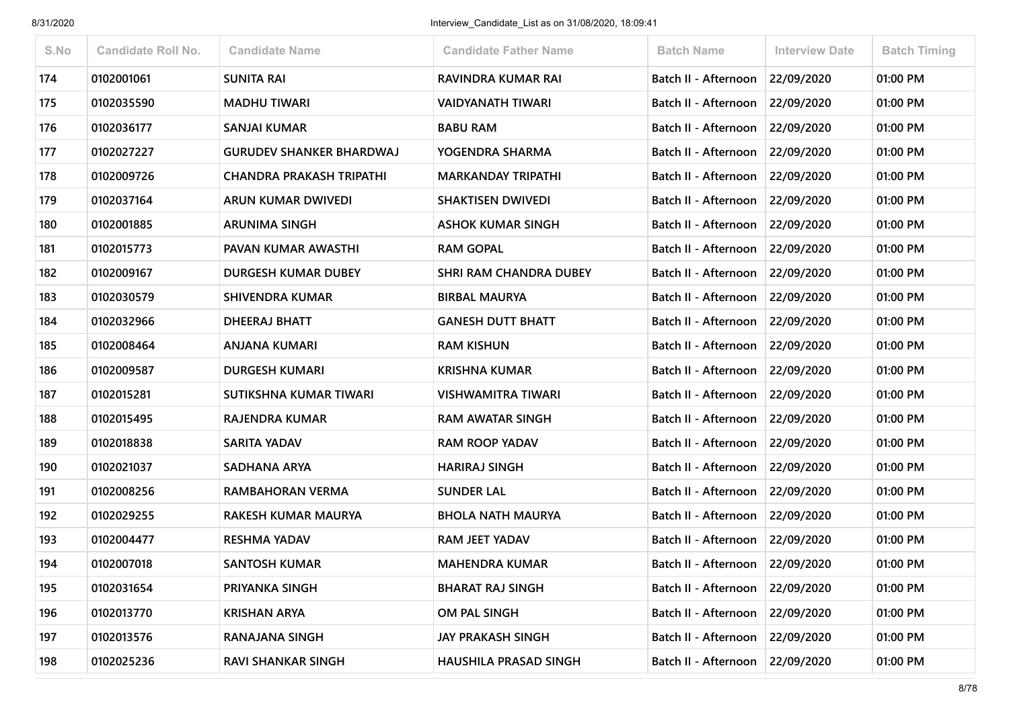| S.No | <b>Candidate Roll No.</b> | <b>Candidate Name</b>           | <b>Candidate Father Name</b>  | <b>Batch Name</b>               | <b>Interview Date</b> | <b>Batch Timing</b> |
|------|---------------------------|---------------------------------|-------------------------------|---------------------------------|-----------------------|---------------------|
| 174  | 0102001061                | <b>SUNITA RAI</b>               | RAVINDRA KUMAR RAI            | Batch II - Afternoon            | 22/09/2020            | 01:00 PM            |
| 175  | 0102035590                | <b>MADHU TIWARI</b>             | <b>VAIDYANATH TIWARI</b>      | Batch II - Afternoon            | 22/09/2020            | 01:00 PM            |
| 176  | 0102036177                | SANJAI KUMAR                    | <b>BABU RAM</b>               | Batch II - Afternoon            | 22/09/2020            | 01:00 PM            |
| 177  | 0102027227                | <b>GURUDEV SHANKER BHARDWAJ</b> | YOGENDRA SHARMA               | Batch II - Afternoon            | 22/09/2020            | 01:00 PM            |
| 178  | 0102009726                | CHANDRA PRAKASH TRIPATHI        | <b>MARKANDAY TRIPATHI</b>     | Batch II - Afternoon            | 22/09/2020            | 01:00 PM            |
| 179  | 0102037164                | ARUN KUMAR DWIVEDI              | <b>SHAKTISEN DWIVEDI</b>      | Batch II - Afternoon            | 22/09/2020            | 01:00 PM            |
| 180  | 0102001885                | <b>ARUNIMA SINGH</b>            | <b>ASHOK KUMAR SINGH</b>      | Batch II - Afternoon            | 22/09/2020            | 01:00 PM            |
| 181  | 0102015773                | PAVAN KUMAR AWASTHI             | <b>RAM GOPAL</b>              | Batch II - Afternoon            | 22/09/2020            | 01:00 PM            |
| 182  | 0102009167                | <b>DURGESH KUMAR DUBEY</b>      | <b>SHRI RAM CHANDRA DUBEY</b> | Batch II - Afternoon            | 22/09/2020            | 01:00 PM            |
| 183  | 0102030579                | <b>SHIVENDRA KUMAR</b>          | <b>BIRBAL MAURYA</b>          | Batch II - Afternoon            | 22/09/2020            | 01:00 PM            |
| 184  | 0102032966                | <b>DHEERAJ BHATT</b>            | <b>GANESH DUTT BHATT</b>      | Batch II - Afternoon 22/09/2020 |                       | 01:00 PM            |
| 185  | 0102008464                | ANJANA KUMARI                   | <b>RAM KISHUN</b>             | Batch II - Afternoon            | 22/09/2020            | 01:00 PM            |
| 186  | 0102009587                | <b>DURGESH KUMARI</b>           | <b>KRISHNA KUMAR</b>          | Batch II - Afternoon            | 22/09/2020            | 01:00 PM            |
| 187  | 0102015281                | SUTIKSHNA KUMAR TIWARI          | <b>VISHWAMITRA TIWARI</b>     | Batch II - Afternoon            | 22/09/2020            | 01:00 PM            |
| 188  | 0102015495                | RAJENDRA KUMAR                  | RAM AWATAR SINGH              | Batch II - Afternoon            | 22/09/2020            | 01:00 PM            |
| 189  | 0102018838                | SARITA YADAV                    | <b>RAM ROOP YADAV</b>         | Batch II - Afternoon            | 22/09/2020            | 01:00 PM            |
| 190  | 0102021037                | SADHANA ARYA                    | <b>HARIRAJ SINGH</b>          | Batch II - Afternoon            | 22/09/2020            | 01:00 PM            |
| 191  | 0102008256                | RAMBAHORAN VERMA                | <b>SUNDER LAL</b>             | Batch II - Afternoon            | 22/09/2020            | 01:00 PM            |
| 192  | 0102029255                | RAKESH KUMAR MAURYA             | <b>BHOLA NATH MAURYA</b>      | Batch II - Afternoon            | 22/09/2020            | 01:00 PM            |
| 193  | 0102004477                | <b>RESHMA YADAV</b>             | <b>RAM JEET YADAV</b>         | Batch II - Afternoon            | 22/09/2020            | 01:00 PM            |
| 194  | 0102007018                | <b>SANTOSH KUMAR</b>            | <b>MAHENDRA KUMAR</b>         | Batch II - Afternoon            | 22/09/2020            | 01:00 PM            |
| 195  | 0102031654                | PRIYANKA SINGH                  | <b>BHARAT RAJ SINGH</b>       | Batch II - Afternoon            | 22/09/2020            | 01:00 PM            |
| 196  | 0102013770                | <b>KRISHAN ARYA</b>             | OM PAL SINGH                  | Batch II - Afternoon            | 22/09/2020            | 01:00 PM            |
| 197  | 0102013576                | RANAJANA SINGH                  | <b>JAY PRAKASH SINGH</b>      | Batch II - Afternoon            | 22/09/2020            | 01:00 PM            |
| 198  | 0102025236                | <b>RAVI SHANKAR SINGH</b>       | <b>HAUSHILA PRASAD SINGH</b>  | Batch II - Afternoon            | 22/09/2020            | 01:00 PM            |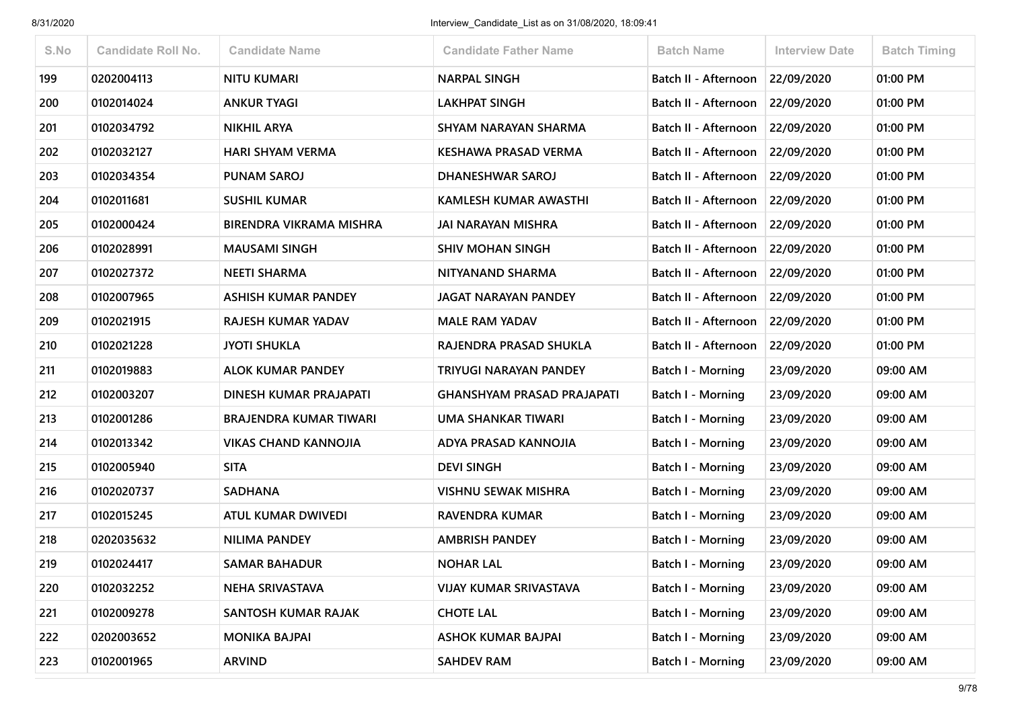| S.No | <b>Candidate Roll No.</b> | <b>Candidate Name</b>          | <b>Candidate Father Name</b>      | <b>Batch Name</b>        | <b>Interview Date</b> | <b>Batch Timing</b> |
|------|---------------------------|--------------------------------|-----------------------------------|--------------------------|-----------------------|---------------------|
| 199  | 0202004113                | <b>NITU KUMARI</b>             | <b>NARPAL SINGH</b>               | Batch II - Afternoon     | 22/09/2020            | 01:00 PM            |
| 200  | 0102014024                | <b>ANKUR TYAGI</b>             | <b>LAKHPAT SINGH</b>              | Batch II - Afternoon     | 22/09/2020            | 01:00 PM            |
| 201  | 0102034792                | <b>NIKHIL ARYA</b>             | SHYAM NARAYAN SHARMA              | Batch II - Afternoon     | 22/09/2020            | 01:00 PM            |
| 202  | 0102032127                | <b>HARI SHYAM VERMA</b>        | <b>KESHAWA PRASAD VERMA</b>       | Batch II - Afternoon     | 22/09/2020            | 01:00 PM            |
| 203  | 0102034354                | <b>PUNAM SAROJ</b>             | <b>DHANESHWAR SAROJ</b>           | Batch II - Afternoon     | 22/09/2020            | 01:00 PM            |
| 204  | 0102011681                | <b>SUSHIL KUMAR</b>            | KAMLESH KUMAR AWASTHI             | Batch II - Afternoon     | 22/09/2020            | 01:00 PM            |
| 205  | 0102000424                | <b>BIRENDRA VIKRAMA MISHRA</b> | <b>JAI NARAYAN MISHRA</b>         | Batch II - Afternoon     | 22/09/2020            | 01:00 PM            |
| 206  | 0102028991                | <b>MAUSAMI SINGH</b>           | <b>SHIV MOHAN SINGH</b>           | Batch II - Afternoon     | 22/09/2020            | 01:00 PM            |
| 207  | 0102027372                | <b>NEETI SHARMA</b>            | NITYANAND SHARMA                  | Batch II - Afternoon     | 22/09/2020            | 01:00 PM            |
| 208  | 0102007965                | <b>ASHISH KUMAR PANDEY</b>     | <b>JAGAT NARAYAN PANDEY</b>       | Batch II - Afternoon     | 22/09/2020            | 01:00 PM            |
| 209  | 0102021915                | <b>RAJESH KUMAR YADAV</b>      | <b>MALE RAM YADAV</b>             | Batch II - Afternoon     | 22/09/2020            | 01:00 PM            |
| 210  | 0102021228                | <b>JYOTI SHUKLA</b>            | RAJENDRA PRASAD SHUKLA            | Batch II - Afternoon     | 22/09/2020            | 01:00 PM            |
| 211  | 0102019883                | <b>ALOK KUMAR PANDEY</b>       | TRIYUGI NARAYAN PANDEY            | Batch I - Morning        | 23/09/2020            | 09:00 AM            |
| 212  | 0102003207                | DINESH KUMAR PRAJAPATI         | <b>GHANSHYAM PRASAD PRAJAPATI</b> | Batch I - Morning        | 23/09/2020            | 09:00 AM            |
| 213  | 0102001286                | BRAJENDRA KUMAR TIWARI         | UMA SHANKAR TIWARI                | Batch I - Morning        | 23/09/2020            | 09:00 AM            |
| 214  | 0102013342                | <b>VIKAS CHAND KANNOJIA</b>    | ADYA PRASAD KANNOJIA              | Batch I - Morning        | 23/09/2020            | 09:00 AM            |
| 215  | 0102005940                | <b>SITA</b>                    | <b>DEVI SINGH</b>                 | <b>Batch I - Morning</b> | 23/09/2020            | 09:00 AM            |
| 216  | 0102020737                | <b>SADHANA</b>                 | <b>VISHNU SEWAK MISHRA</b>        | Batch I - Morning        | 23/09/2020            | 09:00 AM            |
| 217  | 0102015245                | ATUL KUMAR DWIVEDI             | <b>RAVENDRA KUMAR</b>             | <b>Batch I - Morning</b> | 23/09/2020            | 09:00 AM            |
| 218  | 0202035632                | <b>NILIMA PANDEY</b>           | <b>AMBRISH PANDEY</b>             | Batch I - Morning        | 23/09/2020            | 09:00 AM            |
| 219  | 0102024417                | <b>SAMAR BAHADUR</b>           | <b>NOHAR LAL</b>                  | Batch I - Morning        | 23/09/2020            | 09:00 AM            |
| 220  | 0102032252                | NEHA SRIVASTAVA                | <b>VIJAY KUMAR SRIVASTAVA</b>     | <b>Batch I - Morning</b> | 23/09/2020            | 09:00 AM            |
| 221  | 0102009278                | SANTOSH KUMAR RAJAK            | <b>CHOTE LAL</b>                  | <b>Batch I - Morning</b> | 23/09/2020            | 09:00 AM            |
| 222  | 0202003652                | <b>MONIKA BAJPAI</b>           | <b>ASHOK KUMAR BAJPAI</b>         | Batch I - Morning        | 23/09/2020            | 09:00 AM            |
| 223  | 0102001965                | <b>ARVIND</b>                  | <b>SAHDEV RAM</b>                 | <b>Batch I - Morning</b> | 23/09/2020            | 09:00 AM            |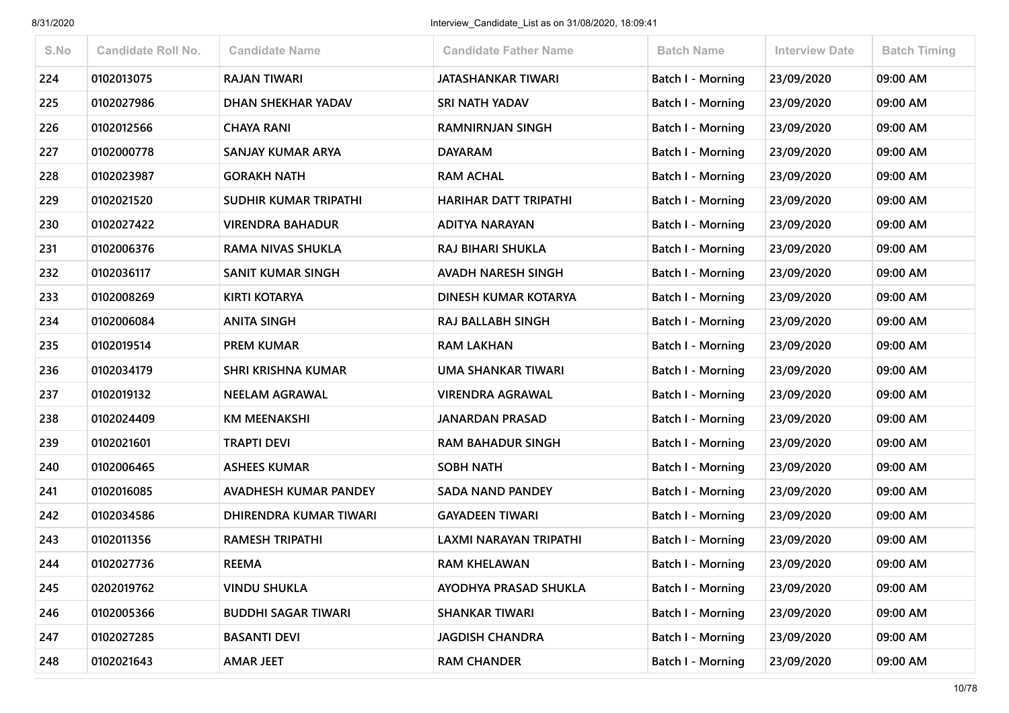| S.No | <b>Candidate Roll No.</b> | <b>Candidate Name</b>        | <b>Candidate Father Name</b>  | <b>Batch Name</b>        | <b>Interview Date</b> | <b>Batch Timing</b> |
|------|---------------------------|------------------------------|-------------------------------|--------------------------|-----------------------|---------------------|
| 224  | 0102013075                | <b>RAJAN TIWARI</b>          | <b>JATASHANKAR TIWARI</b>     | <b>Batch I - Morning</b> | 23/09/2020            | 09:00 AM            |
| 225  | 0102027986                | DHAN SHEKHAR YADAV           | SRI NATH YADAV                | Batch I - Morning        | 23/09/2020            | 09:00 AM            |
| 226  | 0102012566                | <b>CHAYA RANI</b>            | <b>RAMNIRNJAN SINGH</b>       | <b>Batch I - Morning</b> | 23/09/2020            | 09:00 AM            |
| 227  | 0102000778                | SANJAY KUMAR ARYA            | <b>DAYARAM</b>                | Batch I - Morning        | 23/09/2020            | 09:00 AM            |
| 228  | 0102023987                | <b>GORAKH NATH</b>           | <b>RAM ACHAL</b>              | <b>Batch I - Morning</b> | 23/09/2020            | 09:00 AM            |
| 229  | 0102021520                | SUDHIR KUMAR TRIPATHI        | HARIHAR DATT TRIPATHI         | <b>Batch I - Morning</b> | 23/09/2020            | 09:00 AM            |
| 230  | 0102027422                | <b>VIRENDRA BAHADUR</b>      | <b>ADITYA NARAYAN</b>         | Batch I - Morning        | 23/09/2020            | 09:00 AM            |
| 231  | 0102006376                | <b>RAMA NIVAS SHUKLA</b>     | RAJ BIHARI SHUKLA             | Batch I - Morning        | 23/09/2020            | 09:00 AM            |
| 232  | 0102036117                | SANIT KUMAR SINGH            | <b>AVADH NARESH SINGH</b>     | <b>Batch I - Morning</b> | 23/09/2020            | 09:00 AM            |
| 233  | 0102008269                | <b>KIRTI KOTARYA</b>         | DINESH KUMAR KOTARYA          | <b>Batch I - Morning</b> | 23/09/2020            | 09:00 AM            |
| 234  | 0102006084                | <b>ANITA SINGH</b>           | RAJ BALLABH SINGH             | <b>Batch I - Morning</b> | 23/09/2020            | 09:00 AM            |
| 235  | 0102019514                | <b>PREM KUMAR</b>            | <b>RAM LAKHAN</b>             | Batch I - Morning        | 23/09/2020            | 09:00 AM            |
| 236  | 0102034179                | <b>SHRI KRISHNA KUMAR</b>    | UMA SHANKAR TIWARI            | <b>Batch I - Morning</b> | 23/09/2020            | 09:00 AM            |
| 237  | 0102019132                | <b>NEELAM AGRAWAL</b>        | <b>VIRENDRA AGRAWAL</b>       | <b>Batch I - Morning</b> | 23/09/2020            | 09:00 AM            |
| 238  | 0102024409                | <b>KM MEENAKSHI</b>          | <b>JANARDAN PRASAD</b>        | <b>Batch I - Morning</b> | 23/09/2020            | 09:00 AM            |
| 239  | 0102021601                | <b>TRAPTI DEVI</b>           | <b>RAM BAHADUR SINGH</b>      | Batch I - Morning        | 23/09/2020            | 09:00 AM            |
| 240  | 0102006465                | <b>ASHEES KUMAR</b>          | <b>SOBH NATH</b>              | Batch I - Morning        | 23/09/2020            | 09:00 AM            |
| 241  | 0102016085                | <b>AVADHESH KUMAR PANDEY</b> | <b>SADA NAND PANDEY</b>       | Batch I - Morning        | 23/09/2020            | 09:00 AM            |
| 242  | 0102034586                | DHIRENDRA KUMAR TIWARI       | <b>GAYADEEN TIWARI</b>        | <b>Batch I - Morning</b> | 23/09/2020            | 09:00 AM            |
| 243  | 0102011356                | <b>RAMESH TRIPATHI</b>       | <b>LAXMI NARAYAN TRIPATHI</b> | Batch I - Morning        | 23/09/2020            | 09:00 AM            |
| 244  | 0102027736                | <b>REEMA</b>                 | <b>RAM KHELAWAN</b>           | Batch I - Morning        | 23/09/2020            | 09:00 AM            |
| 245  | 0202019762                | <b>VINDU SHUKLA</b>          | AYODHYA PRASAD SHUKLA         | Batch I - Morning        | 23/09/2020            | 09:00 AM            |
| 246  | 0102005366                | <b>BUDDHI SAGAR TIWARI</b>   | <b>SHANKAR TIWARI</b>         | Batch I - Morning        | 23/09/2020            | 09:00 AM            |
| 247  | 0102027285                | <b>BASANTI DEVI</b>          | <b>JAGDISH CHANDRA</b>        | Batch I - Morning        | 23/09/2020            | 09:00 AM            |
| 248  | 0102021643                | <b>AMAR JEET</b>             | <b>RAM CHANDER</b>            | Batch I - Morning        | 23/09/2020            | 09:00 AM            |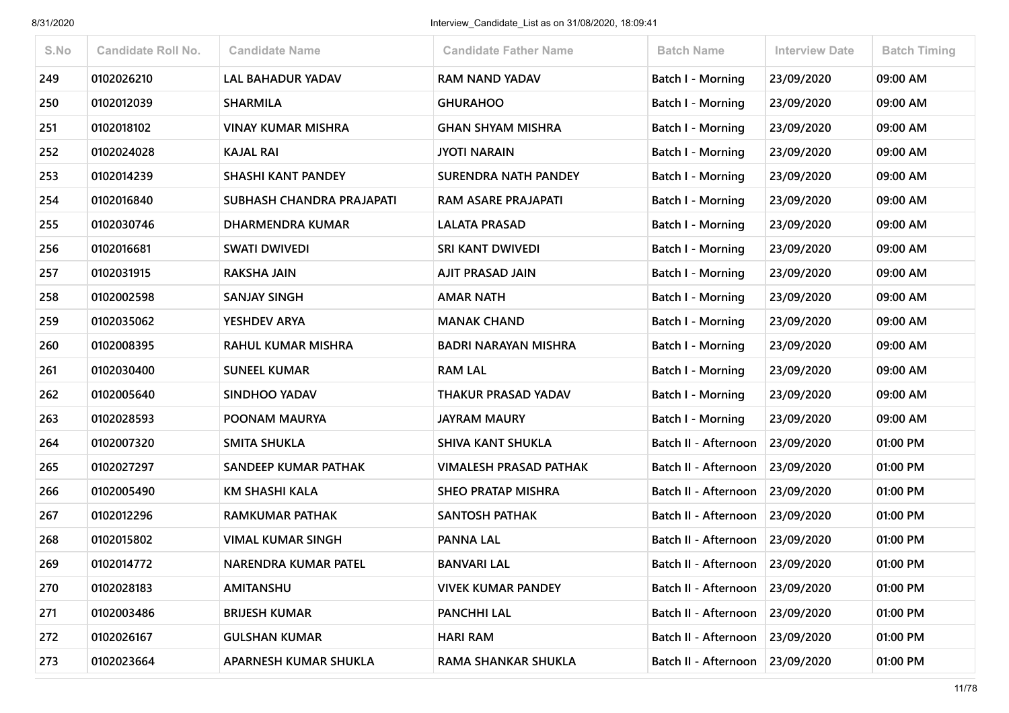| S.No | <b>Candidate Roll No.</b> | <b>Candidate Name</b>     | <b>Candidate Father Name</b>  | <b>Batch Name</b>                 | <b>Interview Date</b> | <b>Batch Timing</b> |
|------|---------------------------|---------------------------|-------------------------------|-----------------------------------|-----------------------|---------------------|
| 249  | 0102026210                | <b>LAL BAHADUR YADAV</b>  | <b>RAM NAND YADAV</b>         | <b>Batch I - Morning</b>          | 23/09/2020            | 09:00 AM            |
| 250  | 0102012039                | <b>SHARMILA</b>           | <b>GHURAHOO</b>               | Batch I - Morning                 | 23/09/2020            | 09:00 AM            |
| 251  | 0102018102                | <b>VINAY KUMAR MISHRA</b> | <b>GHAN SHYAM MISHRA</b>      | <b>Batch I - Morning</b>          | 23/09/2020            | 09:00 AM            |
| 252  | 0102024028                | <b>KAJAL RAI</b>          | <b>JYOTI NARAIN</b>           | Batch I - Morning                 | 23/09/2020            | 09:00 AM            |
| 253  | 0102014239                | <b>SHASHI KANT PANDEY</b> | SURENDRA NATH PANDEY          | <b>Batch I - Morning</b>          | 23/09/2020            | 09:00 AM            |
| 254  | 0102016840                | SUBHASH CHANDRA PRAJAPATI | RAM ASARE PRAJAPATI           | <b>Batch I - Morning</b>          | 23/09/2020            | 09:00 AM            |
| 255  | 0102030746                | <b>DHARMENDRA KUMAR</b>   | <b>LALATA PRASAD</b>          | Batch I - Morning                 | 23/09/2020            | 09:00 AM            |
| 256  | 0102016681                | <b>SWATI DWIVEDI</b>      | SRI KANT DWIVEDI              | Batch I - Morning                 | 23/09/2020            | 09:00 AM            |
| 257  | 0102031915                | <b>RAKSHA JAIN</b>        | <b>AJIT PRASAD JAIN</b>       | <b>Batch I - Morning</b>          | 23/09/2020            | 09:00 AM            |
| 258  | 0102002598                | <b>SANJAY SINGH</b>       | <b>AMAR NATH</b>              | <b>Batch I - Morning</b>          | 23/09/2020            | 09:00 AM            |
| 259  | 0102035062                | YESHDEV ARYA              | <b>MANAK CHAND</b>            | <b>Batch I - Morning</b>          | 23/09/2020            | 09:00 AM            |
| 260  | 0102008395                | RAHUL KUMAR MISHRA        | <b>BADRI NARAYAN MISHRA</b>   | Batch I - Morning                 | 23/09/2020            | 09:00 AM            |
| 261  | 0102030400                | <b>SUNEEL KUMAR</b>       | <b>RAM LAL</b>                | Batch I - Morning                 | 23/09/2020            | 09:00 AM            |
| 262  | 0102005640                | <b>SINDHOO YADAV</b>      | THAKUR PRASAD YADAV           | <b>Batch I - Morning</b>          | 23/09/2020            | 09:00 AM            |
| 263  | 0102028593                | POONAM MAURYA             | <b>JAYRAM MAURY</b>           | <b>Batch I - Morning</b>          | 23/09/2020            | 09:00 AM            |
| 264  | 0102007320                | SMITA SHUKLA              | <b>SHIVA KANT SHUKLA</b>      | Batch II - Afternoon              | 23/09/2020            | 01:00 PM            |
| 265  | 0102027297                | SANDEEP KUMAR PATHAK      | <b>VIMALESH PRASAD PATHAK</b> | Batch II - Afternoon              | 23/09/2020            | 01:00 PM            |
| 266  | 0102005490                | <b>KM SHASHI KALA</b>     | <b>SHEO PRATAP MISHRA</b>     | Batch II - Afternoon              | 23/09/2020            | 01:00 PM            |
| 267  | 0102012296                | <b>RAMKUMAR PATHAK</b>    | <b>SANTOSH PATHAK</b>         | Batch II - Afternoon   23/09/2020 |                       | 01:00 PM            |
| 268  | 0102015802                | <b>VIMAL KUMAR SINGH</b>  | <b>PANNA LAL</b>              | Batch II - Afternoon              | 23/09/2020            | 01:00 PM            |
| 269  | 0102014772                | NARENDRA KUMAR PATEL      | <b>BANVARI LAL</b>            | Batch II - Afternoon              | 23/09/2020            | 01:00 PM            |
| 270  | 0102028183                | AMITANSHU                 | <b>VIVEK KUMAR PANDEY</b>     | Batch II - Afternoon 23/09/2020   |                       | 01:00 PM            |
| 271  | 0102003486                | <b>BRIJESH KUMAR</b>      | <b>PANCHHI LAL</b>            | Batch II - Afternoon              | 23/09/2020            | 01:00 PM            |
| 272  | 0102026167                | <b>GULSHAN KUMAR</b>      | <b>HARI RAM</b>               | Batch II - Afternoon              | 23/09/2020            | 01:00 PM            |
| 273  | 0102023664                | APARNESH KUMAR SHUKLA     | <b>RAMA SHANKAR SHUKLA</b>    | Batch II - Afternoon              | 23/09/2020            | 01:00 PM            |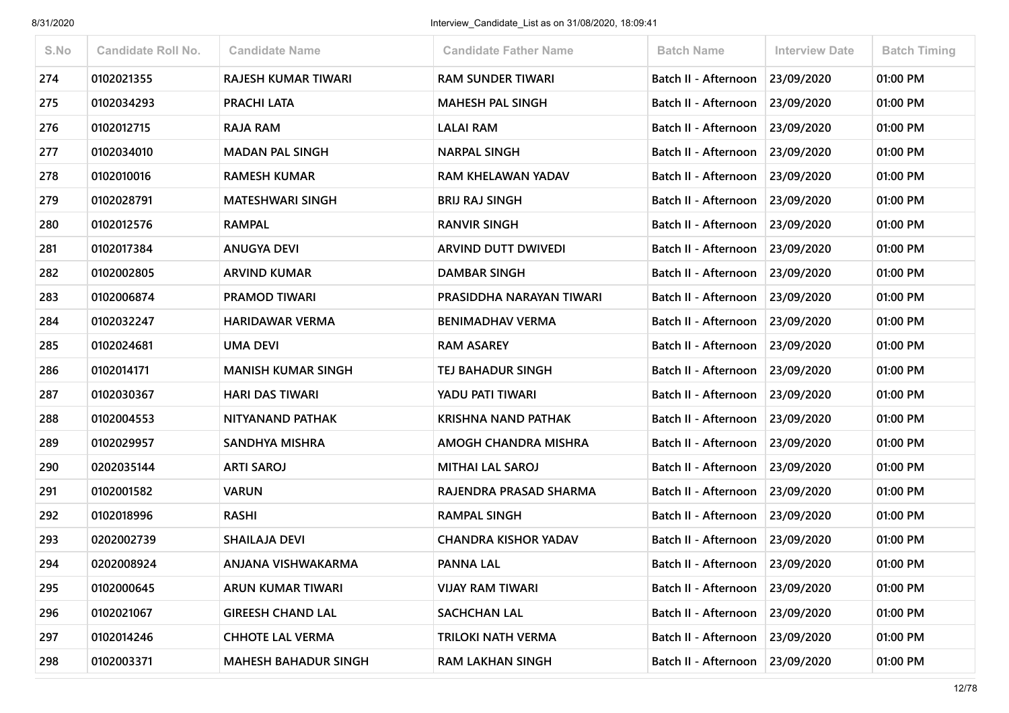| S.No | <b>Candidate Roll No.</b> | <b>Candidate Name</b>       | <b>Candidate Father Name</b> | <b>Batch Name</b>                 | <b>Interview Date</b> | <b>Batch Timing</b> |
|------|---------------------------|-----------------------------|------------------------------|-----------------------------------|-----------------------|---------------------|
| 274  | 0102021355                | <b>RAJESH KUMAR TIWARI</b>  | <b>RAM SUNDER TIWARI</b>     | Batch II - Afternoon              | 23/09/2020            | 01:00 PM            |
| 275  | 0102034293                | PRACHI LATA                 | <b>MAHESH PAL SINGH</b>      | Batch II - Afternoon              | 23/09/2020            | 01:00 PM            |
| 276  | 0102012715                | RAJA RAM                    | <b>LALAI RAM</b>             | Batch II - Afternoon 23/09/2020   |                       | 01:00 PM            |
| 277  | 0102034010                | <b>MADAN PAL SINGH</b>      | <b>NARPAL SINGH</b>          | Batch II - Afternoon              | 23/09/2020            | 01:00 PM            |
| 278  | 0102010016                | <b>RAMESH KUMAR</b>         | RAM KHELAWAN YADAV           | Batch II - Afternoon              | 23/09/2020            | 01:00 PM            |
| 279  | 0102028791                | <b>MATESHWARI SINGH</b>     | <b>BRIJ RAJ SINGH</b>        | Batch II - Afternoon              | 23/09/2020            | 01:00 PM            |
| 280  | 0102012576                | <b>RAMPAL</b>               | <b>RANVIR SINGH</b>          | Batch II - Afternoon              | 23/09/2020            | 01:00 PM            |
| 281  | 0102017384                | <b>ANUGYA DEVI</b>          | <b>ARVIND DUTT DWIVEDI</b>   | Batch II - Afternoon 23/09/2020   |                       | 01:00 PM            |
| 282  | 0102002805                | <b>ARVIND KUMAR</b>         | <b>DAMBAR SINGH</b>          | Batch II - Afternoon              | 23/09/2020            | 01:00 PM            |
| 283  | 0102006874                | <b>PRAMOD TIWARI</b>        | PRASIDDHA NARAYAN TIWARI     | Batch II - Afternoon              | 23/09/2020            | 01:00 PM            |
| 284  | 0102032247                | <b>HARIDAWAR VERMA</b>      | <b>BENIMADHAV VERMA</b>      | Batch II - Afternoon 23/09/2020   |                       | 01:00 PM            |
| 285  | 0102024681                | <b>UMA DEVI</b>             | <b>RAM ASAREY</b>            | Batch II - Afternoon              | 23/09/2020            | 01:00 PM            |
| 286  | 0102014171                | <b>MANISH KUMAR SINGH</b>   | TEJ BAHADUR SINGH            | Batch II - Afternoon              | 23/09/2020            | 01:00 PM            |
| 287  | 0102030367                | <b>HARI DAS TIWARI</b>      | YADU PATI TIWARI             | Batch II - Afternoon 23/09/2020   |                       | 01:00 PM            |
| 288  | 0102004553                | NITYANAND PATHAK            | KRISHNA NAND PATHAK          | Batch II - Afternoon              | 23/09/2020            | 01:00 PM            |
| 289  | 0102029957                | SANDHYA MISHRA              | AMOGH CHANDRA MISHRA         | Batch II - Afternoon   23/09/2020 |                       | 01:00 PM            |
| 290  | 0202035144                | <b>ARTI SAROJ</b>           | <b>MITHAI LAL SAROJ</b>      | Batch II - Afternoon              | 23/09/2020            | 01:00 PM            |
| 291  | 0102001582                | <b>VARUN</b>                | RAJENDRA PRASAD SHARMA       | Batch II - Afternoon              | 23/09/2020            | 01:00 PM            |
| 292  | 0102018996                | <b>RASHI</b>                | <b>RAMPAL SINGH</b>          | Batch II - Afternoon   23/09/2020 |                       | 01:00 PM            |
| 293  | 0202002739                | SHAILAJA DEVI               | <b>CHANDRA KISHOR YADAV</b>  | Batch II - Afternoon              | 23/09/2020            | 01:00 PM            |
| 294  | 0202008924                | ANJANA VISHWAKARMA          | <b>PANNA LAL</b>             | Batch II - Afternoon              | 23/09/2020            | 01:00 PM            |
| 295  | 0102000645                | ARUN KUMAR TIWARI           | <b>VIJAY RAM TIWARI</b>      | Batch II - Afternoon 23/09/2020   |                       | 01:00 PM            |
| 296  | 0102021067                | <b>GIREESH CHAND LAL</b>    | <b>SACHCHAN LAL</b>          | Batch II - Afternoon              | 23/09/2020            | 01:00 PM            |
| 297  | 0102014246                | <b>CHHOTE LAL VERMA</b>     | <b>TRILOKI NATH VERMA</b>    | Batch II - Afternoon 23/09/2020   |                       | 01:00 PM            |
| 298  | 0102003371                | <b>MAHESH BAHADUR SINGH</b> | <b>RAM LAKHAN SINGH</b>      | Batch II - Afternoon              | 23/09/2020            | 01:00 PM            |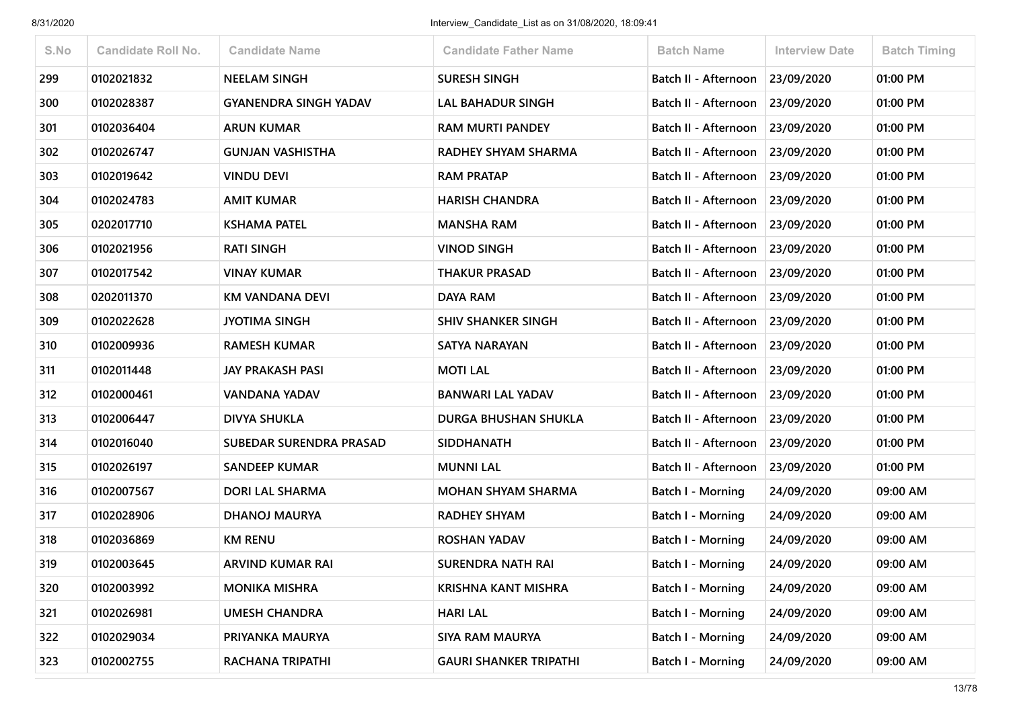| S.No | <b>Candidate Roll No.</b> | <b>Candidate Name</b>        | <b>Candidate Father Name</b>  | <b>Batch Name</b>               | <b>Interview Date</b> | <b>Batch Timing</b> |
|------|---------------------------|------------------------------|-------------------------------|---------------------------------|-----------------------|---------------------|
| 299  | 0102021832                | <b>NEELAM SINGH</b>          | <b>SURESH SINGH</b>           | Batch II - Afternoon 23/09/2020 |                       | 01:00 PM            |
| 300  | 0102028387                | <b>GYANENDRA SINGH YADAV</b> | LAL BAHADUR SINGH             | Batch II - Afternoon            | 23/09/2020            | 01:00 PM            |
| 301  | 0102036404                | <b>ARUN KUMAR</b>            | <b>RAM MURTI PANDEY</b>       | Batch II - Afternoon            | 23/09/2020            | 01:00 PM            |
| 302  | 0102026747                | <b>GUNJAN VASHISTHA</b>      | RADHEY SHYAM SHARMA           | Batch II - Afternoon 23/09/2020 |                       | 01:00 PM            |
| 303  | 0102019642                | <b>VINDU DEVI</b>            | <b>RAM PRATAP</b>             | Batch II - Afternoon            | 23/09/2020            | 01:00 PM            |
| 304  | 0102024783                | <b>AMIT KUMAR</b>            | <b>HARISH CHANDRA</b>         | Batch II - Afternoon 23/09/2020 |                       | 01:00 PM            |
| 305  | 0202017710                | <b>KSHAMA PATEL</b>          | <b>MANSHA RAM</b>             | Batch II - Afternoon            | 23/09/2020            | 01:00 PM            |
| 306  | 0102021956                | <b>RATI SINGH</b>            | <b>VINOD SINGH</b>            | Batch II - Afternoon            | 23/09/2020            | 01:00 PM            |
| 307  | 0102017542                | <b>VINAY KUMAR</b>           | <b>THAKUR PRASAD</b>          | Batch II - Afternoon            | 23/09/2020            | 01:00 PM            |
| 308  | 0202011370                | KM VANDANA DEVI              | <b>DAYA RAM</b>               | Batch II - Afternoon            | 23/09/2020            | 01:00 PM            |
| 309  | 0102022628                | <b>JYOTIMA SINGH</b>         | <b>SHIV SHANKER SINGH</b>     | Batch II - Afternoon 23/09/2020 |                       | 01:00 PM            |
| 310  | 0102009936                | <b>RAMESH KUMAR</b>          | <b>SATYA NARAYAN</b>          | Batch II - Afternoon            | 23/09/2020            | 01:00 PM            |
| 311  | 0102011448                | <b>JAY PRAKASH PASI</b>      | <b>MOTI LAL</b>               | Batch II - Afternoon            | 23/09/2020            | 01:00 PM            |
| 312  | 0102000461                | <b>VANDANA YADAV</b>         | <b>BANWARI LAL YADAV</b>      | Batch II - Afternoon 23/09/2020 |                       | 01:00 PM            |
| 313  | 0102006447                | <b>DIVYA SHUKLA</b>          | DURGA BHUSHAN SHUKLA          | Batch II - Afternoon            | 23/09/2020            | 01:00 PM            |
| 314  | 0102016040                | SUBEDAR SURENDRA PRASAD      | <b>SIDDHANATH</b>             | Batch II - Afternoon            | 23/09/2020            | 01:00 PM            |
| 315  | 0102026197                | <b>SANDEEP KUMAR</b>         | <b>MUNNI LAL</b>              | Batch II - Afternoon            | 23/09/2020            | 01:00 PM            |
| 316  | 0102007567                | <b>DORI LAL SHARMA</b>       | <b>MOHAN SHYAM SHARMA</b>     | <b>Batch I - Morning</b>        | 24/09/2020            | 09:00 AM            |
| 317  | 0102028906                | <b>DHANOJ MAURYA</b>         | <b>RADHEY SHYAM</b>           | <b>Batch I - Morning</b>        | 24/09/2020            | 09:00 AM            |
| 318  | 0102036869                | <b>KM RENU</b>               | <b>ROSHAN YADAV</b>           | Batch I - Morning               | 24/09/2020            | 09:00 AM            |
| 319  | 0102003645                | <b>ARVIND KUMAR RAI</b>      | SURENDRA NATH RAI             | Batch I - Morning               | 24/09/2020            | 09:00 AM            |
| 320  | 0102003992                | <b>MONIKA MISHRA</b>         | <b>KRISHNA KANT MISHRA</b>    | <b>Batch I - Morning</b>        | 24/09/2020            | 09:00 AM            |
| 321  | 0102026981                | <b>UMESH CHANDRA</b>         | <b>HARI LAL</b>               | Batch I - Morning               | 24/09/2020            | 09:00 AM            |
| 322  | 0102029034                | PRIYANKA MAURYA              | <b>SIYA RAM MAURYA</b>        | Batch I - Morning               | 24/09/2020            | 09:00 AM            |
| 323  | 0102002755                | RACHANA TRIPATHI             | <b>GAURI SHANKER TRIPATHI</b> | Batch I - Morning               | 24/09/2020            | 09:00 AM            |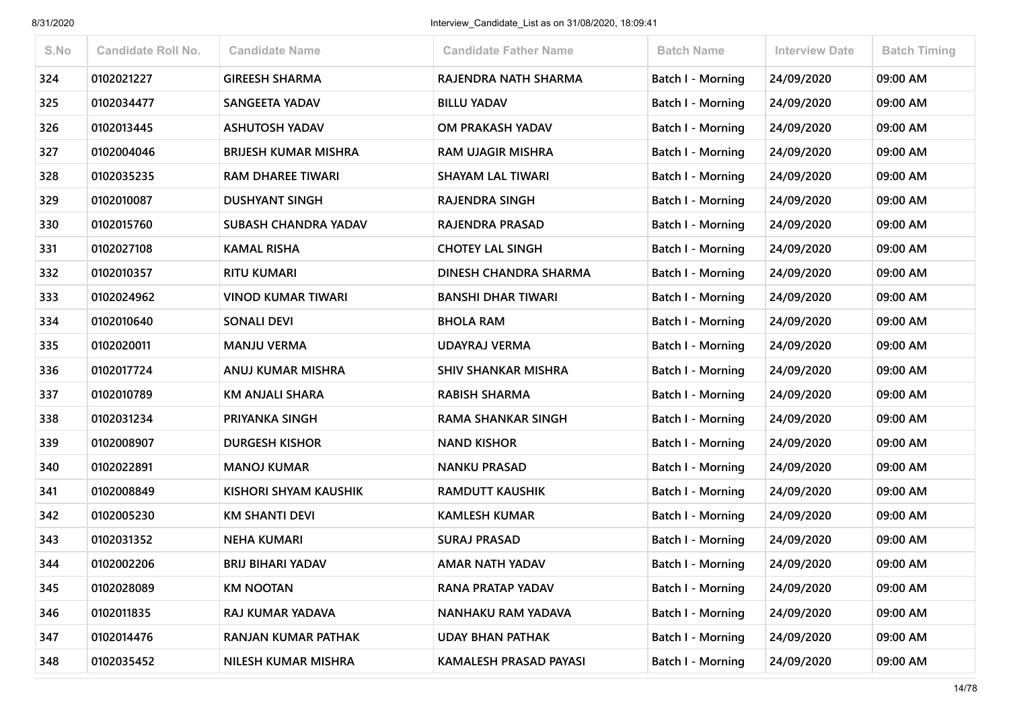| S.No | <b>Candidate Roll No.</b> | <b>Candidate Name</b>       | <b>Candidate Father Name</b> | <b>Batch Name</b>        | <b>Interview Date</b> | <b>Batch Timing</b> |
|------|---------------------------|-----------------------------|------------------------------|--------------------------|-----------------------|---------------------|
| 324  | 0102021227                | <b>GIREESH SHARMA</b>       | RAJENDRA NATH SHARMA         | <b>Batch I - Morning</b> | 24/09/2020            | 09:00 AM            |
| 325  | 0102034477                | SANGEETA YADAV              | <b>BILLU YADAV</b>           | Batch I - Morning        | 24/09/2020            | 09:00 AM            |
| 326  | 0102013445                | <b>ASHUTOSH YADAV</b>       | OM PRAKASH YADAV             | Batch I - Morning        | 24/09/2020            | 09:00 AM            |
| 327  | 0102004046                | <b>BRIJESH KUMAR MISHRA</b> | <b>RAM UJAGIR MISHRA</b>     | Batch I - Morning        | 24/09/2020            | 09:00 AM            |
| 328  | 0102035235                | <b>RAM DHAREE TIWARI</b>    | <b>SHAYAM LAL TIWARI</b>     | <b>Batch I - Morning</b> | 24/09/2020            | 09:00 AM            |
| 329  | 0102010087                | <b>DUSHYANT SINGH</b>       | RAJENDRA SINGH               | Batch I - Morning        | 24/09/2020            | 09:00 AM            |
| 330  | 0102015760                | <b>SUBASH CHANDRA YADAV</b> | RAJENDRA PRASAD              | Batch I - Morning        | 24/09/2020            | 09:00 AM            |
| 331  | 0102027108                | <b>KAMAL RISHA</b>          | <b>CHOTEY LAL SINGH</b>      | Batch I - Morning        | 24/09/2020            | 09:00 AM            |
| 332  | 0102010357                | <b>RITU KUMARI</b>          | <b>DINESH CHANDRA SHARMA</b> | <b>Batch I - Morning</b> | 24/09/2020            | 09:00 AM            |
| 333  | 0102024962                | <b>VINOD KUMAR TIWARI</b>   | <b>BANSHI DHAR TIWARI</b>    | Batch I - Morning        | 24/09/2020            | 09:00 AM            |
| 334  | 0102010640                | <b>SONALI DEVI</b>          | <b>BHOLA RAM</b>             | <b>Batch I - Morning</b> | 24/09/2020            | 09:00 AM            |
| 335  | 0102020011                | <b>MANJU VERMA</b>          | <b>UDAYRAJ VERMA</b>         | <b>Batch I - Morning</b> | 24/09/2020            | 09:00 AM            |
| 336  | 0102017724                | ANUJ KUMAR MISHRA           | <b>SHIV SHANKAR MISHRA</b>   | <b>Batch I - Morning</b> | 24/09/2020            | 09:00 AM            |
| 337  | 0102010789                | <b>KM ANJALI SHARA</b>      | <b>RABISH SHARMA</b>         | Batch I - Morning        | 24/09/2020            | 09:00 AM            |
| 338  | 0102031234                | PRIYANKA SINGH              | <b>RAMA SHANKAR SINGH</b>    | Batch I - Morning        | 24/09/2020            | 09:00 AM            |
| 339  | 0102008907                | <b>DURGESH KISHOR</b>       | <b>NAND KISHOR</b>           | <b>Batch I - Morning</b> | 24/09/2020            | 09:00 AM            |
| 340  | 0102022891                | <b>MANOJ KUMAR</b>          | <b>NANKU PRASAD</b>          | <b>Batch I - Morning</b> | 24/09/2020            | 09:00 AM            |
| 341  | 0102008849                | KISHORI SHYAM KAUSHIK       | <b>RAMDUTT KAUSHIK</b>       | Batch I - Morning        | 24/09/2020            | 09:00 AM            |
| 342  | 0102005230                | <b>KM SHANTI DEVI</b>       | <b>KAMLESH KUMAR</b>         | <b>Batch I - Morning</b> | 24/09/2020            | 09:00 AM            |
| 343  | 0102031352                | <b>NEHA KUMARI</b>          | <b>SURAJ PRASAD</b>          | Batch I - Morning        | 24/09/2020            | 09:00 AM            |
| 344  | 0102002206                | <b>BRIJ BIHARI YADAV</b>    | <b>AMAR NATH YADAV</b>       | Batch I - Morning        | 24/09/2020            | 09:00 AM            |
| 345  | 0102028089                | <b>KM NOOTAN</b>            | RANA PRATAP YADAV            | <b>Batch I - Morning</b> | 24/09/2020            | 09:00 AM            |
| 346  | 0102011835                | RAJ KUMAR YADAVA            | NANHAKU RAM YADAVA           | <b>Batch I - Morning</b> | 24/09/2020            | 09:00 AM            |
| 347  | 0102014476                | RANJAN KUMAR PATHAK         | <b>UDAY BHAN PATHAK</b>      | <b>Batch I - Morning</b> | 24/09/2020            | 09:00 AM            |
| 348  | 0102035452                | NILESH KUMAR MISHRA         | KAMALESH PRASAD PAYASI       | <b>Batch I - Morning</b> | 24/09/2020            | 09:00 AM            |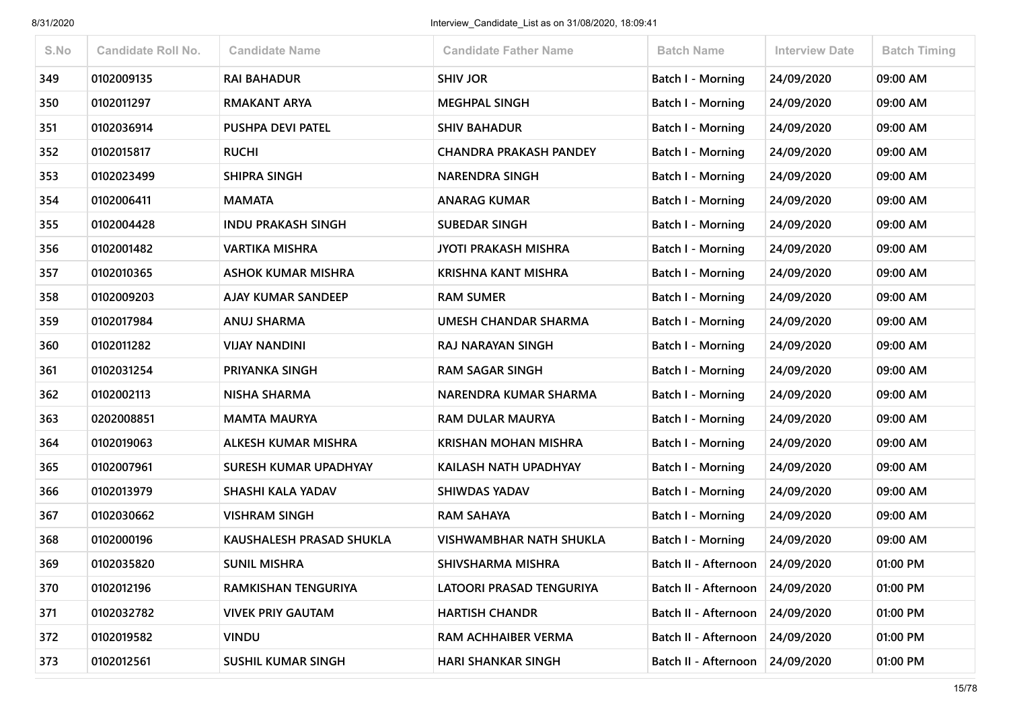| S.No | <b>Candidate Roll No.</b> | <b>Candidate Name</b>        | <b>Candidate Father Name</b>   | <b>Batch Name</b>        | <b>Interview Date</b> | <b>Batch Timing</b> |
|------|---------------------------|------------------------------|--------------------------------|--------------------------|-----------------------|---------------------|
| 349  | 0102009135                | <b>RAI BAHADUR</b>           | <b>SHIV JOR</b>                | <b>Batch I - Morning</b> | 24/09/2020            | 09:00 AM            |
| 350  | 0102011297                | <b>RMAKANT ARYA</b>          | <b>MEGHPAL SINGH</b>           | <b>Batch I - Morning</b> | 24/09/2020            | 09:00 AM            |
| 351  | 0102036914                | PUSHPA DEVI PATEL            | <b>SHIV BAHADUR</b>            | Batch I - Morning        | 24/09/2020            | 09:00 AM            |
| 352  | 0102015817                | <b>RUCHI</b>                 | <b>CHANDRA PRAKASH PANDEY</b>  | <b>Batch I - Morning</b> | 24/09/2020            | 09:00 AM            |
| 353  | 0102023499                | <b>SHIPRA SINGH</b>          | <b>NARENDRA SINGH</b>          | Batch I - Morning        | 24/09/2020            | 09:00 AM            |
| 354  | 0102006411                | <b>MAMATA</b>                | <b>ANARAG KUMAR</b>            | <b>Batch I - Morning</b> | 24/09/2020            | 09:00 AM            |
| 355  | 0102004428                | <b>INDU PRAKASH SINGH</b>    | <b>SUBEDAR SINGH</b>           | Batch I - Morning        | 24/09/2020            | 09:00 AM            |
| 356  | 0102001482                | <b>VARTIKA MISHRA</b>        | <b>JYOTI PRAKASH MISHRA</b>    | <b>Batch I - Morning</b> | 24/09/2020            | 09:00 AM            |
| 357  | 0102010365                | <b>ASHOK KUMAR MISHRA</b>    | <b>KRISHNA KANT MISHRA</b>     | <b>Batch I - Morning</b> | 24/09/2020            | 09:00 AM            |
| 358  | 0102009203                | AJAY KUMAR SANDEEP           | <b>RAM SUMER</b>               | Batch I - Morning        | 24/09/2020            | 09:00 AM            |
| 359  | 0102017984                | <b>ANUJ SHARMA</b>           | <b>UMESH CHANDAR SHARMA</b>    | Batch I - Morning        | 24/09/2020            | 09:00 AM            |
| 360  | 0102011282                | <b>VIJAY NANDINI</b>         | RAJ NARAYAN SINGH              | <b>Batch I - Morning</b> | 24/09/2020            | 09:00 AM            |
| 361  | 0102031254                | PRIYANKA SINGH               | <b>RAM SAGAR SINGH</b>         | <b>Batch I - Morning</b> | 24/09/2020            | 09:00 AM            |
| 362  | 0102002113                | <b>NISHA SHARMA</b>          | NARENDRA KUMAR SHARMA          | <b>Batch I - Morning</b> | 24/09/2020            | 09:00 AM            |
| 363  | 0202008851                | <b>MAMTA MAURYA</b>          | <b>RAM DULAR MAURYA</b>        | <b>Batch I - Morning</b> | 24/09/2020            | 09:00 AM            |
| 364  | 0102019063                | ALKESH KUMAR MISHRA          | <b>KRISHAN MOHAN MISHRA</b>    | <b>Batch I - Morning</b> | 24/09/2020            | 09:00 AM            |
| 365  | 0102007961                | <b>SURESH KUMAR UPADHYAY</b> | KAILASH NATH UPADHYAY          | <b>Batch I - Morning</b> | 24/09/2020            | 09:00 AM            |
| 366  | 0102013979                | SHASHI KALA YADAV            | <b>SHIWDAS YADAV</b>           | <b>Batch I - Morning</b> | 24/09/2020            | 09:00 AM            |
| 367  | 0102030662                | <b>VISHRAM SINGH</b>         | <b>RAM SAHAYA</b>              | <b>Batch I - Morning</b> | 24/09/2020            | 09:00 AM            |
| 368  | 0102000196                | KAUSHALESH PRASAD SHUKLA     | <b>VISHWAMBHAR NATH SHUKLA</b> | <b>Batch I - Morning</b> | 24/09/2020            | 09:00 AM            |
| 369  | 0102035820                | <b>SUNIL MISHRA</b>          | SHIVSHARMA MISHRA              | Batch II - Afternoon     | 24/09/2020            | 01:00 PM            |
| 370  | 0102012196                | RAMKISHAN TENGURIYA          | LATOORI PRASAD TENGURIYA       | Batch II - Afternoon     | 24/09/2020            | 01:00 PM            |
| 371  | 0102032782                | <b>VIVEK PRIY GAUTAM</b>     | <b>HARTISH CHANDR</b>          | Batch II - Afternoon     | 24/09/2020            | 01:00 PM            |
| 372  | 0102019582                | <b>VINDU</b>                 | RAM ACHHAIBER VERMA            | Batch II - Afternoon     | 24/09/2020            | 01:00 PM            |
| 373  | 0102012561                | <b>SUSHIL KUMAR SINGH</b>    | <b>HARI SHANKAR SINGH</b>      | Batch II - Afternoon     | 24/09/2020            | 01:00 PM            |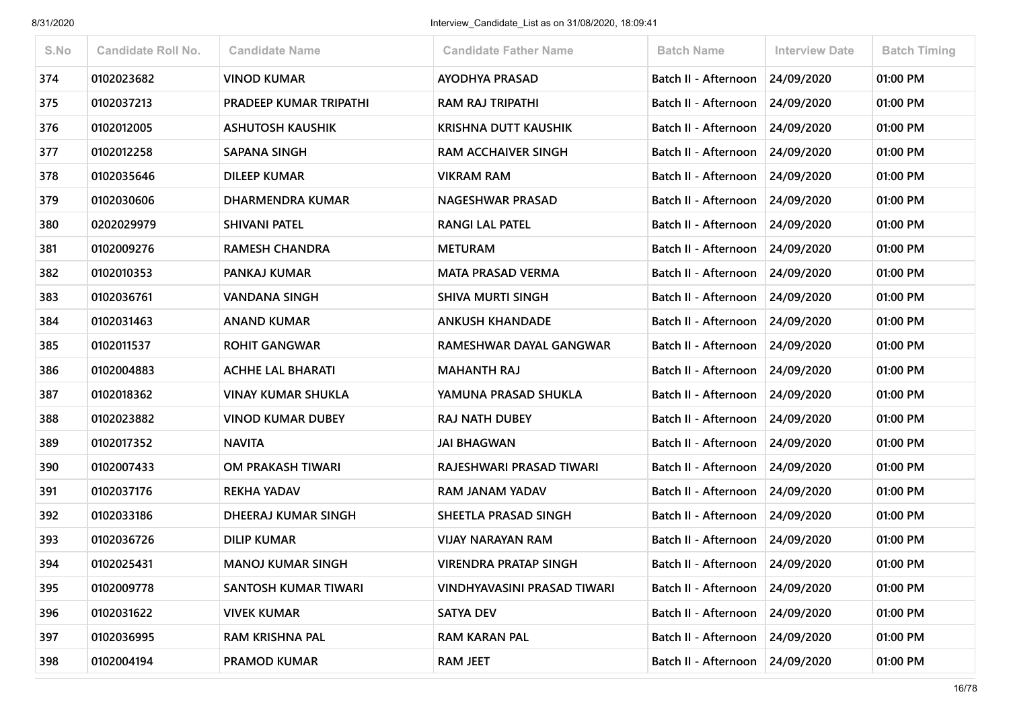| S.No | <b>Candidate Roll No.</b> | <b>Candidate Name</b>         | <b>Candidate Father Name</b> | <b>Batch Name</b>                 | <b>Interview Date</b> | <b>Batch Timing</b> |
|------|---------------------------|-------------------------------|------------------------------|-----------------------------------|-----------------------|---------------------|
| 374  | 0102023682                | <b>VINOD KUMAR</b>            | <b>AYODHYA PRASAD</b>        | Batch II - Afternoon              | 24/09/2020            | 01:00 PM            |
| 375  | 0102037213                | <b>PRADEEP KUMAR TRIPATHI</b> | <b>RAM RAJ TRIPATHI</b>      | Batch II - Afternoon              | 24/09/2020            | 01:00 PM            |
| 376  | 0102012005                | <b>ASHUTOSH KAUSHIK</b>       | <b>KRISHNA DUTT KAUSHIK</b>  | Batch II - Afternoon              | 24/09/2020            | 01:00 PM            |
| 377  | 0102012258                | <b>SAPANA SINGH</b>           | <b>RAM ACCHAIVER SINGH</b>   | Batch II - Afternoon              | 24/09/2020            | 01:00 PM            |
| 378  | 0102035646                | <b>DILEEP KUMAR</b>           | <b>VIKRAM RAM</b>            | Batch II - Afternoon              | 24/09/2020            | 01:00 PM            |
| 379  | 0102030606                | DHARMENDRA KUMAR              | <b>NAGESHWAR PRASAD</b>      | Batch II - Afternoon              | 24/09/2020            | 01:00 PM            |
| 380  | 0202029979                | <b>SHIVANI PATEL</b>          | <b>RANGI LAL PATEL</b>       | Batch II - Afternoon              | 24/09/2020            | 01:00 PM            |
| 381  | 0102009276                | <b>RAMESH CHANDRA</b>         | <b>METURAM</b>               | Batch II - Afternoon              | 24/09/2020            | 01:00 PM            |
| 382  | 0102010353                | PANKAJ KUMAR                  | <b>MATA PRASAD VERMA</b>     | Batch II - Afternoon              | 24/09/2020            | 01:00 PM            |
| 383  | 0102036761                | <b>VANDANA SINGH</b>          | <b>SHIVA MURTI SINGH</b>     | Batch II - Afternoon              | 24/09/2020            | 01:00 PM            |
| 384  | 0102031463                | <b>ANAND KUMAR</b>            | <b>ANKUSH KHANDADE</b>       | Batch II - Afternoon 24/09/2020   |                       | 01:00 PM            |
| 385  | 0102011537                | <b>ROHIT GANGWAR</b>          | RAMESHWAR DAYAL GANGWAR      | Batch II - Afternoon              | 24/09/2020            | 01:00 PM            |
| 386  | 0102004883                | <b>ACHHE LAL BHARATI</b>      | <b>MAHANTH RAJ</b>           | Batch II - Afternoon              | 24/09/2020            | 01:00 PM            |
| 387  | 0102018362                | <b>VINAY KUMAR SHUKLA</b>     | YAMUNA PRASAD SHUKLA         | Batch II - Afternoon              | 24/09/2020            | 01:00 PM            |
| 388  | 0102023882                | <b>VINOD KUMAR DUBEY</b>      | <b>RAJ NATH DUBEY</b>        | Batch II - Afternoon              | 24/09/2020            | 01:00 PM            |
| 389  | 0102017352                | <b>NAVITA</b>                 | <b>JAI BHAGWAN</b>           | Batch II - Afternoon              | 24/09/2020            | 01:00 PM            |
| 390  | 0102007433                | OM PRAKASH TIWARI             | RAJESHWARI PRASAD TIWARI     | Batch II - Afternoon              | 24/09/2020            | 01:00 PM            |
| 391  | 0102037176                | <b>REKHA YADAV</b>            | RAM JANAM YADAV              | Batch II - Afternoon              | 24/09/2020            | 01:00 PM            |
| 392  | 0102033186                | DHEERAJ KUMAR SINGH           | SHEETLA PRASAD SINGH         | Batch II - Afternoon   24/09/2020 |                       | 01:00 PM            |
| 393  | 0102036726                | <b>DILIP KUMAR</b>            | <b>VIJAY NARAYAN RAM</b>     | Batch II - Afternoon              | 24/09/2020            | 01:00 PM            |
| 394  | 0102025431                | <b>MANOJ KUMAR SINGH</b>      | <b>VIRENDRA PRATAP SINGH</b> | Batch II - Afternoon              | 24/09/2020            | 01:00 PM            |
| 395  | 0102009778                | SANTOSH KUMAR TIWARI          | VINDHYAVASINI PRASAD TIWARI  | Batch II - Afternoon 24/09/2020   |                       | 01:00 PM            |
| 396  | 0102031622                | <b>VIVEK KUMAR</b>            | <b>SATYA DEV</b>             | Batch II - Afternoon              | 24/09/2020            | 01:00 PM            |
| 397  | 0102036995                | RAM KRISHNA PAL               | <b>RAM KARAN PAL</b>         | Batch II - Afternoon 24/09/2020   |                       | 01:00 PM            |
| 398  | 0102004194                | <b>PRAMOD KUMAR</b>           | <b>RAM JEET</b>              | Batch II - Afternoon              | 24/09/2020            | 01:00 PM            |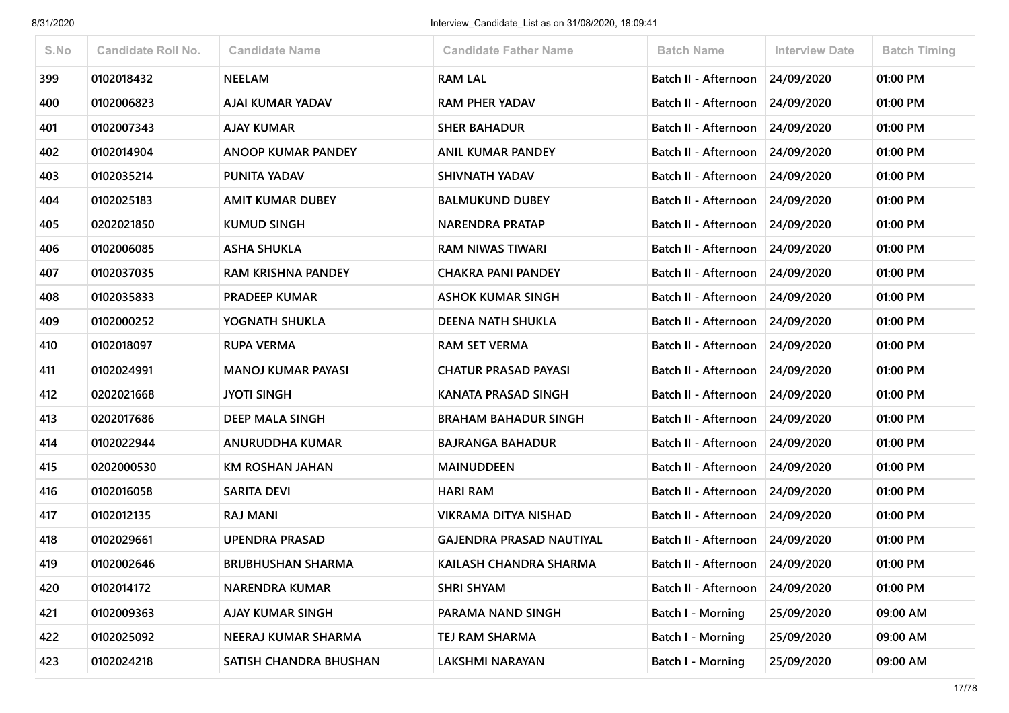| S.No | <b>Candidate Roll No.</b> | <b>Candidate Name</b>     | <b>Candidate Father Name</b>    | <b>Batch Name</b>               | <b>Interview Date</b> | <b>Batch Timing</b> |
|------|---------------------------|---------------------------|---------------------------------|---------------------------------|-----------------------|---------------------|
| 399  | 0102018432                | <b>NEELAM</b>             | <b>RAM LAL</b>                  | Batch II - Afternoon 24/09/2020 |                       | 01:00 PM            |
| 400  | 0102006823                | AJAI KUMAR YADAV          | <b>RAM PHER YADAV</b>           | Batch II - Afternoon            | 24/09/2020            | 01:00 PM            |
| 401  | 0102007343                | <b>AJAY KUMAR</b>         | <b>SHER BAHADUR</b>             | Batch II - Afternoon            | 24/09/2020            | 01:00 PM            |
| 402  | 0102014904                | <b>ANOOP KUMAR PANDEY</b> | <b>ANIL KUMAR PANDEY</b>        | Batch II - Afternoon            | 24/09/2020            | 01:00 PM            |
| 403  | 0102035214                | PUNITA YADAV              | SHIVNATH YADAV                  | Batch II - Afternoon            | 24/09/2020            | 01:00 PM            |
| 404  | 0102025183                | <b>AMIT KUMAR DUBEY</b>   | <b>BALMUKUND DUBEY</b>          | Batch II - Afternoon 24/09/2020 |                       | 01:00 PM            |
| 405  | 0202021850                | <b>KUMUD SINGH</b>        | <b>NARENDRA PRATAP</b>          | Batch II - Afternoon            | 24/09/2020            | 01:00 PM            |
| 406  | 0102006085                | <b>ASHA SHUKLA</b>        | RAM NIWAS TIWARI                | Batch II - Afternoon            | 24/09/2020            | 01:00 PM            |
| 407  | 0102037035                | <b>RAM KRISHNA PANDEY</b> | <b>CHAKRA PANI PANDEY</b>       | Batch II - Afternoon            | 24/09/2020            | 01:00 PM            |
| 408  | 0102035833                | <b>PRADEEP KUMAR</b>      | <b>ASHOK KUMAR SINGH</b>        | Batch II - Afternoon            | 24/09/2020            | 01:00 PM            |
| 409  | 0102000252                | YOGNATH SHUKLA            | <b>DEENA NATH SHUKLA</b>        | Batch II - Afternoon            | 24/09/2020            | 01:00 PM            |
| 410  | 0102018097                | <b>RUPA VERMA</b>         | <b>RAM SET VERMA</b>            | Batch II - Afternoon            | 24/09/2020            | 01:00 PM            |
| 411  | 0102024991                | <b>MANOJ KUMAR PAYASI</b> | <b>CHATUR PRASAD PAYASI</b>     | Batch II - Afternoon            | 24/09/2020            | 01:00 PM            |
| 412  | 0202021668                | <b>JYOTI SINGH</b>        | <b>KANATA PRASAD SINGH</b>      | Batch II - Afternoon 24/09/2020 |                       | 01:00 PM            |
| 413  | 0202017686                | <b>DEEP MALA SINGH</b>    | <b>BRAHAM BAHADUR SINGH</b>     | Batch II - Afternoon            | 24/09/2020            | 01:00 PM            |
| 414  | 0102022944                | <b>ANURUDDHA KUMAR</b>    | <b>BAJRANGA BAHADUR</b>         | Batch II - Afternoon            | 24/09/2020            | 01:00 PM            |
| 415  | 0202000530                | <b>KM ROSHAN JAHAN</b>    | <b>MAINUDDEEN</b>               | Batch II - Afternoon            | 24/09/2020            | 01:00 PM            |
| 416  | 0102016058                | <b>SARITA DEVI</b>        | <b>HARI RAM</b>                 | Batch II - Afternoon            | 24/09/2020            | 01:00 PM            |
| 417  | 0102012135                | <b>RAJ MANI</b>           | VIKRAMA DITYA NISHAD            | Batch II - Afternoon            | 24/09/2020            | 01:00 PM            |
| 418  | 0102029661                | <b>UPENDRA PRASAD</b>     | <b>GAJENDRA PRASAD NAUTIYAL</b> | Batch II - Afternoon            | 24/09/2020            | 01:00 PM            |
| 419  | 0102002646                | <b>BRIJBHUSHAN SHARMA</b> | <b>KAILASH CHANDRA SHARMA</b>   | Batch II - Afternoon            | 24/09/2020            | 01:00 PM            |
| 420  | 0102014172                | <b>NARENDRA KUMAR</b>     | <b>SHRI SHYAM</b>               | Batch II - Afternoon            | 24/09/2020            | 01:00 PM            |
| 421  | 0102009363                | <b>AJAY KUMAR SINGH</b>   | PARAMA NAND SINGH               | Batch I - Morning               | 25/09/2020            | 09:00 AM            |
| 422  | 0102025092                | NEERAJ KUMAR SHARMA       | TEJ RAM SHARMA                  | Batch I - Morning               | 25/09/2020            | 09:00 AM            |
| 423  | 0102024218                | SATISH CHANDRA BHUSHAN    | <b>LAKSHMI NARAYAN</b>          | <b>Batch I - Morning</b>        | 25/09/2020            | 09:00 AM            |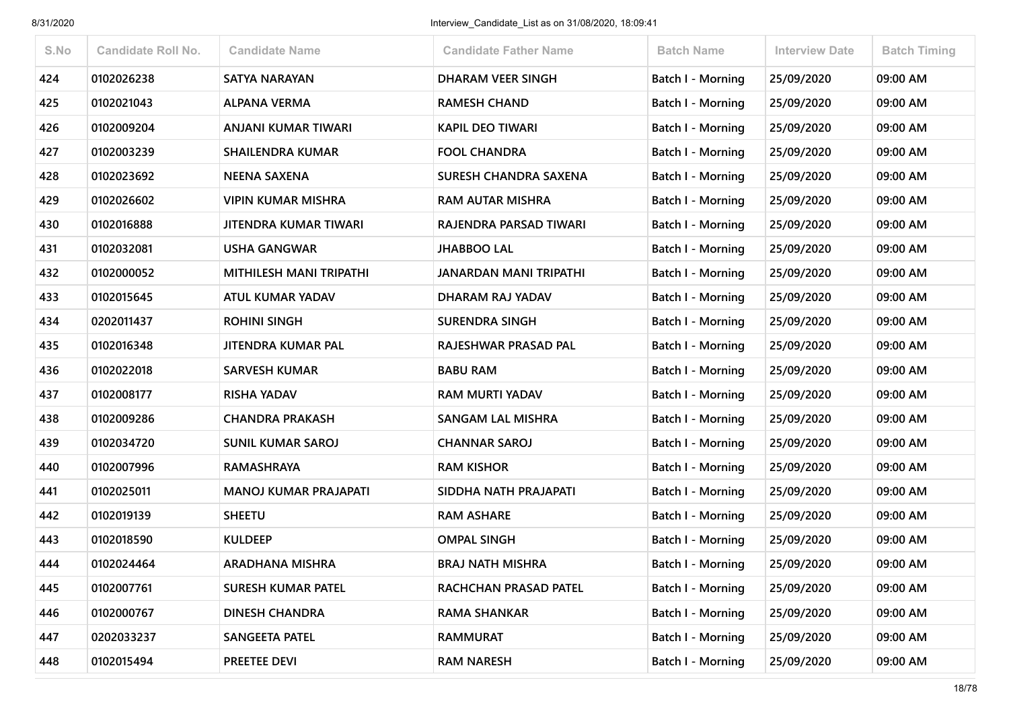| S.No | <b>Candidate Roll No.</b> | <b>Candidate Name</b>          | <b>Candidate Father Name</b>  | <b>Batch Name</b>        | <b>Interview Date</b> | <b>Batch Timing</b> |
|------|---------------------------|--------------------------------|-------------------------------|--------------------------|-----------------------|---------------------|
| 424  | 0102026238                | <b>SATYA NARAYAN</b>           | <b>DHARAM VEER SINGH</b>      | <b>Batch I - Morning</b> | 25/09/2020            | 09:00 AM            |
| 425  | 0102021043                | <b>ALPANA VERMA</b>            | <b>RAMESH CHAND</b>           | Batch I - Morning        | 25/09/2020            | 09:00 AM            |
| 426  | 0102009204                | ANJANI KUMAR TIWARI            | <b>KAPIL DEO TIWARI</b>       | <b>Batch I - Morning</b> | 25/09/2020            | 09:00 AM            |
| 427  | 0102003239                | <b>SHAILENDRA KUMAR</b>        | <b>FOOL CHANDRA</b>           | Batch I - Morning        | 25/09/2020            | 09:00 AM            |
| 428  | 0102023692                | <b>NEENA SAXENA</b>            | <b>SURESH CHANDRA SAXENA</b>  | <b>Batch I - Morning</b> | 25/09/2020            | 09:00 AM            |
| 429  | 0102026602                | <b>VIPIN KUMAR MISHRA</b>      | <b>RAM AUTAR MISHRA</b>       | <b>Batch I - Morning</b> | 25/09/2020            | 09:00 AM            |
| 430  | 0102016888                | JITENDRA KUMAR TIWARI          | RAJENDRA PARSAD TIWARI        | Batch I - Morning        | 25/09/2020            | 09:00 AM            |
| 431  | 0102032081                | <b>USHA GANGWAR</b>            | <b>JHABBOO LAL</b>            | Batch I - Morning        | 25/09/2020            | 09:00 AM            |
| 432  | 0102000052                | <b>MITHILESH MANI TRIPATHI</b> | <b>JANARDAN MANI TRIPATHI</b> | Batch I - Morning        | 25/09/2020            | 09:00 AM            |
| 433  | 0102015645                | ATUL KUMAR YADAV               | DHARAM RAJ YADAV              | <b>Batch I - Morning</b> | 25/09/2020            | 09:00 AM            |
| 434  | 0202011437                | <b>ROHINI SINGH</b>            | <b>SURENDRA SINGH</b>         | <b>Batch I - Morning</b> | 25/09/2020            | 09:00 AM            |
| 435  | 0102016348                | JITENDRA KUMAR PAL             | RAJESHWAR PRASAD PAL          | Batch I - Morning        | 25/09/2020            | 09:00 AM            |
| 436  | 0102022018                | <b>SARVESH KUMAR</b>           | <b>BABU RAM</b>               | <b>Batch I - Morning</b> | 25/09/2020            | 09:00 AM            |
| 437  | 0102008177                | <b>RISHA YADAV</b>             | <b>RAM MURTI YADAV</b>        | <b>Batch I - Morning</b> | 25/09/2020            | 09:00 AM            |
| 438  | 0102009286                | <b>CHANDRA PRAKASH</b>         | <b>SANGAM LAL MISHRA</b>      | <b>Batch I - Morning</b> | 25/09/2020            | 09:00 AM            |
| 439  | 0102034720                | <b>SUNIL KUMAR SAROJ</b>       | <b>CHANNAR SAROJ</b>          | Batch I - Morning        | 25/09/2020            | 09:00 AM            |
| 440  | 0102007996                | <b>RAMASHRAYA</b>              | <b>RAM KISHOR</b>             | Batch I - Morning        | 25/09/2020            | 09:00 AM            |
| 441  | 0102025011                | <b>MANOJ KUMAR PRAJAPATI</b>   | SIDDHA NATH PRAJAPATI         | Batch I - Morning        | 25/09/2020            | 09:00 AM            |
| 442  | 0102019139                | <b>SHEETU</b>                  | <b>RAM ASHARE</b>             | <b>Batch I - Morning</b> | 25/09/2020            | 09:00 AM            |
| 443  | 0102018590                | <b>KULDEEP</b>                 | <b>OMPAL SINGH</b>            | Batch I - Morning        | 25/09/2020            | 09:00 AM            |
| 444  | 0102024464                | <b>ARADHANA MISHRA</b>         | <b>BRAJ NATH MISHRA</b>       | Batch I - Morning        | 25/09/2020            | 09:00 AM            |
| 445  | 0102007761                | <b>SURESH KUMAR PATEL</b>      | RACHCHAN PRASAD PATEL         | <b>Batch I - Morning</b> | 25/09/2020            | 09:00 AM            |
| 446  | 0102000767                | <b>DINESH CHANDRA</b>          | <b>RAMA SHANKAR</b>           | Batch I - Morning        | 25/09/2020            | 09:00 AM            |
| 447  | 0202033237                | SANGEETA PATEL                 | RAMMURAT                      | Batch I - Morning        | 25/09/2020            | 09:00 AM            |
| 448  | 0102015494                | PREETEE DEVI                   | <b>RAM NARESH</b>             | Batch I - Morning        | 25/09/2020            | 09:00 AM            |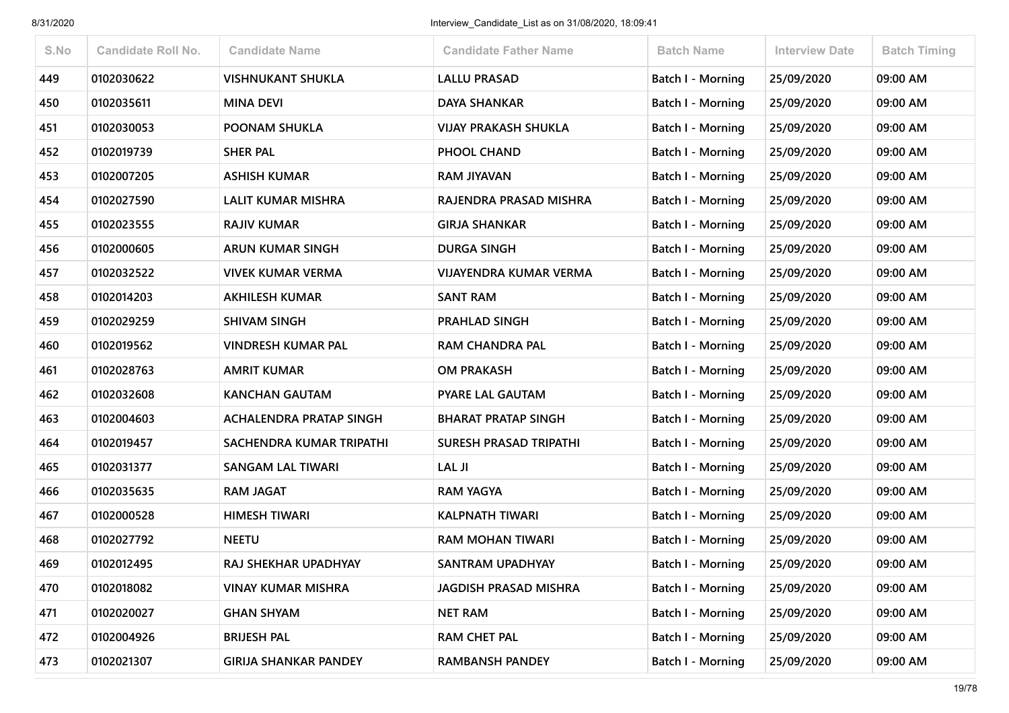| S.No | <b>Candidate Roll No.</b> | <b>Candidate Name</b>        | <b>Candidate Father Name</b>  | <b>Batch Name</b>        | <b>Interview Date</b> | <b>Batch Timing</b> |
|------|---------------------------|------------------------------|-------------------------------|--------------------------|-----------------------|---------------------|
| 449  | 0102030622                | <b>VISHNUKANT SHUKLA</b>     | <b>LALLU PRASAD</b>           | <b>Batch I - Morning</b> | 25/09/2020            | 09:00 AM            |
| 450  | 0102035611                | <b>MINA DEVI</b>             | <b>DAYA SHANKAR</b>           | Batch I - Morning        | 25/09/2020            | 09:00 AM            |
| 451  | 0102030053                | <b>POONAM SHUKLA</b>         | <b>VIJAY PRAKASH SHUKLA</b>   | Batch I - Morning        | 25/09/2020            | 09:00 AM            |
| 452  | 0102019739                | <b>SHER PAL</b>              | PHOOL CHAND                   | Batch I - Morning        | 25/09/2020            | 09:00 AM            |
| 453  | 0102007205                | <b>ASHISH KUMAR</b>          | <b>RAM JIYAVAN</b>            | Batch I - Morning        | 25/09/2020            | 09:00 AM            |
| 454  | 0102027590                | LALIT KUMAR MISHRA           | RAJENDRA PRASAD MISHRA        | <b>Batch I - Morning</b> | 25/09/2020            | 09:00 AM            |
| 455  | 0102023555                | <b>RAJIV KUMAR</b>           | <b>GIRJA SHANKAR</b>          | Batch I - Morning        | 25/09/2020            | 09:00 AM            |
| 456  | 0102000605                | <b>ARUN KUMAR SINGH</b>      | <b>DURGA SINGH</b>            | Batch I - Morning        | 25/09/2020            | 09:00 AM            |
| 457  | 0102032522                | <b>VIVEK KUMAR VERMA</b>     | <b>VIJAYENDRA KUMAR VERMA</b> | <b>Batch I - Morning</b> | 25/09/2020            | 09:00 AM            |
| 458  | 0102014203                | <b>AKHILESH KUMAR</b>        | <b>SANT RAM</b>               | Batch I - Morning        | 25/09/2020            | 09:00 AM            |
| 459  | 0102029259                | <b>SHIVAM SINGH</b>          | PRAHLAD SINGH                 | <b>Batch I - Morning</b> | 25/09/2020            | 09:00 AM            |
| 460  | 0102019562                | VINDRESH KUMAR PAL           | <b>RAM CHANDRA PAL</b>        | <b>Batch I - Morning</b> | 25/09/2020            | 09:00 AM            |
| 461  | 0102028763                | <b>AMRIT KUMAR</b>           | <b>OM PRAKASH</b>             | Batch I - Morning        | 25/09/2020            | 09:00 AM            |
| 462  | 0102032608                | <b>KANCHAN GAUTAM</b>        | <b>PYARE LAL GAUTAM</b>       | Batch I - Morning        | 25/09/2020            | 09:00 AM            |
| 463  | 0102004603                | ACHALENDRA PRATAP SINGH      | <b>BHARAT PRATAP SINGH</b>    | Batch I - Morning        | 25/09/2020            | 09:00 AM            |
| 464  | 0102019457                | SACHENDRA KUMAR TRIPATHI     | <b>SURESH PRASAD TRIPATHI</b> | Batch I - Morning        | 25/09/2020            | 09:00 AM            |
| 465  | 0102031377                | <b>SANGAM LAL TIWARI</b>     | LAL JI                        | <b>Batch I - Morning</b> | 25/09/2020            | 09:00 AM            |
| 466  | 0102035635                | <b>RAM JAGAT</b>             | <b>RAM YAGYA</b>              | Batch I - Morning        | 25/09/2020            | 09:00 AM            |
| 467  | 0102000528                | <b>HIMESH TIWARI</b>         | <b>KALPNATH TIWARI</b>        | <b>Batch I - Morning</b> | 25/09/2020            | 09:00 AM            |
| 468  | 0102027792                | <b>NEETU</b>                 | <b>RAM MOHAN TIWARI</b>       | Batch I - Morning        | 25/09/2020            | 09:00 AM            |
| 469  | 0102012495                | <b>RAJ SHEKHAR UPADHYAY</b>  | <b>SANTRAM UPADHYAY</b>       | <b>Batch I - Morning</b> | 25/09/2020            | 09:00 AM            |
| 470  | 0102018082                | <b>VINAY KUMAR MISHRA</b>    | <b>JAGDISH PRASAD MISHRA</b>  | Batch I - Morning        | 25/09/2020            | 09:00 AM            |
| 471  | 0102020027                | <b>GHAN SHYAM</b>            | <b>NET RAM</b>                | Batch I - Morning        | 25/09/2020            | 09:00 AM            |
| 472  | 0102004926                | <b>BRIJESH PAL</b>           | <b>RAM CHET PAL</b>           | <b>Batch I - Morning</b> | 25/09/2020            | 09:00 AM            |
| 473  | 0102021307                | <b>GIRIJA SHANKAR PANDEY</b> | <b>RAMBANSH PANDEY</b>        | <b>Batch I - Morning</b> | 25/09/2020            | 09:00 AM            |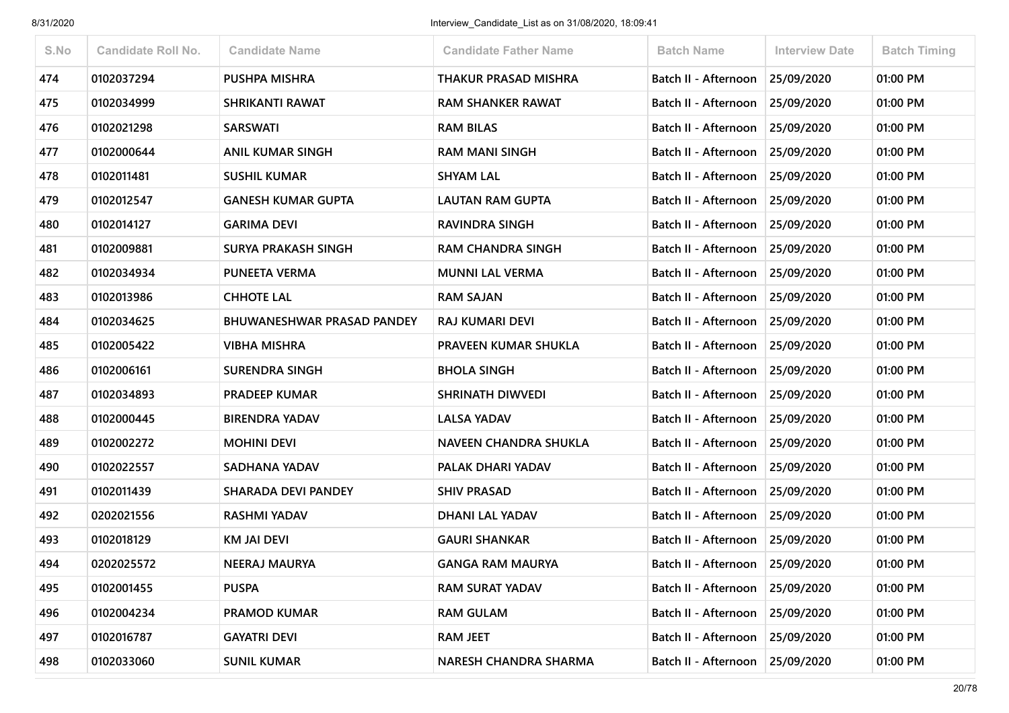| S.No | <b>Candidate Roll No.</b> | <b>Candidate Name</b>             | <b>Candidate Father Name</b> | <b>Batch Name</b>                 | <b>Interview Date</b> | <b>Batch Timing</b> |
|------|---------------------------|-----------------------------------|------------------------------|-----------------------------------|-----------------------|---------------------|
| 474  | 0102037294                | <b>PUSHPA MISHRA</b>              | <b>THAKUR PRASAD MISHRA</b>  | Batch II - Afternoon              | 25/09/2020            | 01:00 PM            |
| 475  | 0102034999                | <b>SHRIKANTI RAWAT</b>            | <b>RAM SHANKER RAWAT</b>     | Batch II - Afternoon              | 25/09/2020            | 01:00 PM            |
| 476  | 0102021298                | <b>SARSWATI</b>                   | <b>RAM BILAS</b>             | Batch II - Afternoon              | 25/09/2020            | 01:00 PM            |
| 477  | 0102000644                | <b>ANIL KUMAR SINGH</b>           | <b>RAM MANI SINGH</b>        | Batch II - Afternoon              | 25/09/2020            | 01:00 PM            |
| 478  | 0102011481                | <b>SUSHIL KUMAR</b>               | <b>SHYAM LAL</b>             | Batch II - Afternoon              | 25/09/2020            | 01:00 PM            |
| 479  | 0102012547                | <b>GANESH KUMAR GUPTA</b>         | <b>LAUTAN RAM GUPTA</b>      | Batch II - Afternoon              | 25/09/2020            | 01:00 PM            |
| 480  | 0102014127                | <b>GARIMA DEVI</b>                | RAVINDRA SINGH               | Batch II - Afternoon              | 25/09/2020            | 01:00 PM            |
| 481  | 0102009881                | <b>SURYA PRAKASH SINGH</b>        | <b>RAM CHANDRA SINGH</b>     | Batch II - Afternoon              | 25/09/2020            | 01:00 PM            |
| 482  | 0102034934                | <b>PUNEETA VERMA</b>              | <b>MUNNI LAL VERMA</b>       | Batch II - Afternoon              | 25/09/2020            | 01:00 PM            |
| 483  | 0102013986                | <b>CHHOTE LAL</b>                 | <b>RAM SAJAN</b>             | Batch II - Afternoon              | 25/09/2020            | 01:00 PM            |
| 484  | 0102034625                | <b>BHUWANESHWAR PRASAD PANDEY</b> | <b>RAJ KUMARI DEVI</b>       | Batch II - Afternoon 25/09/2020   |                       | 01:00 PM            |
| 485  | 0102005422                | <b>VIBHA MISHRA</b>               | PRAVEEN KUMAR SHUKLA         | Batch II - Afternoon              | 25/09/2020            | 01:00 PM            |
| 486  | 0102006161                | <b>SURENDRA SINGH</b>             | <b>BHOLA SINGH</b>           | Batch II - Afternoon              | 25/09/2020            | 01:00 PM            |
| 487  | 0102034893                | <b>PRADEEP KUMAR</b>              | <b>SHRINATH DIWVEDI</b>      | Batch II - Afternoon   25/09/2020 |                       | 01:00 PM            |
| 488  | 0102000445                | <b>BIRENDRA YADAV</b>             | <b>LALSA YADAV</b>           | Batch II - Afternoon              | 25/09/2020            | 01:00 PM            |
| 489  | 0102002272                | <b>MOHINI DEVI</b>                | <b>NAVEEN CHANDRA SHUKLA</b> | Batch II - Afternoon              | 25/09/2020            | 01:00 PM            |
| 490  | 0102022557                | SADHANA YADAV                     | PALAK DHARI YADAV            | Batch II - Afternoon              | 25/09/2020            | 01:00 PM            |
| 491  | 0102011439                | <b>SHARADA DEVI PANDEY</b>        | <b>SHIV PRASAD</b>           | Batch II - Afternoon              | 25/09/2020            | 01:00 PM            |
| 492  | 0202021556                | <b>RASHMI YADAV</b>               | <b>DHANI LAL YADAV</b>       | Batch II - Afternoon   25/09/2020 |                       | 01:00 PM            |
| 493  | 0102018129                | <b>KM JAI DEVI</b>                | <b>GAURI SHANKAR</b>         | Batch II - Afternoon              | 25/09/2020            | 01:00 PM            |
| 494  | 0202025572                | <b>NEERAJ MAURYA</b>              | <b>GANGA RAM MAURYA</b>      | Batch II - Afternoon              | 25/09/2020            | 01:00 PM            |
| 495  | 0102001455                | <b>PUSPA</b>                      | <b>RAM SURAT YADAV</b>       | Batch II - Afternoon   25/09/2020 |                       | 01:00 PM            |
| 496  | 0102004234                | <b>PRAMOD KUMAR</b>               | <b>RAM GULAM</b>             | Batch II - Afternoon              | 25/09/2020            | 01:00 PM            |
| 497  | 0102016787                | <b>GAYATRI DEVI</b>               | <b>RAM JEET</b>              | Batch II - Afternoon              | 25/09/2020            | 01:00 PM            |
| 498  | 0102033060                | <b>SUNIL KUMAR</b>                | <b>NARESH CHANDRA SHARMA</b> | Batch II - Afternoon              | 25/09/2020            | 01:00 PM            |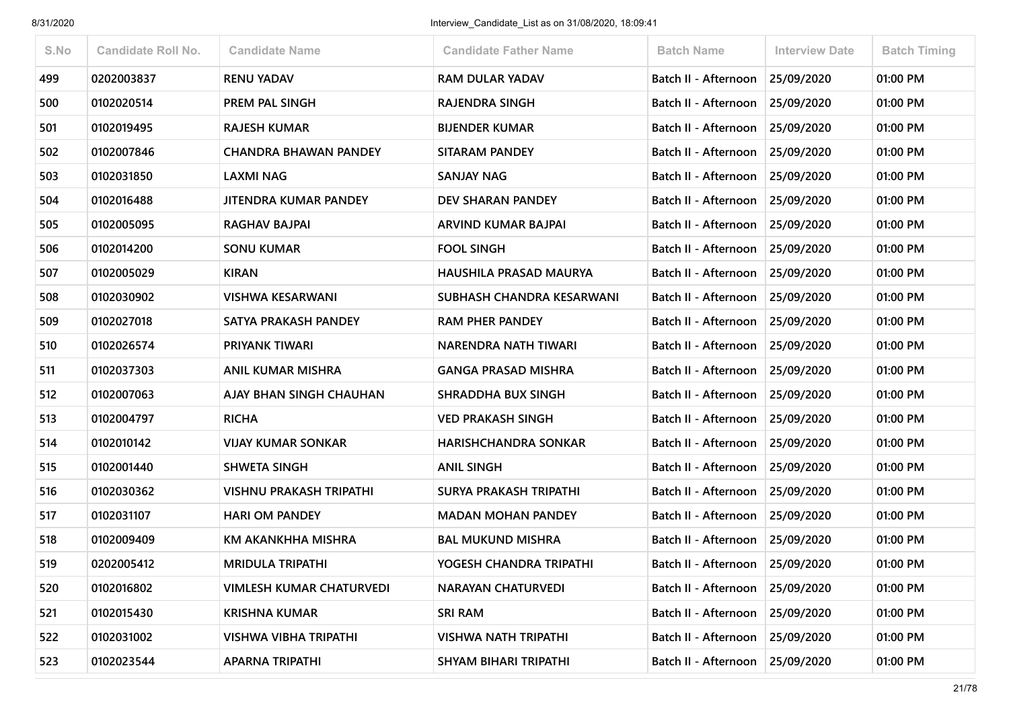| S.No | <b>Candidate Roll No.</b> | <b>Candidate Name</b>           | <b>Candidate Father Name</b>  | <b>Batch Name</b>               | <b>Interview Date</b> | <b>Batch Timing</b> |
|------|---------------------------|---------------------------------|-------------------------------|---------------------------------|-----------------------|---------------------|
| 499  | 0202003837                | <b>RENU YADAV</b>               | <b>RAM DULAR YADAV</b>        | Batch II - Afternoon            | 25/09/2020            | 01:00 PM            |
| 500  | 0102020514                | PREM PAL SINGH                  | <b>RAJENDRA SINGH</b>         | Batch II - Afternoon            | 25/09/2020            | 01:00 PM            |
| 501  | 0102019495                | <b>RAJESH KUMAR</b>             | <b>BIJENDER KUMAR</b>         | Batch II - Afternoon            | 25/09/2020            | 01:00 PM            |
| 502  | 0102007846                | <b>CHANDRA BHAWAN PANDEY</b>    | <b>SITARAM PANDEY</b>         | Batch II - Afternoon            | 25/09/2020            | 01:00 PM            |
| 503  | 0102031850                | LAXMI NAG                       | <b>SANJAY NAG</b>             | Batch II - Afternoon            | 25/09/2020            | 01:00 PM            |
| 504  | 0102016488                | JITENDRA KUMAR PANDEY           | DEV SHARAN PANDEY             | Batch II - Afternoon            | 25/09/2020            | 01:00 PM            |
| 505  | 0102005095                | RAGHAV BAJPAI                   | ARVIND KUMAR BAJPAI           | Batch II - Afternoon            | 25/09/2020            | 01:00 PM            |
| 506  | 0102014200                | <b>SONU KUMAR</b>               | <b>FOOL SINGH</b>             | Batch II - Afternoon            | 25/09/2020            | 01:00 PM            |
| 507  | 0102005029                | <b>KIRAN</b>                    | HAUSHILA PRASAD MAURYA        | Batch II - Afternoon            | 25/09/2020            | 01:00 PM            |
| 508  | 0102030902                | <b>VISHWA KESARWANI</b>         | SUBHASH CHANDRA KESARWANI     | Batch II - Afternoon            | 25/09/2020            | 01:00 PM            |
| 509  | 0102027018                | SATYA PRAKASH PANDEY            | <b>RAM PHER PANDEY</b>        | Batch II - Afternoon 25/09/2020 |                       | 01:00 PM            |
| 510  | 0102026574                | PRIYANK TIWARI                  | NARENDRA NATH TIWARI          | Batch II - Afternoon            | 25/09/2020            | 01:00 PM            |
| 511  | 0102037303                | ANIL KUMAR MISHRA               | <b>GANGA PRASAD MISHRA</b>    | Batch II - Afternoon            | 25/09/2020            | 01:00 PM            |
| 512  | 0102007063                | AJAY BHAN SINGH CHAUHAN         | <b>SHRADDHA BUX SINGH</b>     | Batch II - Afternoon            | 25/09/2020            | 01:00 PM            |
| 513  | 0102004797                | <b>RICHA</b>                    | <b>VED PRAKASH SINGH</b>      | Batch II - Afternoon            | 25/09/2020            | 01:00 PM            |
| 514  | 0102010142                | <b>VIJAY KUMAR SONKAR</b>       | <b>HARISHCHANDRA SONKAR</b>   | Batch II - Afternoon            | 25/09/2020            | 01:00 PM            |
| 515  | 0102001440                | <b>SHWETA SINGH</b>             | <b>ANIL SINGH</b>             | Batch II - Afternoon            | 25/09/2020            | 01:00 PM            |
| 516  | 0102030362                | <b>VISHNU PRAKASH TRIPATHI</b>  | <b>SURYA PRAKASH TRIPATHI</b> | Batch II - Afternoon            | 25/09/2020            | 01:00 PM            |
| 517  | 0102031107                | <b>HARI OM PANDEY</b>           | <b>MADAN MOHAN PANDEY</b>     | Batch II - Afternoon            | 25/09/2020            | 01:00 PM            |
| 518  | 0102009409                | KM AKANKHHA MISHRA              | <b>BAL MUKUND MISHRA</b>      | Batch II - Afternoon            | 25/09/2020            | 01:00 PM            |
| 519  | 0202005412                | <b>MRIDULA TRIPATHI</b>         | YOGESH CHANDRA TRIPATHI       | Batch II - Afternoon            | 25/09/2020            | 01:00 PM            |
| 520  | 0102016802                | <b>VIMLESH KUMAR CHATURVEDI</b> | <b>NARAYAN CHATURVEDI</b>     | Batch II - Afternoon 25/09/2020 |                       | 01:00 PM            |
| 521  | 0102015430                | <b>KRISHNA KUMAR</b>            | <b>SRI RAM</b>                | Batch II - Afternoon            | 25/09/2020            | 01:00 PM            |
| 522  | 0102031002                | <b>VISHWA VIBHA TRIPATHI</b>    | <b>VISHWA NATH TRIPATHI</b>   | Batch II - Afternoon            | 25/09/2020            | 01:00 PM            |
| 523  | 0102023544                | <b>APARNA TRIPATHI</b>          | SHYAM BIHARI TRIPATHI         | Batch II - Afternoon            | 25/09/2020            | 01:00 PM            |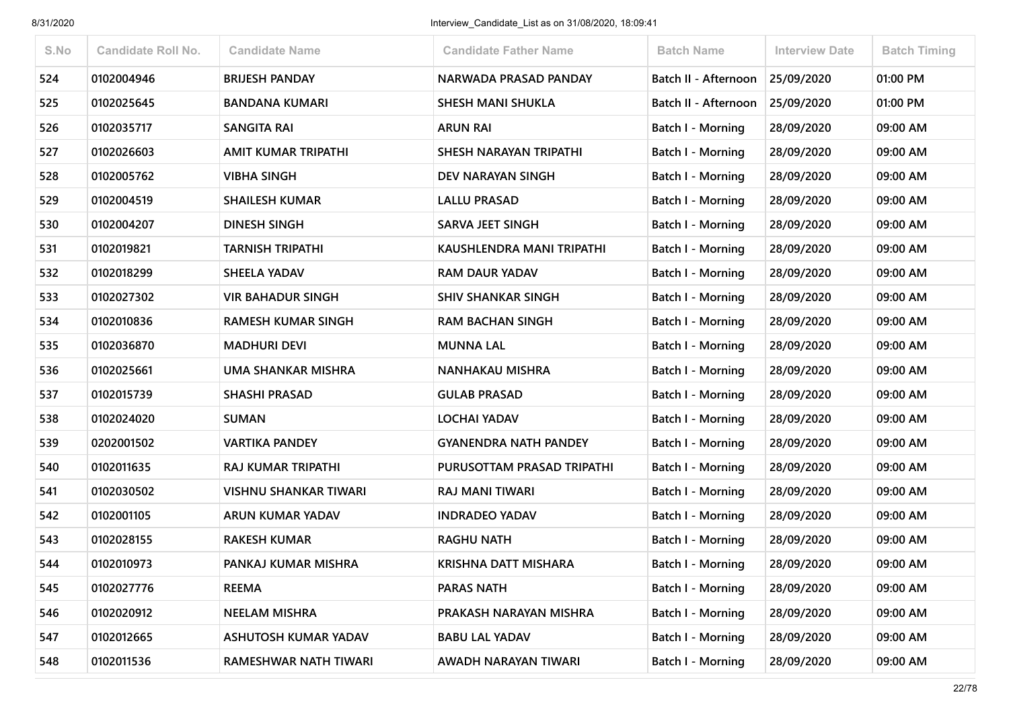| S.No | <b>Candidate Roll No.</b> | <b>Candidate Name</b>        | <b>Candidate Father Name</b> | <b>Batch Name</b>           | <b>Interview Date</b> | <b>Batch Timing</b> |
|------|---------------------------|------------------------------|------------------------------|-----------------------------|-----------------------|---------------------|
| 524  | 0102004946                | <b>BRIJESH PANDAY</b>        | NARWADA PRASAD PANDAY        | Batch II - Afternoon        | 25/09/2020            | 01:00 PM            |
| 525  | 0102025645                | <b>BANDANA KUMARI</b>        | <b>SHESH MANI SHUKLA</b>     | <b>Batch II - Afternoon</b> | 25/09/2020            | 01:00 PM            |
| 526  | 0102035717                | <b>SANGITA RAI</b>           | <b>ARUN RAI</b>              | <b>Batch I - Morning</b>    | 28/09/2020            | 09:00 AM            |
| 527  | 0102026603                | <b>AMIT KUMAR TRIPATHI</b>   | SHESH NARAYAN TRIPATHI       | Batch I - Morning           | 28/09/2020            | 09:00 AM            |
| 528  | 0102005762                | <b>VIBHA SINGH</b>           | DEV NARAYAN SINGH            | Batch I - Morning           | 28/09/2020            | 09:00 AM            |
| 529  | 0102004519                | <b>SHAILESH KUMAR</b>        | <b>LALLU PRASAD</b>          | <b>Batch I - Morning</b>    | 28/09/2020            | 09:00 AM            |
| 530  | 0102004207                | <b>DINESH SINGH</b>          | <b>SARVA JEET SINGH</b>      | Batch I - Morning           | 28/09/2020            | 09:00 AM            |
| 531  | 0102019821                | <b>TARNISH TRIPATHI</b>      | KAUSHLENDRA MANI TRIPATHI    | Batch I - Morning           | 28/09/2020            | 09:00 AM            |
| 532  | 0102018299                | <b>SHEELA YADAV</b>          | <b>RAM DAUR YADAV</b>        | Batch I - Morning           | 28/09/2020            | 09:00 AM            |
| 533  | 0102027302                | <b>VIR BAHADUR SINGH</b>     | <b>SHIV SHANKAR SINGH</b>    | <b>Batch I - Morning</b>    | 28/09/2020            | 09:00 AM            |
| 534  | 0102010836                | <b>RAMESH KUMAR SINGH</b>    | <b>RAM BACHAN SINGH</b>      | <b>Batch I - Morning</b>    | 28/09/2020            | 09:00 AM            |
| 535  | 0102036870                | <b>MADHURI DEVI</b>          | <b>MUNNA LAL</b>             | Batch I - Morning           | 28/09/2020            | 09:00 AM            |
| 536  | 0102025661                | UMA SHANKAR MISHRA           | <b>NANHAKAU MISHRA</b>       | Batch I - Morning           | 28/09/2020            | 09:00 AM            |
| 537  | 0102015739                | <b>SHASHI PRASAD</b>         | <b>GULAB PRASAD</b>          | <b>Batch I - Morning</b>    | 28/09/2020            | 09:00 AM            |
| 538  | 0102024020                | <b>SUMAN</b>                 | LOCHAI YADAV                 | <b>Batch I - Morning</b>    | 28/09/2020            | 09:00 AM            |
| 539  | 0202001502                | <b>VARTIKA PANDEY</b>        | <b>GYANENDRA NATH PANDEY</b> | Batch I - Morning           | 28/09/2020            | 09:00 AM            |
| 540  | 0102011635                | <b>RAJ KUMAR TRIPATHI</b>    | PURUSOTTAM PRASAD TRIPATHI   | Batch I - Morning           | 28/09/2020            | 09:00 AM            |
| 541  | 0102030502                | <b>VISHNU SHANKAR TIWARI</b> | <b>RAJ MANI TIWARI</b>       | Batch I - Morning           | 28/09/2020            | 09:00 AM            |
| 542  | 0102001105                | ARUN KUMAR YADAV             | <b>INDRADEO YADAV</b>        | <b>Batch I - Morning</b>    | 28/09/2020            | 09:00 AM            |
| 543  | 0102028155                | <b>RAKESH KUMAR</b>          | <b>RAGHU NATH</b>            | Batch I - Morning           | 28/09/2020            | 09:00 AM            |
| 544  | 0102010973                | PANKAJ KUMAR MISHRA          | KRISHNA DATT MISHARA         | Batch I - Morning           | 28/09/2020            | 09:00 AM            |
| 545  | 0102027776                | <b>REEMA</b>                 | PARAS NATH                   | Batch I - Morning           | 28/09/2020            | 09:00 AM            |
| 546  | 0102020912                | <b>NEELAM MISHRA</b>         | PRAKASH NARAYAN MISHRA       | Batch I - Morning           | 28/09/2020            | 09:00 AM            |
| 547  | 0102012665                | <b>ASHUTOSH KUMAR YADAV</b>  | <b>BABU LAL YADAV</b>        | Batch I - Morning           | 28/09/2020            | 09:00 AM            |
| 548  | 0102011536                | RAMESHWAR NATH TIWARI        | AWADH NARAYAN TIWARI         | <b>Batch I - Morning</b>    | 28/09/2020            | 09:00 AM            |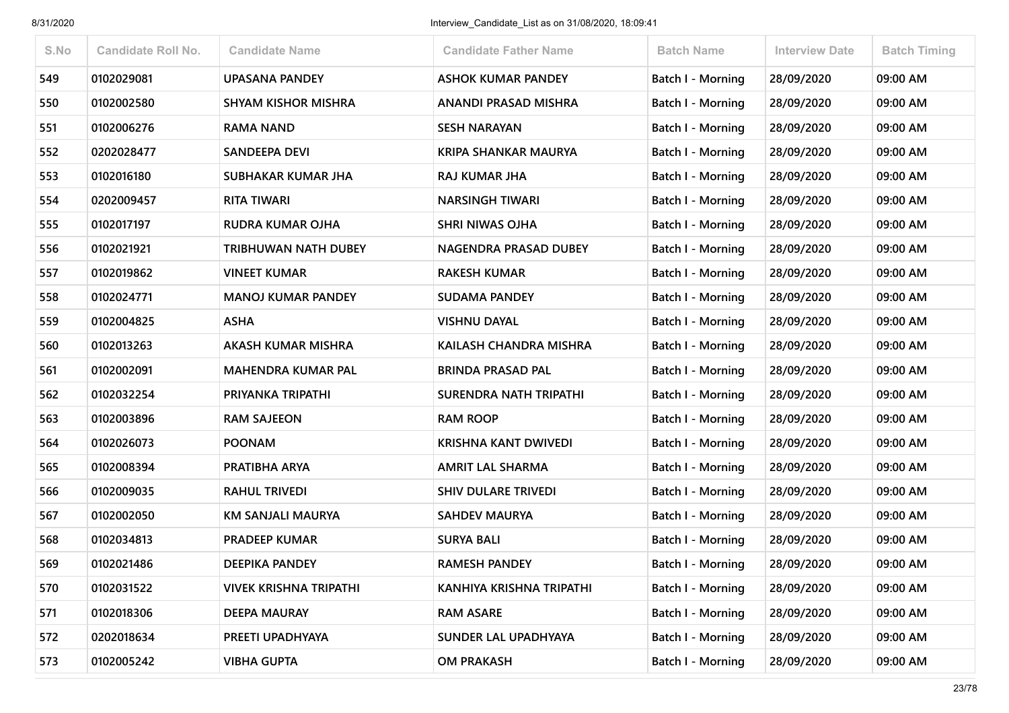| S.No | <b>Candidate Roll No.</b> | <b>Candidate Name</b>         | <b>Candidate Father Name</b>  | <b>Batch Name</b>        | <b>Interview Date</b> | <b>Batch Timing</b> |
|------|---------------------------|-------------------------------|-------------------------------|--------------------------|-----------------------|---------------------|
| 549  | 0102029081                | <b>UPASANA PANDEY</b>         | <b>ASHOK KUMAR PANDEY</b>     | <b>Batch I - Morning</b> | 28/09/2020            | 09:00 AM            |
| 550  | 0102002580                | <b>SHYAM KISHOR MISHRA</b>    | ANANDI PRASAD MISHRA          | Batch I - Morning        | 28/09/2020            | 09:00 AM            |
| 551  | 0102006276                | <b>RAMA NAND</b>              | <b>SESH NARAYAN</b>           | <b>Batch I - Morning</b> | 28/09/2020            | 09:00 AM            |
| 552  | 0202028477                | SANDEEPA DEVI                 | <b>KRIPA SHANKAR MAURYA</b>   | Batch I - Morning        | 28/09/2020            | 09:00 AM            |
| 553  | 0102016180                | SUBHAKAR KUMAR JHA            | RAJ KUMAR JHA                 | Batch I - Morning        | 28/09/2020            | 09:00 AM            |
| 554  | 0202009457                | <b>RITA TIWARI</b>            | <b>NARSINGH TIWARI</b>        | Batch I - Morning        | 28/09/2020            | 09:00 AM            |
| 555  | 0102017197                | <b>RUDRA KUMAR OJHA</b>       | <b>SHRI NIWAS OJHA</b>        | Batch I - Morning        | 28/09/2020            | 09:00 AM            |
| 556  | 0102021921                | <b>TRIBHUWAN NATH DUBEY</b>   | NAGENDRA PRASAD DUBEY         | <b>Batch I - Morning</b> | 28/09/2020            | 09:00 AM            |
| 557  | 0102019862                | <b>VINEET KUMAR</b>           | <b>RAKESH KUMAR</b>           | Batch I - Morning        | 28/09/2020            | 09:00 AM            |
| 558  | 0102024771                | <b>MANOJ KUMAR PANDEY</b>     | <b>SUDAMA PANDEY</b>          | <b>Batch I - Morning</b> | 28/09/2020            | 09:00 AM            |
| 559  | 0102004825                | <b>ASHA</b>                   | <b>VISHNU DAYAL</b>           | Batch I - Morning        | 28/09/2020            | 09:00 AM            |
| 560  | 0102013263                | AKASH KUMAR MISHRA            | KAILASH CHANDRA MISHRA        | Batch I - Morning        | 28/09/2020            | 09:00 AM            |
| 561  | 0102002091                | <b>MAHENDRA KUMAR PAL</b>     | <b>BRINDA PRASAD PAL</b>      | Batch I - Morning        | 28/09/2020            | 09:00 AM            |
| 562  | 0102032254                | PRIYANKA TRIPATHI             | <b>SURENDRA NATH TRIPATHI</b> | <b>Batch I - Morning</b> | 28/09/2020            | 09:00 AM            |
| 563  | 0102003896                | <b>RAM SAJEEON</b>            | <b>RAM ROOP</b>               | Batch I - Morning        | 28/09/2020            | 09:00 AM            |
| 564  | 0102026073                | <b>POONAM</b>                 | <b>KRISHNA KANT DWIVEDI</b>   | <b>Batch I - Morning</b> | 28/09/2020            | 09:00 AM            |
| 565  | 0102008394                | PRATIBHA ARYA                 | <b>AMRIT LAL SHARMA</b>       | Batch I - Morning        | 28/09/2020            | 09:00 AM            |
| 566  | 0102009035                | <b>RAHUL TRIVEDI</b>          | <b>SHIV DULARE TRIVEDI</b>    | <b>Batch I - Morning</b> | 28/09/2020            | 09:00 AM            |
| 567  | 0102002050                | KM SANJALI MAURYA             | <b>SAHDEV MAURYA</b>          | Batch I - Morning        | 28/09/2020            | 09:00 AM            |
| 568  | 0102034813                | <b>PRADEEP KUMAR</b>          | <b>SURYA BALI</b>             | Batch I - Morning        | 28/09/2020            | 09:00 AM            |
| 569  | 0102021486                | <b>DEEPIKA PANDEY</b>         | <b>RAMESH PANDEY</b>          | <b>Batch I - Morning</b> | 28/09/2020            | 09:00 AM            |
| 570  | 0102031522                | <b>VIVEK KRISHNA TRIPATHI</b> | KANHIYA KRISHNA TRIPATHI      | <b>Batch I - Morning</b> | 28/09/2020            | 09:00 AM            |
| 571  | 0102018306                | <b>DEEPA MAURAY</b>           | <b>RAM ASARE</b>              | Batch I - Morning        | 28/09/2020            | 09:00 AM            |
| 572  | 0202018634                | PREETI UPADHYAYA              | SUNDER LAL UPADHYAYA          | <b>Batch I - Morning</b> | 28/09/2020            | 09:00 AM            |
| 573  | 0102005242                | <b>VIBHA GUPTA</b>            | <b>OM PRAKASH</b>             | <b>Batch I - Morning</b> | 28/09/2020            | 09:00 AM            |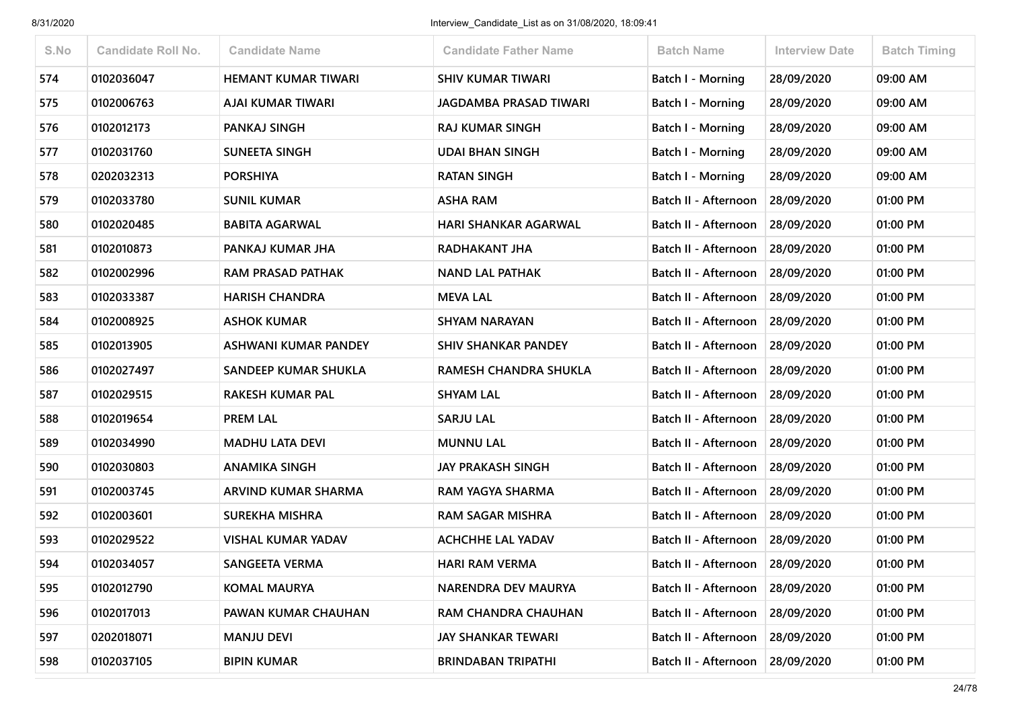| S.No | <b>Candidate Roll No.</b> | <b>Candidate Name</b>      | <b>Candidate Father Name</b>  | <b>Batch Name</b>               | <b>Interview Date</b> | <b>Batch Timing</b> |
|------|---------------------------|----------------------------|-------------------------------|---------------------------------|-----------------------|---------------------|
| 574  | 0102036047                | <b>HEMANT KUMAR TIWARI</b> | <b>SHIV KUMAR TIWARI</b>      | <b>Batch I - Morning</b>        | 28/09/2020            | 09:00 AM            |
| 575  | 0102006763                | <b>AJAI KUMAR TIWARI</b>   | <b>JAGDAMBA PRASAD TIWARI</b> | Batch I - Morning               | 28/09/2020            | 09:00 AM            |
| 576  | 0102012173                | PANKAJ SINGH               | <b>RAJ KUMAR SINGH</b>        | <b>Batch I - Morning</b>        | 28/09/2020            | 09:00 AM            |
| 577  | 0102031760                | <b>SUNEETA SINGH</b>       | <b>UDAI BHAN SINGH</b>        | Batch I - Morning               | 28/09/2020            | 09:00 AM            |
| 578  | 0202032313                | <b>PORSHIYA</b>            | <b>RATAN SINGH</b>            | Batch I - Morning               | 28/09/2020            | 09:00 AM            |
| 579  | 0102033780                | <b>SUNIL KUMAR</b>         | <b>ASHA RAM</b>               | Batch II - Afternoon            | 28/09/2020            | 01:00 PM            |
| 580  | 0102020485                | <b>BABITA AGARWAL</b>      | <b>HARI SHANKAR AGARWAL</b>   | Batch II - Afternoon            | 28/09/2020            | 01:00 PM            |
| 581  | 0102010873                | PANKAJ KUMAR JHA           | RADHAKANT JHA                 | Batch II - Afternoon            | 28/09/2020            | 01:00 PM            |
| 582  | 0102002996                | <b>RAM PRASAD PATHAK</b>   | <b>NAND LAL PATHAK</b>        | Batch II - Afternoon            | 28/09/2020            | 01:00 PM            |
| 583  | 0102033387                | <b>HARISH CHANDRA</b>      | <b>MEVA LAL</b>               | Batch II - Afternoon            | 28/09/2020            | 01:00 PM            |
| 584  | 0102008925                | <b>ASHOK KUMAR</b>         | <b>SHYAM NARAYAN</b>          | Batch II - Afternoon            | 28/09/2020            | 01:00 PM            |
| 585  | 0102013905                | ASHWANI KUMAR PANDEY       | <b>SHIV SHANKAR PANDEY</b>    | Batch II - Afternoon            | 28/09/2020            | 01:00 PM            |
| 586  | 0102027497                | SANDEEP KUMAR SHUKLA       | RAMESH CHANDRA SHUKLA         | Batch II - Afternoon            | 28/09/2020            | 01:00 PM            |
| 587  | 0102029515                | <b>RAKESH KUMAR PAL</b>    | <b>SHYAM LAL</b>              | Batch II - Afternoon            | 28/09/2020            | 01:00 PM            |
| 588  | 0102019654                | <b>PREM LAL</b>            | <b>SARJU LAL</b>              | Batch II - Afternoon            | 28/09/2020            | 01:00 PM            |
| 589  | 0102034990                | <b>MADHU LATA DEVI</b>     | <b>MUNNU LAL</b>              | Batch II - Afternoon            | 28/09/2020            | 01:00 PM            |
| 590  | 0102030803                | <b>ANAMIKA SINGH</b>       | <b>JAY PRAKASH SINGH</b>      | Batch II - Afternoon            | 28/09/2020            | 01:00 PM            |
| 591  | 0102003745                | ARVIND KUMAR SHARMA        | RAM YAGYA SHARMA              | Batch II - Afternoon            | 28/09/2020            | 01:00 PM            |
| 592  | 0102003601                | <b>SUREKHA MISHRA</b>      | <b>RAM SAGAR MISHRA</b>       | Batch II - Afternoon            | 28/09/2020            | 01:00 PM            |
| 593  | 0102029522                | <b>VISHAL KUMAR YADAV</b>  | <b>ACHCHHE LAL YADAV</b>      | Batch II - Afternoon            | 28/09/2020            | 01:00 PM            |
| 594  | 0102034057                | <b>SANGEETA VERMA</b>      | <b>HARI RAM VERMA</b>         | Batch II - Afternoon            | 28/09/2020            | 01:00 PM            |
| 595  | 0102012790                | <b>KOMAL MAURYA</b>        | NARENDRA DEV MAURYA           | Batch II - Afternoon            | 28/09/2020            | 01:00 PM            |
| 596  | 0102017013                | PAWAN KUMAR CHAUHAN        | RAM CHANDRA CHAUHAN           | Batch II - Afternoon            | 28/09/2020            | 01:00 PM            |
| 597  | 0202018071                | <b>MANJU DEVI</b>          | <b>JAY SHANKAR TEWARI</b>     | Batch II - Afternoon 28/09/2020 |                       | 01:00 PM            |
| 598  | 0102037105                | <b>BIPIN KUMAR</b>         | <b>BRINDABAN TRIPATHI</b>     | Batch II - Afternoon            | 28/09/2020            | 01:00 PM            |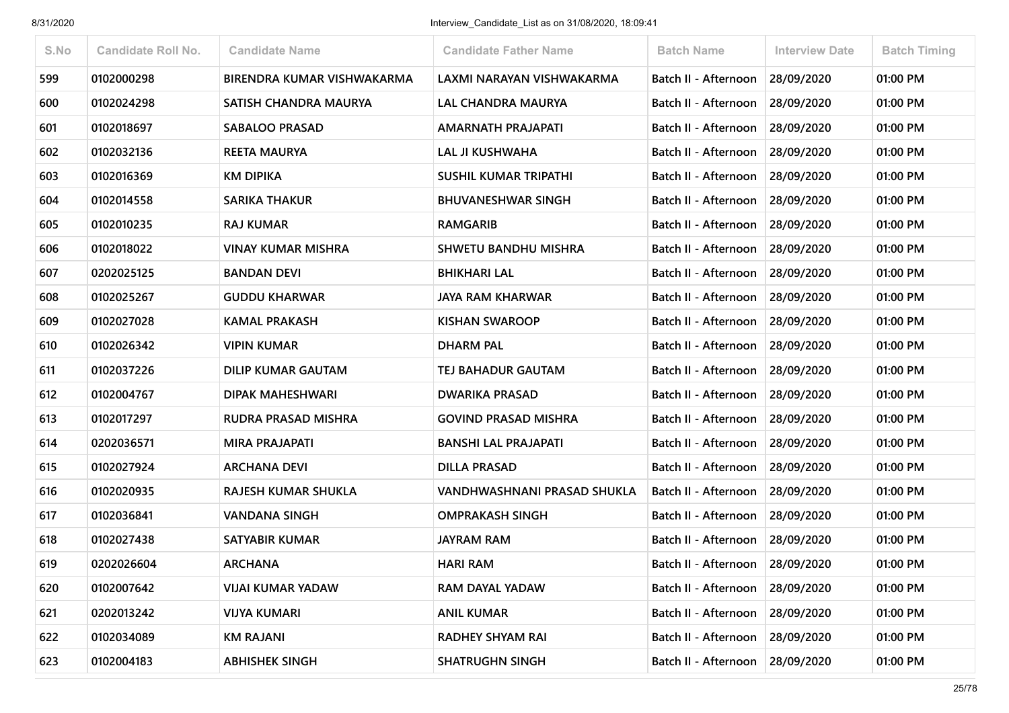| S.No | <b>Candidate Roll No.</b> | <b>Candidate Name</b>      | <b>Candidate Father Name</b> | <b>Batch Name</b>           | <b>Interview Date</b> | <b>Batch Timing</b> |
|------|---------------------------|----------------------------|------------------------------|-----------------------------|-----------------------|---------------------|
| 599  | 0102000298                | BIRENDRA KUMAR VISHWAKARMA | LAXMI NARAYAN VISHWAKARMA    | Batch II - Afternoon        | 28/09/2020            | 01:00 PM            |
| 600  | 0102024298                | SATISH CHANDRA MAURYA      | <b>LAL CHANDRA MAURYA</b>    | Batch II - Afternoon        | 28/09/2020            | 01:00 PM            |
| 601  | 0102018697                | <b>SABALOO PRASAD</b>      | AMARNATH PRAJAPATI           | Batch II - Afternoon        | 28/09/2020            | 01:00 PM            |
| 602  | 0102032136                | <b>REETA MAURYA</b>        | LAL JI KUSHWAHA              | Batch II - Afternoon        | 28/09/2020            | 01:00 PM            |
| 603  | 0102016369                | <b>KM DIPIKA</b>           | <b>SUSHIL KUMAR TRIPATHI</b> | Batch II - Afternoon        | 28/09/2020            | 01:00 PM            |
| 604  | 0102014558                | <b>SARIKA THAKUR</b>       | <b>BHUVANESHWAR SINGH</b>    | Batch II - Afternoon        | 28/09/2020            | 01:00 PM            |
| 605  | 0102010235                | <b>RAJ KUMAR</b>           | <b>RAMGARIB</b>              | Batch II - Afternoon        | 28/09/2020            | 01:00 PM            |
| 606  | 0102018022                | <b>VINAY KUMAR MISHRA</b>  | <b>SHWETU BANDHU MISHRA</b>  | Batch II - Afternoon        | 28/09/2020            | 01:00 PM            |
| 607  | 0202025125                | <b>BANDAN DEVI</b>         | <b>BHIKHARI LAL</b>          | Batch II - Afternoon        | 28/09/2020            | 01:00 PM            |
| 608  | 0102025267                | <b>GUDDU KHARWAR</b>       | <b>JAYA RAM KHARWAR</b>      | <b>Batch II - Afternoon</b> | 28/09/2020            | 01:00 PM            |
| 609  | 0102027028                | <b>KAMAL PRAKASH</b>       | <b>KISHAN SWAROOP</b>        | Batch II - Afternoon        | 28/09/2020            | 01:00 PM            |
| 610  | 0102026342                | <b>VIPIN KUMAR</b>         | <b>DHARM PAL</b>             | Batch II - Afternoon        | 28/09/2020            | 01:00 PM            |
| 611  | 0102037226                | <b>DILIP KUMAR GAUTAM</b>  | TEJ BAHADUR GAUTAM           | <b>Batch II - Afternoon</b> | 28/09/2020            | 01:00 PM            |
| 612  | 0102004767                | <b>DIPAK MAHESHWARI</b>    | <b>DWARIKA PRASAD</b>        | Batch II - Afternoon        | 28/09/2020            | 01:00 PM            |
| 613  | 0102017297                | <b>RUDRA PRASAD MISHRA</b> | <b>GOVIND PRASAD MISHRA</b>  | Batch II - Afternoon        | 28/09/2020            | 01:00 PM            |
| 614  | 0202036571                | <b>MIRA PRAJAPATI</b>      | <b>BANSHI LAL PRAJAPATI</b>  | Batch II - Afternoon        | 28/09/2020            | 01:00 PM            |
| 615  | 0102027924                | <b>ARCHANA DEVI</b>        | <b>DILLA PRASAD</b>          | Batch II - Afternoon        | 28/09/2020            | 01:00 PM            |
| 616  | 0102020935                | RAJESH KUMAR SHUKLA        | VANDHWASHNANI PRASAD SHUKLA  | Batch II - Afternoon        | 28/09/2020            | 01:00 PM            |
| 617  | 0102036841                | <b>VANDANA SINGH</b>       | <b>OMPRAKASH SINGH</b>       | Batch II - Afternoon        | 28/09/2020            | 01:00 PM            |
| 618  | 0102027438                | <b>SATYABIR KUMAR</b>      | <b>JAYRAM RAM</b>            | Batch II - Afternoon        | 28/09/2020            | 01:00 PM            |
| 619  | 0202026604                | <b>ARCHANA</b>             | <b>HARI RAM</b>              | Batch II - Afternoon        | 28/09/2020            | 01:00 PM            |
| 620  | 0102007642                | <b>VIJAI KUMAR YADAW</b>   | RAM DAYAL YADAW              | Batch II - Afternoon        | 28/09/2020            | 01:00 PM            |
| 621  | 0202013242                | <b>VIJYA KUMARI</b>        | <b>ANIL KUMAR</b>            | Batch II - Afternoon        | 28/09/2020            | 01:00 PM            |
| 622  | 0102034089                | <b>KM RAJANI</b>           | <b>RADHEY SHYAM RAI</b>      | Batch II - Afternoon        | 28/09/2020            | 01:00 PM            |
| 623  | 0102004183                | <b>ABHISHEK SINGH</b>      | <b>SHATRUGHN SINGH</b>       | Batch II - Afternoon        | 28/09/2020            | 01:00 PM            |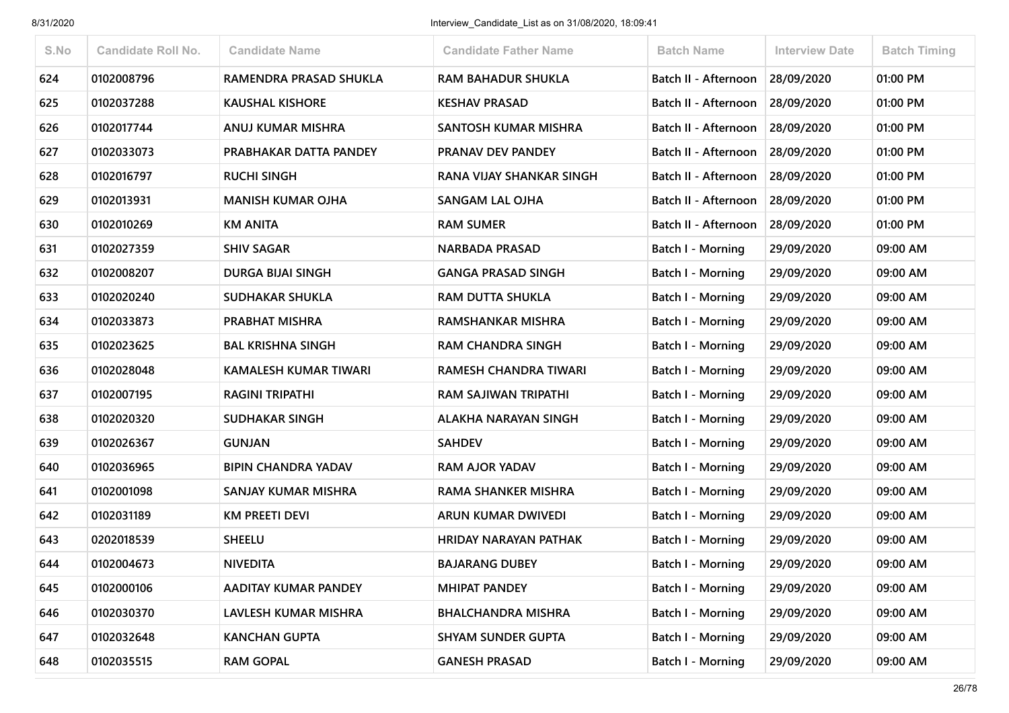| S.No | <b>Candidate Roll No.</b> | <b>Candidate Name</b>      | <b>Candidate Father Name</b> | <b>Batch Name</b>        | <b>Interview Date</b> | <b>Batch Timing</b> |
|------|---------------------------|----------------------------|------------------------------|--------------------------|-----------------------|---------------------|
| 624  | 0102008796                | RAMENDRA PRASAD SHUKLA     | <b>RAM BAHADUR SHUKLA</b>    | Batch II - Afternoon     | 28/09/2020            | 01:00 PM            |
| 625  | 0102037288                | <b>KAUSHAL KISHORE</b>     | <b>KESHAV PRASAD</b>         | Batch II - Afternoon     | 28/09/2020            | 01:00 PM            |
| 626  | 0102017744                | ANUJ KUMAR MISHRA          | SANTOSH KUMAR MISHRA         | Batch II - Afternoon     | 28/09/2020            | 01:00 PM            |
| 627  | 0102033073                | PRABHAKAR DATTA PANDEY     | PRANAV DEV PANDEY            | Batch II - Afternoon     | 28/09/2020            | 01:00 PM            |
| 628  | 0102016797                | <b>RUCHI SINGH</b>         | RANA VIJAY SHANKAR SINGH     | Batch II - Afternoon     | 28/09/2020            | 01:00 PM            |
| 629  | 0102013931                | <b>MANISH KUMAR OJHA</b>   | <b>SANGAM LAL OJHA</b>       | Batch II - Afternoon     | 28/09/2020            | 01:00 PM            |
| 630  | 0102010269                | <b>KM ANITA</b>            | <b>RAM SUMER</b>             | Batch II - Afternoon     | 28/09/2020            | 01:00 PM            |
| 631  | 0102027359                | <b>SHIV SAGAR</b>          | <b>NARBADA PRASAD</b>        | Batch I - Morning        | 29/09/2020            | 09:00 AM            |
| 632  | 0102008207                | <b>DURGA BIJAI SINGH</b>   | <b>GANGA PRASAD SINGH</b>    | <b>Batch I - Morning</b> | 29/09/2020            | 09:00 AM            |
| 633  | 0102020240                | <b>SUDHAKAR SHUKLA</b>     | <b>RAM DUTTA SHUKLA</b>      | Batch I - Morning        | 29/09/2020            | 09:00 AM            |
| 634  | 0102033873                | <b>PRABHAT MISHRA</b>      | RAMSHANKAR MISHRA            | Batch I - Morning        | 29/09/2020            | 09:00 AM            |
| 635  | 0102023625                | <b>BAL KRISHNA SINGH</b>   | <b>RAM CHANDRA SINGH</b>     | Batch I - Morning        | 29/09/2020            | 09:00 AM            |
| 636  | 0102028048                | KAMALESH KUMAR TIWARI      | RAMESH CHANDRA TIWARI        | <b>Batch I - Morning</b> | 29/09/2020            | 09:00 AM            |
| 637  | 0102007195                | <b>RAGINI TRIPATHI</b>     | RAM SAJIWAN TRIPATHI         | Batch I - Morning        | 29/09/2020            | 09:00 AM            |
| 638  | 0102020320                | <b>SUDHAKAR SINGH</b>      | <b>ALAKHA NARAYAN SINGH</b>  | Batch I - Morning        | 29/09/2020            | 09:00 AM            |
| 639  | 0102026367                | <b>GUNJAN</b>              | <b>SAHDEV</b>                | Batch I - Morning        | 29/09/2020            | 09:00 AM            |
| 640  | 0102036965                | <b>BIPIN CHANDRA YADAV</b> | <b>RAM AJOR YADAV</b>        | <b>Batch I - Morning</b> | 29/09/2020            | 09:00 AM            |
| 641  | 0102001098                | SANJAY KUMAR MISHRA        | RAMA SHANKER MISHRA          | Batch I - Morning        | 29/09/2020            | 09:00 AM            |
| 642  | 0102031189                | KM PREETI DEVI             | ARUN KUMAR DWIVEDI           | Batch I - Morning        | 29/09/2020            | 09:00 AM            |
| 643  | 0202018539                | <b>SHEELU</b>              | <b>HRIDAY NARAYAN PATHAK</b> | <b>Batch I - Morning</b> | 29/09/2020            | 09:00 AM            |
| 644  | 0102004673                | <b>NIVEDITA</b>            | <b>BAJARANG DUBEY</b>        | <b>Batch I - Morning</b> | 29/09/2020            | 09:00 AM            |
| 645  | 0102000106                | AADITAY KUMAR PANDEY       | <b>MHIPAT PANDEY</b>         | <b>Batch I - Morning</b> | 29/09/2020            | 09:00 AM            |
| 646  | 0102030370                | LAVLESH KUMAR MISHRA       | <b>BHALCHANDRA MISHRA</b>    | <b>Batch I - Morning</b> | 29/09/2020            | 09:00 AM            |
| 647  | 0102032648                | <b>KANCHAN GUPTA</b>       | <b>SHYAM SUNDER GUPTA</b>    | <b>Batch I - Morning</b> | 29/09/2020            | 09:00 AM            |
| 648  | 0102035515                | <b>RAM GOPAL</b>           | <b>GANESH PRASAD</b>         | <b>Batch I - Morning</b> | 29/09/2020            | 09:00 AM            |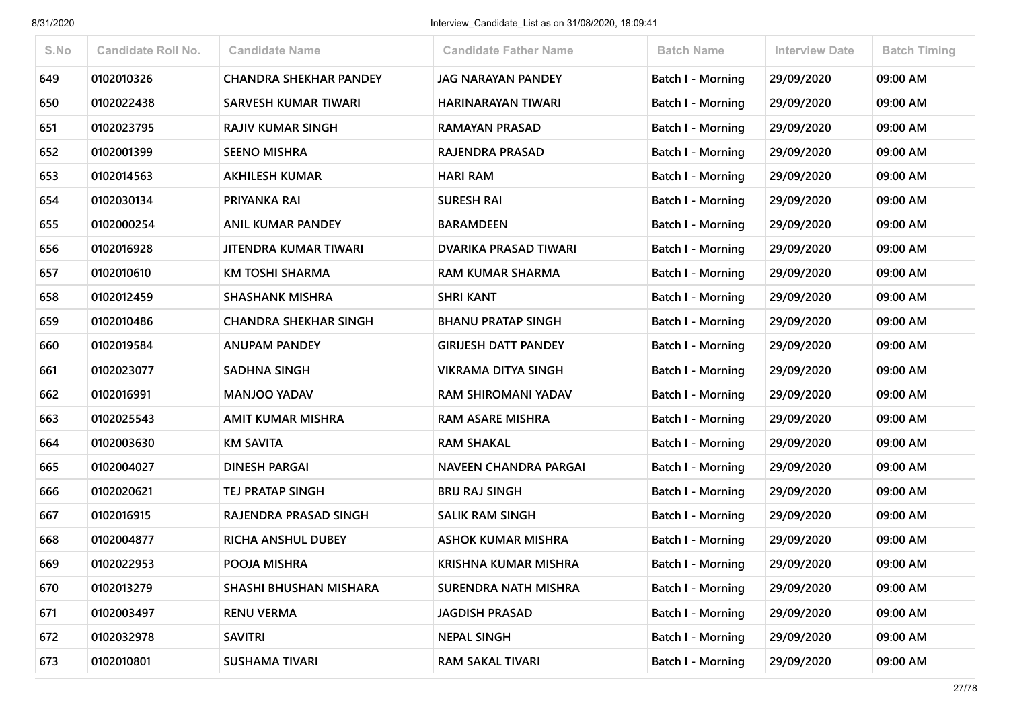| S.No | <b>Candidate Roll No.</b> | <b>Candidate Name</b>         | <b>Candidate Father Name</b> | <b>Batch Name</b>        | <b>Interview Date</b> | <b>Batch Timing</b> |
|------|---------------------------|-------------------------------|------------------------------|--------------------------|-----------------------|---------------------|
| 649  | 0102010326                | <b>CHANDRA SHEKHAR PANDEY</b> | <b>JAG NARAYAN PANDEY</b>    | Batch I - Morning        | 29/09/2020            | 09:00 AM            |
| 650  | 0102022438                | <b>SARVESH KUMAR TIWARI</b>   | HARINARAYAN TIWARI           | Batch I - Morning        | 29/09/2020            | 09:00 AM            |
| 651  | 0102023795                | <b>RAJIV KUMAR SINGH</b>      | <b>RAMAYAN PRASAD</b>        | Batch I - Morning        | 29/09/2020            | 09:00 AM            |
| 652  | 0102001399                | <b>SEENO MISHRA</b>           | RAJENDRA PRASAD              | Batch I - Morning        | 29/09/2020            | 09:00 AM            |
| 653  | 0102014563                | <b>AKHILESH KUMAR</b>         | <b>HARI RAM</b>              | Batch I - Morning        | 29/09/2020            | 09:00 AM            |
| 654  | 0102030134                | PRIYANKA RAI                  | <b>SURESH RAI</b>            | Batch I - Morning        | 29/09/2020            | 09:00 AM            |
| 655  | 0102000254                | <b>ANIL KUMAR PANDEY</b>      | <b>BARAMDEEN</b>             | Batch I - Morning        | 29/09/2020            | 09:00 AM            |
| 656  | 0102016928                | JITENDRA KUMAR TIWARI         | <b>DVARIKA PRASAD TIWARI</b> | <b>Batch I - Morning</b> | 29/09/2020            | 09:00 AM            |
| 657  | 0102010610                | KM TOSHI SHARMA               | <b>RAM KUMAR SHARMA</b>      | Batch I - Morning        | 29/09/2020            | 09:00 AM            |
| 658  | 0102012459                | <b>SHASHANK MISHRA</b>        | <b>SHRI KANT</b>             | Batch I - Morning        | 29/09/2020            | 09:00 AM            |
| 659  | 0102010486                | <b>CHANDRA SHEKHAR SINGH</b>  | <b>BHANU PRATAP SINGH</b>    | <b>Batch I - Morning</b> | 29/09/2020            | 09:00 AM            |
| 660  | 0102019584                | <b>ANUPAM PANDEY</b>          | <b>GIRIJESH DATT PANDEY</b>  | <b>Batch I - Morning</b> | 29/09/2020            | 09:00 AM            |
| 661  | 0102023077                | <b>SADHNA SINGH</b>           | VIKRAMA DITYA SINGH          | Batch I - Morning        | 29/09/2020            | 09:00 AM            |
| 662  | 0102016991                | <b>MANJOO YADAV</b>           | <b>RAM SHIROMANI YADAV</b>   | <b>Batch I - Morning</b> | 29/09/2020            | 09:00 AM            |
| 663  | 0102025543                | <b>AMIT KUMAR MISHRA</b>      | <b>RAM ASARE MISHRA</b>      | Batch I - Morning        | 29/09/2020            | 09:00 AM            |
| 664  | 0102003630                | <b>KM SAVITA</b>              | <b>RAM SHAKAL</b>            | Batch I - Morning        | 29/09/2020            | 09:00 AM            |
| 665  | 0102004027                | <b>DINESH PARGAI</b>          | <b>NAVEEN CHANDRA PARGAI</b> | <b>Batch I - Morning</b> | 29/09/2020            | 09:00 AM            |
| 666  | 0102020621                | TEJ PRATAP SINGH              | <b>BRIJ RAJ SINGH</b>        | Batch I - Morning        | 29/09/2020            | 09:00 AM            |
| 667  | 0102016915                | RAJENDRA PRASAD SINGH         | <b>SALIK RAM SINGH</b>       | Batch I - Morning        | 29/09/2020            | 09:00 AM            |
| 668  | 0102004877                | <b>RICHA ANSHUL DUBEY</b>     | <b>ASHOK KUMAR MISHRA</b>    | Batch I - Morning        | 29/09/2020            | 09:00 AM            |
| 669  | 0102022953                | POOJA MISHRA                  | KRISHNA KUMAR MISHRA         | Batch I - Morning        | 29/09/2020            | 09:00 AM            |
| 670  | 0102013279                | SHASHI BHUSHAN MISHARA        | SURENDRA NATH MISHRA         | <b>Batch I - Morning</b> | 29/09/2020            | 09:00 AM            |
| 671  | 0102003497                | <b>RENU VERMA</b>             | <b>JAGDISH PRASAD</b>        | <b>Batch I - Morning</b> | 29/09/2020            | 09:00 AM            |
| 672  | 0102032978                | <b>SAVITRI</b>                | <b>NEPAL SINGH</b>           | Batch I - Morning        | 29/09/2020            | 09:00 AM            |
| 673  | 0102010801                | <b>SUSHAMA TIVARI</b>         | <b>RAM SAKAL TIVARI</b>      | <b>Batch I - Morning</b> | 29/09/2020            | 09:00 AM            |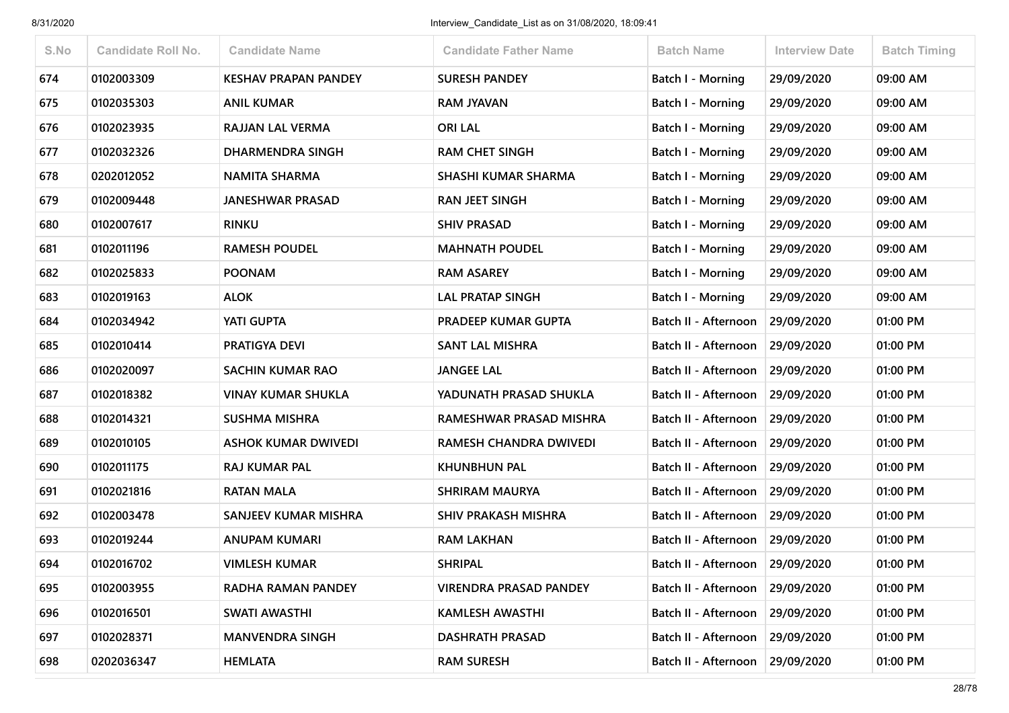| S.No | <b>Candidate Roll No.</b> | <b>Candidate Name</b>       | <b>Candidate Father Name</b>  | <b>Batch Name</b>           | <b>Interview Date</b> | <b>Batch Timing</b> |
|------|---------------------------|-----------------------------|-------------------------------|-----------------------------|-----------------------|---------------------|
| 674  | 0102003309                | <b>KESHAV PRAPAN PANDEY</b> | <b>SURESH PANDEY</b>          | <b>Batch I - Morning</b>    | 29/09/2020            | 09:00 AM            |
| 675  | 0102035303                | <b>ANIL KUMAR</b>           | <b>RAM JYAVAN</b>             | Batch I - Morning           | 29/09/2020            | 09:00 AM            |
| 676  | 0102023935                | RAJJAN LAL VERMA            | <b>ORI LAL</b>                | <b>Batch I - Morning</b>    | 29/09/2020            | 09:00 AM            |
| 677  | 0102032326                | <b>DHARMENDRA SINGH</b>     | <b>RAM CHET SINGH</b>         | Batch I - Morning           | 29/09/2020            | 09:00 AM            |
| 678  | 0202012052                | <b>NAMITA SHARMA</b>        | SHASHI KUMAR SHARMA           | Batch I - Morning           | 29/09/2020            | 09:00 AM            |
| 679  | 0102009448                | <b>JANESHWAR PRASAD</b>     | <b>RAN JEET SINGH</b>         | <b>Batch I - Morning</b>    | 29/09/2020            | 09:00 AM            |
| 680  | 0102007617                | <b>RINKU</b>                | <b>SHIV PRASAD</b>            | Batch I - Morning           | 29/09/2020            | 09:00 AM            |
| 681  | 0102011196                | <b>RAMESH POUDEL</b>        | <b>MAHNATH POUDEL</b>         | Batch I - Morning           | 29/09/2020            | 09:00 AM            |
| 682  | 0102025833                | <b>POONAM</b>               | <b>RAM ASAREY</b>             | <b>Batch I - Morning</b>    | 29/09/2020            | 09:00 AM            |
| 683  | 0102019163                | <b>ALOK</b>                 | <b>LAL PRATAP SINGH</b>       | Batch I - Morning           | 29/09/2020            | 09:00 AM            |
| 684  | 0102034942                | <b>YATI GUPTA</b>           | PRADEEP KUMAR GUPTA           | Batch II - Afternoon        | 29/09/2020            | 01:00 PM            |
| 685  | 0102010414                | PRATIGYA DEVI               | <b>SANT LAL MISHRA</b>        | Batch II - Afternoon        | 29/09/2020            | 01:00 PM            |
| 686  | 0102020097                | <b>SACHIN KUMAR RAO</b>     | <b>JANGEE LAL</b>             | <b>Batch II - Afternoon</b> | 29/09/2020            | 01:00 PM            |
| 687  | 0102018382                | <b>VINAY KUMAR SHUKLA</b>   | YADUNATH PRASAD SHUKLA        | Batch II - Afternoon        | 29/09/2020            | 01:00 PM            |
| 688  | 0102014321                | <b>SUSHMA MISHRA</b>        | RAMESHWAR PRASAD MISHRA       | Batch II - Afternoon        | 29/09/2020            | 01:00 PM            |
| 689  | 0102010105                | <b>ASHOK KUMAR DWIVEDI</b>  | RAMESH CHANDRA DWIVEDI        | Batch II - Afternoon        | 29/09/2020            | 01:00 PM            |
| 690  | 0102011175                | <b>RAJ KUMAR PAL</b>        | <b>KHUNBHUN PAL</b>           | Batch II - Afternoon        | 29/09/2020            | 01:00 PM            |
| 691  | 0102021816                | <b>RATAN MALA</b>           | <b>SHRIRAM MAURYA</b>         | Batch II - Afternoon        | 29/09/2020            | 01:00 PM            |
| 692  | 0102003478                | <b>SANJEEV KUMAR MISHRA</b> | <b>SHIV PRAKASH MISHRA</b>    | Batch II - Afternoon        | 29/09/2020            | 01:00 PM            |
| 693  | 0102019244                | <b>ANUPAM KUMARI</b>        | <b>RAM LAKHAN</b>             | Batch II - Afternoon        | 29/09/2020            | 01:00 PM            |
| 694  | 0102016702                | <b>VIMLESH KUMAR</b>        | <b>SHRIPAL</b>                | Batch II - Afternoon        | 29/09/2020            | 01:00 PM            |
| 695  | 0102003955                | RADHA RAMAN PANDEY          | <b>VIRENDRA PRASAD PANDEY</b> | Batch II - Afternoon        | 29/09/2020            | 01:00 PM            |
| 696  | 0102016501                | SWATI AWASTHI               | <b>KAMLESH AWASTHI</b>        | Batch II - Afternoon        | 29/09/2020            | 01:00 PM            |
| 697  | 0102028371                | <b>MANVENDRA SINGH</b>      | <b>DASHRATH PRASAD</b>        | Batch II - Afternoon        | 29/09/2020            | 01:00 PM            |
| 698  | 0202036347                | <b>HEMLATA</b>              | <b>RAM SURESH</b>             | Batch II - Afternoon        | 29/09/2020            | 01:00 PM            |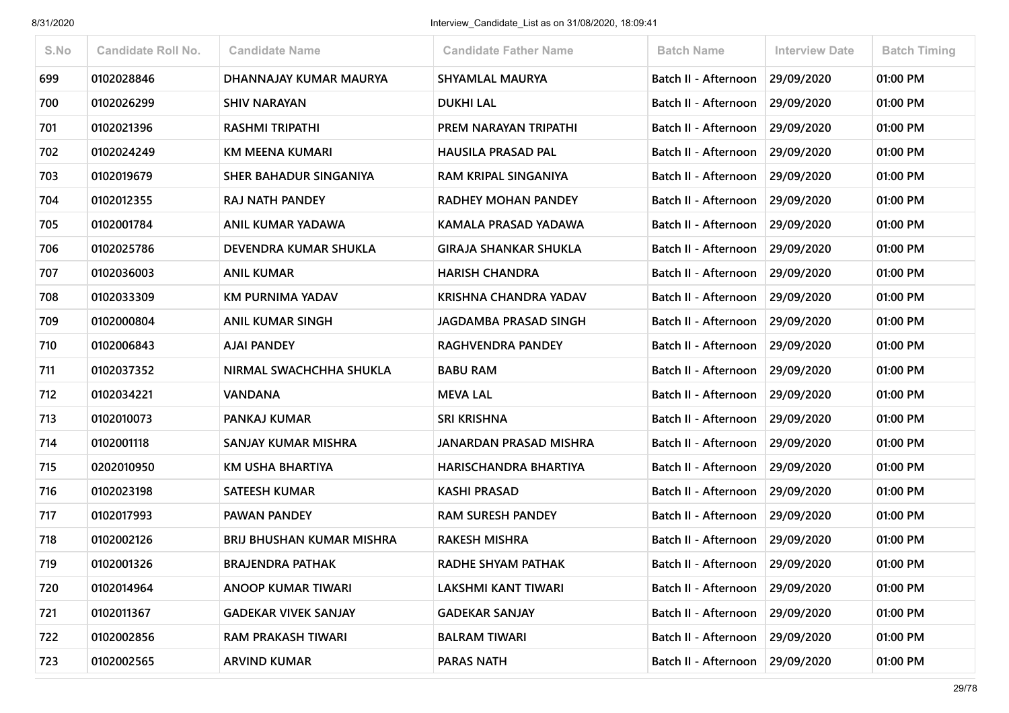| S.No | <b>Candidate Roll No.</b> | <b>Candidate Name</b>            | <b>Candidate Father Name</b> | <b>Batch Name</b>               | <b>Interview Date</b> | <b>Batch Timing</b> |
|------|---------------------------|----------------------------------|------------------------------|---------------------------------|-----------------------|---------------------|
| 699  | 0102028846                | DHANNAJAY KUMAR MAURYA           | <b>SHYAMLAL MAURYA</b>       | Batch II - Afternoon            | 29/09/2020            | 01:00 PM            |
| 700  | 0102026299                | <b>SHIV NARAYAN</b>              | <b>DUKHI LAL</b>             | Batch II - Afternoon            | 29/09/2020            | 01:00 PM            |
| 701  | 0102021396                | <b>RASHMI TRIPATHI</b>           | PREM NARAYAN TRIPATHI        | Batch II - Afternoon            | 29/09/2020            | 01:00 PM            |
| 702  | 0102024249                | KM MEENA KUMARI                  | <b>HAUSILA PRASAD PAL</b>    | Batch II - Afternoon            | 29/09/2020            | 01:00 PM            |
| 703  | 0102019679                | SHER BAHADUR SINGANIYA           | RAM KRIPAL SINGANIYA         | Batch II - Afternoon            | 29/09/2020            | 01:00 PM            |
| 704  | 0102012355                | RAJ NATH PANDEY                  | RADHEY MOHAN PANDEY          | Batch II - Afternoon            | 29/09/2020            | 01:00 PM            |
| 705  | 0102001784                | ANIL KUMAR YADAWA                | KAMALA PRASAD YADAWA         | Batch II - Afternoon            | 29/09/2020            | 01:00 PM            |
| 706  | 0102025786                | DEVENDRA KUMAR SHUKLA            | <b>GIRAJA SHANKAR SHUKLA</b> | Batch II - Afternoon            | 29/09/2020            | 01:00 PM            |
| 707  | 0102036003                | <b>ANIL KUMAR</b>                | <b>HARISH CHANDRA</b>        | Batch II - Afternoon            | 29/09/2020            | 01:00 PM            |
| 708  | 0102033309                | KM PURNIMA YADAV                 | <b>KRISHNA CHANDRA YADAV</b> | Batch II - Afternoon            | 29/09/2020            | 01:00 PM            |
| 709  | 0102000804                | <b>ANIL KUMAR SINGH</b>          | <b>JAGDAMBA PRASAD SINGH</b> | Batch II - Afternoon            | 29/09/2020            | 01:00 PM            |
| 710  | 0102006843                | <b>AJAI PANDEY</b>               | RAGHVENDRA PANDEY            | Batch II - Afternoon            | 29/09/2020            | 01:00 PM            |
| 711  | 0102037352                | NIRMAL SWACHCHHA SHUKLA          | <b>BABU RAM</b>              | Batch II - Afternoon            | 29/09/2020            | 01:00 PM            |
| 712  | 0102034221                | <b>VANDANA</b>                   | <b>MEVA LAL</b>              | Batch II - Afternoon            | 29/09/2020            | 01:00 PM            |
| 713  | 0102010073                | PANKAJ KUMAR                     | SRI KRISHNA                  | Batch II - Afternoon            | 29/09/2020            | 01:00 PM            |
| 714  | 0102001118                | SANJAY KUMAR MISHRA              | JANARDAN PRASAD MISHRA       | Batch II - Afternoon            | 29/09/2020            | 01:00 PM            |
| 715  | 0202010950                | KM USHA BHARTIYA                 | HARISCHANDRA BHARTIYA        | Batch II - Afternoon            | 29/09/2020            | 01:00 PM            |
| 716  | 0102023198                | <b>SATEESH KUMAR</b>             | <b>KASHI PRASAD</b>          | Batch II - Afternoon            | 29/09/2020            | 01:00 PM            |
| 717  | 0102017993                | PAWAN PANDEY                     | <b>RAM SURESH PANDEY</b>     | Batch II - Afternoon            | 29/09/2020            | 01:00 PM            |
| 718  | 0102002126                | <b>BRIJ BHUSHAN KUMAR MISHRA</b> | <b>RAKESH MISHRA</b>         | Batch II - Afternoon            | 29/09/2020            | 01:00 PM            |
| 719  | 0102001326                | <b>BRAJENDRA PATHAK</b>          | RADHE SHYAM PATHAK           | Batch II - Afternoon            | 29/09/2020            | 01:00 PM            |
| 720  | 0102014964                | <b>ANOOP KUMAR TIWARI</b>        | <b>LAKSHMI KANT TIWARI</b>   | Batch II - Afternoon            | 29/09/2020            | 01:00 PM            |
| 721  | 0102011367                | <b>GADEKAR VIVEK SANJAY</b>      | <b>GADEKAR SANJAY</b>        | Batch II - Afternoon            | 29/09/2020            | 01:00 PM            |
| 722  | 0102002856                | RAM PRAKASH TIWARI               | <b>BALRAM TIWARI</b>         | Batch II - Afternoon 29/09/2020 |                       | 01:00 PM            |
| 723  | 0102002565                | <b>ARVIND KUMAR</b>              | <b>PARAS NATH</b>            | Batch II - Afternoon            | 29/09/2020            | 01:00 PM            |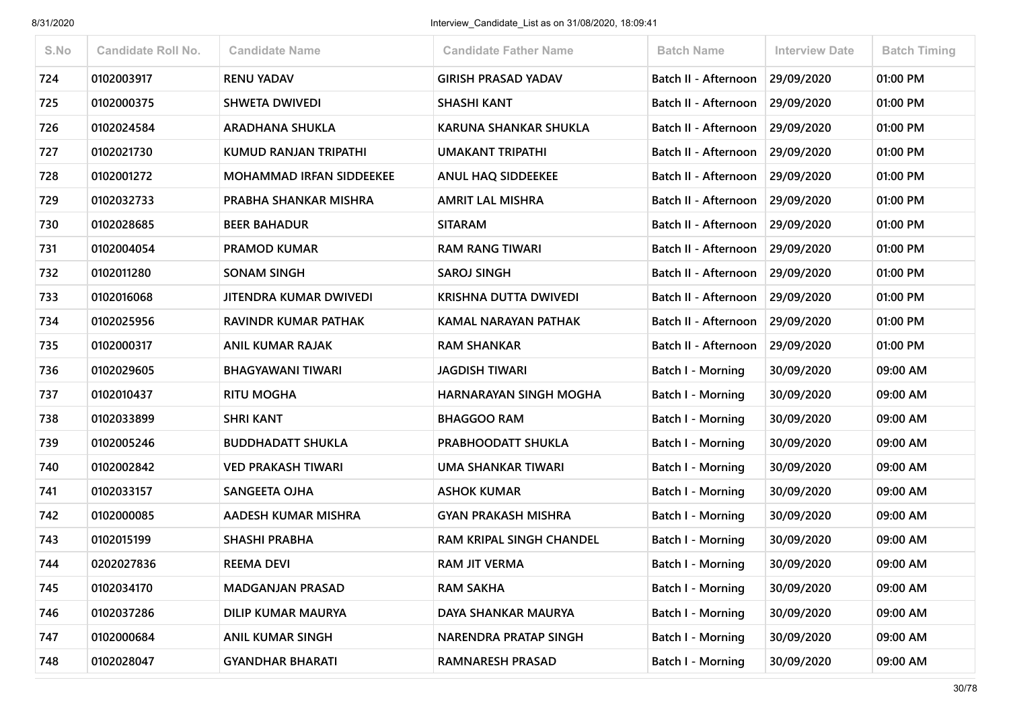| S.No | <b>Candidate Roll No.</b> | <b>Candidate Name</b>           | <b>Candidate Father Name</b>    | <b>Batch Name</b>           | <b>Interview Date</b> | <b>Batch Timing</b> |
|------|---------------------------|---------------------------------|---------------------------------|-----------------------------|-----------------------|---------------------|
| 724  | 0102003917                | <b>RENU YADAV</b>               | <b>GIRISH PRASAD YADAV</b>      | Batch II - Afternoon        | 29/09/2020            | 01:00 PM            |
| 725  | 0102000375                | <b>SHWETA DWIVEDI</b>           | SHASHI KANT                     | Batch II - Afternoon        | 29/09/2020            | 01:00 PM            |
| 726  | 0102024584                | <b>ARADHANA SHUKLA</b>          | <b>KARUNA SHANKAR SHUKLA</b>    | <b>Batch II - Afternoon</b> | 29/09/2020            | 01:00 PM            |
| 727  | 0102021730                | KUMUD RANJAN TRIPATHI           | <b>UMAKANT TRIPATHI</b>         | Batch II - Afternoon        | 29/09/2020            | 01:00 PM            |
| 728  | 0102001272                | <b>MOHAMMAD IRFAN SIDDEEKEE</b> | <b>ANUL HAQ SIDDEEKEE</b>       | <b>Batch II - Afternoon</b> | 29/09/2020            | 01:00 PM            |
| 729  | 0102032733                | PRABHA SHANKAR MISHRA           | <b>AMRIT LAL MISHRA</b>         | Batch II - Afternoon        | 29/09/2020            | 01:00 PM            |
| 730  | 0102028685                | <b>BEER BAHADUR</b>             | <b>SITARAM</b>                  | Batch II - Afternoon        | 29/09/2020            | 01:00 PM            |
| 731  | 0102004054                | <b>PRAMOD KUMAR</b>             | <b>RAM RANG TIWARI</b>          | Batch II - Afternoon        | 29/09/2020            | 01:00 PM            |
| 732  | 0102011280                | <b>SONAM SINGH</b>              | <b>SAROJ SINGH</b>              | Batch II - Afternoon        | 29/09/2020            | 01:00 PM            |
| 733  | 0102016068                | <b>JITENDRA KUMAR DWIVEDI</b>   | <b>KRISHNA DUTTA DWIVEDI</b>    | Batch II - Afternoon        | 29/09/2020            | 01:00 PM            |
| 734  | 0102025956                | <b>RAVINDR KUMAR PATHAK</b>     | KAMAL NARAYAN PATHAK            | Batch II - Afternoon        | 29/09/2020            | 01:00 PM            |
| 735  | 0102000317                | <b>ANIL KUMAR RAJAK</b>         | <b>RAM SHANKAR</b>              | Batch II - Afternoon        | 29/09/2020            | 01:00 PM            |
| 736  | 0102029605                | BHAGYAWANI TIWARI               | <b>JAGDISH TIWARI</b>           | Batch I - Morning           | 30/09/2020            | 09:00 AM            |
| 737  | 0102010437                | <b>RITU MOGHA</b>               | HARNARAYAN SINGH MOGHA          | Batch I - Morning           | 30/09/2020            | 09:00 AM            |
| 738  | 0102033899                | <b>SHRI KANT</b>                | <b>BHAGGOO RAM</b>              | Batch I - Morning           | 30/09/2020            | 09:00 AM            |
| 739  | 0102005246                | <b>BUDDHADATT SHUKLA</b>        | PRABHOODATT SHUKLA              | Batch I - Morning           | 30/09/2020            | 09:00 AM            |
| 740  | 0102002842                | <b>VED PRAKASH TIWARI</b>       | <b>UMA SHANKAR TIWARI</b>       | <b>Batch I - Morning</b>    | 30/09/2020            | 09:00 AM            |
| 741  | 0102033157                | SANGEETA OJHA                   | <b>ASHOK KUMAR</b>              | Batch I - Morning           | 30/09/2020            | 09:00 AM            |
| 742  | 0102000085                | AADESH KUMAR MISHRA             | <b>GYAN PRAKASH MISHRA</b>      | <b>Batch I - Morning</b>    | 30/09/2020            | 09:00 AM            |
| 743  | 0102015199                | <b>SHASHI PRABHA</b>            | <b>RAM KRIPAL SINGH CHANDEL</b> | Batch I - Morning           | 30/09/2020            | 09:00 AM            |
| 744  | 0202027836                | <b>REEMA DEVI</b>               | <b>RAM JIT VERMA</b>            | Batch I - Morning           | 30/09/2020            | 09:00 AM            |
| 745  | 0102034170                | <b>MADGANJAN PRASAD</b>         | <b>RAM SAKHA</b>                | <b>Batch I - Morning</b>    | 30/09/2020            | 09:00 AM            |
| 746  | 0102037286                | <b>DILIP KUMAR MAURYA</b>       | DAYA SHANKAR MAURYA             | <b>Batch I - Morning</b>    | 30/09/2020            | 09:00 AM            |
| 747  | 0102000684                | <b>ANIL KUMAR SINGH</b>         | NARENDRA PRATAP SINGH           | <b>Batch I - Morning</b>    | 30/09/2020            | 09:00 AM            |
| 748  | 0102028047                | <b>GYANDHAR BHARATI</b>         | <b>RAMNARESH PRASAD</b>         | <b>Batch I - Morning</b>    | 30/09/2020            | 09:00 AM            |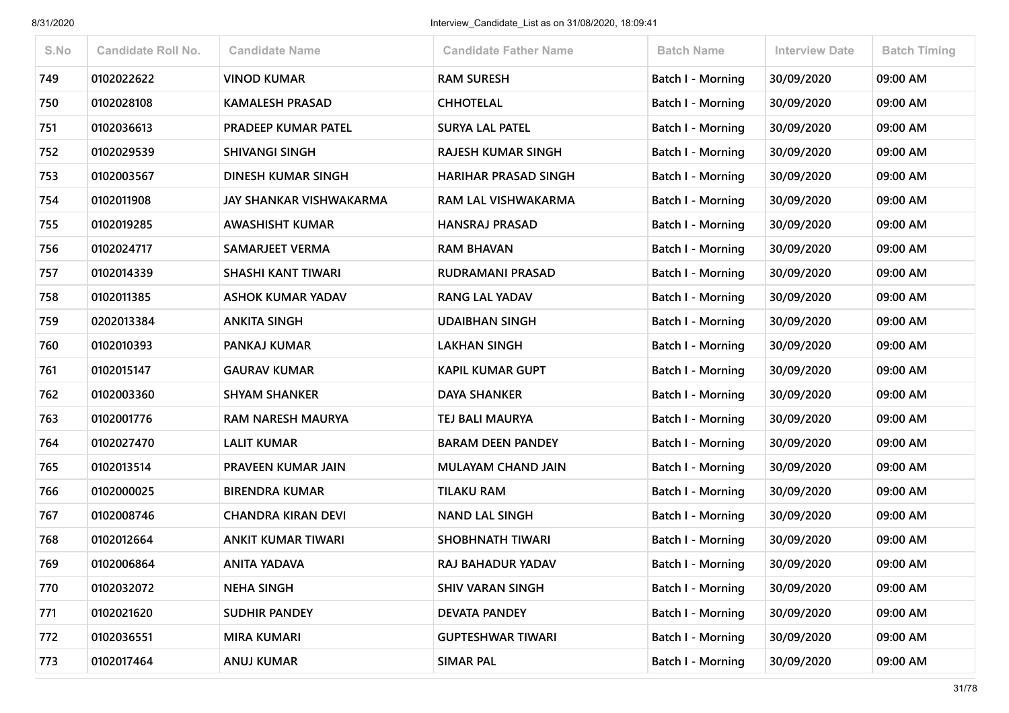| S.No | <b>Candidate Roll No.</b> | <b>Candidate Name</b>      | <b>Candidate Father Name</b> | <b>Batch Name</b>        | Interview Date | <b>Batch Timing</b> |
|------|---------------------------|----------------------------|------------------------------|--------------------------|----------------|---------------------|
| 749  | 0102022622                | <b>VINOD KUMAR</b>         | <b>RAM SURESH</b>            | Batch I - Morning        | 30/09/2020     | 09:00 AM            |
| 750  | 0102028108                | <b>KAMALESH PRASAD</b>     | <b>CHHOTELAL</b>             | Batch I - Morning        | 30/09/2020     | 09:00 AM            |
| 751  | 0102036613                | <b>PRADEEP KUMAR PATEL</b> | <b>SURYA LAL PATEL</b>       | Batch I - Morning        | 30/09/2020     | 09:00 AM            |
| 752  | 0102029539                | <b>SHIVANGI SINGH</b>      | <b>RAJESH KUMAR SINGH</b>    | <b>Batch I - Morning</b> | 30/09/2020     | 09:00 AM            |
| 753  | 0102003567                | DINESH KUMAR SINGH         | <b>HARIHAR PRASAD SINGH</b>  | Batch I - Morning        | 30/09/2020     | 09:00 AM            |
| 754  | 0102011908                | JAY SHANKAR VISHWAKARMA    | RAM LAL VISHWAKARMA          | Batch I - Morning        | 30/09/2020     | 09:00 AM            |
| 755  | 0102019285                | <b>AWASHISHT KUMAR</b>     | <b>HANSRAJ PRASAD</b>        | Batch I - Morning        | 30/09/2020     | 09:00 AM            |
| 756  | 0102024717                | <b>SAMARJEET VERMA</b>     | <b>RAM BHAVAN</b>            | Batch I - Morning        | 30/09/2020     | 09:00 AM            |
| 757  | 0102014339                | <b>SHASHI KANT TIWARI</b>  | RUDRAMANI PRASAD             | <b>Batch I - Morning</b> | 30/09/2020     | 09:00 AM            |
| 758  | 0102011385                | <b>ASHOK KUMAR YADAV</b>   | <b>RANG LAL YADAV</b>        | <b>Batch I - Morning</b> | 30/09/2020     | 09:00 AM            |
| 759  | 0202013384                | <b>ANKITA SINGH</b>        | <b>UDAIBHAN SINGH</b>        | <b>Batch I - Morning</b> | 30/09/2020     | 09:00 AM            |
| 760  | 0102010393                | PANKAJ KUMAR               | <b>LAKHAN SINGH</b>          | <b>Batch I - Morning</b> | 30/09/2020     | 09:00 AM            |
| 761  | 0102015147                | <b>GAURAV KUMAR</b>        | KAPIL KUMAR GUPT             | Batch I - Morning        | 30/09/2020     | 09:00 AM            |
| 762  | 0102003360                | <b>SHYAM SHANKER</b>       | <b>DAYA SHANKER</b>          | Batch I - Morning        | 30/09/2020     | 09:00 AM            |
| 763  | 0102001776                | <b>RAM NARESH MAURYA</b>   | TEJ BALI MAURYA              | <b>Batch I - Morning</b> | 30/09/2020     | 09:00 AM            |
| 764  | 0102027470                | <b>LALIT KUMAR</b>         | <b>BARAM DEEN PANDEY</b>     | <b>Batch I - Morning</b> | 30/09/2020     | 09:00 AM            |
| 765  | 0102013514                | PRAVEEN KUMAR JAIN         | <b>MULAYAM CHAND JAIN</b>    | Batch I - Morning        | 30/09/2020     | 09:00 AM            |
| 766  | 0102000025                | <b>BIRENDRA KUMAR</b>      | <b>TILAKU RAM</b>            | <b>Batch I - Morning</b> | 30/09/2020     | 09:00 AM            |
| 767  | 0102008746                | <b>CHANDRA KIRAN DEVI</b>  | <b>NAND LAL SINGH</b>        | <b>Batch I - Morning</b> | 30/09/2020     | 09:00 AM            |
| 768  | 0102012664                | <b>ANKIT KUMAR TIWARI</b>  | <b>SHOBHNATH TIWARI</b>      | Batch I - Morning        | 30/09/2020     | 09:00 AM            |
| 769  | 0102006864                | ANITA YADAVA               | RAJ BAHADUR YADAV            | <b>Batch I - Morning</b> | 30/09/2020     | 09:00 AM            |
| 770  | 0102032072                | <b>NEHA SINGH</b>          | <b>SHIV VARAN SINGH</b>      | Batch I - Morning        | 30/09/2020     | 09:00 AM            |
| 771  | 0102021620                | <b>SUDHIR PANDEY</b>       | <b>DEVATA PANDEY</b>         | Batch I - Morning        | 30/09/2020     | 09:00 AM            |
| 772  | 0102036551                | <b>MIRA KUMARI</b>         | <b>GUPTESHWAR TIWARI</b>     | <b>Batch I - Morning</b> | 30/09/2020     | 09:00 AM            |
| 773  | 0102017464                | <b>ANUJ KUMAR</b>          | <b>SIMAR PAL</b>             | <b>Batch I - Morning</b> | 30/09/2020     | 09:00 AM            |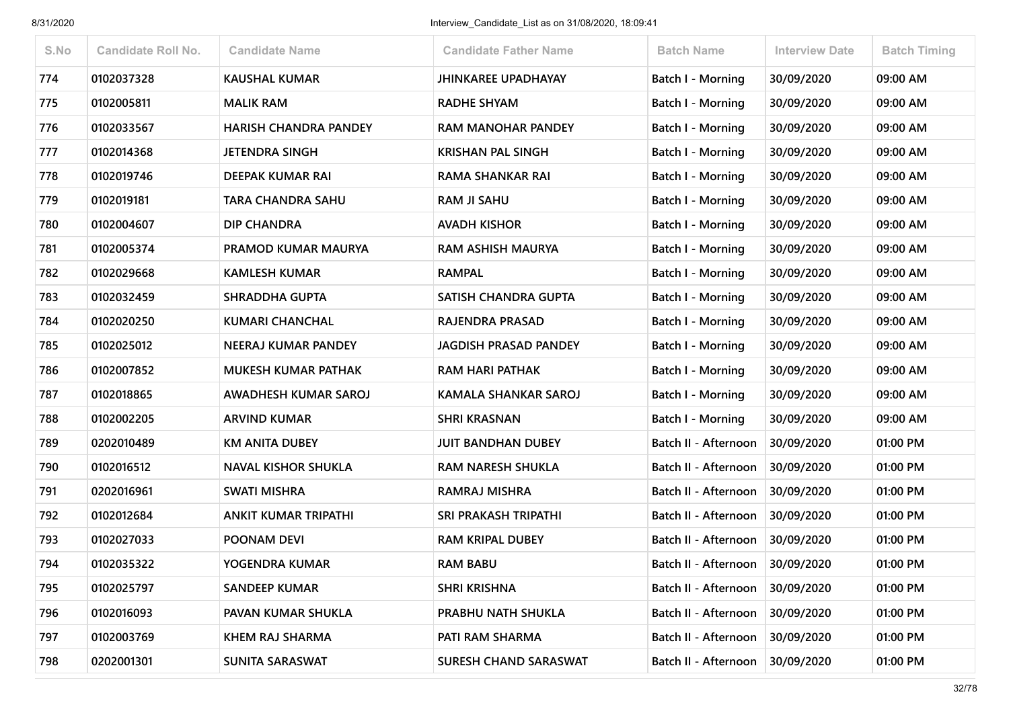| S.No | <b>Candidate Roll No.</b> | <b>Candidate Name</b>        | <b>Candidate Father Name</b> | <b>Batch Name</b>        | <b>Interview Date</b> | <b>Batch Timing</b> |
|------|---------------------------|------------------------------|------------------------------|--------------------------|-----------------------|---------------------|
| 774  | 0102037328                | <b>KAUSHAL KUMAR</b>         | <b>JHINKAREE UPADHAYAY</b>   | <b>Batch I - Morning</b> | 30/09/2020            | 09:00 AM            |
| 775  | 0102005811                | <b>MALIK RAM</b>             | <b>RADHE SHYAM</b>           | Batch I - Morning        | 30/09/2020            | 09:00 AM            |
| 776  | 0102033567                | <b>HARISH CHANDRA PANDEY</b> | <b>RAM MANOHAR PANDEY</b>    | <b>Batch I - Morning</b> | 30/09/2020            | 09:00 AM            |
| 777  | 0102014368                | <b>JETENDRA SINGH</b>        | <b>KRISHAN PAL SINGH</b>     | Batch I - Morning        | 30/09/2020            | 09:00 AM            |
| 778  | 0102019746                | <b>DEEPAK KUMAR RAI</b>      | RAMA SHANKAR RAI             | <b>Batch I - Morning</b> | 30/09/2020            | 09:00 AM            |
| 779  | 0102019181                | TARA CHANDRA SAHU            | <b>RAM JI SAHU</b>           | <b>Batch I - Morning</b> | 30/09/2020            | 09:00 AM            |
| 780  | 0102004607                | DIP CHANDRA                  | <b>AVADH KISHOR</b>          | Batch I - Morning        | 30/09/2020            | 09:00 AM            |
| 781  | 0102005374                | PRAMOD KUMAR MAURYA          | <b>RAM ASHISH MAURYA</b>     | Batch I - Morning        | 30/09/2020            | 09:00 AM            |
| 782  | 0102029668                | <b>KAMLESH KUMAR</b>         | <b>RAMPAL</b>                | <b>Batch I - Morning</b> | 30/09/2020            | 09:00 AM            |
| 783  | 0102032459                | <b>SHRADDHA GUPTA</b>        | SATISH CHANDRA GUPTA         | Batch I - Morning        | 30/09/2020            | 09:00 AM            |
| 784  | 0102020250                | <b>KUMARI CHANCHAL</b>       | RAJENDRA PRASAD              | <b>Batch I - Morning</b> | 30/09/2020            | 09:00 AM            |
| 785  | 0102025012                | NEERAJ KUMAR PANDEY          | <b>JAGDISH PRASAD PANDEY</b> | Batch I - Morning        | 30/09/2020            | 09:00 AM            |
| 786  | 0102007852                | <b>MUKESH KUMAR PATHAK</b>   | <b>RAM HARI PATHAK</b>       | Batch I - Morning        | 30/09/2020            | 09:00 AM            |
| 787  | 0102018865                | <b>AWADHESH KUMAR SAROJ</b>  | <b>KAMALA SHANKAR SAROJ</b>  | <b>Batch I - Morning</b> | 30/09/2020            | 09:00 AM            |
| 788  | 0102002205                | <b>ARVIND KUMAR</b>          | <b>SHRI KRASNAN</b>          | Batch I - Morning        | 30/09/2020            | 09:00 AM            |
| 789  | 0202010489                | <b>KM ANITA DUBEY</b>        | <b>JUIT BANDHAN DUBEY</b>    | Batch II - Afternoon     | 30/09/2020            | 01:00 PM            |
| 790  | 0102016512                | <b>NAVAL KISHOR SHUKLA</b>   | <b>RAM NARESH SHUKLA</b>     | Batch II - Afternoon     | 30/09/2020            | 01:00 PM            |
| 791  | 0202016961                | <b>SWATI MISHRA</b>          | RAMRAJ MISHRA                | Batch II - Afternoon     | 30/09/2020            | 01:00 PM            |
| 792  | 0102012684                | <b>ANKIT KUMAR TRIPATHI</b>  | <b>SRI PRAKASH TRIPATHI</b>  | Batch II - Afternoon     | 30/09/2020            | 01:00 PM            |
| 793  | 0102027033                | POONAM DEVI                  | <b>RAM KRIPAL DUBEY</b>      | Batch II - Afternoon     | 30/09/2020            | 01:00 PM            |
| 794  | 0102035322                | YOGENDRA KUMAR               | <b>RAM BABU</b>              | Batch II - Afternoon     | 30/09/2020            | 01:00 PM            |
| 795  | 0102025797                | <b>SANDEEP KUMAR</b>         | <b>SHRI KRISHNA</b>          | Batch II - Afternoon     | 30/09/2020            | 01:00 PM            |
| 796  | 0102016093                | PAVAN KUMAR SHUKLA           | PRABHU NATH SHUKLA           | Batch II - Afternoon     | 30/09/2020            | 01:00 PM            |
| 797  | 0102003769                | KHEM RAJ SHARMA              | PATI RAM SHARMA              | Batch II - Afternoon     | 30/09/2020            | 01:00 PM            |
| 798  | 0202001301                | <b>SUNITA SARASWAT</b>       | SURESH CHAND SARASWAT        | Batch II - Afternoon     | 30/09/2020            | 01:00 PM            |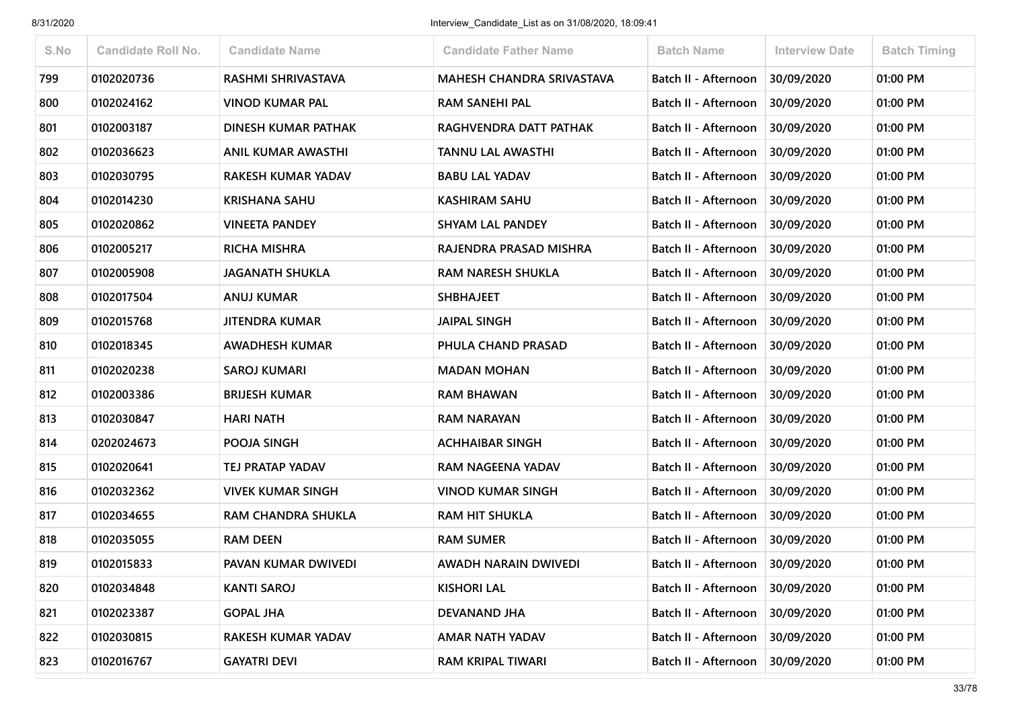| S.No | <b>Candidate Roll No.</b> | <b>Candidate Name</b>     | <b>Candidate Father Name</b>     | <b>Batch Name</b>               | <b>Interview Date</b> | <b>Batch Timing</b> |
|------|---------------------------|---------------------------|----------------------------------|---------------------------------|-----------------------|---------------------|
| 799  | 0102020736                | <b>RASHMI SHRIVASTAVA</b> | <b>MAHESH CHANDRA SRIVASTAVA</b> | Batch II - Afternoon            | 30/09/2020            | 01:00 PM            |
| 800  | 0102024162                | <b>VINOD KUMAR PAL</b>    | <b>RAM SANEHI PAL</b>            | Batch II - Afternoon            | 30/09/2020            | 01:00 PM            |
| 801  | 0102003187                | DINESH KUMAR PATHAK       | RAGHVENDRA DATT PATHAK           | Batch II - Afternoon            | 30/09/2020            | 01:00 PM            |
| 802  | 0102036623                | <b>ANIL KUMAR AWASTHI</b> | <b>TANNU LAL AWASTHI</b>         | Batch II - Afternoon            | 30/09/2020            | 01:00 PM            |
| 803  | 0102030795                | <b>RAKESH KUMAR YADAV</b> | <b>BABU LAL YADAV</b>            | Batch II - Afternoon            | 30/09/2020            | 01:00 PM            |
| 804  | 0102014230                | <b>KRISHANA SAHU</b>      | <b>KASHIRAM SAHU</b>             | Batch II - Afternoon            | 30/09/2020            | 01:00 PM            |
| 805  | 0102020862                | <b>VINEETA PANDEY</b>     | <b>SHYAM LAL PANDEY</b>          | Batch II - Afternoon            | 30/09/2020            | 01:00 PM            |
| 806  | 0102005217                | <b>RICHA MISHRA</b>       | RAJENDRA PRASAD MISHRA           | Batch II - Afternoon            | 30/09/2020            | 01:00 PM            |
| 807  | 0102005908                | <b>JAGANATH SHUKLA</b>    | <b>RAM NARESH SHUKLA</b>         | Batch II - Afternoon            | 30/09/2020            | 01:00 PM            |
| 808  | 0102017504                | <b>ANUJ KUMAR</b>         | <b>SHBHAJEET</b>                 | Batch II - Afternoon            | 30/09/2020            | 01:00 PM            |
| 809  | 0102015768                | <b>JITENDRA KUMAR</b>     | <b>JAIPAL SINGH</b>              | Batch II - Afternoon            | 30/09/2020            | 01:00 PM            |
| 810  | 0102018345                | <b>AWADHESH KUMAR</b>     | PHULA CHAND PRASAD               | Batch II - Afternoon            | 30/09/2020            | 01:00 PM            |
| 811  | 0102020238                | <b>SAROJ KUMARI</b>       | <b>MADAN MOHAN</b>               | Batch II - Afternoon            | 30/09/2020            | 01:00 PM            |
| 812  | 0102003386                | <b>BRIJESH KUMAR</b>      | <b>RAM BHAWAN</b>                | Batch II - Afternoon            | 30/09/2020            | 01:00 PM            |
| 813  | 0102030847                | <b>HARI NATH</b>          | <b>RAM NARAYAN</b>               | Batch II - Afternoon            | 30/09/2020            | 01:00 PM            |
| 814  | 0202024673                | POOJA SINGH               | <b>ACHHAIBAR SINGH</b>           | Batch II - Afternoon            | 30/09/2020            | 01:00 PM            |
| 815  | 0102020641                | TEJ PRATAP YADAV          | RAM NAGEENA YADAV                | Batch II - Afternoon            | 30/09/2020            | 01:00 PM            |
| 816  | 0102032362                | <b>VIVEK KUMAR SINGH</b>  | <b>VINOD KUMAR SINGH</b>         | Batch II - Afternoon            | 30/09/2020            | 01:00 PM            |
| 817  | 0102034655                | RAM CHANDRA SHUKLA        | <b>RAM HIT SHUKLA</b>            | Batch II - Afternoon            | 30/09/2020            | 01:00 PM            |
| 818  | 0102035055                | <b>RAM DEEN</b>           | <b>RAM SUMER</b>                 | Batch II - Afternoon            | 30/09/2020            | 01:00 PM            |
| 819  | 0102015833                | PAVAN KUMAR DWIVEDI       | AWADH NARAIN DWIVEDI             | Batch II - Afternoon            | 30/09/2020            | 01:00 PM            |
| 820  | 0102034848                | <b>KANTI SAROJ</b>        | <b>KISHORI LAL</b>               | Batch II - Afternoon 30/09/2020 |                       | 01:00 PM            |
| 821  | 0102023387                | <b>GOPAL JHA</b>          | <b>DEVANAND JHA</b>              | Batch II - Afternoon            | 30/09/2020            | 01:00 PM            |
| 822  | 0102030815                | RAKESH KUMAR YADAV        | AMAR NATH YADAV                  | Batch II - Afternoon            | 30/09/2020            | 01:00 PM            |
| 823  | 0102016767                | <b>GAYATRI DEVI</b>       | RAM KRIPAL TIWARI                | Batch II - Afternoon            | 30/09/2020            | 01:00 PM            |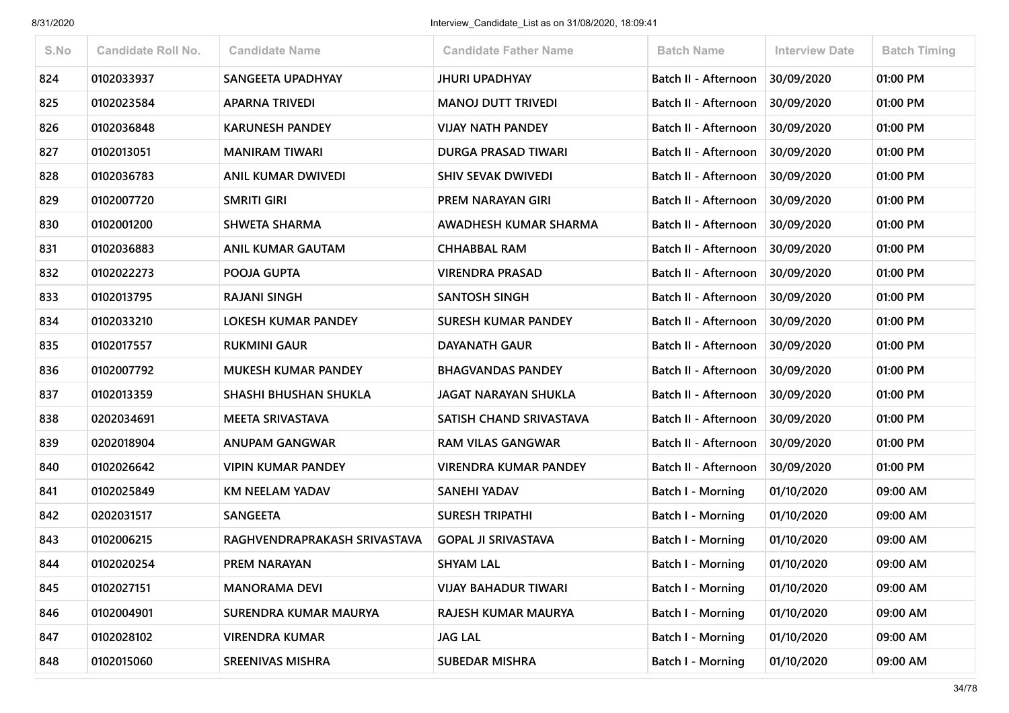| S.No | <b>Candidate Roll No.</b> | <b>Candidate Name</b>        | <b>Candidate Father Name</b> | <b>Batch Name</b>           | <b>Interview Date</b> | <b>Batch Timing</b> |
|------|---------------------------|------------------------------|------------------------------|-----------------------------|-----------------------|---------------------|
| 824  | 0102033937                | SANGEETA UPADHYAY            | <b>JHURI UPADHYAY</b>        | Batch II - Afternoon        | 30/09/2020            | 01:00 PM            |
| 825  | 0102023584                | <b>APARNA TRIVEDI</b>        | <b>MANOJ DUTT TRIVEDI</b>    | Batch II - Afternoon        | 30/09/2020            | 01:00 PM            |
| 826  | 0102036848                | <b>KARUNESH PANDEY</b>       | <b>VIJAY NATH PANDEY</b>     | Batch II - Afternoon        | 30/09/2020            | 01:00 PM            |
| 827  | 0102013051                | <b>MANIRAM TIWARI</b>        | <b>DURGA PRASAD TIWARI</b>   | Batch II - Afternoon        | 30/09/2020            | 01:00 PM            |
| 828  | 0102036783                | ANIL KUMAR DWIVEDI           | <b>SHIV SEVAK DWIVEDI</b>    | Batch II - Afternoon        | 30/09/2020            | 01:00 PM            |
| 829  | 0102007720                | <b>SMRITI GIRI</b>           | PREM NARAYAN GIRI            | Batch II - Afternoon        | 30/09/2020            | 01:00 PM            |
| 830  | 0102001200                | <b>SHWETA SHARMA</b>         | AWADHESH KUMAR SHARMA        | Batch II - Afternoon        | 30/09/2020            | 01:00 PM            |
| 831  | 0102036883                | <b>ANIL KUMAR GAUTAM</b>     | <b>CHHABBAL RAM</b>          | Batch II - Afternoon        | 30/09/2020            | 01:00 PM            |
| 832  | 0102022273                | POOJA GUPTA                  | <b>VIRENDRA PRASAD</b>       | Batch II - Afternoon        | 30/09/2020            | 01:00 PM            |
| 833  | 0102013795                | <b>RAJANI SINGH</b>          | <b>SANTOSH SINGH</b>         | <b>Batch II - Afternoon</b> | 30/09/2020            | 01:00 PM            |
| 834  | 0102033210                | LOKESH KUMAR PANDEY          | SURESH KUMAR PANDEY          | Batch II - Afternoon        | 30/09/2020            | 01:00 PM            |
| 835  | 0102017557                | <b>RUKMINI GAUR</b>          | <b>DAYANATH GAUR</b>         | Batch II - Afternoon        | 30/09/2020            | 01:00 PM            |
| 836  | 0102007792                | <b>MUKESH KUMAR PANDEY</b>   | <b>BHAGVANDAS PANDEY</b>     | Batch II - Afternoon        | 30/09/2020            | 01:00 PM            |
| 837  | 0102013359                | <b>SHASHI BHUSHAN SHUKLA</b> | <b>JAGAT NARAYAN SHUKLA</b>  | Batch II - Afternoon        | 30/09/2020            | 01:00 PM            |
| 838  | 0202034691                | <b>MEETA SRIVASTAVA</b>      | SATISH CHAND SRIVASTAVA      | Batch II - Afternoon        | 30/09/2020            | 01:00 PM            |
| 839  | 0202018904                | ANUPAM GANGWAR               | <b>RAM VILAS GANGWAR</b>     | Batch II - Afternoon        | 30/09/2020            | 01:00 PM            |
| 840  | 0102026642                | <b>VIPIN KUMAR PANDEY</b>    | <b>VIRENDRA KUMAR PANDEY</b> | Batch II - Afternoon        | 30/09/2020            | 01:00 PM            |
| 841  | 0102025849                | <b>KM NEELAM YADAV</b>       | SANEHI YADAV                 | Batch I - Morning           | 01/10/2020            | 09:00 AM            |
| 842  | 0202031517                | <b>SANGEETA</b>              | <b>SURESH TRIPATHI</b>       | <b>Batch I - Morning</b>    | 01/10/2020            | 09:00 AM            |
| 843  | 0102006215                | RAGHVENDRAPRAKASH SRIVASTAVA | <b>GOPAL JI SRIVASTAVA</b>   | Batch I - Morning           | 01/10/2020            | 09:00 AM            |
| 844  | 0102020254                | PREM NARAYAN                 | <b>SHYAM LAL</b>             | Batch I - Morning           | 01/10/2020            | 09:00 AM            |
| 845  | 0102027151                | <b>MANORAMA DEVI</b>         | <b>VIJAY BAHADUR TIWARI</b>  | Batch I - Morning           | 01/10/2020            | 09:00 AM            |
| 846  | 0102004901                | SURENDRA KUMAR MAURYA        | RAJESH KUMAR MAURYA          | Batch I - Morning           | 01/10/2020            | 09:00 AM            |
| 847  | 0102028102                | <b>VIRENDRA KUMAR</b>        | <b>JAG LAL</b>               | <b>Batch I - Morning</b>    | 01/10/2020            | 09:00 AM            |
| 848  | 0102015060                | <b>SREENIVAS MISHRA</b>      | <b>SUBEDAR MISHRA</b>        | <b>Batch I - Morning</b>    | 01/10/2020            | 09:00 AM            |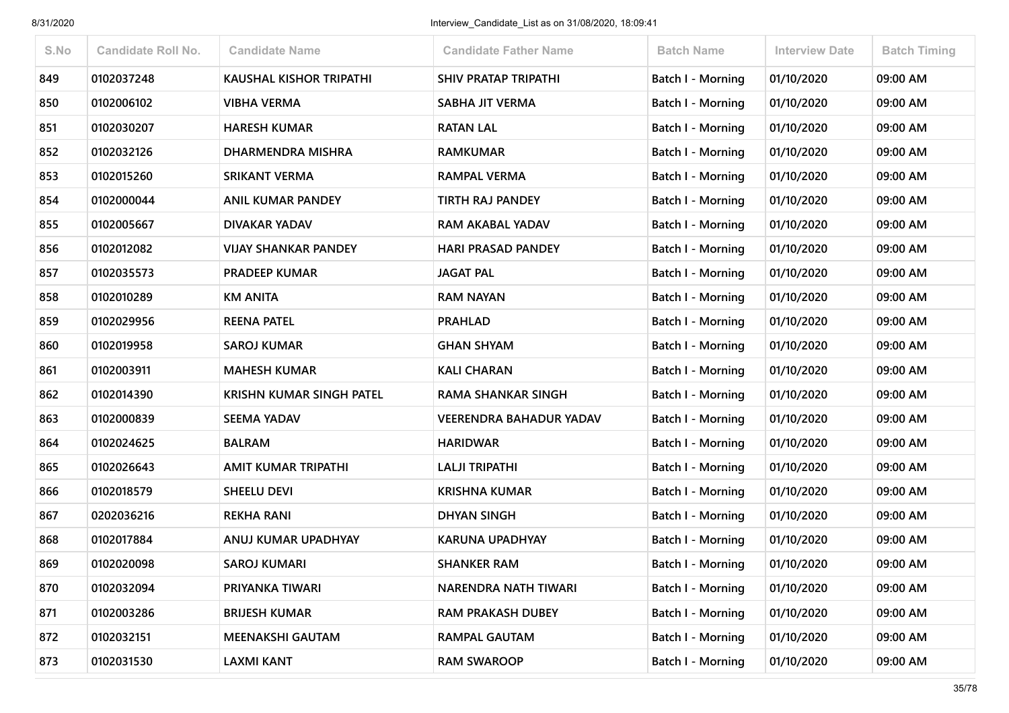| S.No | <b>Candidate Roll No.</b> | <b>Candidate Name</b>           | <b>Candidate Father Name</b>   | <b>Batch Name</b>        | <b>Interview Date</b> | <b>Batch Timing</b> |
|------|---------------------------|---------------------------------|--------------------------------|--------------------------|-----------------------|---------------------|
| 849  | 0102037248                | <b>KAUSHAL KISHOR TRIPATHI</b>  | <b>SHIV PRATAP TRIPATHI</b>    | <b>Batch I - Morning</b> | 01/10/2020            | 09:00 AM            |
| 850  | 0102006102                | <b>VIBHA VERMA</b>              | <b>SABHA JIT VERMA</b>         | Batch I - Morning        | 01/10/2020            | 09:00 AM            |
| 851  | 0102030207                | <b>HARESH KUMAR</b>             | <b>RATAN LAL</b>               | <b>Batch I - Morning</b> | 01/10/2020            | 09:00 AM            |
| 852  | 0102032126                | DHARMENDRA MISHRA               | <b>RAMKUMAR</b>                | Batch I - Morning        | 01/10/2020            | 09:00 AM            |
| 853  | 0102015260                | <b>SRIKANT VERMA</b>            | <b>RAMPAL VERMA</b>            | <b>Batch I - Morning</b> | 01/10/2020            | 09:00 AM            |
| 854  | 0102000044                | <b>ANIL KUMAR PANDEY</b>        | <b>TIRTH RAJ PANDEY</b>        | <b>Batch I - Morning</b> | 01/10/2020            | 09:00 AM            |
| 855  | 0102005667                | <b>DIVAKAR YADAV</b>            | <b>RAM AKABAL YADAV</b>        | Batch I - Morning        | 01/10/2020            | 09:00 AM            |
| 856  | 0102012082                | <b>VIJAY SHANKAR PANDEY</b>     | <b>HARI PRASAD PANDEY</b>      | Batch I - Morning        | 01/10/2020            | 09:00 AM            |
| 857  | 0102035573                | <b>PRADEEP KUMAR</b>            | <b>JAGAT PAL</b>               | <b>Batch I - Morning</b> | 01/10/2020            | 09:00 AM            |
| 858  | 0102010289                | <b>KM ANITA</b>                 | <b>RAM NAYAN</b>               | Batch I - Morning        | 01/10/2020            | 09:00 AM            |
| 859  | 0102029956                | <b>REENA PATEL</b>              | <b>PRAHLAD</b>                 | Batch I - Morning        | 01/10/2020            | 09:00 AM            |
| 860  | 0102019958                | <b>SAROJ KUMAR</b>              | <b>GHAN SHYAM</b>              | Batch I - Morning        | 01/10/2020            | 09:00 AM            |
| 861  | 0102003911                | <b>MAHESH KUMAR</b>             | <b>KALI CHARAN</b>             | Batch I - Morning        | 01/10/2020            | 09:00 AM            |
| 862  | 0102014390                | <b>KRISHN KUMAR SINGH PATEL</b> | <b>RAMA SHANKAR SINGH</b>      | Batch I - Morning        | 01/10/2020            | 09:00 AM            |
| 863  | 0102000839                | <b>SEEMA YADAV</b>              | <b>VEERENDRA BAHADUR YADAV</b> | Batch I - Morning        | 01/10/2020            | 09:00 AM            |
| 864  | 0102024625                | <b>BALRAM</b>                   | <b>HARIDWAR</b>                | <b>Batch I - Morning</b> | 01/10/2020            | 09:00 AM            |
| 865  | 0102026643                | <b>AMIT KUMAR TRIPATHI</b>      | <b>LALJI TRIPATHI</b>          | Batch I - Morning        | 01/10/2020            | 09:00 AM            |
| 866  | 0102018579                | <b>SHEELU DEVI</b>              | <b>KRISHNA KUMAR</b>           | Batch I - Morning        | 01/10/2020            | 09:00 AM            |
| 867  | 0202036216                | <b>REKHA RANI</b>               | DHYAN SINGH                    | Batch I - Morning        | 01/10/2020            | 09:00 AM            |
| 868  | 0102017884                | ANUJ KUMAR UPADHYAY             | KARUNA UPADHYAY                | Batch I - Morning        | 01/10/2020            | 09:00 AM            |
| 869  | 0102020098                | <b>SAROJ KUMARI</b>             | <b>SHANKER RAM</b>             | <b>Batch I - Morning</b> | 01/10/2020            | 09:00 AM            |
| 870  | 0102032094                | PRIYANKA TIWARI                 | NARENDRA NATH TIWARI           | <b>Batch I - Morning</b> | 01/10/2020            | 09:00 AM            |
| 871  | 0102003286                | <b>BRIJESH KUMAR</b>            | <b>RAM PRAKASH DUBEY</b>       | <b>Batch I - Morning</b> | 01/10/2020            | 09:00 AM            |
| 872  | 0102032151                | <b>MEENAKSHI GAUTAM</b>         | <b>RAMPAL GAUTAM</b>           | <b>Batch I - Morning</b> | 01/10/2020            | 09:00 AM            |
| 873  | 0102031530                | <b>LAXMI KANT</b>               | <b>RAM SWAROOP</b>             | <b>Batch I - Morning</b> | 01/10/2020            | 09:00 AM            |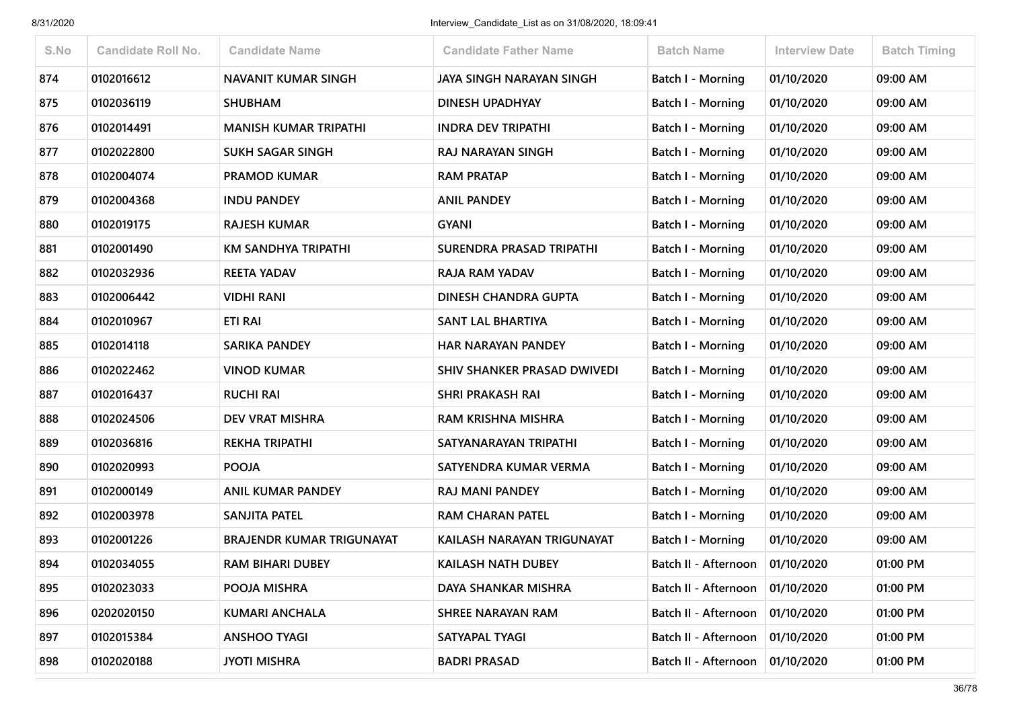| S.No | <b>Candidate Roll No.</b> | <b>Candidate Name</b>            | <b>Candidate Father Name</b> | <b>Batch Name</b>                 | <b>Interview Date</b> | <b>Batch Timing</b> |
|------|---------------------------|----------------------------------|------------------------------|-----------------------------------|-----------------------|---------------------|
| 874  | 0102016612                | <b>NAVANIT KUMAR SINGH</b>       | JAYA SINGH NARAYAN SINGH     | <b>Batch I - Morning</b>          | 01/10/2020            | 09:00 AM            |
| 875  | 0102036119                | <b>SHUBHAM</b>                   | DINESH UPADHYAY              | Batch I - Morning                 | 01/10/2020            | 09:00 AM            |
| 876  | 0102014491                | <b>MANISH KUMAR TRIPATHI</b>     | <b>INDRA DEV TRIPATHI</b>    | <b>Batch I - Morning</b>          | 01/10/2020            | 09:00 AM            |
| 877  | 0102022800                | <b>SUKH SAGAR SINGH</b>          | RAJ NARAYAN SINGH            | Batch I - Morning                 | 01/10/2020            | 09:00 AM            |
| 878  | 0102004074                | <b>PRAMOD KUMAR</b>              | <b>RAM PRATAP</b>            | Batch I - Morning                 | 01/10/2020            | 09:00 AM            |
| 879  | 0102004368                | <b>INDU PANDEY</b>               | <b>ANIL PANDEY</b>           | <b>Batch I - Morning</b>          | 01/10/2020            | 09:00 AM            |
| 880  | 0102019175                | <b>RAJESH KUMAR</b>              | <b>GYANI</b>                 | Batch I - Morning                 | 01/10/2020            | 09:00 AM            |
| 881  | 0102001490                | KM SANDHYA TRIPATHI              | SURENDRA PRASAD TRIPATHI     | Batch I - Morning                 | 01/10/2020            | 09:00 AM            |
| 882  | 0102032936                | <b>REETA YADAV</b>               | <b>RAJA RAM YADAV</b>        | <b>Batch I - Morning</b>          | 01/10/2020            | 09:00 AM            |
| 883  | 0102006442                | <b>VIDHI RANI</b>                | DINESH CHANDRA GUPTA         | Batch I - Morning                 | 01/10/2020            | 09:00 AM            |
| 884  | 0102010967                | <b>ETI RAI</b>                   | <b>SANT LAL BHARTIYA</b>     | <b>Batch I - Morning</b>          | 01/10/2020            | 09:00 AM            |
| 885  | 0102014118                | <b>SARIKA PANDEY</b>             | <b>HAR NARAYAN PANDEY</b>    | Batch I - Morning                 | 01/10/2020            | 09:00 AM            |
| 886  | 0102022462                | <b>VINOD KUMAR</b>               | SHIV SHANKER PRASAD DWIVEDI  | Batch I - Morning                 | 01/10/2020            | 09:00 AM            |
| 887  | 0102016437                | <b>RUCHI RAI</b>                 | <b>SHRI PRAKASH RAI</b>      | <b>Batch I - Morning</b>          | 01/10/2020            | 09:00 AM            |
| 888  | 0102024506                | DEV VRAT MISHRA                  | RAM KRISHNA MISHRA           | Batch I - Morning                 | 01/10/2020            | 09:00 AM            |
| 889  | 0102036816                | <b>REKHA TRIPATHI</b>            | SATYANARAYAN TRIPATHI        | Batch I - Morning                 | 01/10/2020            | 09:00 AM            |
| 890  | 0102020993                | <b>POOJA</b>                     | SATYENDRA KUMAR VERMA        | Batch I - Morning                 | 01/10/2020            | 09:00 AM            |
| 891  | 0102000149                | <b>ANIL KUMAR PANDEY</b>         | RAJ MANI PANDEY              | Batch I - Morning                 | 01/10/2020            | 09:00 AM            |
| 892  | 0102003978                | SANJITA PATEL                    | <b>RAM CHARAN PATEL</b>      | <b>Batch I - Morning</b>          | 01/10/2020            | 09:00 AM            |
| 893  | 0102001226                | <b>BRAJENDR KUMAR TRIGUNAYAT</b> | KAILASH NARAYAN TRIGUNAYAT   | Batch I - Morning                 | 01/10/2020            | 09:00 AM            |
| 894  | 0102034055                | <b>RAM BIHARI DUBEY</b>          | <b>KAILASH NATH DUBEY</b>    | Batch II - Afternoon              | 01/10/2020            | 01:00 PM            |
| 895  | 0102023033                | POOJA MISHRA                     | DAYA SHANKAR MISHRA          | Batch II - Afternoon              | 01/10/2020            | 01:00 PM            |
| 896  | 0202020150                | <b>KUMARI ANCHALA</b>            | <b>SHREE NARAYAN RAM</b>     | Batch II - Afternoon              | 01/10/2020            | 01:00 PM            |
| 897  | 0102015384                | <b>ANSHOO TYAGI</b>              | SATYAPAL TYAGI               | Batch II - Afternoon   01/10/2020 |                       | 01:00 PM            |
| 898  | 0102020188                | <b>JYOTI MISHRA</b>              | <b>BADRI PRASAD</b>          | Batch II - Afternoon              | 01/10/2020            | 01:00 PM            |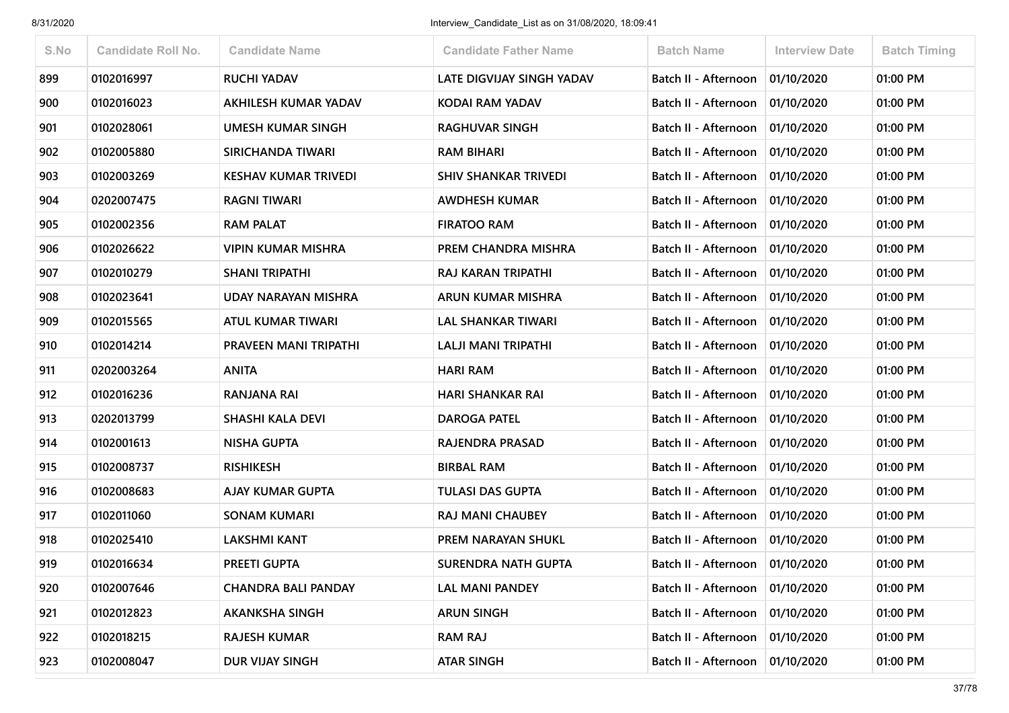| S.No | <b>Candidate Roll No.</b> | <b>Candidate Name</b>        | <b>Candidate Father Name</b>     | <b>Batch Name</b>    | <b>Interview Date</b> | <b>Batch Timing</b> |
|------|---------------------------|------------------------------|----------------------------------|----------------------|-----------------------|---------------------|
| 899  | 0102016997                | <b>RUCHI YADAV</b>           | <b>LATE DIGVIJAY SINGH YADAV</b> | Batch II - Afternoon | 01/10/2020            | 01:00 PM            |
| 900  | 0102016023                | AKHILESH KUMAR YADAV         | <b>KODAI RAM YADAV</b>           | Batch II - Afternoon | 01/10/2020            | 01:00 PM            |
| 901  | 0102028061                | <b>UMESH KUMAR SINGH</b>     | <b>RAGHUVAR SINGH</b>            | Batch II - Afternoon | 01/10/2020            | 01:00 PM            |
| 902  | 0102005880                | SIRICHANDA TIWARI            | <b>RAM BIHARI</b>                | Batch II - Afternoon | 01/10/2020            | 01:00 PM            |
| 903  | 0102003269                | <b>KESHAV KUMAR TRIVEDI</b>  | <b>SHIV SHANKAR TRIVEDI</b>      | Batch II - Afternoon | 01/10/2020            | 01:00 PM            |
| 904  | 0202007475                | <b>RAGNI TIWARI</b>          | <b>AWDHESH KUMAR</b>             | Batch II - Afternoon | 01/10/2020            | 01:00 PM            |
| 905  | 0102002356                | <b>RAM PALAT</b>             | <b>FIRATOO RAM</b>               | Batch II - Afternoon | 01/10/2020            | 01:00 PM            |
| 906  | 0102026622                | <b>VIPIN KUMAR MISHRA</b>    | PREM CHANDRA MISHRA              | Batch II - Afternoon | 01/10/2020            | 01:00 PM            |
| 907  | 0102010279                | <b>SHANI TRIPATHI</b>        | RAJ KARAN TRIPATHI               | Batch II - Afternoon | 01/10/2020            | 01:00 PM            |
| 908  | 0102023641                | UDAY NARAYAN MISHRA          | <b>ARUN KUMAR MISHRA</b>         | Batch II - Afternoon | 01/10/2020            | 01:00 PM            |
| 909  | 0102015565                | <b>ATUL KUMAR TIWARI</b>     | <b>LAL SHANKAR TIWARI</b>        | Batch II - Afternoon | 01/10/2020            | 01:00 PM            |
| 910  | 0102014214                | <b>PRAVEEN MANI TRIPATHI</b> | <b>LALJI MANI TRIPATHI</b>       | Batch II - Afternoon | 01/10/2020            | 01:00 PM            |
| 911  | 0202003264                | <b>ANITA</b>                 | <b>HARI RAM</b>                  | Batch II - Afternoon | 01/10/2020            | 01:00 PM            |
| 912  | 0102016236                | <b>RANJANA RAI</b>           | <b>HARI SHANKAR RAI</b>          | Batch II - Afternoon | 01/10/2020            | 01:00 PM            |
| 913  | 0202013799                | <b>SHASHI KALA DEVI</b>      | <b>DAROGA PATEL</b>              | Batch II - Afternoon | 01/10/2020            | 01:00 PM            |
| 914  | 0102001613                | <b>NISHA GUPTA</b>           | RAJENDRA PRASAD                  | Batch II - Afternoon | 01/10/2020            | 01:00 PM            |
| 915  | 0102008737                | <b>RISHIKESH</b>             | <b>BIRBAL RAM</b>                | Batch II - Afternoon | 01/10/2020            | 01:00 PM            |
| 916  | 0102008683                | <b>AJAY KUMAR GUPTA</b>      | <b>TULASI DAS GUPTA</b>          | Batch II - Afternoon | 01/10/2020            | 01:00 PM            |
| 917  | 0102011060                | <b>SONAM KUMARI</b>          | <b>RAJ MANI CHAUBEY</b>          | Batch II - Afternoon | 01/10/2020            | 01:00 PM            |
| 918  | 0102025410                | <b>LAKSHMI KANT</b>          | <b>PREM NARAYAN SHUKL</b>        | Batch II - Afternoon | 01/10/2020            | 01:00 PM            |
| 919  | 0102016634                | <b>PREETI GUPTA</b>          | <b>SURENDRA NATH GUPTA</b>       | Batch II - Afternoon | 01/10/2020            | 01:00 PM            |
| 920  | 0102007646                | <b>CHANDRA BALI PANDAY</b>   | <b>LAL MANI PANDEY</b>           | Batch II - Afternoon | 01/10/2020            | 01:00 PM            |
| 921  | 0102012823                | <b>AKANKSHA SINGH</b>        | <b>ARUN SINGH</b>                | Batch II - Afternoon | 01/10/2020            | 01:00 PM            |
| 922  | 0102018215                | <b>RAJESH KUMAR</b>          | <b>RAM RAJ</b>                   | Batch II - Afternoon | 01/10/2020            | 01:00 PM            |
| 923  | 0102008047                | DUR VIJAY SINGH              | <b>ATAR SINGH</b>                | Batch II - Afternoon | 01/10/2020            | 01:00 PM            |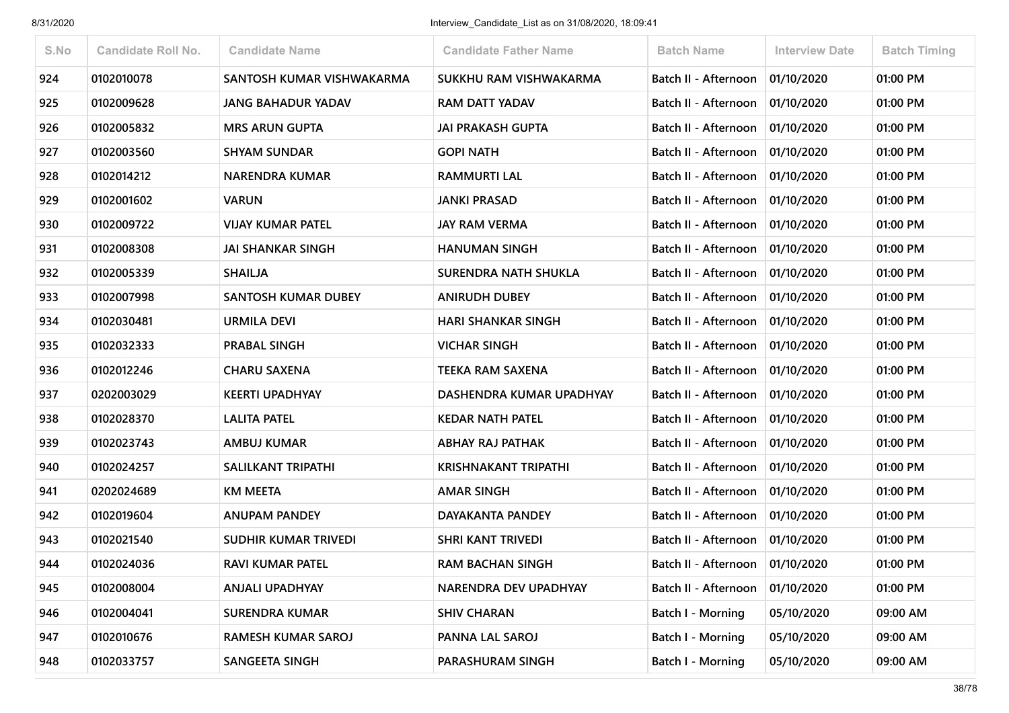| S.No | <b>Candidate Roll No.</b> | <b>Candidate Name</b>       | <b>Candidate Father Name</b> | <b>Batch Name</b>                 | <b>Interview Date</b> | <b>Batch Timing</b> |
|------|---------------------------|-----------------------------|------------------------------|-----------------------------------|-----------------------|---------------------|
| 924  | 0102010078                | SANTOSH KUMAR VISHWAKARMA   | SUKKHU RAM VISHWAKARMA       | Batch II - Afternoon              | 01/10/2020            | 01:00 PM            |
| 925  | 0102009628                | <b>JANG BAHADUR YADAV</b>   | <b>RAM DATT YADAV</b>        | Batch II - Afternoon              | 01/10/2020            | 01:00 PM            |
| 926  | 0102005832                | <b>MRS ARUN GUPTA</b>       | <b>JAI PRAKASH GUPTA</b>     | Batch II - Afternoon              | 01/10/2020            | 01:00 PM            |
| 927  | 0102003560                | <b>SHYAM SUNDAR</b>         | <b>GOPI NATH</b>             | Batch II - Afternoon              | 01/10/2020            | 01:00 PM            |
| 928  | 0102014212                | <b>NARENDRA KUMAR</b>       | <b>RAMMURTI LAL</b>          | Batch II - Afternoon              | 01/10/2020            | 01:00 PM            |
| 929  | 0102001602                | <b>VARUN</b>                | <b>JANKI PRASAD</b>          | Batch II - Afternoon              | 01/10/2020            | 01:00 PM            |
| 930  | 0102009722                | <b>VIJAY KUMAR PATEL</b>    | <b>JAY RAM VERMA</b>         | Batch II - Afternoon              | 01/10/2020            | 01:00 PM            |
| 931  | 0102008308                | <b>JAI SHANKAR SINGH</b>    | <b>HANUMAN SINGH</b>         | Batch II - Afternoon              | 01/10/2020            | 01:00 PM            |
| 932  | 0102005339                | <b>SHAILJA</b>              | <b>SURENDRA NATH SHUKLA</b>  | Batch II - Afternoon              | 01/10/2020            | 01:00 PM            |
| 933  | 0102007998                | <b>SANTOSH KUMAR DUBEY</b>  | <b>ANIRUDH DUBEY</b>         | Batch II - Afternoon              | 01/10/2020            | 01:00 PM            |
| 934  | 0102030481                | <b>URMILA DEVI</b>          | <b>HARI SHANKAR SINGH</b>    | Batch II - Afternoon              | 01/10/2020            | 01:00 PM            |
| 935  | 0102032333                | <b>PRABAL SINGH</b>         | <b>VICHAR SINGH</b>          | Batch II - Afternoon              | 01/10/2020            | 01:00 PM            |
| 936  | 0102012246                | <b>CHARU SAXENA</b>         | <b>TEEKA RAM SAXENA</b>      | Batch II - Afternoon              | 01/10/2020            | 01:00 PM            |
| 937  | 0202003029                | <b>KEERTI UPADHYAY</b>      | DASHENDRA KUMAR UPADHYAY     | Batch II - Afternoon              | 01/10/2020            | 01:00 PM            |
| 938  | 0102028370                | LALITA PATEL                | <b>KEDAR NATH PATEL</b>      | Batch II - Afternoon              | 01/10/2020            | 01:00 PM            |
| 939  | 0102023743                | <b>AMBUJ KUMAR</b>          | <b>ABHAY RAJ PATHAK</b>      | Batch II - Afternoon              | 01/10/2020            | 01:00 PM            |
| 940  | 0102024257                | <b>SALILKANT TRIPATHI</b>   | <b>KRISHNAKANT TRIPATHI</b>  | Batch II - Afternoon              | 01/10/2020            | 01:00 PM            |
| 941  | 0202024689                | <b>KM MEETA</b>             | <b>AMAR SINGH</b>            | Batch II - Afternoon              | 01/10/2020            | 01:00 PM            |
| 942  | 0102019604                | <b>ANUPAM PANDEY</b>        | DAYAKANTA PANDEY             | Batch II - Afternoon              | 01/10/2020            | 01:00 PM            |
| 943  | 0102021540                | <b>SUDHIR KUMAR TRIVEDI</b> | <b>SHRI KANT TRIVEDI</b>     | Batch II - Afternoon              | 01/10/2020            | 01:00 PM            |
| 944  | 0102024036                | <b>RAVI KUMAR PATEL</b>     | <b>RAM BACHAN SINGH</b>      | Batch II - Afternoon   01/10/2020 |                       | 01:00 PM            |
| 945  | 0102008004                | <b>ANJALI UPADHYAY</b>      | NARENDRA DEV UPADHYAY        | Batch II - Afternoon              | 01/10/2020            | 01:00 PM            |
| 946  | 0102004041                | <b>SURENDRA KUMAR</b>       | <b>SHIV CHARAN</b>           | <b>Batch I - Morning</b>          | 05/10/2020            | 09:00 AM            |
| 947  | 0102010676                | <b>RAMESH KUMAR SAROJ</b>   | PANNA LAL SAROJ              | Batch I - Morning                 | 05/10/2020            | 09:00 AM            |
| 948  | 0102033757                | <b>SANGEETA SINGH</b>       | PARASHURAM SINGH             | <b>Batch I - Morning</b>          | 05/10/2020            | 09:00 AM            |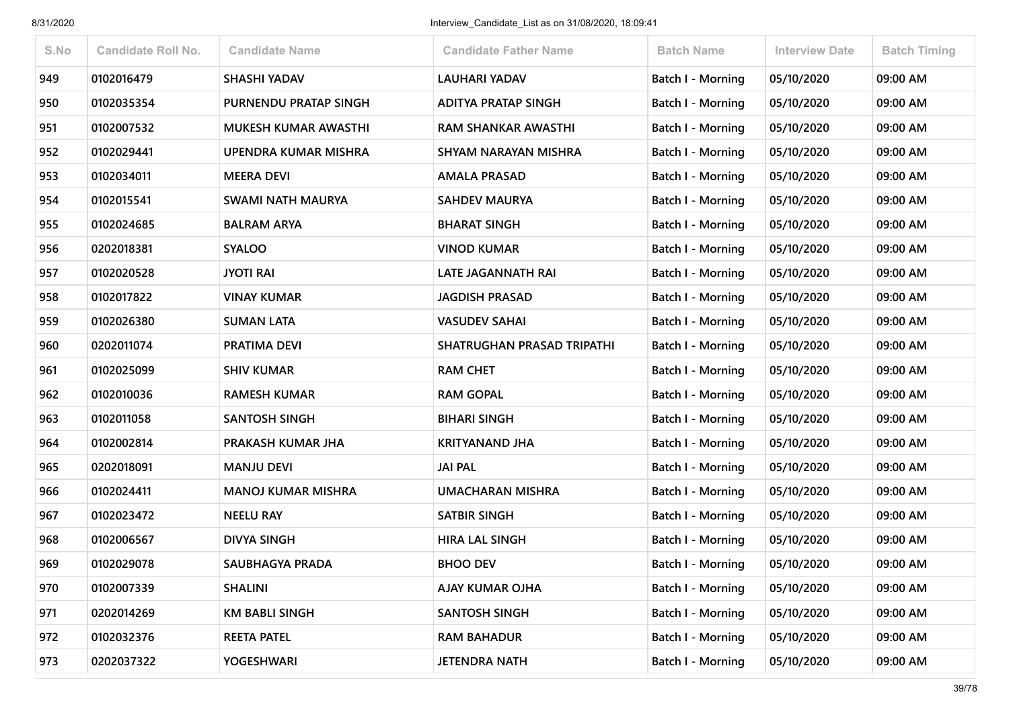| S.No | <b>Candidate Roll No.</b> | <b>Candidate Name</b>       | <b>Candidate Father Name</b> | <b>Batch Name</b>        | <b>Interview Date</b> | <b>Batch Timing</b> |
|------|---------------------------|-----------------------------|------------------------------|--------------------------|-----------------------|---------------------|
| 949  | 0102016479                | <b>SHASHI YADAV</b>         | <b>LAUHARI YADAV</b>         | Batch I - Morning        | 05/10/2020            | 09:00 AM            |
| 950  | 0102035354                | PURNENDU PRATAP SINGH       | <b>ADITYA PRATAP SINGH</b>   | Batch I - Morning        | 05/10/2020            | 09:00 AM            |
| 951  | 0102007532                | MUKESH KUMAR AWASTHI        | <b>RAM SHANKAR AWASTHI</b>   | <b>Batch I - Morning</b> | 05/10/2020            | 09:00 AM            |
| 952  | 0102029441                | <b>UPENDRA KUMAR MISHRA</b> | SHYAM NARAYAN MISHRA         | Batch I - Morning        | 05/10/2020            | 09:00 AM            |
| 953  | 0102034011                | <b>MEERA DEVI</b>           | <b>AMALA PRASAD</b>          | <b>Batch I - Morning</b> | 05/10/2020            | 09:00 AM            |
| 954  | 0102015541                | <b>SWAMI NATH MAURYA</b>    | <b>SAHDEV MAURYA</b>         | <b>Batch I - Morning</b> | 05/10/2020            | 09:00 AM            |
| 955  | 0102024685                | <b>BALRAM ARYA</b>          | <b>BHARAT SINGH</b>          | <b>Batch I - Morning</b> | 05/10/2020            | 09:00 AM            |
| 956  | 0202018381                | <b>SYALOO</b>               | <b>VINOD KUMAR</b>           | Batch I - Morning        | 05/10/2020            | 09:00 AM            |
| 957  | 0102020528                | <b>JYOTI RAI</b>            | LATE JAGANNATH RAI           | <b>Batch I - Morning</b> | 05/10/2020            | 09:00 AM            |
| 958  | 0102017822                | <b>VINAY KUMAR</b>          | <b>JAGDISH PRASAD</b>        | Batch I - Morning        | 05/10/2020            | 09:00 AM            |
| 959  | 0102026380                | <b>SUMAN LATA</b>           | <b>VASUDEV SAHAI</b>         | <b>Batch I - Morning</b> | 05/10/2020            | 09:00 AM            |
| 960  | 0202011074                | PRATIMA DEVI                | SHATRUGHAN PRASAD TRIPATHI   | Batch I - Morning        | 05/10/2020            | 09:00 AM            |
| 961  | 0102025099                | <b>SHIV KUMAR</b>           | <b>RAM CHET</b>              | <b>Batch I - Morning</b> | 05/10/2020            | 09:00 AM            |
| 962  | 0102010036                | <b>RAMESH KUMAR</b>         | <b>RAM GOPAL</b>             | <b>Batch I - Morning</b> | 05/10/2020            | 09:00 AM            |
| 963  | 0102011058                | <b>SANTOSH SINGH</b>        | <b>BIHARI SINGH</b>          | <b>Batch I - Morning</b> | 05/10/2020            | 09:00 AM            |
| 964  | 0102002814                | PRAKASH KUMAR JHA           | <b>KRITYANAND JHA</b>        | Batch I - Morning        | 05/10/2020            | 09:00 AM            |
| 965  | 0202018091                | <b>MANJU DEVI</b>           | <b>JAI PAL</b>               | <b>Batch I - Morning</b> | 05/10/2020            | 09:00 AM            |
| 966  | 0102024411                | <b>MANOJ KUMAR MISHRA</b>   | <b>UMACHARAN MISHRA</b>      | Batch I - Morning        | 05/10/2020            | 09:00 AM            |
| 967  | 0102023472                | <b>NEELU RAY</b>            | <b>SATBIR SINGH</b>          | <b>Batch I - Morning</b> | 05/10/2020            | 09:00 AM            |
| 968  | 0102006567                | <b>DIVYA SINGH</b>          | <b>HIRA LAL SINGH</b>        | Batch I - Morning        | 05/10/2020            | 09:00 AM            |
| 969  | 0102029078                | SAUBHAGYA PRADA             | <b>BHOO DEV</b>              | Batch I - Morning        | 05/10/2020            | 09:00 AM            |
| 970  | 0102007339                | <b>SHALINI</b>              | <b>AJAY KUMAR OJHA</b>       | Batch I - Morning        | 05/10/2020            | 09:00 AM            |
| 971  | 0202014269                | <b>KM BABLI SINGH</b>       | <b>SANTOSH SINGH</b>         | Batch I - Morning        | 05/10/2020            | 09:00 AM            |
| 972  | 0102032376                | <b>REETA PATEL</b>          | <b>RAM BAHADUR</b>           | Batch I - Morning        | 05/10/2020            | 09:00 AM            |
| 973  | 0202037322                | <b>YOGESHWARI</b>           | <b>JETENDRA NATH</b>         | Batch I - Morning        | 05/10/2020            | 09:00 AM            |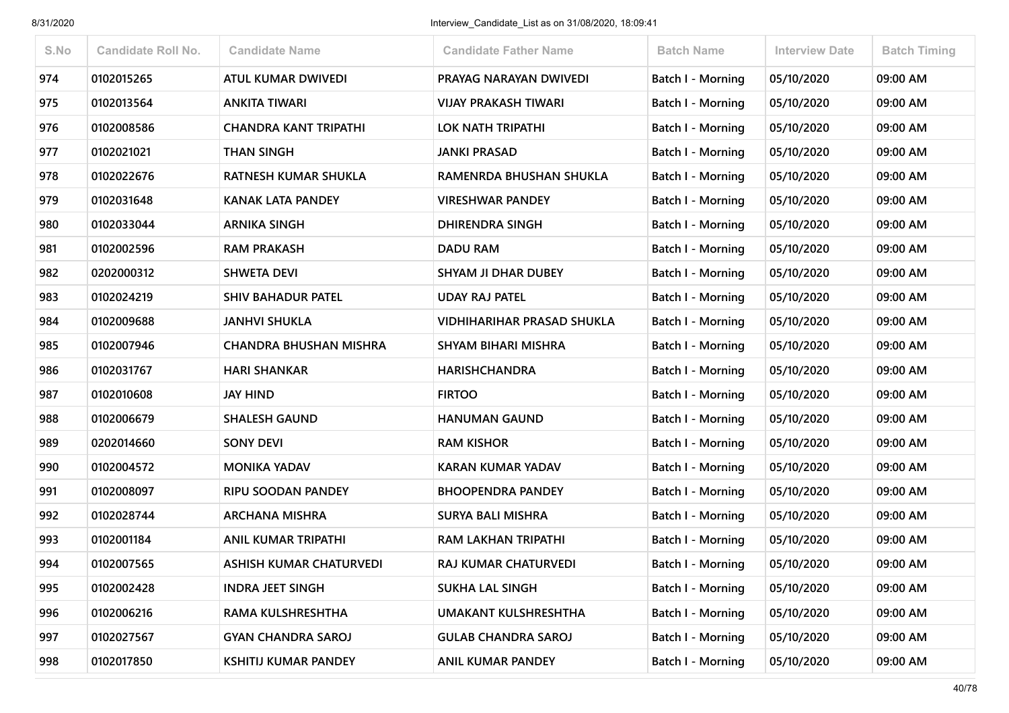| S.No | <b>Candidate Roll No.</b> | <b>Candidate Name</b>         | <b>Candidate Father Name</b>      | <b>Batch Name</b>        | <b>Interview Date</b> | <b>Batch Timing</b> |
|------|---------------------------|-------------------------------|-----------------------------------|--------------------------|-----------------------|---------------------|
| 974  | 0102015265                | ATUL KUMAR DWIVEDI            | PRAYAG NARAYAN DWIVEDI            | <b>Batch I - Morning</b> | 05/10/2020            | 09:00 AM            |
| 975  | 0102013564                | <b>ANKITA TIWARI</b>          | <b>VIJAY PRAKASH TIWARI</b>       | Batch I - Morning        | 05/10/2020            | 09:00 AM            |
| 976  | 0102008586                | <b>CHANDRA KANT TRIPATHI</b>  | LOK NATH TRIPATHI                 | <b>Batch I - Morning</b> | 05/10/2020            | 09:00 AM            |
| 977  | 0102021021                | <b>THAN SINGH</b>             | <b>JANKI PRASAD</b>               | Batch I - Morning        | 05/10/2020            | 09:00 AM            |
| 978  | 0102022676                | RATNESH KUMAR SHUKLA          | RAMENRDA BHUSHAN SHUKLA           | <b>Batch I - Morning</b> | 05/10/2020            | 09:00 AM            |
| 979  | 0102031648                | <b>KANAK LATA PANDEY</b>      | <b>VIRESHWAR PANDEY</b>           | <b>Batch I - Morning</b> | 05/10/2020            | 09:00 AM            |
| 980  | 0102033044                | <b>ARNIKA SINGH</b>           | DHIRENDRA SINGH                   | Batch I - Morning        | 05/10/2020            | 09:00 AM            |
| 981  | 0102002596                | <b>RAM PRAKASH</b>            | <b>DADU RAM</b>                   | Batch I - Morning        | 05/10/2020            | 09:00 AM            |
| 982  | 0202000312                | <b>SHWETA DEVI</b>            | <b>SHYAM JI DHAR DUBEY</b>        | <b>Batch I - Morning</b> | 05/10/2020            | 09:00 AM            |
| 983  | 0102024219                | <b>SHIV BAHADUR PATEL</b>     | <b>UDAY RAJ PATEL</b>             | Batch I - Morning        | 05/10/2020            | 09:00 AM            |
| 984  | 0102009688                | <b>JANHVI SHUKLA</b>          | <b>VIDHIHARIHAR PRASAD SHUKLA</b> | <b>Batch I - Morning</b> | 05/10/2020            | 09:00 AM            |
| 985  | 0102007946                | <b>CHANDRA BHUSHAN MISHRA</b> | SHYAM BIHARI MISHRA               | <b>Batch I - Morning</b> | 05/10/2020            | 09:00 AM            |
| 986  | 0102031767                | <b>HARI SHANKAR</b>           | <b>HARISHCHANDRA</b>              | <b>Batch I - Morning</b> | 05/10/2020            | 09:00 AM            |
| 987  | 0102010608                | <b>JAY HIND</b>               | <b>FIRTOO</b>                     | <b>Batch I - Morning</b> | 05/10/2020            | 09:00 AM            |
| 988  | 0102006679                | <b>SHALESH GAUND</b>          | <b>HANUMAN GAUND</b>              | <b>Batch I - Morning</b> | 05/10/2020            | 09:00 AM            |
| 989  | 0202014660                | <b>SONY DEVI</b>              | <b>RAM KISHOR</b>                 | Batch I - Morning        | 05/10/2020            | 09:00 AM            |
| 990  | 0102004572                | <b>MONIKA YADAV</b>           | <b>KARAN KUMAR YADAV</b>          | <b>Batch I - Morning</b> | 05/10/2020            | 09:00 AM            |
| 991  | 0102008097                | <b>RIPU SOODAN PANDEY</b>     | <b>BHOOPENDRA PANDEY</b>          | Batch I - Morning        | 05/10/2020            | 09:00 AM            |
| 992  | 0102028744                | <b>ARCHANA MISHRA</b>         | <b>SURYA BALI MISHRA</b>          | <b>Batch I - Morning</b> | 05/10/2020            | 09:00 AM            |
| 993  | 0102001184                | <b>ANIL KUMAR TRIPATHI</b>    | <b>RAM LAKHAN TRIPATHI</b>        | <b>Batch I - Morning</b> | 05/10/2020            | 09:00 AM            |
| 994  | 0102007565                | ASHISH KUMAR CHATURVEDI       | RAJ KUMAR CHATURVEDI              | <b>Batch I - Morning</b> | 05/10/2020            | 09:00 AM            |
| 995  | 0102002428                | <b>INDRA JEET SINGH</b>       | <b>SUKHA LAL SINGH</b>            | Batch I - Morning        | 05/10/2020            | 09:00 AM            |
| 996  | 0102006216                | RAMA KULSHRESHTHA             | <b>UMAKANT KULSHRESHTHA</b>       | Batch I - Morning        | 05/10/2020            | 09:00 AM            |
| 997  | 0102027567                | <b>GYAN CHANDRA SAROJ</b>     | <b>GULAB CHANDRA SAROJ</b>        | <b>Batch I - Morning</b> | 05/10/2020            | 09:00 AM            |
| 998  | 0102017850                | <b>KSHITIJ KUMAR PANDEY</b>   | <b>ANIL KUMAR PANDEY</b>          | <b>Batch I - Morning</b> | 05/10/2020            | 09:00 AM            |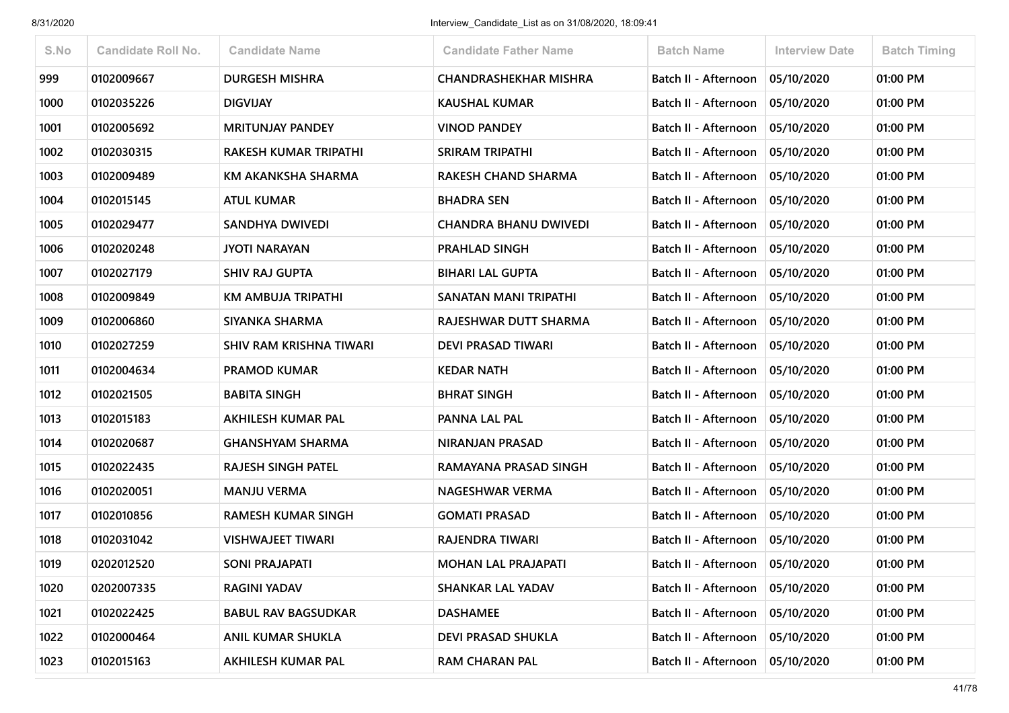| S.No | <b>Candidate Roll No.</b> | <b>Candidate Name</b>      | <b>Candidate Father Name</b> | <b>Batch Name</b>                 | <b>Interview Date</b> | <b>Batch Timing</b> |
|------|---------------------------|----------------------------|------------------------------|-----------------------------------|-----------------------|---------------------|
| 999  | 0102009667                | <b>DURGESH MISHRA</b>      | <b>CHANDRASHEKHAR MISHRA</b> | Batch II - Afternoon              | 05/10/2020            | 01:00 PM            |
| 1000 | 0102035226                | <b>DIGVIJAY</b>            | <b>KAUSHAL KUMAR</b>         | Batch II - Afternoon              | 05/10/2020            | 01:00 PM            |
| 1001 | 0102005692                | <b>MRITUNJAY PANDEY</b>    | <b>VINOD PANDEY</b>          | Batch II - Afternoon              | 05/10/2020            | 01:00 PM            |
| 1002 | 0102030315                | RAKESH KUMAR TRIPATHI      | <b>SRIRAM TRIPATHI</b>       | Batch II - Afternoon              | 05/10/2020            | 01:00 PM            |
| 1003 | 0102009489                | KM AKANKSHA SHARMA         | <b>RAKESH CHAND SHARMA</b>   | Batch II - Afternoon              | 05/10/2020            | 01:00 PM            |
| 1004 | 0102015145                | <b>ATUL KUMAR</b>          | <b>BHADRA SEN</b>            | Batch II - Afternoon              | 05/10/2020            | 01:00 PM            |
| 1005 | 0102029477                | <b>SANDHYA DWIVEDI</b>     | <b>CHANDRA BHANU DWIVEDI</b> | Batch II - Afternoon              | 05/10/2020            | 01:00 PM            |
| 1006 | 0102020248                | <b>JYOTI NARAYAN</b>       | PRAHLAD SINGH                | Batch II - Afternoon              | 05/10/2020            | 01:00 PM            |
| 1007 | 0102027179                | <b>SHIV RAJ GUPTA</b>      | <b>BIHARI LAL GUPTA</b>      | Batch II - Afternoon              | 05/10/2020            | 01:00 PM            |
| 1008 | 0102009849                | KM AMBUJA TRIPATHI         | SANATAN MANI TRIPATHI        | Batch II - Afternoon              | 05/10/2020            | 01:00 PM            |
| 1009 | 0102006860                | SIYANKA SHARMA             | RAJESHWAR DUTT SHARMA        | Batch II - Afternoon              | 05/10/2020            | 01:00 PM            |
| 1010 | 0102027259                | SHIV RAM KRISHNA TIWARI    | <b>DEVI PRASAD TIWARI</b>    | Batch II - Afternoon              | 05/10/2020            | 01:00 PM            |
| 1011 | 0102004634                | <b>PRAMOD KUMAR</b>        | <b>KEDAR NATH</b>            | Batch II - Afternoon              | 05/10/2020            | 01:00 PM            |
| 1012 | 0102021505                | <b>BABITA SINGH</b>        | <b>BHRAT SINGH</b>           | Batch II - Afternoon              | 05/10/2020            | 01:00 PM            |
| 1013 | 0102015183                | AKHILESH KUMAR PAL         | PANNA LAL PAL                | Batch II - Afternoon              | 05/10/2020            | 01:00 PM            |
| 1014 | 0102020687                | <b>GHANSHYAM SHARMA</b>    | NIRANJAN PRASAD              | Batch II - Afternoon              | 05/10/2020            | 01:00 PM            |
| 1015 | 0102022435                | RAJESH SINGH PATEL         | RAMAYANA PRASAD SINGH        | Batch II - Afternoon              | 05/10/2020            | 01:00 PM            |
| 1016 | 0102020051                | <b>MANJU VERMA</b>         | NAGESHWAR VERMA              | Batch II - Afternoon              | 05/10/2020            | 01:00 PM            |
| 1017 | 0102010856                | <b>RAMESH KUMAR SINGH</b>  | <b>GOMATI PRASAD</b>         | Batch II - Afternoon              | 05/10/2020            | 01:00 PM            |
| 1018 | 0102031042                | <b>VISHWAJEET TIWARI</b>   | RAJENDRA TIWARI              | Batch II - Afternoon              | 05/10/2020            | 01:00 PM            |
| 1019 | 0202012520                | <b>SONI PRAJAPATI</b>      | <b>MOHAN LAL PRAJAPATI</b>   | Batch II - Afternoon              | 05/10/2020            | 01:00 PM            |
| 1020 | 0202007335                | <b>RAGINI YADAV</b>        | <b>SHANKAR LAL YADAV</b>     | Batch II - Afternoon   05/10/2020 |                       | 01:00 PM            |
| 1021 | 0102022425                | <b>BABUL RAV BAGSUDKAR</b> | <b>DASHAMEE</b>              | Batch II - Afternoon              | 05/10/2020            | 01:00 PM            |
| 1022 | 0102000464                | <b>ANIL KUMAR SHUKLA</b>   | <b>DEVI PRASAD SHUKLA</b>    | Batch II - Afternoon   05/10/2020 |                       | 01:00 PM            |
| 1023 | 0102015163                | AKHILESH KUMAR PAL         | <b>RAM CHARAN PAL</b>        | Batch II - Afternoon              | 05/10/2020            | 01:00 PM            |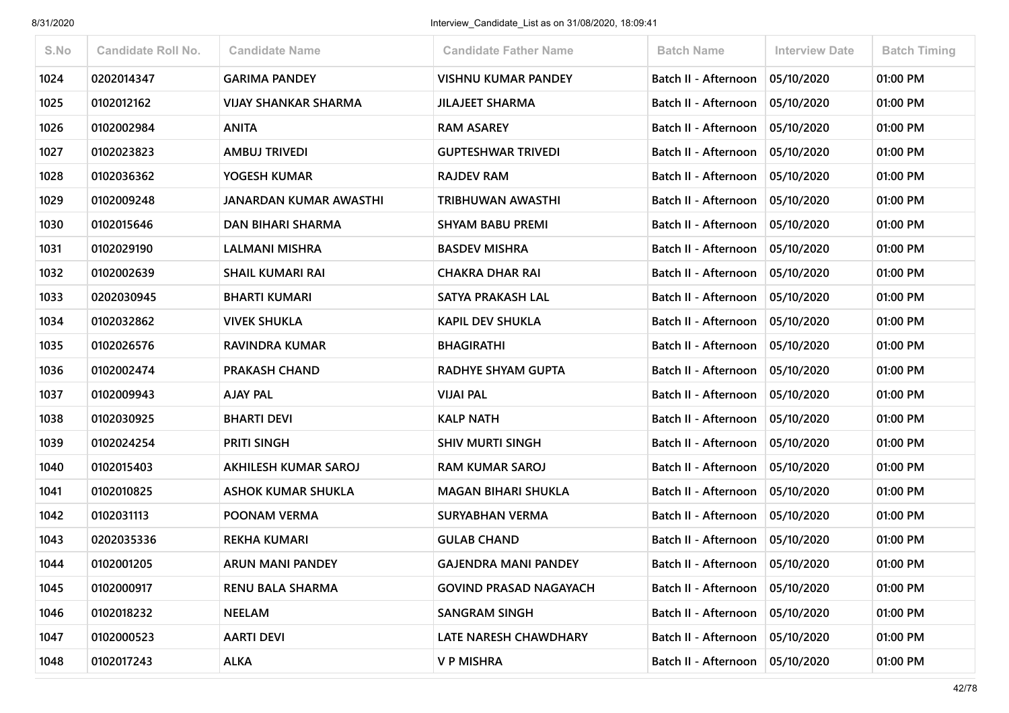| S.No | <b>Candidate Roll No.</b> | <b>Candidate Name</b>         | <b>Candidate Father Name</b>  | <b>Batch Name</b>           | <b>Interview Date</b> | <b>Batch Timing</b> |
|------|---------------------------|-------------------------------|-------------------------------|-----------------------------|-----------------------|---------------------|
| 1024 | 0202014347                | <b>GARIMA PANDEY</b>          | <b>VISHNU KUMAR PANDEY</b>    | Batch II - Afternoon        | 05/10/2020            | 01:00 PM            |
| 1025 | 0102012162                | <b>VIJAY SHANKAR SHARMA</b>   | <b>JILAJEET SHARMA</b>        | Batch II - Afternoon        | 05/10/2020            | 01:00 PM            |
| 1026 | 0102002984                | <b>ANITA</b>                  | <b>RAM ASAREY</b>             | <b>Batch II - Afternoon</b> | 05/10/2020            | 01:00 PM            |
| 1027 | 0102023823                | <b>AMBUJ TRIVEDI</b>          | <b>GUPTESHWAR TRIVEDI</b>     | Batch II - Afternoon        | 05/10/2020            | 01:00 PM            |
| 1028 | 0102036362                | YOGESH KUMAR                  | <b>RAJDEV RAM</b>             | Batch II - Afternoon        | 05/10/2020            | 01:00 PM            |
| 1029 | 0102009248                | <b>JANARDAN KUMAR AWASTHI</b> | TRIBHUWAN AWASTHI             | Batch II - Afternoon        | 05/10/2020            | 01:00 PM            |
| 1030 | 0102015646                | <b>DAN BIHARI SHARMA</b>      | <b>SHYAM BABU PREMI</b>       | Batch II - Afternoon        | 05/10/2020            | 01:00 PM            |
| 1031 | 0102029190                | <b>LALMANI MISHRA</b>         | <b>BASDEV MISHRA</b>          | Batch II - Afternoon        | 05/10/2020            | 01:00 PM            |
| 1032 | 0102002639                | <b>SHAIL KUMARI RAI</b>       | <b>CHAKRA DHAR RAI</b>        | Batch II - Afternoon        | 05/10/2020            | 01:00 PM            |
| 1033 | 0202030945                | <b>BHARTI KUMARI</b>          | SATYA PRAKASH LAL             | Batch II - Afternoon        | 05/10/2020            | 01:00 PM            |
| 1034 | 0102032862                | <b>VIVEK SHUKLA</b>           | <b>KAPIL DEV SHUKLA</b>       | Batch II - Afternoon        | 05/10/2020            | 01:00 PM            |
| 1035 | 0102026576                | RAVINDRA KUMAR                | <b>BHAGIRATHI</b>             | Batch II - Afternoon        | 05/10/2020            | 01:00 PM            |
| 1036 | 0102002474                | <b>PRAKASH CHAND</b>          | RADHYE SHYAM GUPTA            | Batch II - Afternoon        | 05/10/2020            | 01:00 PM            |
| 1037 | 0102009943                | <b>AJAY PAL</b>               | <b>VIJAI PAL</b>              | Batch II - Afternoon        | 05/10/2020            | 01:00 PM            |
| 1038 | 0102030925                | <b>BHARTI DEVI</b>            | <b>KALP NATH</b>              | <b>Batch II - Afternoon</b> | 05/10/2020            | 01:00 PM            |
| 1039 | 0102024254                | <b>PRITI SINGH</b>            | <b>SHIV MURTI SINGH</b>       | Batch II - Afternoon        | 05/10/2020            | 01:00 PM            |
| 1040 | 0102015403                | <b>AKHILESH KUMAR SAROJ</b>   | <b>RAM KUMAR SAROJ</b>        | Batch II - Afternoon        | 05/10/2020            | 01:00 PM            |
| 1041 | 0102010825                | <b>ASHOK KUMAR SHUKLA</b>     | <b>MAGAN BIHARI SHUKLA</b>    | Batch II - Afternoon        | 05/10/2020            | 01:00 PM            |
| 1042 | 0102031113                | POONAM VERMA                  | <b>SURYABHAN VERMA</b>        | Batch II - Afternoon        | 05/10/2020            | 01:00 PM            |
| 1043 | 0202035336                | <b>REKHA KUMARI</b>           | <b>GULAB CHAND</b>            | Batch II - Afternoon        | 05/10/2020            | 01:00 PM            |
| 1044 | 0102001205                | <b>ARUN MANI PANDEY</b>       | <b>GAJENDRA MANI PANDEY</b>   | Batch II - Afternoon        | 05/10/2020            | 01:00 PM            |
| 1045 | 0102000917                | <b>RENU BALA SHARMA</b>       | <b>GOVIND PRASAD NAGAYACH</b> | Batch II - Afternoon        | 05/10/2020            | 01:00 PM            |
| 1046 | 0102018232                | <b>NEELAM</b>                 | <b>SANGRAM SINGH</b>          | Batch II - Afternoon        | 05/10/2020            | 01:00 PM            |
| 1047 | 0102000523                | <b>AARTI DEVI</b>             | <b>LATE NARESH CHAWDHARY</b>  | Batch II - Afternoon        | 05/10/2020            | 01:00 PM            |
| 1048 | 0102017243                | <b>ALKA</b>                   | <b>V P MISHRA</b>             | Batch II - Afternoon        | 05/10/2020            | 01:00 PM            |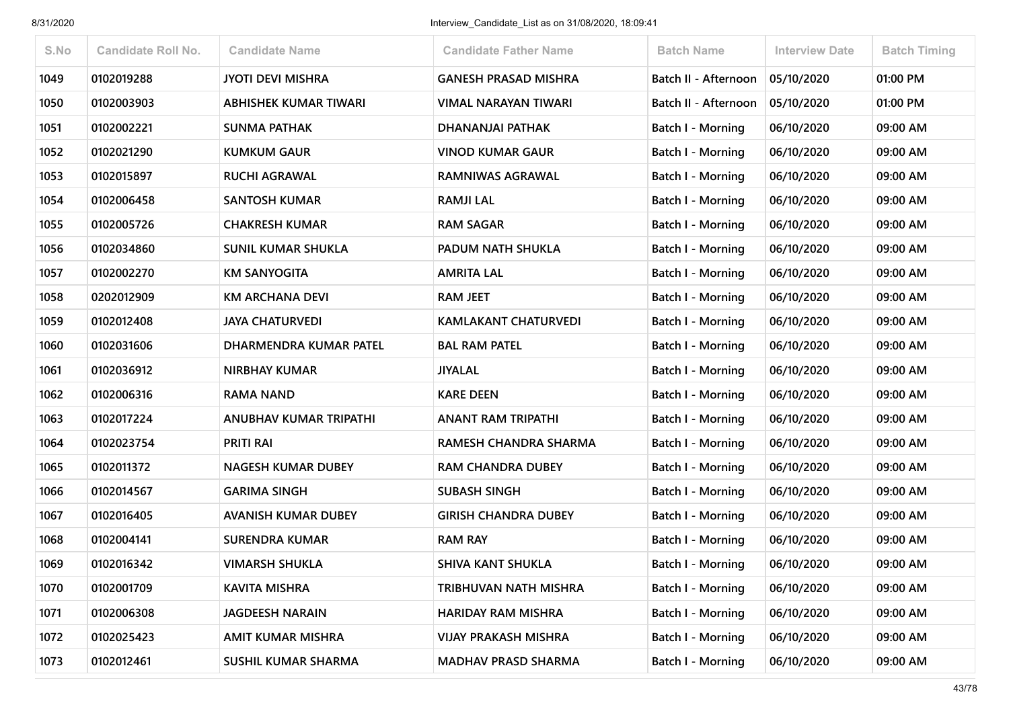| S.No | <b>Candidate Roll No.</b> | <b>Candidate Name</b>      | <b>Candidate Father Name</b> | <b>Batch Name</b>        | Interview Date | <b>Batch Timing</b> |
|------|---------------------------|----------------------------|------------------------------|--------------------------|----------------|---------------------|
| 1049 | 0102019288                | <b>JYOTI DEVI MISHRA</b>   | <b>GANESH PRASAD MISHRA</b>  | Batch II - Afternoon     | 05/10/2020     | 01:00 PM            |
| 1050 | 0102003903                | ABHISHEK KUMAR TIWARI      | VIMAL NARAYAN TIWARI         | Batch II - Afternoon     | 05/10/2020     | 01:00 PM            |
| 1051 | 0102002221                | <b>SUNMA PATHAK</b>        | DHANANJAI PATHAK             | <b>Batch I - Morning</b> | 06/10/2020     | 09:00 AM            |
| 1052 | 0102021290                | <b>KUMKUM GAUR</b>         | <b>VINOD KUMAR GAUR</b>      | Batch I - Morning        | 06/10/2020     | 09:00 AM            |
| 1053 | 0102015897                | <b>RUCHI AGRAWAL</b>       | RAMNIWAS AGRAWAL             | Batch I - Morning        | 06/10/2020     | 09:00 AM            |
| 1054 | 0102006458                | <b>SANTOSH KUMAR</b>       | <b>RAMJI LAL</b>             | <b>Batch I - Morning</b> | 06/10/2020     | 09:00 AM            |
| 1055 | 0102005726                | <b>CHAKRESH KUMAR</b>      | <b>RAM SAGAR</b>             | Batch I - Morning        | 06/10/2020     | 09:00 AM            |
| 1056 | 0102034860                | <b>SUNIL KUMAR SHUKLA</b>  | PADUM NATH SHUKLA            | Batch I - Morning        | 06/10/2020     | 09:00 AM            |
| 1057 | 0102002270                | <b>KM SANYOGITA</b>        | AMRITA LAL                   | <b>Batch I - Morning</b> | 06/10/2020     | 09:00 AM            |
| 1058 | 0202012909                | <b>KM ARCHANA DEVI</b>     | <b>RAM JEET</b>              | Batch I - Morning        | 06/10/2020     | 09:00 AM            |
| 1059 | 0102012408                | <b>JAYA CHATURVEDI</b>     | <b>KAMLAKANT CHATURVEDI</b>  | Batch I - Morning        | 06/10/2020     | 09:00 AM            |
| 1060 | 0102031606                | DHARMENDRA KUMAR PATEL     | <b>BAL RAM PATEL</b>         | Batch I - Morning        | 06/10/2020     | 09:00 AM            |
| 1061 | 0102036912                | <b>NIRBHAY KUMAR</b>       | <b>JIYALAL</b>               | Batch I - Morning        | 06/10/2020     | 09:00 AM            |
| 1062 | 0102006316                | <b>RAMA NAND</b>           | <b>KARE DEEN</b>             | <b>Batch I - Morning</b> | 06/10/2020     | 09:00 AM            |
| 1063 | 0102017224                | ANUBHAV KUMAR TRIPATHI     | ANANT RAM TRIPATHI           | Batch I - Morning        | 06/10/2020     | 09:00 AM            |
| 1064 | 0102023754                | <b>PRITI RAI</b>           | RAMESH CHANDRA SHARMA        | <b>Batch I - Morning</b> | 06/10/2020     | 09:00 AM            |
| 1065 | 0102011372                | <b>NAGESH KUMAR DUBEY</b>  | <b>RAM CHANDRA DUBEY</b>     | Batch I - Morning        | 06/10/2020     | 09:00 AM            |
| 1066 | 0102014567                | <b>GARIMA SINGH</b>        | <b>SUBASH SINGH</b>          | Batch I - Morning        | 06/10/2020     | 09:00 AM            |
| 1067 | 0102016405                | <b>AVANISH KUMAR DUBEY</b> | <b>GIRISH CHANDRA DUBEY</b>  | <b>Batch I - Morning</b> | 06/10/2020     | 09:00 AM            |
| 1068 | 0102004141                | <b>SURENDRA KUMAR</b>      | <b>RAM RAY</b>               | Batch I - Morning        | 06/10/2020     | 09:00 AM            |
| 1069 | 0102016342                | <b>VIMARSH SHUKLA</b>      | <b>SHIVA KANT SHUKLA</b>     | Batch I - Morning        | 06/10/2020     | 09:00 AM            |
| 1070 | 0102001709                | <b>KAVITA MISHRA</b>       | TRIBHUVAN NATH MISHRA        | Batch I - Morning        | 06/10/2020     | 09:00 AM            |
| 1071 | 0102006308                | <b>JAGDEESH NARAIN</b>     | <b>HARIDAY RAM MISHRA</b>    | <b>Batch I - Morning</b> | 06/10/2020     | 09:00 AM            |
| 1072 | 0102025423                | AMIT KUMAR MISHRA          | <b>VIJAY PRAKASH MISHRA</b>  | <b>Batch I - Morning</b> | 06/10/2020     | 09:00 AM            |
| 1073 | 0102012461                | SUSHIL KUMAR SHARMA        | <b>MADHAV PRASD SHARMA</b>   | <b>Batch I - Morning</b> | 06/10/2020     | 09:00 AM            |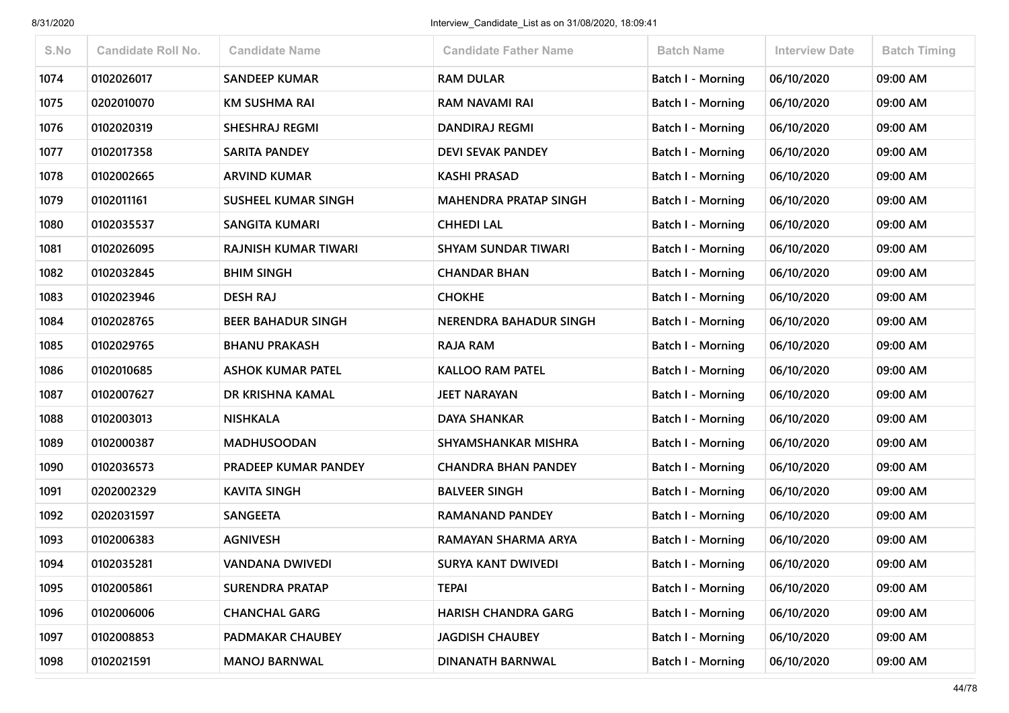| S.No | <b>Candidate Roll No.</b> | <b>Candidate Name</b>      | <b>Candidate Father Name</b> | <b>Batch Name</b>        | <b>Interview Date</b> | <b>Batch Timing</b> |
|------|---------------------------|----------------------------|------------------------------|--------------------------|-----------------------|---------------------|
| 1074 | 0102026017                | <b>SANDEEP KUMAR</b>       | <b>RAM DULAR</b>             | <b>Batch I - Morning</b> | 06/10/2020            | 09:00 AM            |
| 1075 | 0202010070                | <b>KM SUSHMA RAI</b>       | RAM NAVAMI RAI               | Batch I - Morning        | 06/10/2020            | 09:00 AM            |
| 1076 | 0102020319                | <b>SHESHRAJ REGMI</b>      | <b>DANDIRAJ REGMI</b>        | <b>Batch I - Morning</b> | 06/10/2020            | 09:00 AM            |
| 1077 | 0102017358                | <b>SARITA PANDEY</b>       | <b>DEVI SEVAK PANDEY</b>     | Batch I - Morning        | 06/10/2020            | 09:00 AM            |
| 1078 | 0102002665                | <b>ARVIND KUMAR</b>        | <b>KASHI PRASAD</b>          | <b>Batch I - Morning</b> | 06/10/2020            | 09:00 AM            |
| 1079 | 0102011161                | <b>SUSHEEL KUMAR SINGH</b> | <b>MAHENDRA PRATAP SINGH</b> | Batch I - Morning        | 06/10/2020            | 09:00 AM            |
| 1080 | 0102035537                | SANGITA KUMARI             | <b>CHHEDI LAL</b>            | Batch I - Morning        | 06/10/2020            | 09:00 AM            |
| 1081 | 0102026095                | RAJNISH KUMAR TIWARI       | <b>SHYAM SUNDAR TIWARI</b>   | Batch I - Morning        | 06/10/2020            | 09:00 AM            |
| 1082 | 0102032845                | <b>BHIM SINGH</b>          | <b>CHANDAR BHAN</b>          | Batch I - Morning        | 06/10/2020            | 09:00 AM            |
| 1083 | 0102023946                | <b>DESH RAJ</b>            | <b>CHOKHE</b>                | <b>Batch I - Morning</b> | 06/10/2020            | 09:00 AM            |
| 1084 | 0102028765                | <b>BEER BAHADUR SINGH</b>  | NERENDRA BAHADUR SINGH       | <b>Batch I - Morning</b> | 06/10/2020            | 09:00 AM            |
| 1085 | 0102029765                | <b>BHANU PRAKASH</b>       | <b>RAJA RAM</b>              | <b>Batch I - Morning</b> | 06/10/2020            | 09:00 AM            |
| 1086 | 0102010685                | <b>ASHOK KUMAR PATEL</b>   | <b>KALLOO RAM PATEL</b>      | <b>Batch I - Morning</b> | 06/10/2020            | 09:00 AM            |
| 1087 | 0102007627                | DR KRISHNA KAMAL           | <b>JEET NARAYAN</b>          | <b>Batch I - Morning</b> | 06/10/2020            | 09:00 AM            |
| 1088 | 0102003013                | <b>NISHKALA</b>            | <b>DAYA SHANKAR</b>          | <b>Batch I - Morning</b> | 06/10/2020            | 09:00 AM            |
| 1089 | 0102000387                | <b>MADHUSOODAN</b>         | SHYAMSHANKAR MISHRA          | Batch I - Morning        | 06/10/2020            | 09:00 AM            |
| 1090 | 0102036573                | PRADEEP KUMAR PANDEY       | <b>CHANDRA BHAN PANDEY</b>   | <b>Batch I - Morning</b> | 06/10/2020            | 09:00 AM            |
| 1091 | 0202002329                | <b>KAVITA SINGH</b>        | <b>BALVEER SINGH</b>         | Batch I - Morning        | 06/10/2020            | 09:00 AM            |
| 1092 | 0202031597                | <b>SANGEETA</b>            | RAMANAND PANDEY              | <b>Batch I - Morning</b> | 06/10/2020            | 09:00 AM            |
| 1093 | 0102006383                | <b>AGNIVESH</b>            | RAMAYAN SHARMA ARYA          | <b>Batch I - Morning</b> | 06/10/2020            | 09:00 AM            |
| 1094 | 0102035281                | <b>VANDANA DWIVEDI</b>     | <b>SURYA KANT DWIVEDI</b>    | <b>Batch I - Morning</b> | 06/10/2020            | 09:00 AM            |
| 1095 | 0102005861                | <b>SURENDRA PRATAP</b>     | <b>TEPAI</b>                 | <b>Batch I - Morning</b> | 06/10/2020            | 09:00 AM            |
| 1096 | 0102006006                | <b>CHANCHAL GARG</b>       | <b>HARISH CHANDRA GARG</b>   | Batch I - Morning        | 06/10/2020            | 09:00 AM            |
| 1097 | 0102008853                | PADMAKAR CHAUBEY           | <b>JAGDISH CHAUBEY</b>       | <b>Batch I - Morning</b> | 06/10/2020            | 09:00 AM            |
| 1098 | 0102021591                | <b>MANOJ BARNWAL</b>       | <b>DINANATH BARNWAL</b>      | <b>Batch I - Morning</b> | 06/10/2020            | 09:00 AM            |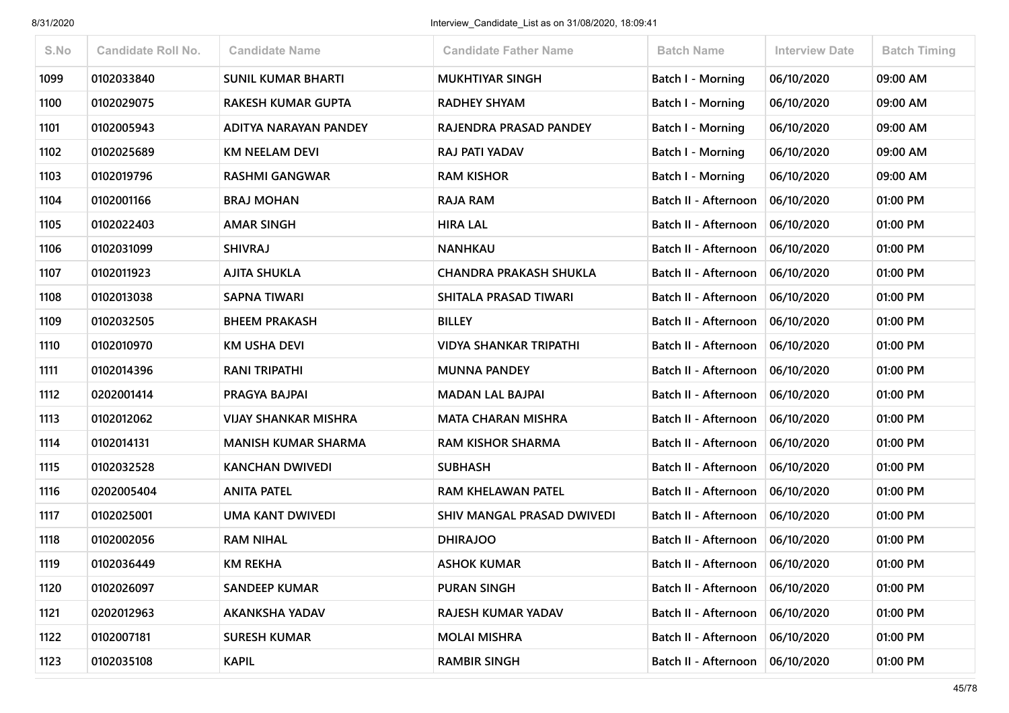| S.No | <b>Candidate Roll No.</b> | <b>Candidate Name</b>       | <b>Candidate Father Name</b>  | <b>Batch Name</b>                 | <b>Interview Date</b> | <b>Batch Timing</b> |
|------|---------------------------|-----------------------------|-------------------------------|-----------------------------------|-----------------------|---------------------|
| 1099 | 0102033840                | <b>SUNIL KUMAR BHARTI</b>   | <b>MUKHTIYAR SINGH</b>        | Batch I - Morning                 | 06/10/2020            | 09:00 AM            |
| 1100 | 0102029075                | RAKESH KUMAR GUPTA          | <b>RADHEY SHYAM</b>           | Batch I - Morning                 | 06/10/2020            | 09:00 AM            |
| 1101 | 0102005943                | ADITYA NARAYAN PANDEY       | RAJENDRA PRASAD PANDEY        | Batch I - Morning                 | 06/10/2020            | 09:00 AM            |
| 1102 | 0102025689                | <b>KM NEELAM DEVI</b>       | <b>RAJ PATI YADAV</b>         | Batch I - Morning                 | 06/10/2020            | 09:00 AM            |
| 1103 | 0102019796                | <b>RASHMI GANGWAR</b>       | <b>RAM KISHOR</b>             | Batch I - Morning                 | 06/10/2020            | 09:00 AM            |
| 1104 | 0102001166                | <b>BRAJ MOHAN</b>           | <b>RAJA RAM</b>               | Batch II - Afternoon              | 06/10/2020            | 01:00 PM            |
| 1105 | 0102022403                | <b>AMAR SINGH</b>           | <b>HIRA LAL</b>               | Batch II - Afternoon              | 06/10/2020            | 01:00 PM            |
| 1106 | 0102031099                | <b>SHIVRAJ</b>              | <b>NANHKAU</b>                | Batch II - Afternoon              | 06/10/2020            | 01:00 PM            |
| 1107 | 0102011923                | <b>AJITA SHUKLA</b>         | <b>CHANDRA PRAKASH SHUKLA</b> | Batch II - Afternoon              | 06/10/2020            | 01:00 PM            |
| 1108 | 0102013038                | <b>SAPNA TIWARI</b>         | SHITALA PRASAD TIWARI         | Batch II - Afternoon              | 06/10/2020            | 01:00 PM            |
| 1109 | 0102032505                | <b>BHEEM PRAKASH</b>        | <b>BILLEY</b>                 | Batch II - Afternoon              | 06/10/2020            | 01:00 PM            |
| 1110 | 0102010970                | <b>KM USHA DEVI</b>         | VIDYA SHANKAR TRIPATHI        | Batch II - Afternoon              | 06/10/2020            | 01:00 PM            |
| 1111 | 0102014396                | <b>RANI TRIPATHI</b>        | <b>MUNNA PANDEY</b>           | Batch II - Afternoon              | 06/10/2020            | 01:00 PM            |
| 1112 | 0202001414                | PRAGYA BAJPAI               | <b>MADAN LAL BAJPAI</b>       | Batch II - Afternoon              | 06/10/2020            | 01:00 PM            |
| 1113 | 0102012062                | <b>VIJAY SHANKAR MISHRA</b> | <b>MATA CHARAN MISHRA</b>     | Batch II - Afternoon              | 06/10/2020            | 01:00 PM            |
| 1114 | 0102014131                | <b>MANISH KUMAR SHARMA</b>  | <b>RAM KISHOR SHARMA</b>      | Batch II - Afternoon              | 06/10/2020            | 01:00 PM            |
| 1115 | 0102032528                | <b>KANCHAN DWIVEDI</b>      | <b>SUBHASH</b>                | Batch II - Afternoon              | 06/10/2020            | 01:00 PM            |
| 1116 | 0202005404                | <b>ANITA PATEL</b>          | RAM KHELAWAN PATEL            | Batch II - Afternoon              | 06/10/2020            | 01:00 PM            |
| 1117 | 0102025001                | <b>UMA KANT DWIVEDI</b>     | SHIV MANGAL PRASAD DWIVEDI    | Batch II - Afternoon              | 06/10/2020            | 01:00 PM            |
| 1118 | 0102002056                | <b>RAM NIHAL</b>            | <b>DHIRAJOO</b>               | Batch II - Afternoon              | 06/10/2020            | 01:00 PM            |
| 1119 | 0102036449                | <b>KM REKHA</b>             | <b>ASHOK KUMAR</b>            | Batch II - Afternoon              | 06/10/2020            | 01:00 PM            |
| 1120 | 0102026097                | <b>SANDEEP KUMAR</b>        | <b>PURAN SINGH</b>            | Batch II - Afternoon              | 06/10/2020            | 01:00 PM            |
| 1121 | 0202012963                | <b>AKANKSHA YADAV</b>       | RAJESH KUMAR YADAV            | Batch II - Afternoon              | 06/10/2020            | 01:00 PM            |
| 1122 | 0102007181                | <b>SURESH KUMAR</b>         | <b>MOLAI MISHRA</b>           | Batch II - Afternoon   06/10/2020 |                       | 01:00 PM            |
| 1123 | 0102035108                | <b>KAPIL</b>                | <b>RAMBIR SINGH</b>           | Batch II - Afternoon              | 06/10/2020            | 01:00 PM            |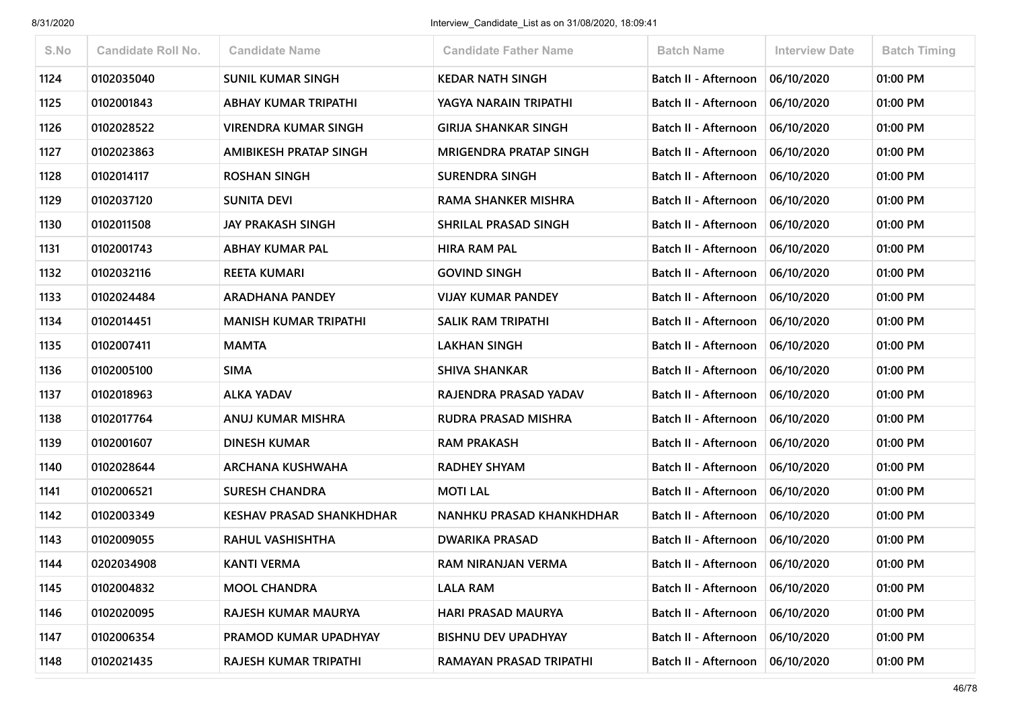| S.No | Candidate Roll No. | <b>Candidate Name</b>           | <b>Candidate Father Name</b>  | <b>Batch Name</b>    | <b>Interview Date</b> | <b>Batch Timing</b> |
|------|--------------------|---------------------------------|-------------------------------|----------------------|-----------------------|---------------------|
| 1124 | 0102035040         | <b>SUNIL KUMAR SINGH</b>        | <b>KEDAR NATH SINGH</b>       | Batch II - Afternoon | 06/10/2020            | 01:00 PM            |
| 1125 | 0102001843         | ABHAY KUMAR TRIPATHI            | YAGYA NARAIN TRIPATHI         | Batch II - Afternoon | 06/10/2020            | 01:00 PM            |
| 1126 | 0102028522         | <b>VIRENDRA KUMAR SINGH</b>     | <b>GIRIJA SHANKAR SINGH</b>   | Batch II - Afternoon | 06/10/2020            | 01:00 PM            |
| 1127 | 0102023863         | <b>AMIBIKESH PRATAP SINGH</b>   | <b>MRIGENDRA PRATAP SINGH</b> | Batch II - Afternoon | 06/10/2020            | 01:00 PM            |
| 1128 | 0102014117         | <b>ROSHAN SINGH</b>             | <b>SURENDRA SINGH</b>         | Batch II - Afternoon | 06/10/2020            | 01:00 PM            |
| 1129 | 0102037120         | <b>SUNITA DEVI</b>              | RAMA SHANKER MISHRA           | Batch II - Afternoon | 06/10/2020            | 01:00 PM            |
| 1130 | 0102011508         | <b>JAY PRAKASH SINGH</b>        | SHRILAL PRASAD SINGH          | Batch II - Afternoon | 06/10/2020            | 01:00 PM            |
| 1131 | 0102001743         | <b>ABHAY KUMAR PAL</b>          | <b>HIRA RAM PAL</b>           | Batch II - Afternoon | 06/10/2020            | 01:00 PM            |
| 1132 | 0102032116         | <b>REETA KUMARI</b>             | <b>GOVIND SINGH</b>           | Batch II - Afternoon | 06/10/2020            | 01:00 PM            |
| 1133 | 0102024484         | <b>ARADHANA PANDEY</b>          | <b>VIJAY KUMAR PANDEY</b>     | Batch II - Afternoon | 06/10/2020            | 01:00 PM            |
| 1134 | 0102014451         | <b>MANISH KUMAR TRIPATHI</b>    | <b>SALIK RAM TRIPATHI</b>     | Batch II - Afternoon | 06/10/2020            | 01:00 PM            |
| 1135 | 0102007411         | <b>MAMTA</b>                    | <b>LAKHAN SINGH</b>           | Batch II - Afternoon | 06/10/2020            | 01:00 PM            |
| 1136 | 0102005100         | <b>SIMA</b>                     | <b>SHIVA SHANKAR</b>          | Batch II - Afternoon | 06/10/2020            | 01:00 PM            |
| 1137 | 0102018963         | <b>ALKA YADAV</b>               | RAJENDRA PRASAD YADAV         | Batch II - Afternoon | 06/10/2020            | 01:00 PM            |
| 1138 | 0102017764         | ANUJ KUMAR MISHRA               | RUDRA PRASAD MISHRA           | Batch II - Afternoon | 06/10/2020            | 01:00 PM            |
| 1139 | 0102001607         | <b>DINESH KUMAR</b>             | <b>RAM PRAKASH</b>            | Batch II - Afternoon | 06/10/2020            | 01:00 PM            |
| 1140 | 0102028644         | <b>ARCHANA KUSHWAHA</b>         | <b>RADHEY SHYAM</b>           | Batch II - Afternoon | 06/10/2020            | 01:00 PM            |
| 1141 | 0102006521         | <b>SURESH CHANDRA</b>           | <b>MOTI LAL</b>               | Batch II - Afternoon | 06/10/2020            | 01:00 PM            |
| 1142 | 0102003349         | <b>KESHAV PRASAD SHANKHDHAR</b> | NANHKU PRASAD KHANKHDHAR      | Batch II - Afternoon | 06/10/2020            | 01:00 PM            |
| 1143 | 0102009055         | <b>RAHUL VASHISHTHA</b>         | <b>DWARIKA PRASAD</b>         | Batch II - Afternoon | 06/10/2020            | 01:00 PM            |
| 1144 | 0202034908         | <b>KANTI VERMA</b>              | RAM NIRANJAN VERMA            | Batch II - Afternoon | 06/10/2020            | 01:00 PM            |
| 1145 | 0102004832         | <b>MOOL CHANDRA</b>             | <b>LALA RAM</b>               | Batch II - Afternoon | 06/10/2020            | 01:00 PM            |
| 1146 | 0102020095         | RAJESH KUMAR MAURYA             | HARI PRASAD MAURYA            | Batch II - Afternoon | 06/10/2020            | 01:00 PM            |
| 1147 | 0102006354         | PRAMOD KUMAR UPADHYAY           | <b>BISHNU DEV UPADHYAY</b>    | Batch II - Afternoon | 06/10/2020            | 01:00 PM            |
| 1148 | 0102021435         | RAJESH KUMAR TRIPATHI           | RAMAYAN PRASAD TRIPATHI       | Batch II - Afternoon | 06/10/2020            | 01:00 PM            |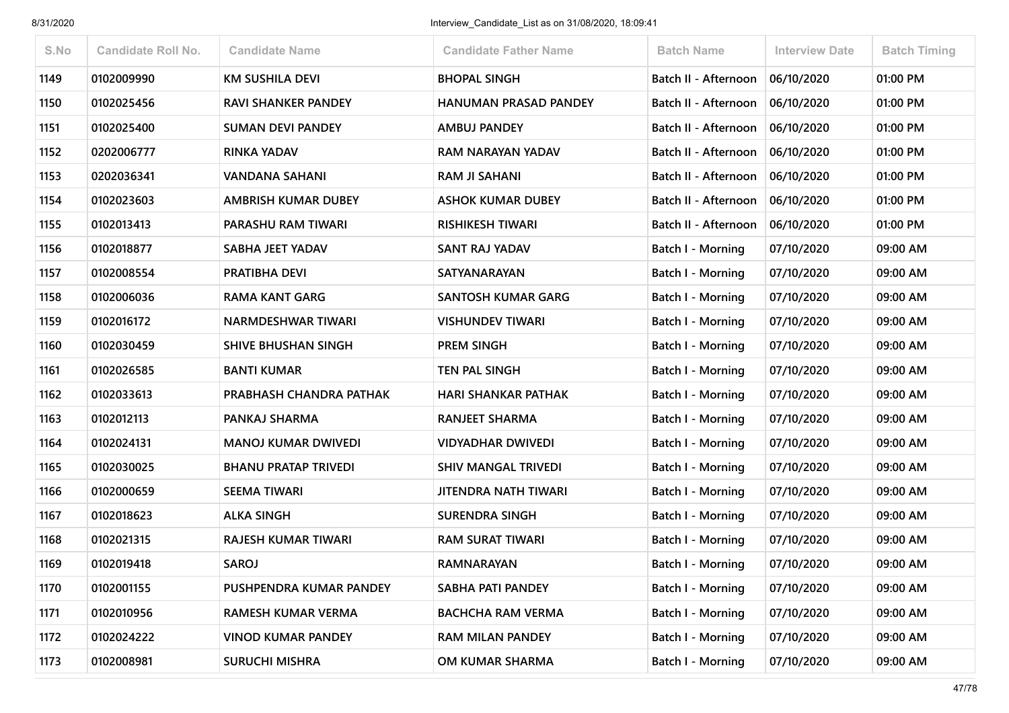| S.No | <b>Candidate Roll No.</b> | <b>Candidate Name</b>       | <b>Candidate Father Name</b> | <b>Batch Name</b>        | <b>Interview Date</b> | <b>Batch Timing</b> |
|------|---------------------------|-----------------------------|------------------------------|--------------------------|-----------------------|---------------------|
| 1149 | 0102009990                | <b>KM SUSHILA DEVI</b>      | <b>BHOPAL SINGH</b>          | Batch II - Afternoon     | 06/10/2020            | 01:00 PM            |
| 1150 | 0102025456                | <b>RAVI SHANKER PANDEY</b>  | <b>HANUMAN PRASAD PANDEY</b> | Batch II - Afternoon     | 06/10/2020            | 01:00 PM            |
| 1151 | 0102025400                | <b>SUMAN DEVI PANDEY</b>    | <b>AMBUJ PANDEY</b>          | Batch II - Afternoon     | 06/10/2020            | 01:00 PM            |
| 1152 | 0202006777                | <b>RINKA YADAV</b>          | RAM NARAYAN YADAV            | Batch II - Afternoon     | 06/10/2020            | 01:00 PM            |
| 1153 | 0202036341                | <b>VANDANA SAHANI</b>       | RAM JI SAHANI                | Batch II - Afternoon     | 06/10/2020            | 01:00 PM            |
| 1154 | 0102023603                | <b>AMBRISH KUMAR DUBEY</b>  | <b>ASHOK KUMAR DUBEY</b>     | Batch II - Afternoon     | 06/10/2020            | 01:00 PM            |
| 1155 | 0102013413                | PARASHU RAM TIWARI          | <b>RISHIKESH TIWARI</b>      | Batch II - Afternoon     | 06/10/2020            | 01:00 PM            |
| 1156 | 0102018877                | SABHA JEET YADAV            | SANT RAJ YADAV               | Batch I - Morning        | 07/10/2020            | 09:00 AM            |
| 1157 | 0102008554                | PRATIBHA DEVI               | <b>SATYANARAYAN</b>          | <b>Batch I - Morning</b> | 07/10/2020            | 09:00 AM            |
| 1158 | 0102006036                | <b>RAMA KANT GARG</b>       | <b>SANTOSH KUMAR GARG</b>    | Batch I - Morning        | 07/10/2020            | 09:00 AM            |
| 1159 | 0102016172                | NARMDESHWAR TIWARI          | <b>VISHUNDEV TIWARI</b>      | Batch I - Morning        | 07/10/2020            | 09:00 AM            |
| 1160 | 0102030459                | <b>SHIVE BHUSHAN SINGH</b>  | <b>PREM SINGH</b>            | Batch I - Morning        | 07/10/2020            | 09:00 AM            |
| 1161 | 0102026585                | <b>BANTI KUMAR</b>          | TEN PAL SINGH                | Batch I - Morning        | 07/10/2020            | 09:00 AM            |
| 1162 | 0102033613                | PRABHASH CHANDRA PATHAK     | <b>HARI SHANKAR PATHAK</b>   | <b>Batch I - Morning</b> | 07/10/2020            | 09:00 AM            |
| 1163 | 0102012113                | PANKAJ SHARMA               | <b>RANJEET SHARMA</b>        | <b>Batch I - Morning</b> | 07/10/2020            | 09:00 AM            |
| 1164 | 0102024131                | <b>MANOJ KUMAR DWIVEDI</b>  | <b>VIDYADHAR DWIVEDI</b>     | Batch I - Morning        | 07/10/2020            | 09:00 AM            |
| 1165 | 0102030025                | <b>BHANU PRATAP TRIVEDI</b> | <b>SHIV MANGAL TRIVEDI</b>   | Batch I - Morning        | 07/10/2020            | 09:00 AM            |
| 1166 | 0102000659                | <b>SEEMA TIWARI</b>         | <b>JITENDRA NATH TIWARI</b>  | Batch I - Morning        | 07/10/2020            | 09:00 AM            |
| 1167 | 0102018623                | <b>ALKA SINGH</b>           | <b>SURENDRA SINGH</b>        | <b>Batch I - Morning</b> | 07/10/2020            | 09:00 AM            |
| 1168 | 0102021315                | RAJESH KUMAR TIWARI         | <b>RAM SURAT TIWARI</b>      | Batch I - Morning        | 07/10/2020            | 09:00 AM            |
| 1169 | 0102019418                | <b>SAROJ</b>                | RAMNARAYAN                   | Batch I - Morning        | 07/10/2020            | 09:00 AM            |
| 1170 | 0102001155                | PUSHPENDRA KUMAR PANDEY     | SABHA PATI PANDEY            | <b>Batch I - Morning</b> | 07/10/2020            | 09:00 AM            |
| 1171 | 0102010956                | RAMESH KUMAR VERMA          | <b>BACHCHA RAM VERMA</b>     | <b>Batch I - Morning</b> | 07/10/2020            | 09:00 AM            |
| 1172 | 0102024222                | <b>VINOD KUMAR PANDEY</b>   | RAM MILAN PANDEY             | <b>Batch I - Morning</b> | 07/10/2020            | 09:00 AM            |
| 1173 | 0102008981                | <b>SURUCHI MISHRA</b>       | OM KUMAR SHARMA              | <b>Batch I - Morning</b> | 07/10/2020            | 09:00 AM            |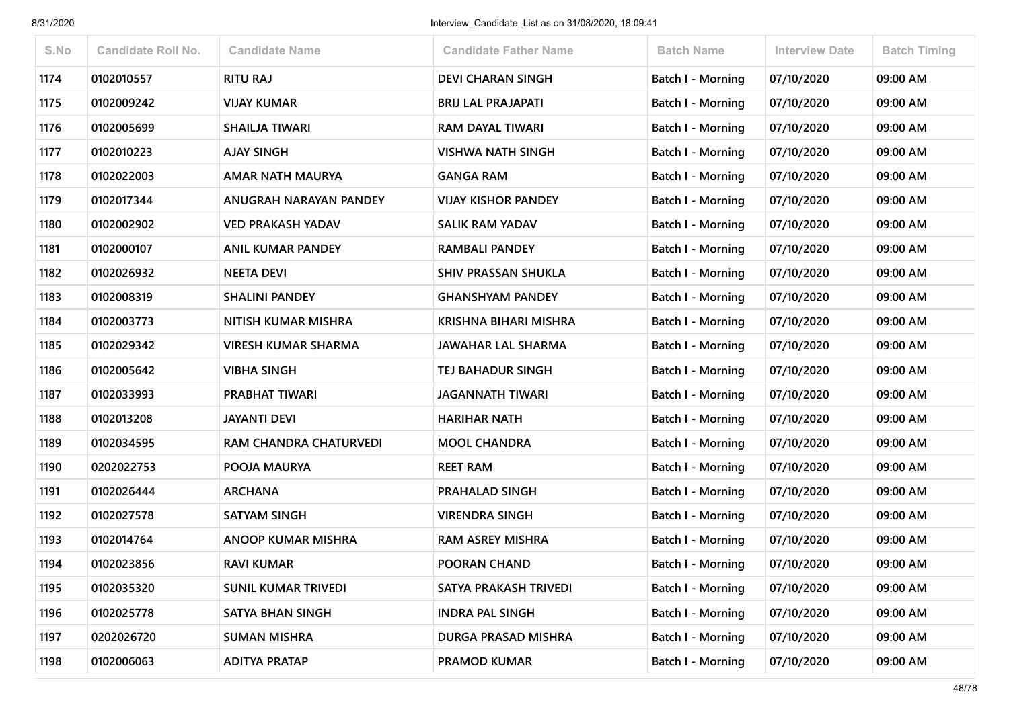| S.No | <b>Candidate Roll No.</b> | <b>Candidate Name</b>      | <b>Candidate Father Name</b> | <b>Batch Name</b>        | <b>Interview Date</b> | <b>Batch Timing</b> |
|------|---------------------------|----------------------------|------------------------------|--------------------------|-----------------------|---------------------|
| 1174 | 0102010557                | <b>RITU RAJ</b>            | <b>DEVI CHARAN SINGH</b>     | <b>Batch I - Morning</b> | 07/10/2020            | 09:00 AM            |
| 1175 | 0102009242                | <b>VIJAY KUMAR</b>         | <b>BRIJ LAL PRAJAPATI</b>    | <b>Batch I - Morning</b> | 07/10/2020            | 09:00 AM            |
| 1176 | 0102005699                | SHAILJA TIWARI             | RAM DAYAL TIWARI             | <b>Batch I - Morning</b> | 07/10/2020            | 09:00 AM            |
| 1177 | 0102010223                | <b>AJAY SINGH</b>          | <b>VISHWA NATH SINGH</b>     | Batch I - Morning        | 07/10/2020            | 09:00 AM            |
| 1178 | 0102022003                | <b>AMAR NATH MAURYA</b>    | <b>GANGA RAM</b>             | <b>Batch I - Morning</b> | 07/10/2020            | 09:00 AM            |
| 1179 | 0102017344                | ANUGRAH NARAYAN PANDEY     | <b>VIJAY KISHOR PANDEY</b>   | Batch I - Morning        | 07/10/2020            | 09:00 AM            |
| 1180 | 0102002902                | <b>VED PRAKASH YADAV</b>   | SALIK RAM YADAV              | <b>Batch I - Morning</b> | 07/10/2020            | 09:00 AM            |
| 1181 | 0102000107                | <b>ANIL KUMAR PANDEY</b>   | <b>RAMBALI PANDEY</b>        | <b>Batch I - Morning</b> | 07/10/2020            | 09:00 AM            |
| 1182 | 0102026932                | <b>NEETA DEVI</b>          | <b>SHIV PRASSAN SHUKLA</b>   | Batch I - Morning        | 07/10/2020            | 09:00 AM            |
| 1183 | 0102008319                | <b>SHALINI PANDEY</b>      | <b>GHANSHYAM PANDEY</b>      | <b>Batch I - Morning</b> | 07/10/2020            | 09:00 AM            |
| 1184 | 0102003773                | NITISH KUMAR MISHRA        | KRISHNA BIHARI MISHRA        | <b>Batch I - Morning</b> | 07/10/2020            | 09:00 AM            |
| 1185 | 0102029342                | <b>VIRESH KUMAR SHARMA</b> | JAWAHAR LAL SHARMA           | <b>Batch I - Morning</b> | 07/10/2020            | 09:00 AM            |
| 1186 | 0102005642                | <b>VIBHA SINGH</b>         | TEJ BAHADUR SINGH            | <b>Batch I - Morning</b> | 07/10/2020            | 09:00 AM            |
| 1187 | 0102033993                | PRABHAT TIWARI             | <b>JAGANNATH TIWARI</b>      | <b>Batch I - Morning</b> | 07/10/2020            | 09:00 AM            |
| 1188 | 0102013208                | <b>JAYANTI DEVI</b>        | <b>HARIHAR NATH</b>          | <b>Batch I - Morning</b> | 07/10/2020            | 09:00 AM            |
| 1189 | 0102034595                | RAM CHANDRA CHATURVEDI     | <b>MOOL CHANDRA</b>          | <b>Batch I - Morning</b> | 07/10/2020            | 09:00 AM            |
| 1190 | 0202022753                | POOJA MAURYA               | <b>REET RAM</b>              | Batch I - Morning        | 07/10/2020            | 09:00 AM            |
| 1191 | 0102026444                | <b>ARCHANA</b>             | <b>PRAHALAD SINGH</b>        | <b>Batch I - Morning</b> | 07/10/2020            | 09:00 AM            |
| 1192 | 0102027578                | <b>SATYAM SINGH</b>        | <b>VIRENDRA SINGH</b>        | <b>Batch I - Morning</b> | 07/10/2020            | 09:00 AM            |
| 1193 | 0102014764                | <b>ANOOP KUMAR MISHRA</b>  | <b>RAM ASREY MISHRA</b>      | Batch I - Morning        | 07/10/2020            | 09:00 AM            |
| 1194 | 0102023856                | <b>RAVI KUMAR</b>          | POORAN CHAND                 | <b>Batch I - Morning</b> | 07/10/2020            | 09:00 AM            |
| 1195 | 0102035320                | <b>SUNIL KUMAR TRIVEDI</b> | SATYA PRAKASH TRIVEDI        | <b>Batch I - Morning</b> | 07/10/2020            | 09:00 AM            |
| 1196 | 0102025778                | SATYA BHAN SINGH           | <b>INDRA PAL SINGH</b>       | <b>Batch I - Morning</b> | 07/10/2020            | 09:00 AM            |
| 1197 | 0202026720                | <b>SUMAN MISHRA</b>        | DURGA PRASAD MISHRA          | Batch I - Morning        | 07/10/2020            | 09:00 AM            |
| 1198 | 0102006063                | <b>ADITYA PRATAP</b>       | PRAMOD KUMAR                 | <b>Batch I - Morning</b> | 07/10/2020            | 09:00 AM            |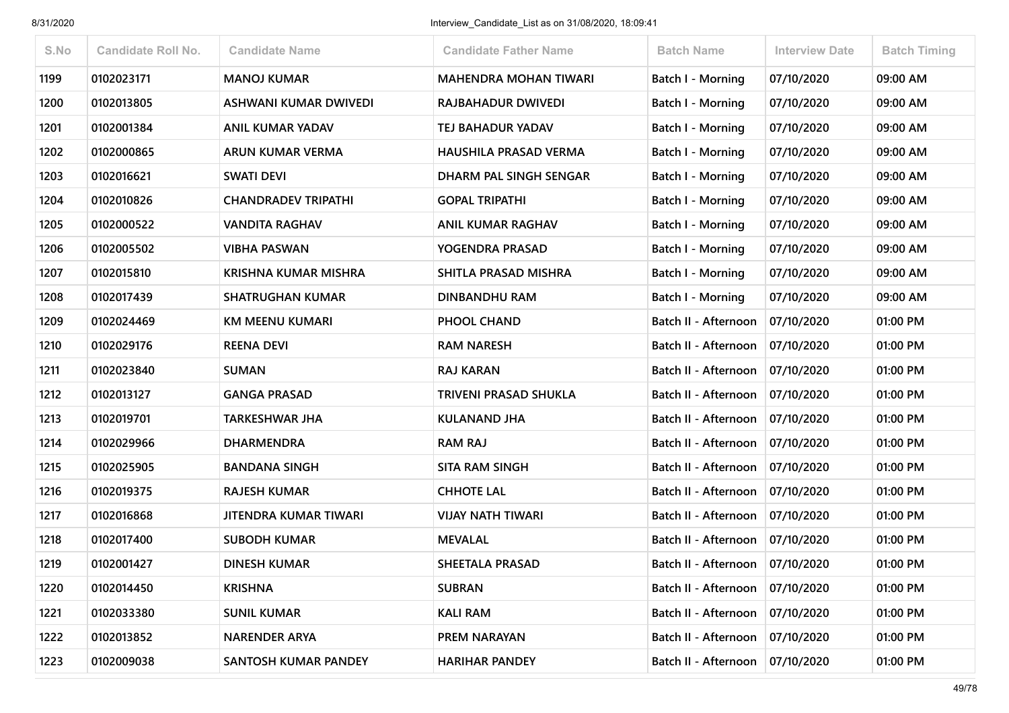| S.No | <b>Candidate Roll No.</b> | <b>Candidate Name</b>        | <b>Candidate Father Name</b> | <b>Batch Name</b>                 | <b>Interview Date</b> | <b>Batch Timing</b> |
|------|---------------------------|------------------------------|------------------------------|-----------------------------------|-----------------------|---------------------|
| 1199 | 0102023171                | <b>MANOJ KUMAR</b>           | <b>MAHENDRA MOHAN TIWARI</b> | <b>Batch I - Morning</b>          | 07/10/2020            | 09:00 AM            |
| 1200 | 0102013805                | <b>ASHWANI KUMAR DWIVEDI</b> | RAJBAHADUR DWIVEDI           | Batch I - Morning                 | 07/10/2020            | 09:00 AM            |
| 1201 | 0102001384                | <b>ANIL KUMAR YADAV</b>      | TEJ BAHADUR YADAV            | <b>Batch I - Morning</b>          | 07/10/2020            | 09:00 AM            |
| 1202 | 0102000865                | <b>ARUN KUMAR VERMA</b>      | <b>HAUSHILA PRASAD VERMA</b> | Batch I - Morning                 | 07/10/2020            | 09:00 AM            |
| 1203 | 0102016621                | <b>SWATI DEVI</b>            | DHARM PAL SINGH SENGAR       | Batch I - Morning                 | 07/10/2020            | 09:00 AM            |
| 1204 | 0102010826                | <b>CHANDRADEV TRIPATHI</b>   | <b>GOPAL TRIPATHI</b>        | <b>Batch I - Morning</b>          | 07/10/2020            | 09:00 AM            |
| 1205 | 0102000522                | <b>VANDITA RAGHAV</b>        | <b>ANIL KUMAR RAGHAV</b>     | Batch I - Morning                 | 07/10/2020            | 09:00 AM            |
| 1206 | 0102005502                | <b>VIBHA PASWAN</b>          | YOGENDRA PRASAD              | Batch I - Morning                 | 07/10/2020            | 09:00 AM            |
| 1207 | 0102015810                | KRISHNA KUMAR MISHRA         | SHITLA PRASAD MISHRA         | Batch I - Morning                 | 07/10/2020            | 09:00 AM            |
| 1208 | 0102017439                | <b>SHATRUGHAN KUMAR</b>      | <b>DINBANDHU RAM</b>         | Batch I - Morning                 | 07/10/2020            | 09:00 AM            |
| 1209 | 0102024469                | <b>KM MEENU KUMARI</b>       | PHOOL CHAND                  | Batch II - Afternoon              | 07/10/2020            | 01:00 PM            |
| 1210 | 0102029176                | <b>REENA DEVI</b>            | <b>RAM NARESH</b>            | Batch II - Afternoon              | 07/10/2020            | 01:00 PM            |
| 1211 | 0102023840                | <b>SUMAN</b>                 | RAJ KARAN                    | Batch II - Afternoon              | 07/10/2020            | 01:00 PM            |
| 1212 | 0102013127                | <b>GANGA PRASAD</b>          | <b>TRIVENI PRASAD SHUKLA</b> | Batch II - Afternoon              | 07/10/2020            | 01:00 PM            |
| 1213 | 0102019701                | <b>TARKESHWAR JHA</b>        | <b>KULANAND JHA</b>          | Batch II - Afternoon              | 07/10/2020            | 01:00 PM            |
| 1214 | 0102029966                | <b>DHARMENDRA</b>            | <b>RAM RAJ</b>               | Batch II - Afternoon              | 07/10/2020            | 01:00 PM            |
| 1215 | 0102025905                | <b>BANDANA SINGH</b>         | <b>SITA RAM SINGH</b>        | Batch II - Afternoon              | 07/10/2020            | 01:00 PM            |
| 1216 | 0102019375                | <b>RAJESH KUMAR</b>          | <b>CHHOTE LAL</b>            | Batch II - Afternoon              | 07/10/2020            | 01:00 PM            |
| 1217 | 0102016868                | JITENDRA KUMAR TIWARI        | <b>VIJAY NATH TIWARI</b>     | Batch II - Afternoon              | 07/10/2020            | 01:00 PM            |
| 1218 | 0102017400                | <b>SUBODH KUMAR</b>          | <b>MEVALAL</b>               | Batch II - Afternoon              | 07/10/2020            | 01:00 PM            |
| 1219 | 0102001427                | <b>DINESH KUMAR</b>          | <b>SHEETALA PRASAD</b>       | Batch II - Afternoon              | 07/10/2020            | 01:00 PM            |
| 1220 | 0102014450                | <b>KRISHNA</b>               | <b>SUBRAN</b>                | Batch II - Afternoon   07/10/2020 |                       | 01:00 PM            |
| 1221 | 0102033380                | <b>SUNIL KUMAR</b>           | <b>KALI RAM</b>              | Batch II - Afternoon              | 07/10/2020            | 01:00 PM            |
| 1222 | 0102013852                | <b>NARENDER ARYA</b>         | PREM NARAYAN                 | Batch II - Afternoon              | 07/10/2020            | 01:00 PM            |
| 1223 | 0102009038                | SANTOSH KUMAR PANDEY         | <b>HARIHAR PANDEY</b>        | Batch II - Afternoon              | 07/10/2020            | 01:00 PM            |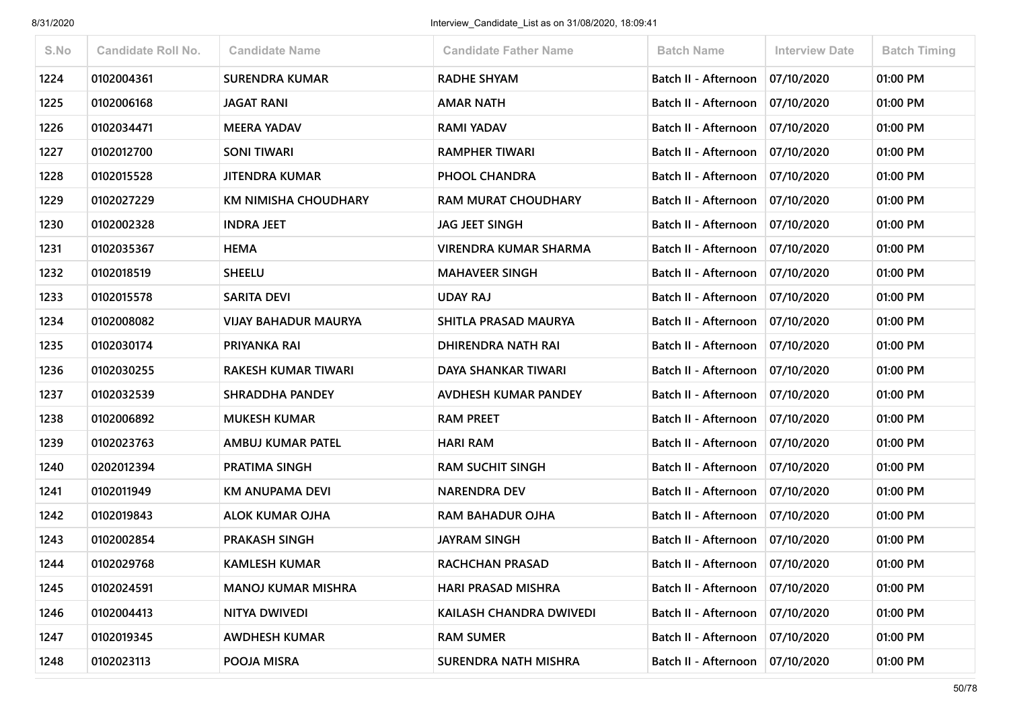| S.No | <b>Candidate Roll No.</b> | <b>Candidate Name</b>       | <b>Candidate Father Name</b> | <b>Batch Name</b>                 | <b>Interview Date</b> | <b>Batch Timing</b> |
|------|---------------------------|-----------------------------|------------------------------|-----------------------------------|-----------------------|---------------------|
| 1224 | 0102004361                | <b>SURENDRA KUMAR</b>       | <b>RADHE SHYAM</b>           | Batch II - Afternoon              | 07/10/2020            | 01:00 PM            |
| 1225 | 0102006168                | JAGAT RANI                  | AMAR NATH                    | Batch II - Afternoon              | 07/10/2020            | 01:00 PM            |
| 1226 | 0102034471                | <b>MEERA YADAV</b>          | <b>RAMI YADAV</b>            | Batch II - Afternoon              | 07/10/2020            | 01:00 PM            |
| 1227 | 0102012700                | <b>SONI TIWARI</b>          | <b>RAMPHER TIWARI</b>        | Batch II - Afternoon   07/10/2020 |                       | 01:00 PM            |
| 1228 | 0102015528                | <b>JITENDRA KUMAR</b>       | PHOOL CHANDRA                | Batch II - Afternoon              | 07/10/2020            | 01:00 PM            |
| 1229 | 0102027229                | KM NIMISHA CHOUDHARY        | <b>RAM MURAT CHOUDHARY</b>   | Batch II - Afternoon   07/10/2020 |                       | 01:00 PM            |
| 1230 | 0102002328                | <b>INDRA JEET</b>           | <b>JAG JEET SINGH</b>        | Batch II - Afternoon              | 07/10/2020            | 01:00 PM            |
| 1231 | 0102035367                | <b>HEMA</b>                 | VIRENDRA KUMAR SHARMA        | Batch II - Afternoon              | 07/10/2020            | 01:00 PM            |
| 1232 | 0102018519                | <b>SHEELU</b>               | <b>MAHAVEER SINGH</b>        | Batch II - Afternoon              | 07/10/2020            | 01:00 PM            |
| 1233 | 0102015578                | <b>SARITA DEVI</b>          | <b>UDAY RAJ</b>              | Batch II - Afternoon              | 07/10/2020            | 01:00 PM            |
| 1234 | 0102008082                | <b>VIJAY BAHADUR MAURYA</b> | SHITLA PRASAD MAURYA         | Batch II - Afternoon              | 07/10/2020            | 01:00 PM            |
| 1235 | 0102030174                | PRIYANKA RAI                | <b>DHIRENDRA NATH RAI</b>    | Batch II - Afternoon              | 07/10/2020            | 01:00 PM            |
| 1236 | 0102030255                | RAKESH KUMAR TIWARI         | DAYA SHANKAR TIWARI          | Batch II - Afternoon              | 07/10/2020            | 01:00 PM            |
| 1237 | 0102032539                | <b>SHRADDHA PANDEY</b>      | AVDHESH KUMAR PANDEY         | Batch II - Afternoon   07/10/2020 |                       | 01:00 PM            |
| 1238 | 0102006892                | <b>MUKESH KUMAR</b>         | <b>RAM PREET</b>             | Batch II - Afternoon              | 07/10/2020            | 01:00 PM            |
| 1239 | 0102023763                | AMBUJ KUMAR PATEL           | <b>HARI RAM</b>              | Batch II - Afternoon              | 07/10/2020            | 01:00 PM            |
| 1240 | 0202012394                | PRATIMA SINGH               | <b>RAM SUCHIT SINGH</b>      | Batch II - Afternoon              | 07/10/2020            | 01:00 PM            |
| 1241 | 0102011949                | KM ANUPAMA DEVI             | <b>NARENDRA DEV</b>          | Batch II - Afternoon              | 07/10/2020            | 01:00 PM            |
| 1242 | 0102019843                | <b>ALOK KUMAR OJHA</b>      | <b>RAM BAHADUR OJHA</b>      | Batch II - Afternoon   07/10/2020 |                       | 01:00 PM            |
| 1243 | 0102002854                | <b>PRAKASH SINGH</b>        | <b>JAYRAM SINGH</b>          | Batch II - Afternoon   07/10/2020 |                       | 01:00 PM            |
| 1244 | 0102029768                | <b>KAMLESH KUMAR</b>        | <b>RACHCHAN PRASAD</b>       | Batch II - Afternoon              | 07/10/2020            | 01:00 PM            |
| 1245 | 0102024591                | <b>MANOJ KUMAR MISHRA</b>   | <b>HARI PRASAD MISHRA</b>    | Batch II - Afternoon   07/10/2020 |                       | 01:00 PM            |
| 1246 | 0102004413                | NITYA DWIVEDI               | KAILASH CHANDRA DWIVEDI      | Batch II - Afternoon              | 07/10/2020            | 01:00 PM            |
| 1247 | 0102019345                | <b>AWDHESH KUMAR</b>        | <b>RAM SUMER</b>             | Batch II - Afternoon              | 07/10/2020            | 01:00 PM            |
| 1248 | 0102023113                | POOJA MISRA                 | <b>SURENDRA NATH MISHRA</b>  | Batch II - Afternoon              | 07/10/2020            | 01:00 PM            |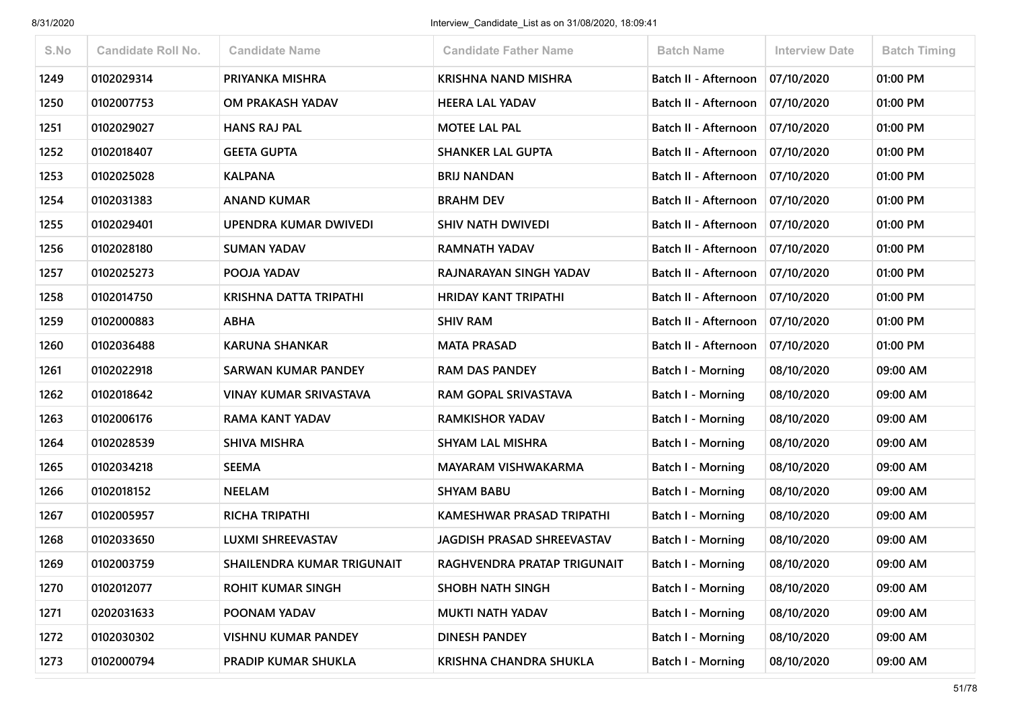| S.No | <b>Candidate Roll No.</b> | <b>Candidate Name</b>         | <b>Candidate Father Name</b>      | <b>Batch Name</b>           | <b>Interview Date</b> | <b>Batch Timing</b> |
|------|---------------------------|-------------------------------|-----------------------------------|-----------------------------|-----------------------|---------------------|
| 1249 | 0102029314                | PRIYANKA MISHRA               | <b>KRISHNA NAND MISHRA</b>        | <b>Batch II - Afternoon</b> | 07/10/2020            | 01:00 PM            |
| 1250 | 0102007753                | OM PRAKASH YADAV              | <b>HEERA LAL YADAV</b>            | <b>Batch II - Afternoon</b> | 07/10/2020            | 01:00 PM            |
| 1251 | 0102029027                | <b>HANS RAJ PAL</b>           | <b>MOTEE LAL PAL</b>              | Batch II - Afternoon        | 07/10/2020            | 01:00 PM            |
| 1252 | 0102018407                | <b>GEETA GUPTA</b>            | <b>SHANKER LAL GUPTA</b>          | Batch II - Afternoon        | 07/10/2020            | 01:00 PM            |
| 1253 | 0102025028                | <b>KALPANA</b>                | <b>BRIJ NANDAN</b>                | Batch II - Afternoon        | 07/10/2020            | 01:00 PM            |
| 1254 | 0102031383                | <b>ANAND KUMAR</b>            | <b>BRAHM DEV</b>                  | Batch II - Afternoon        | 07/10/2020            | 01:00 PM            |
| 1255 | 0102029401                | UPENDRA KUMAR DWIVEDI         | <b>SHIV NATH DWIVEDI</b>          | Batch II - Afternoon        | 07/10/2020            | 01:00 PM            |
| 1256 | 0102028180                | <b>SUMAN YADAV</b>            | <b>RAMNATH YADAV</b>              | Batch II - Afternoon        | 07/10/2020            | 01:00 PM            |
| 1257 | 0102025273                | POOJA YADAV                   | RAJNARAYAN SINGH YADAV            | Batch II - Afternoon        | 07/10/2020            | 01:00 PM            |
| 1258 | 0102014750                | KRISHNA DATTA TRIPATHI        | <b>HRIDAY KANT TRIPATHI</b>       | Batch II - Afternoon        | 07/10/2020            | 01:00 PM            |
| 1259 | 0102000883                | <b>ABHA</b>                   | <b>SHIV RAM</b>                   | Batch II - Afternoon        | 07/10/2020            | 01:00 PM            |
| 1260 | 0102036488                | <b>KARUNA SHANKAR</b>         | <b>MATA PRASAD</b>                | Batch II - Afternoon        | 07/10/2020            | 01:00 PM            |
| 1261 | 0102022918                | <b>SARWAN KUMAR PANDEY</b>    | <b>RAM DAS PANDEY</b>             | Batch I - Morning           | 08/10/2020            | 09:00 AM            |
| 1262 | 0102018642                | <b>VINAY KUMAR SRIVASTAVA</b> | RAM GOPAL SRIVASTAVA              | <b>Batch I - Morning</b>    | 08/10/2020            | 09:00 AM            |
| 1263 | 0102006176                | <b>RAMA KANT YADAV</b>        | <b>RAMKISHOR YADAV</b>            | Batch I - Morning           | 08/10/2020            | 09:00 AM            |
| 1264 | 0102028539                | <b>SHIVA MISHRA</b>           | <b>SHYAM LAL MISHRA</b>           | <b>Batch I - Morning</b>    | 08/10/2020            | 09:00 AM            |
| 1265 | 0102034218                | <b>SEEMA</b>                  | MAYARAM VISHWAKARMA               | Batch I - Morning           | 08/10/2020            | 09:00 AM            |
| 1266 | 0102018152                | <b>NEELAM</b>                 | <b>SHYAM BABU</b>                 | <b>Batch I - Morning</b>    | 08/10/2020            | 09:00 AM            |
| 1267 | 0102005957                | <b>RICHA TRIPATHI</b>         | KAMESHWAR PRASAD TRIPATHI         | <b>Batch I - Morning</b>    | 08/10/2020            | 09:00 AM            |
| 1268 | 0102033650                | <b>LUXMI SHREEVASTAV</b>      | <b>JAGDISH PRASAD SHREEVASTAV</b> | Batch I - Morning           | 08/10/2020            | 09:00 AM            |
| 1269 | 0102003759                | SHAILENDRA KUMAR TRIGUNAIT    | RAGHVENDRA PRATAP TRIGUNAIT       | Batch I - Morning           | 08/10/2020            | 09:00 AM            |
| 1270 | 0102012077                | <b>ROHIT KUMAR SINGH</b>      | <b>SHOBH NATH SINGH</b>           | Batch I - Morning           | 08/10/2020            | 09:00 AM            |
| 1271 | 0202031633                | POONAM YADAV                  | <b>MUKTI NATH YADAV</b>           | <b>Batch I - Morning</b>    | 08/10/2020            | 09:00 AM            |
| 1272 | 0102030302                | <b>VISHNU KUMAR PANDEY</b>    | <b>DINESH PANDEY</b>              | Batch I - Morning           | 08/10/2020            | 09:00 AM            |
| 1273 | 0102000794                | PRADIP KUMAR SHUKLA           | <b>KRISHNA CHANDRA SHUKLA</b>     | Batch I - Morning           | 08/10/2020            | 09:00 AM            |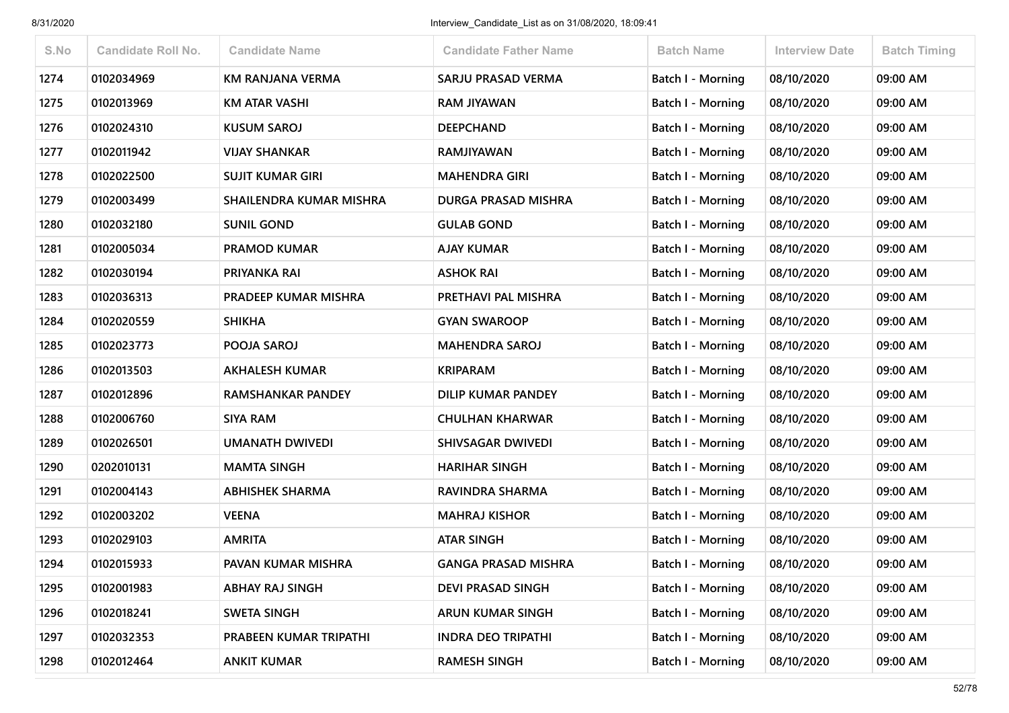| S.No | <b>Candidate Roll No.</b> | <b>Candidate Name</b>    | <b>Candidate Father Name</b> | <b>Batch Name</b>        | <b>Interview Date</b> | <b>Batch Timing</b> |
|------|---------------------------|--------------------------|------------------------------|--------------------------|-----------------------|---------------------|
| 1274 | 0102034969                | KM RANJANA VERMA         | SARJU PRASAD VERMA           | <b>Batch I - Morning</b> | 08/10/2020            | 09:00 AM            |
| 1275 | 0102013969                | <b>KM ATAR VASHI</b>     | <b>RAM JIYAWAN</b>           | Batch I - Morning        | 08/10/2020            | 09:00 AM            |
| 1276 | 0102024310                | <b>KUSUM SAROJ</b>       | <b>DEEPCHAND</b>             | <b>Batch I - Morning</b> | 08/10/2020            | 09:00 AM            |
| 1277 | 0102011942                | <b>VIJAY SHANKAR</b>     | <b>RAMJIYAWAN</b>            | Batch I - Morning        | 08/10/2020            | 09:00 AM            |
| 1278 | 0102022500                | <b>SUJIT KUMAR GIRI</b>  | <b>MAHENDRA GIRI</b>         | Batch I - Morning        | 08/10/2020            | 09:00 AM            |
| 1279 | 0102003499                | SHAILENDRA KUMAR MISHRA  | DURGA PRASAD MISHRA          | <b>Batch I - Morning</b> | 08/10/2020            | 09:00 AM            |
| 1280 | 0102032180                | <b>SUNIL GOND</b>        | <b>GULAB GOND</b>            | Batch I - Morning        | 08/10/2020            | 09:00 AM            |
| 1281 | 0102005034                | <b>PRAMOD KUMAR</b>      | <b>AJAY KUMAR</b>            | Batch I - Morning        | 08/10/2020            | 09:00 AM            |
| 1282 | 0102030194                | PRIYANKA RAI             | <b>ASHOK RAI</b>             | <b>Batch I - Morning</b> | 08/10/2020            | 09:00 AM            |
| 1283 | 0102036313                | PRADEEP KUMAR MISHRA     | PRETHAVI PAL MISHRA          | Batch I - Morning        | 08/10/2020            | 09:00 AM            |
| 1284 | 0102020559                | <b>SHIKHA</b>            | <b>GYAN SWAROOP</b>          | <b>Batch I - Morning</b> | 08/10/2020            | 09:00 AM            |
| 1285 | 0102023773                | POOJA SAROJ              | <b>MAHENDRA SAROJ</b>        | Batch I - Morning        | 08/10/2020            | 09:00 AM            |
| 1286 | 0102013503                | <b>AKHALESH KUMAR</b>    | <b>KRIPARAM</b>              | <b>Batch I - Morning</b> | 08/10/2020            | 09:00 AM            |
| 1287 | 0102012896                | <b>RAMSHANKAR PANDEY</b> | DILIP KUMAR PANDEY           | <b>Batch I - Morning</b> | 08/10/2020            | 09:00 AM            |
| 1288 | 0102006760                | <b>SIYA RAM</b>          | <b>CHULHAN KHARWAR</b>       | Batch I - Morning        | 08/10/2020            | 09:00 AM            |
| 1289 | 0102026501                | <b>UMANATH DWIVEDI</b>   | <b>SHIVSAGAR DWIVEDI</b>     | Batch I - Morning        | 08/10/2020            | 09:00 AM            |
| 1290 | 0202010131                | <b>MAMTA SINGH</b>       | <b>HARIHAR SINGH</b>         | Batch I - Morning        | 08/10/2020            | 09:00 AM            |
| 1291 | 0102004143                | <b>ABHISHEK SHARMA</b>   | RAVINDRA SHARMA              | <b>Batch I - Morning</b> | 08/10/2020            | 09:00 AM            |
| 1292 | 0102003202                | <b>VEENA</b>             | <b>MAHRAJ KISHOR</b>         | <b>Batch I - Morning</b> | 08/10/2020            | 09:00 AM            |
| 1293 | 0102029103                | <b>AMRITA</b>            | <b>ATAR SINGH</b>            | Batch I - Morning        | 08/10/2020            | 09:00 AM            |
| 1294 | 0102015933                | PAVAN KUMAR MISHRA       | <b>GANGA PRASAD MISHRA</b>   | Batch I - Morning        | 08/10/2020            | 09:00 AM            |
| 1295 | 0102001983                | <b>ABHAY RAJ SINGH</b>   | <b>DEVI PRASAD SINGH</b>     | Batch I - Morning        | 08/10/2020            | 09:00 AM            |
| 1296 | 0102018241                | <b>SWETA SINGH</b>       | <b>ARUN KUMAR SINGH</b>      | Batch I - Morning        | 08/10/2020            | 09:00 AM            |
| 1297 | 0102032353                | PRABEEN KUMAR TRIPATHI   | <b>INDRA DEO TRIPATHI</b>    | <b>Batch I - Morning</b> | 08/10/2020            | 09:00 AM            |
| 1298 | 0102012464                | <b>ANKIT KUMAR</b>       | <b>RAMESH SINGH</b>          | <b>Batch I - Morning</b> | 08/10/2020            | 09:00 AM            |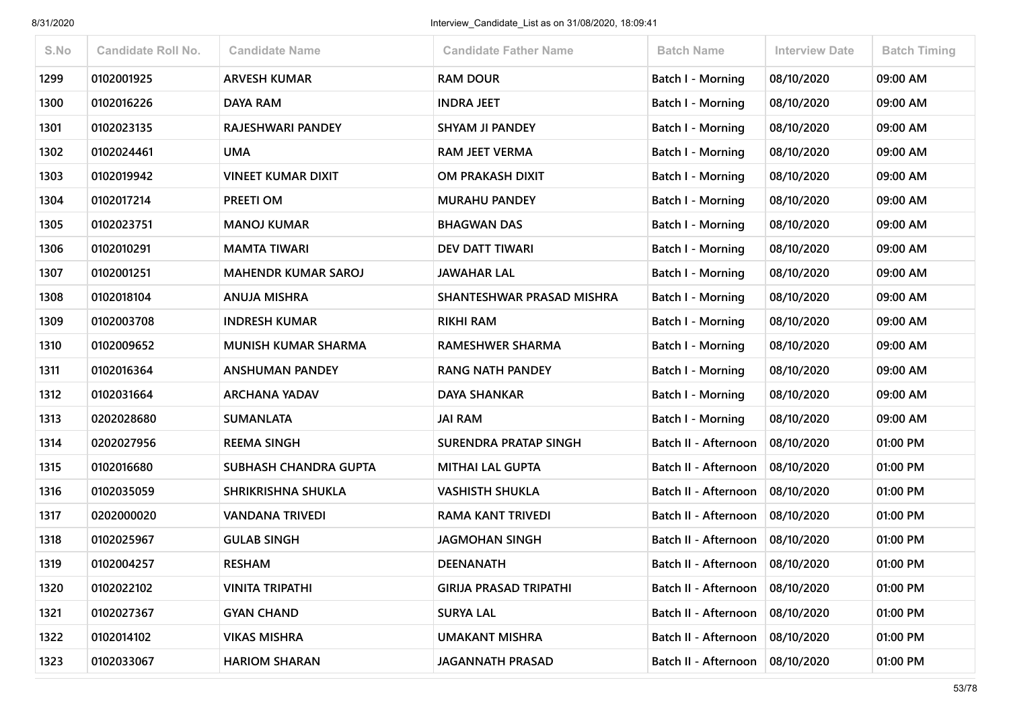| S.No | <b>Candidate Roll No.</b> | <b>Candidate Name</b>      | <b>Candidate Father Name</b>  | <b>Batch Name</b>        | <b>Interview Date</b> | <b>Batch Timing</b> |
|------|---------------------------|----------------------------|-------------------------------|--------------------------|-----------------------|---------------------|
| 1299 | 0102001925                | <b>ARVESH KUMAR</b>        | <b>RAM DOUR</b>               | <b>Batch I - Morning</b> | 08/10/2020            | 09:00 AM            |
| 1300 | 0102016226                | <b>DAYA RAM</b>            | <b>INDRA JEET</b>             | Batch I - Morning        | 08/10/2020            | 09:00 AM            |
| 1301 | 0102023135                | RAJESHWARI PANDEY          | <b>SHYAM JI PANDEY</b>        | Batch I - Morning        | 08/10/2020            | 09:00 AM            |
| 1302 | 0102024461                | <b>UMA</b>                 | <b>RAM JEET VERMA</b>         | <b>Batch I - Morning</b> | 08/10/2020            | 09:00 AM            |
| 1303 | 0102019942                | <b>VINEET KUMAR DIXIT</b>  | OM PRAKASH DIXIT              | Batch I - Morning        | 08/10/2020            | 09:00 AM            |
| 1304 | 0102017214                | PREETI OM                  | <b>MURAHU PANDEY</b>          | <b>Batch I - Morning</b> | 08/10/2020            | 09:00 AM            |
| 1305 | 0102023751                | <b>MANOJ KUMAR</b>         | <b>BHAGWAN DAS</b>            | Batch I - Morning        | 08/10/2020            | 09:00 AM            |
| 1306 | 0102010291                | <b>MAMTA TIWARI</b>        | <b>DEV DATT TIWARI</b>        | <b>Batch I - Morning</b> | 08/10/2020            | 09:00 AM            |
| 1307 | 0102001251                | <b>MAHENDR KUMAR SAROJ</b> | <b>JAWAHAR LAL</b>            | Batch I - Morning        | 08/10/2020            | 09:00 AM            |
| 1308 | 0102018104                | <b>ANUJA MISHRA</b>        | SHANTESHWAR PRASAD MISHRA     | <b>Batch I - Morning</b> | 08/10/2020            | 09:00 AM            |
| 1309 | 0102003708                | <b>INDRESH KUMAR</b>       | <b>RIKHI RAM</b>              | Batch I - Morning        | 08/10/2020            | 09:00 AM            |
| 1310 | 0102009652                | <b>MUNISH KUMAR SHARMA</b> | RAMESHWER SHARMA              | <b>Batch I - Morning</b> | 08/10/2020            | 09:00 AM            |
| 1311 | 0102016364                | <b>ANSHUMAN PANDEY</b>     | <b>RANG NATH PANDEY</b>       | Batch I - Morning        | 08/10/2020            | 09:00 AM            |
| 1312 | 0102031664                | <b>ARCHANA YADAV</b>       | <b>DAYA SHANKAR</b>           | <b>Batch I - Morning</b> | 08/10/2020            | 09:00 AM            |
| 1313 | 0202028680                | <b>SUMANLATA</b>           | <b>JAI RAM</b>                | Batch I - Morning        | 08/10/2020            | 09:00 AM            |
| 1314 | 0202027956                | <b>REEMA SINGH</b>         | SURENDRA PRATAP SINGH         | Batch II - Afternoon     | 08/10/2020            | 01:00 PM            |
| 1315 | 0102016680                | SUBHASH CHANDRA GUPTA      | <b>MITHAI LAL GUPTA</b>       | Batch II - Afternoon     | 08/10/2020            | 01:00 PM            |
| 1316 | 0102035059                | SHRIKRISHNA SHUKLA         | <b>VASHISTH SHUKLA</b>        | Batch II - Afternoon     | 08/10/2020            | 01:00 PM            |
| 1317 | 0202000020                | <b>VANDANA TRIVEDI</b>     | RAMA KANT TRIVEDI             | Batch II - Afternoon     | 08/10/2020            | 01:00 PM            |
| 1318 | 0102025967                | <b>GULAB SINGH</b>         | <b>JAGMOHAN SINGH</b>         | Batch II - Afternoon     | 08/10/2020            | 01:00 PM            |
| 1319 | 0102004257                | <b>RESHAM</b>              | <b>DEENANATH</b>              | Batch II - Afternoon     | 08/10/2020            | 01:00 PM            |
| 1320 | 0102022102                | <b>VINITA TRIPATHI</b>     | <b>GIRIJA PRASAD TRIPATHI</b> | Batch II - Afternoon     | 08/10/2020            | 01:00 PM            |
| 1321 | 0102027367                | <b>GYAN CHAND</b>          | <b>SURYA LAL</b>              | Batch II - Afternoon     | 08/10/2020            | 01:00 PM            |
| 1322 | 0102014102                | <b>VIKAS MISHRA</b>        | <b>UMAKANT MISHRA</b>         | Batch II - Afternoon     | 08/10/2020            | 01:00 PM            |
| 1323 | 0102033067                | <b>HARIOM SHARAN</b>       | <b>JAGANNATH PRASAD</b>       | Batch II - Afternoon     | 08/10/2020            | 01:00 PM            |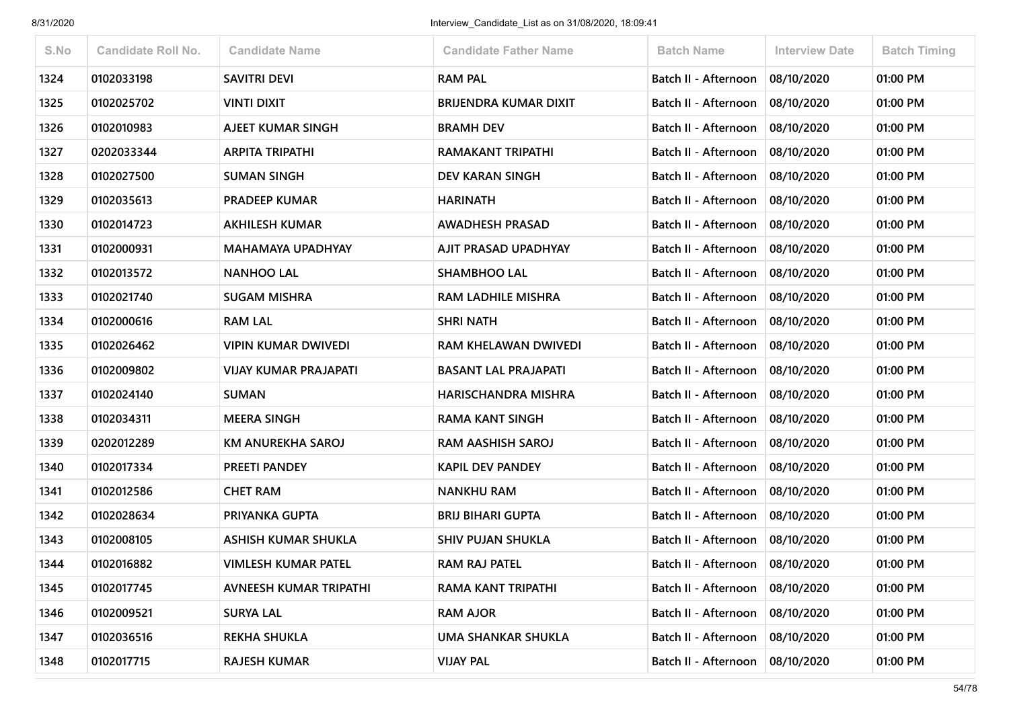| S.No | <b>Candidate Roll No.</b> | <b>Candidate Name</b>      | <b>Candidate Father Name</b> | <b>Batch Name</b>                 | <b>Interview Date</b> | <b>Batch Timing</b> |
|------|---------------------------|----------------------------|------------------------------|-----------------------------------|-----------------------|---------------------|
| 1324 | 0102033198                | <b>SAVITRI DEVI</b>        | <b>RAM PAL</b>               | Batch II - Afternoon              | 08/10/2020            | 01:00 PM            |
| 1325 | 0102025702                | <b>VINTI DIXIT</b>         | <b>BRIJENDRA KUMAR DIXIT</b> | Batch II - Afternoon              | 08/10/2020            | 01:00 PM            |
| 1326 | 0102010983                | AJEET KUMAR SINGH          | <b>BRAMH DEV</b>             | Batch II - Afternoon              | 08/10/2020            | 01:00 PM            |
| 1327 | 0202033344                | <b>ARPITA TRIPATHI</b>     | RAMAKANT TRIPATHI            | Batch II - Afternoon              | 08/10/2020            | 01:00 PM            |
| 1328 | 0102027500                | <b>SUMAN SINGH</b>         | <b>DEV KARAN SINGH</b>       | Batch II - Afternoon              | 08/10/2020            | 01:00 PM            |
| 1329 | 0102035613                | <b>PRADEEP KUMAR</b>       | <b>HARINATH</b>              | Batch II - Afternoon              | 08/10/2020            | 01:00 PM            |
| 1330 | 0102014723                | <b>AKHILESH KUMAR</b>      | <b>AWADHESH PRASAD</b>       | Batch II - Afternoon              | 08/10/2020            | 01:00 PM            |
| 1331 | 0102000931                | <b>MAHAMAYA UPADHYAY</b>   | AJIT PRASAD UPADHYAY         | Batch II - Afternoon              | 08/10/2020            | 01:00 PM            |
| 1332 | 0102013572                | <b>NANHOO LAL</b>          | <b>SHAMBHOO LAL</b>          | Batch II - Afternoon              | 08/10/2020            | 01:00 PM            |
| 1333 | 0102021740                | <b>SUGAM MISHRA</b>        | <b>RAM LADHILE MISHRA</b>    | Batch II - Afternoon              | 08/10/2020            | 01:00 PM            |
| 1334 | 0102000616                | <b>RAM LAL</b>             | <b>SHRI NATH</b>             | Batch II - Afternoon              | 08/10/2020            | 01:00 PM            |
| 1335 | 0102026462                | <b>VIPIN KUMAR DWIVEDI</b> | RAM KHELAWAN DWIVEDI         | Batch II - Afternoon              | 08/10/2020            | 01:00 PM            |
| 1336 | 0102009802                | VIJAY KUMAR PRAJAPATI      | <b>BASANT LAL PRAJAPATI</b>  | Batch II - Afternoon              | 08/10/2020            | 01:00 PM            |
| 1337 | 0102024140                | <b>SUMAN</b>               | <b>HARISCHANDRA MISHRA</b>   | Batch II - Afternoon              | 08/10/2020            | 01:00 PM            |
| 1338 | 0102034311                | <b>MEERA SINGH</b>         | <b>RAMA KANT SINGH</b>       | Batch II - Afternoon              | 08/10/2020            | 01:00 PM            |
| 1339 | 0202012289                | KM ANUREKHA SAROJ          | <b>RAM AASHISH SAROJ</b>     | Batch II - Afternoon              | 08/10/2020            | 01:00 PM            |
| 1340 | 0102017334                | PREETI PANDEY              | <b>KAPIL DEV PANDEY</b>      | Batch II - Afternoon              | 08/10/2020            | 01:00 PM            |
| 1341 | 0102012586                | <b>CHET RAM</b>            | <b>NANKHU RAM</b>            | Batch II - Afternoon              | 08/10/2020            | 01:00 PM            |
| 1342 | 0102028634                | PRIYANKA GUPTA             | <b>BRIJ BIHARI GUPTA</b>     | Batch II - Afternoon              | 08/10/2020            | 01:00 PM            |
| 1343 | 0102008105                | ASHISH KUMAR SHUKLA        | <b>SHIV PUJAN SHUKLA</b>     | Batch II - Afternoon              | 08/10/2020            | 01:00 PM            |
| 1344 | 0102016882                | <b>VIMLESH KUMAR PATEL</b> | RAM RAJ PATEL                | Batch II - Afternoon              | 08/10/2020            | 01:00 PM            |
| 1345 | 0102017745                | AVNEESH KUMAR TRIPATHI     | RAMA KANT TRIPATHI           | Batch II - Afternoon              | 08/10/2020            | 01:00 PM            |
| 1346 | 0102009521                | <b>SURYA LAL</b>           | <b>RAM AJOR</b>              | Batch II - Afternoon              | 08/10/2020            | 01:00 PM            |
| 1347 | 0102036516                | <b>REKHA SHUKLA</b>        | <b>UMA SHANKAR SHUKLA</b>    | Batch II - Afternoon              | 08/10/2020            | 01:00 PM            |
| 1348 | 0102017715                | <b>RAJESH KUMAR</b>        | <b>VIJAY PAL</b>             | Batch II - Afternoon   08/10/2020 |                       | 01:00 PM            |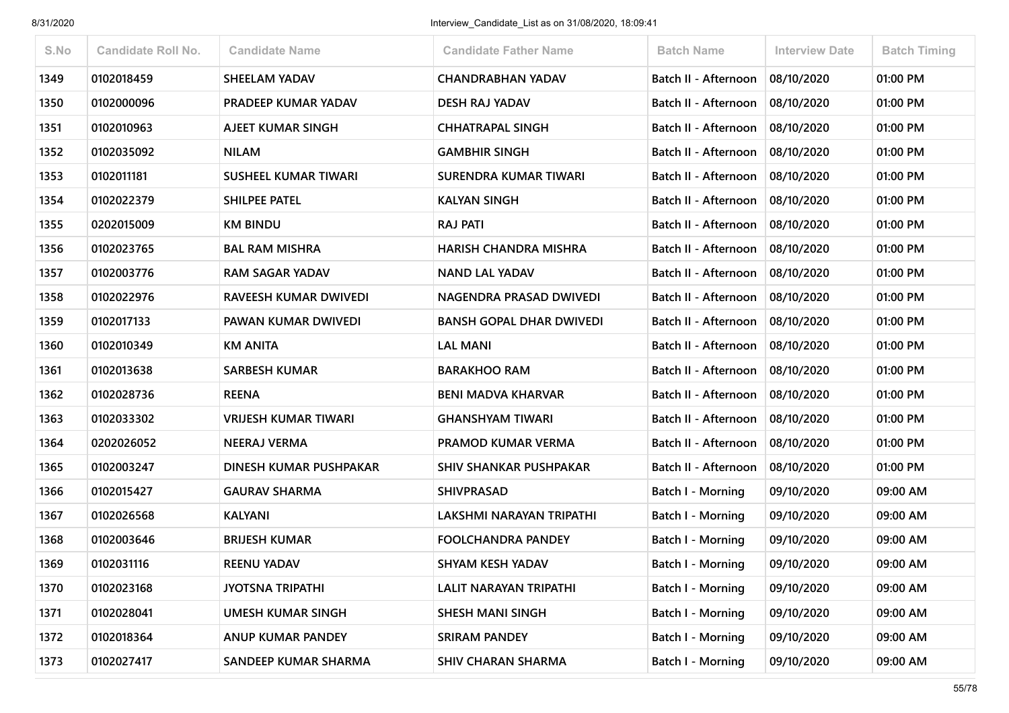| S.No | <b>Candidate Roll No.</b> | <b>Candidate Name</b>       | <b>Candidate Father Name</b>    | <b>Batch Name</b>           | <b>Interview Date</b> | <b>Batch Timing</b> |
|------|---------------------------|-----------------------------|---------------------------------|-----------------------------|-----------------------|---------------------|
| 1349 | 0102018459                | <b>SHEELAM YADAV</b>        | <b>CHANDRABHAN YADAV</b>        | Batch II - Afternoon        | 08/10/2020            | 01:00 PM            |
| 1350 | 0102000096                | PRADEEP KUMAR YADAV         | <b>DESH RAJ YADAV</b>           | Batch II - Afternoon        | 08/10/2020            | 01:00 PM            |
| 1351 | 0102010963                | AJEET KUMAR SINGH           | <b>CHHATRAPAL SINGH</b>         | Batch II - Afternoon        | 08/10/2020            | 01:00 PM            |
| 1352 | 0102035092                | <b>NILAM</b>                | <b>GAMBHIR SINGH</b>            | Batch II - Afternoon        | 08/10/2020            | 01:00 PM            |
| 1353 | 0102011181                | <b>SUSHEEL KUMAR TIWARI</b> | <b>SURENDRA KUMAR TIWARI</b>    | <b>Batch II - Afternoon</b> | 08/10/2020            | 01:00 PM            |
| 1354 | 0102022379                | SHILPEE PATEL               | <b>KALYAN SINGH</b>             | Batch II - Afternoon        | 08/10/2020            | 01:00 PM            |
| 1355 | 0202015009                | <b>KM BINDU</b>             | <b>RAJ PATI</b>                 | Batch II - Afternoon        | 08/10/2020            | 01:00 PM            |
| 1356 | 0102023765                | <b>BAL RAM MISHRA</b>       | HARISH CHANDRA MISHRA           | Batch II - Afternoon        | 08/10/2020            | 01:00 PM            |
| 1357 | 0102003776                | <b>RAM SAGAR YADAV</b>      | <b>NAND LAL YADAV</b>           | Batch II - Afternoon        | 08/10/2020            | 01:00 PM            |
| 1358 | 0102022976                | RAVEESH KUMAR DWIVEDI       | NAGENDRA PRASAD DWIVEDI         | Batch II - Afternoon        | 08/10/2020            | 01:00 PM            |
| 1359 | 0102017133                | PAWAN KUMAR DWIVEDI         | <b>BANSH GOPAL DHAR DWIVEDI</b> | Batch II - Afternoon        | 08/10/2020            | 01:00 PM            |
| 1360 | 0102010349                | <b>KM ANITA</b>             | <b>LAL MANI</b>                 | Batch II - Afternoon        | 08/10/2020            | 01:00 PM            |
| 1361 | 0102013638                | <b>SARBESH KUMAR</b>        | <b>BARAKHOO RAM</b>             | Batch II - Afternoon        | 08/10/2020            | 01:00 PM            |
| 1362 | 0102028736                | <b>REENA</b>                | <b>BENI MADVA KHARVAR</b>       | Batch II - Afternoon        | 08/10/2020            | 01:00 PM            |
| 1363 | 0102033302                | <b>VRIJESH KUMAR TIWARI</b> | <b>GHANSHYAM TIWARI</b>         | Batch II - Afternoon        | 08/10/2020            | 01:00 PM            |
| 1364 | 0202026052                | <b>NEERAJ VERMA</b>         | PRAMOD KUMAR VERMA              | Batch II - Afternoon        | 08/10/2020            | 01:00 PM            |
| 1365 | 0102003247                | DINESH KUMAR PUSHPAKAR      | <b>SHIV SHANKAR PUSHPAKAR</b>   | Batch II - Afternoon        | 08/10/2020            | 01:00 PM            |
| 1366 | 0102015427                | <b>GAURAV SHARMA</b>        | <b>SHIVPRASAD</b>               | Batch I - Morning           | 09/10/2020            | 09:00 AM            |
| 1367 | 0102026568                | <b>KALYANI</b>              | LAKSHMI NARAYAN TRIPATHI        | Batch I - Morning           | 09/10/2020            | 09:00 AM            |
| 1368 | 0102003646                | <b>BRIJESH KUMAR</b>        | <b>FOOLCHANDRA PANDEY</b>       | <b>Batch I - Morning</b>    | 09/10/2020            | 09:00 AM            |
| 1369 | 0102031116                | <b>REENU YADAV</b>          | <b>SHYAM KESH YADAV</b>         | <b>Batch I - Morning</b>    | 09/10/2020            | 09:00 AM            |
| 1370 | 0102023168                | <b>JYOTSNA TRIPATHI</b>     | LALIT NARAYAN TRIPATHI          | Batch I - Morning           | 09/10/2020            | 09:00 AM            |
| 1371 | 0102028041                | <b>UMESH KUMAR SINGH</b>    | <b>SHESH MANI SINGH</b>         | <b>Batch I - Morning</b>    | 09/10/2020            | 09:00 AM            |
| 1372 | 0102018364                | <b>ANUP KUMAR PANDEY</b>    | <b>SRIRAM PANDEY</b>            | <b>Batch I - Morning</b>    | 09/10/2020            | 09:00 AM            |
| 1373 | 0102027417                | SANDEEP KUMAR SHARMA        | <b>SHIV CHARAN SHARMA</b>       | <b>Batch I - Morning</b>    | 09/10/2020            | 09:00 AM            |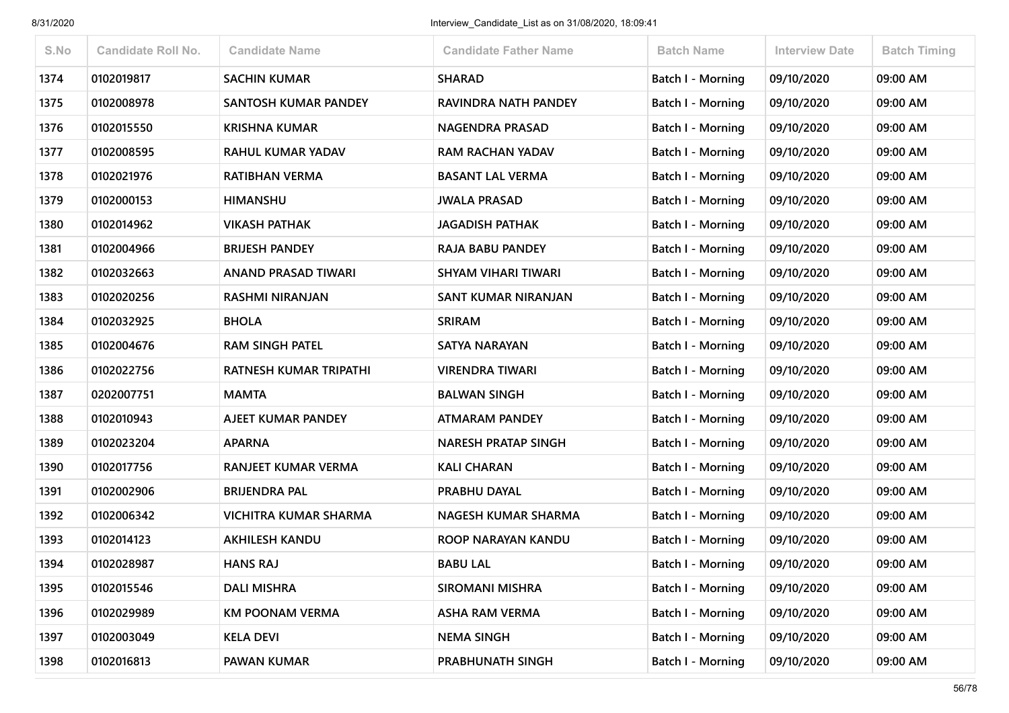| S.No | <b>Candidate Roll No.</b> | <b>Candidate Name</b>         | <b>Candidate Father Name</b> | <b>Batch Name</b>        | <b>Interview Date</b> | <b>Batch Timing</b> |
|------|---------------------------|-------------------------------|------------------------------|--------------------------|-----------------------|---------------------|
| 1374 | 0102019817                | <b>SACHIN KUMAR</b>           | <b>SHARAD</b>                | <b>Batch I - Morning</b> | 09/10/2020            | 09:00 AM            |
| 1375 | 0102008978                | SANTOSH KUMAR PANDEY          | RAVINDRA NATH PANDEY         | Batch I - Morning        | 09/10/2020            | 09:00 AM            |
| 1376 | 0102015550                | <b>KRISHNA KUMAR</b>          | <b>NAGENDRA PRASAD</b>       | <b>Batch I - Morning</b> | 09/10/2020            | 09:00 AM            |
| 1377 | 0102008595                | RAHUL KUMAR YADAV             | <b>RAM RACHAN YADAV</b>      | Batch I - Morning        | 09/10/2020            | 09:00 AM            |
| 1378 | 0102021976                | <b>RATIBHAN VERMA</b>         | <b>BASANT LAL VERMA</b>      | Batch I - Morning        | 09/10/2020            | 09:00 AM            |
| 1379 | 0102000153                | <b>HIMANSHU</b>               | <b>JWALA PRASAD</b>          | <b>Batch I - Morning</b> | 09/10/2020            | 09:00 AM            |
| 1380 | 0102014962                | <b>VIKASH PATHAK</b>          | <b>JAGADISH PATHAK</b>       | Batch I - Morning        | 09/10/2020            | 09:00 AM            |
| 1381 | 0102004966                | <b>BRIJESH PANDEY</b>         | RAJA BABU PANDEY             | Batch I - Morning        | 09/10/2020            | 09:00 AM            |
| 1382 | 0102032663                | <b>ANAND PRASAD TIWARI</b>    | <b>SHYAM VIHARI TIWARI</b>   | Batch I - Morning        | 09/10/2020            | 09:00 AM            |
| 1383 | 0102020256                | <b>RASHMI NIRANJAN</b>        | SANT KUMAR NIRANJAN          | Batch I - Morning        | 09/10/2020            | 09:00 AM            |
| 1384 | 0102032925                | <b>BHOLA</b>                  | <b>SRIRAM</b>                | Batch I - Morning        | 09/10/2020            | 09:00 AM            |
| 1385 | 0102004676                | <b>RAM SINGH PATEL</b>        | <b>SATYA NARAYAN</b>         | Batch I - Morning        | 09/10/2020            | 09:00 AM            |
| 1386 | 0102022756                | <b>RATNESH KUMAR TRIPATHI</b> | <b>VIRENDRA TIWARI</b>       | Batch I - Morning        | 09/10/2020            | 09:00 AM            |
| 1387 | 0202007751                | <b>MAMTA</b>                  | <b>BALWAN SINGH</b>          | Batch I - Morning        | 09/10/2020            | 09:00 AM            |
| 1388 | 0102010943                | AJEET KUMAR PANDEY            | <b>ATMARAM PANDEY</b>        | Batch I - Morning        | 09/10/2020            | 09:00 AM            |
| 1389 | 0102023204                | <b>APARNA</b>                 | <b>NARESH PRATAP SINGH</b>   | <b>Batch I - Morning</b> | 09/10/2020            | 09:00 AM            |
| 1390 | 0102017756                | <b>RANJEET KUMAR VERMA</b>    | <b>KALI CHARAN</b>           | Batch I - Morning        | 09/10/2020            | 09:00 AM            |
| 1391 | 0102002906                | <b>BRIJENDRA PAL</b>          | PRABHU DAYAL                 | Batch I - Morning        | 09/10/2020            | 09:00 AM            |
| 1392 | 0102006342                | <b>VICHITRA KUMAR SHARMA</b>  | <b>NAGESH KUMAR SHARMA</b>   | <b>Batch I - Morning</b> | 09/10/2020            | 09:00 AM            |
| 1393 | 0102014123                | <b>AKHILESH KANDU</b>         | ROOP NARAYAN KANDU           | Batch I - Morning        | 09/10/2020            | 09:00 AM            |
| 1394 | 0102028987                | <b>HANS RAJ</b>               | <b>BABU LAL</b>              | Batch I - Morning        | 09/10/2020            | 09:00 AM            |
| 1395 | 0102015546                | <b>DALI MISHRA</b>            | <b>SIROMANI MISHRA</b>       | Batch I - Morning        | 09/10/2020            | 09:00 AM            |
| 1396 | 0102029989                | <b>KM POONAM VERMA</b>        | <b>ASHA RAM VERMA</b>        | Batch I - Morning        | 09/10/2020            | 09:00 AM            |
| 1397 | 0102003049                | <b>KELA DEVI</b>              | <b>NEMA SINGH</b>            | Batch I - Morning        | 09/10/2020            | 09:00 AM            |
| 1398 | 0102016813                | PAWAN KUMAR                   | PRABHUNATH SINGH             | Batch I - Morning        | 09/10/2020            | 09:00 AM            |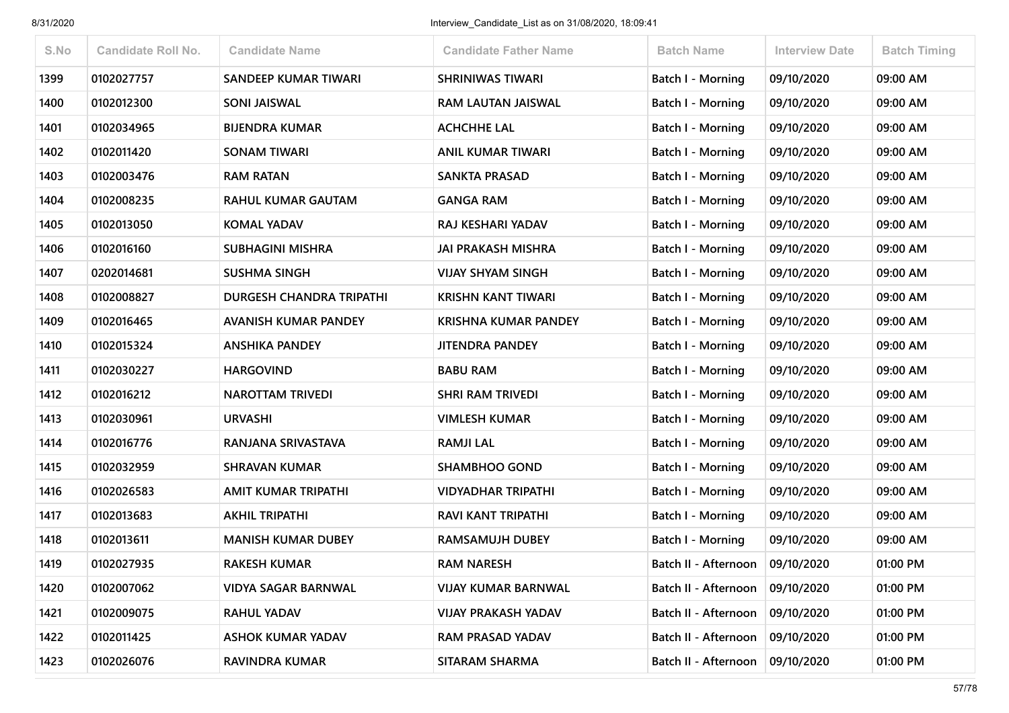| S.No | <b>Candidate Roll No.</b> | <b>Candidate Name</b>           | <b>Candidate Father Name</b> | <b>Batch Name</b>        | <b>Interview Date</b> | <b>Batch Timing</b> |
|------|---------------------------|---------------------------------|------------------------------|--------------------------|-----------------------|---------------------|
| 1399 | 0102027757                | <b>SANDEEP KUMAR TIWARI</b>     | <b>SHRINIWAS TIWARI</b>      | <b>Batch I - Morning</b> | 09/10/2020            | 09:00 AM            |
| 1400 | 0102012300                | <b>SONI JAISWAL</b>             | RAM LAUTAN JAISWAL           | Batch I - Morning        | 09/10/2020            | 09:00 AM            |
| 1401 | 0102034965                | <b>BIJENDRA KUMAR</b>           | <b>ACHCHHE LAL</b>           | <b>Batch I - Morning</b> | 09/10/2020            | 09:00 AM            |
| 1402 | 0102011420                | <b>SONAM TIWARI</b>             | <b>ANIL KUMAR TIWARI</b>     | Batch I - Morning        | 09/10/2020            | 09:00 AM            |
| 1403 | 0102003476                | <b>RAM RATAN</b>                | <b>SANKTA PRASAD</b>         | Batch I - Morning        | 09/10/2020            | 09:00 AM            |
| 1404 | 0102008235                | <b>RAHUL KUMAR GAUTAM</b>       | <b>GANGA RAM</b>             | Batch I - Morning        | 09/10/2020            | 09:00 AM            |
| 1405 | 0102013050                | <b>KOMAL YADAV</b>              | RAJ KESHARI YADAV            | <b>Batch I - Morning</b> | 09/10/2020            | 09:00 AM            |
| 1406 | 0102016160                | <b>SUBHAGINI MISHRA</b>         | JAI PRAKASH MISHRA           | Batch I - Morning        | 09/10/2020            | 09:00 AM            |
| 1407 | 0202014681                | <b>SUSHMA SINGH</b>             | <b>VIJAY SHYAM SINGH</b>     | Batch I - Morning        | 09/10/2020            | 09:00 AM            |
| 1408 | 0102008827                | <b>DURGESH CHANDRA TRIPATHI</b> | <b>KRISHN KANT TIWARI</b>    | Batch I - Morning        | 09/10/2020            | 09:00 AM            |
| 1409 | 0102016465                | <b>AVANISH KUMAR PANDEY</b>     | <b>KRISHNA KUMAR PANDEY</b>  | Batch I - Morning        | 09/10/2020            | 09:00 AM            |
| 1410 | 0102015324                | <b>ANSHIKA PANDEY</b>           | <b>JITENDRA PANDEY</b>       | <b>Batch I - Morning</b> | 09/10/2020            | 09:00 AM            |
| 1411 | 0102030227                | <b>HARGOVIND</b>                | <b>BABU RAM</b>              | Batch I - Morning        | 09/10/2020            | 09:00 AM            |
| 1412 | 0102016212                | <b>NAROTTAM TRIVEDI</b>         | <b>SHRI RAM TRIVEDI</b>      | <b>Batch I - Morning</b> | 09/10/2020            | 09:00 AM            |
| 1413 | 0102030961                | <b>URVASHI</b>                  | <b>VIMLESH KUMAR</b>         | Batch I - Morning        | 09/10/2020            | 09:00 AM            |
| 1414 | 0102016776                | RANJANA SRIVASTAVA              | <b>RAMJI LAL</b>             | Batch I - Morning        | 09/10/2020            | 09:00 AM            |
| 1415 | 0102032959                | <b>SHRAVAN KUMAR</b>            | <b>SHAMBHOO GOND</b>         | Batch I - Morning        | 09/10/2020            | 09:00 AM            |
| 1416 | 0102026583                | AMIT KUMAR TRIPATHI             | <b>VIDYADHAR TRIPATHI</b>    | Batch I - Morning        | 09/10/2020            | 09:00 AM            |
| 1417 | 0102013683                | <b>AKHIL TRIPATHI</b>           | RAVI KANT TRIPATHI           | Batch I - Morning        | 09/10/2020            | 09:00 AM            |
| 1418 | 0102013611                | <b>MANISH KUMAR DUBEY</b>       | <b>RAMSAMUJH DUBEY</b>       | Batch I - Morning        | 09/10/2020            | 09:00 AM            |
| 1419 | 0102027935                | <b>RAKESH KUMAR</b>             | <b>RAM NARESH</b>            | Batch II - Afternoon     | 09/10/2020            | 01:00 PM            |
| 1420 | 0102007062                | <b>VIDYA SAGAR BARNWAL</b>      | <b>VIJAY KUMAR BARNWAL</b>   | Batch II - Afternoon     | 09/10/2020            | 01:00 PM            |
| 1421 | 0102009075                | <b>RAHUL YADAV</b>              | <b>VIJAY PRAKASH YADAV</b>   | Batch II - Afternoon     | 09/10/2020            | 01:00 PM            |
| 1422 | 0102011425                | <b>ASHOK KUMAR YADAV</b>        | RAM PRASAD YADAV             | Batch II - Afternoon     | 09/10/2020            | 01:00 PM            |
| 1423 | 0102026076                | RAVINDRA KUMAR                  | SITARAM SHARMA               | Batch II - Afternoon     | 09/10/2020            | 01:00 PM            |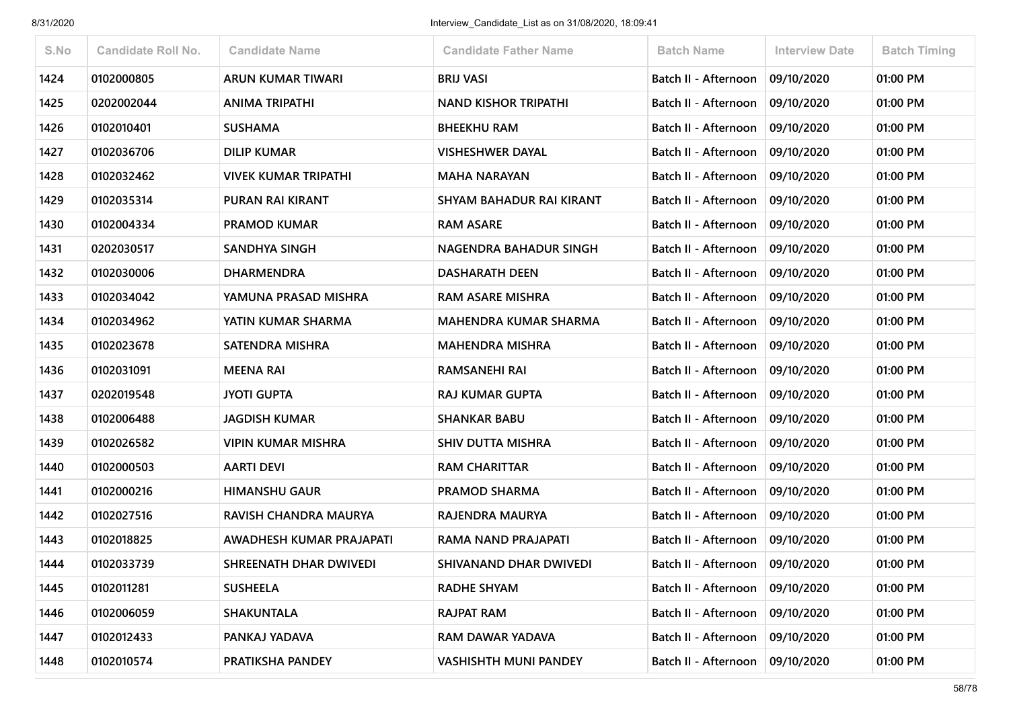| S.No | <b>Candidate Roll No.</b> | <b>Candidate Name</b>        | <b>Candidate Father Name</b>    | <b>Batch Name</b>                 | Interview Date | <b>Batch Timing</b> |
|------|---------------------------|------------------------------|---------------------------------|-----------------------------------|----------------|---------------------|
|      |                           |                              |                                 |                                   |                |                     |
| 1424 | 0102000805                | ARUN KUMAR TIWARI            | <b>BRIJ VASI</b>                | Batch II - Afternoon              | 09/10/2020     | 01:00 PM            |
| 1425 | 0202002044                | <b>ANIMA TRIPATHI</b>        | <b>NAND KISHOR TRIPATHI</b>     | Batch II - Afternoon              | 09/10/2020     | 01:00 PM            |
| 1426 | 0102010401                | <b>SUSHAMA</b>               | <b>BHEEKHU RAM</b>              | Batch II - Afternoon              | 09/10/2020     | 01:00 PM            |
| 1427 | 0102036706                | <b>DILIP KUMAR</b>           | <b>VISHESHWER DAYAL</b>         | Batch II - Afternoon              | 09/10/2020     | 01:00 PM            |
| 1428 | 0102032462                | <b>VIVEK KUMAR TRIPATHI</b>  | <b>MAHA NARAYAN</b>             | <b>Batch II - Afternoon</b>       | 09/10/2020     | 01:00 PM            |
| 1429 | 0102035314                | <b>PURAN RAI KIRANT</b>      | <b>SHYAM BAHADUR RAI KIRANT</b> | Batch II - Afternoon              | 09/10/2020     | 01:00 PM            |
| 1430 | 0102004334                | <b>PRAMOD KUMAR</b>          | <b>RAM ASARE</b>                | Batch II - Afternoon              | 09/10/2020     | 01:00 PM            |
| 1431 | 0202030517                | <b>SANDHYA SINGH</b>         | NAGENDRA BAHADUR SINGH          | Batch II - Afternoon              | 09/10/2020     | 01:00 PM            |
| 1432 | 0102030006                | <b>DHARMENDRA</b>            | <b>DASHARATH DEEN</b>           | Batch II - Afternoon              | 09/10/2020     | 01:00 PM            |
| 1433 | 0102034042                | YAMUNA PRASAD MISHRA         | <b>RAM ASARE MISHRA</b>         | Batch II - Afternoon              | 09/10/2020     | 01:00 PM            |
| 1434 | 0102034962                | YATIN KUMAR SHARMA           | <b>MAHENDRA KUMAR SHARMA</b>    | Batch II - Afternoon              | 09/10/2020     | 01:00 PM            |
| 1435 | 0102023678                | <b>SATENDRA MISHRA</b>       | <b>MAHENDRA MISHRA</b>          | Batch II - Afternoon              | 09/10/2020     | 01:00 PM            |
| 1436 | 0102031091                | <b>MEENA RAI</b>             | RAMSANEHI RAI                   | Batch II - Afternoon              | 09/10/2020     | 01:00 PM            |
| 1437 | 0202019548                | <b>JYOTI GUPTA</b>           | <b>RAJ KUMAR GUPTA</b>          | Batch II - Afternoon              | 09/10/2020     | 01:00 PM            |
| 1438 | 0102006488                | <b>JAGDISH KUMAR</b>         | <b>SHANKAR BABU</b>             | Batch II - Afternoon              | 09/10/2020     | 01:00 PM            |
| 1439 | 0102026582                | VIPIN KUMAR MISHRA           | SHIV DUTTA MISHRA               | Batch II - Afternoon              | 09/10/2020     | 01:00 PM            |
| 1440 | 0102000503                | <b>AARTI DEVI</b>            | <b>RAM CHARITTAR</b>            | Batch II - Afternoon              | 09/10/2020     | 01:00 PM            |
| 1441 | 0102000216                | <b>HIMANSHU GAUR</b>         | <b>PRAMOD SHARMA</b>            | Batch II - Afternoon              | 09/10/2020     | 01:00 PM            |
| 1442 | 0102027516                | <b>RAVISH CHANDRA MAURYA</b> | RAJENDRA MAURYA                 | Batch II - Afternoon              | 09/10/2020     | 01:00 PM            |
| 1443 | 0102018825                | AWADHESH KUMAR PRAJAPATI     | RAMA NAND PRAJAPATI             | Batch II - Afternoon              | 09/10/2020     | 01:00 PM            |
| 1444 | 0102033739                | SHREENATH DHAR DWIVEDI       | SHIVANAND DHAR DWIVEDI          | Batch II - Afternoon              | 09/10/2020     | 01:00 PM            |
| 1445 | 0102011281                | <b>SUSHEELA</b>              | <b>RADHE SHYAM</b>              | Batch II - Afternoon              | 09/10/2020     | 01:00 PM            |
| 1446 | 0102006059                | <b>SHAKUNTALA</b>            | RAJPAT RAM                      | Batch II - Afternoon   09/10/2020 |                | 01:00 PM            |
| 1447 | 0102012433                | PANKAJ YADAVA                | RAM DAWAR YADAVA                | Batch II - Afternoon              | 09/10/2020     | 01:00 PM            |
| 1448 | 0102010574                | PRATIKSHA PANDEY             | <b>VASHISHTH MUNI PANDEY</b>    | Batch II - Afternoon              | 09/10/2020     | 01:00 PM            |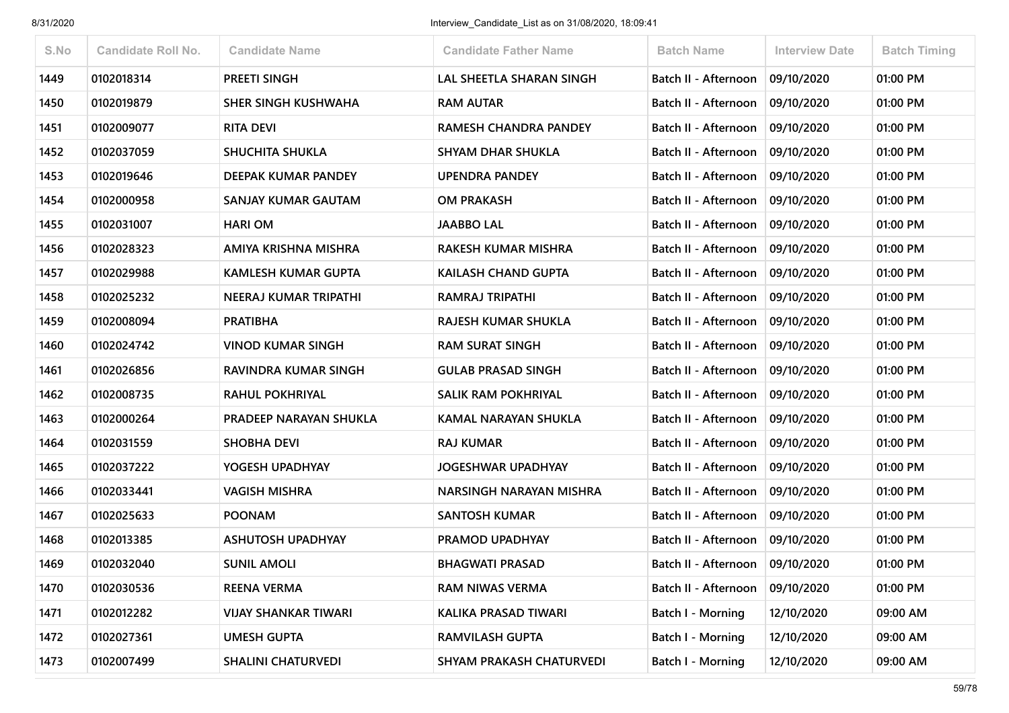| S.No | <b>Candidate Roll No.</b> | <b>Candidate Name</b>       | <b>Candidate Father Name</b> | <b>Batch Name</b>        | <b>Interview Date</b> | <b>Batch Timing</b> |
|------|---------------------------|-----------------------------|------------------------------|--------------------------|-----------------------|---------------------|
| 1449 | 0102018314                | <b>PREETI SINGH</b>         | LAL SHEETLA SHARAN SINGH     | Batch II - Afternoon     | 09/10/2020            | 01:00 PM            |
| 1450 | 0102019879                | SHER SINGH KUSHWAHA         | <b>RAM AUTAR</b>             | Batch II - Afternoon     | 09/10/2020            | 01:00 PM            |
| 1451 | 0102009077                | <b>RITA DEVI</b>            | RAMESH CHANDRA PANDEY        | Batch II - Afternoon     | 09/10/2020            | 01:00 PM            |
| 1452 | 0102037059                | <b>SHUCHITA SHUKLA</b>      | <b>SHYAM DHAR SHUKLA</b>     | Batch II - Afternoon     | 09/10/2020            | 01:00 PM            |
| 1453 | 0102019646                | <b>DEEPAK KUMAR PANDEY</b>  | <b>UPENDRA PANDEY</b>        | Batch II - Afternoon     | 09/10/2020            | 01:00 PM            |
| 1454 | 0102000958                | SANJAY KUMAR GAUTAM         | <b>OM PRAKASH</b>            | Batch II - Afternoon     | 09/10/2020            | 01:00 PM            |
| 1455 | 0102031007                | <b>HARI OM</b>              | <b>JAABBO LAL</b>            | Batch II - Afternoon     | 09/10/2020            | 01:00 PM            |
| 1456 | 0102028323                | AMIYA KRISHNA MISHRA        | <b>RAKESH KUMAR MISHRA</b>   | Batch II - Afternoon     | 09/10/2020            | 01:00 PM            |
| 1457 | 0102029988                | <b>KAMLESH KUMAR GUPTA</b>  | <b>KAILASH CHAND GUPTA</b>   | Batch II - Afternoon     | 09/10/2020            | 01:00 PM            |
| 1458 | 0102025232                | NEERAJ KUMAR TRIPATHI       | <b>RAMRAJ TRIPATHI</b>       | Batch II - Afternoon     | 09/10/2020            | 01:00 PM            |
| 1459 | 0102008094                | <b>PRATIBHA</b>             | RAJESH KUMAR SHUKLA          | Batch II - Afternoon     | 09/10/2020            | 01:00 PM            |
| 1460 | 0102024742                | <b>VINOD KUMAR SINGH</b>    | <b>RAM SURAT SINGH</b>       | Batch II - Afternoon     | 09/10/2020            | 01:00 PM            |
| 1461 | 0102026856                | RAVINDRA KUMAR SINGH        | <b>GULAB PRASAD SINGH</b>    | Batch II - Afternoon     | 09/10/2020            | 01:00 PM            |
| 1462 | 0102008735                | <b>RAHUL POKHRIYAL</b>      | <b>SALIK RAM POKHRIYAL</b>   | Batch II - Afternoon     | 09/10/2020            | 01:00 PM            |
| 1463 | 0102000264                | PRADEEP NARAYAN SHUKLA      | <b>KAMAL NARAYAN SHUKLA</b>  | Batch II - Afternoon     | 09/10/2020            | 01:00 PM            |
| 1464 | 0102031559                | <b>SHOBHA DEVI</b>          | <b>RAJ KUMAR</b>             | Batch II - Afternoon     | 09/10/2020            | 01:00 PM            |
| 1465 | 0102037222                | YOGESH UPADHYAY             | <b>JOGESHWAR UPADHYAY</b>    | Batch II - Afternoon     | 09/10/2020            | 01:00 PM            |
| 1466 | 0102033441                | <b>VAGISH MISHRA</b>        | NARSINGH NARAYAN MISHRA      | Batch II - Afternoon     | 09/10/2020            | 01:00 PM            |
| 1467 | 0102025633                | <b>POONAM</b>               | <b>SANTOSH KUMAR</b>         | Batch II - Afternoon     | 09/10/2020            | 01:00 PM            |
| 1468 | 0102013385                | <b>ASHUTOSH UPADHYAY</b>    | PRAMOD UPADHYAY              | Batch II - Afternoon     | 09/10/2020            | 01:00 PM            |
| 1469 | 0102032040                | <b>SUNIL AMOLI</b>          | <b>BHAGWATI PRASAD</b>       | Batch II - Afternoon     | 09/10/2020            | 01:00 PM            |
| 1470 | 0102030536                | <b>REENA VERMA</b>          | <b>RAM NIWAS VERMA</b>       | Batch II - Afternoon     | 09/10/2020            | 01:00 PM            |
| 1471 | 0102012282                | <b>VIJAY SHANKAR TIWARI</b> | KALIKA PRASAD TIWARI         | <b>Batch I - Morning</b> | 12/10/2020            | 09:00 AM            |
| 1472 | 0102027361                | <b>UMESH GUPTA</b>          | <b>RAMVILASH GUPTA</b>       | <b>Batch I - Morning</b> | 12/10/2020            | 09:00 AM            |
| 1473 | 0102007499                | <b>SHALINI CHATURVEDI</b>   | SHYAM PRAKASH CHATURVEDI     | <b>Batch I - Morning</b> | 12/10/2020            | 09:00 AM            |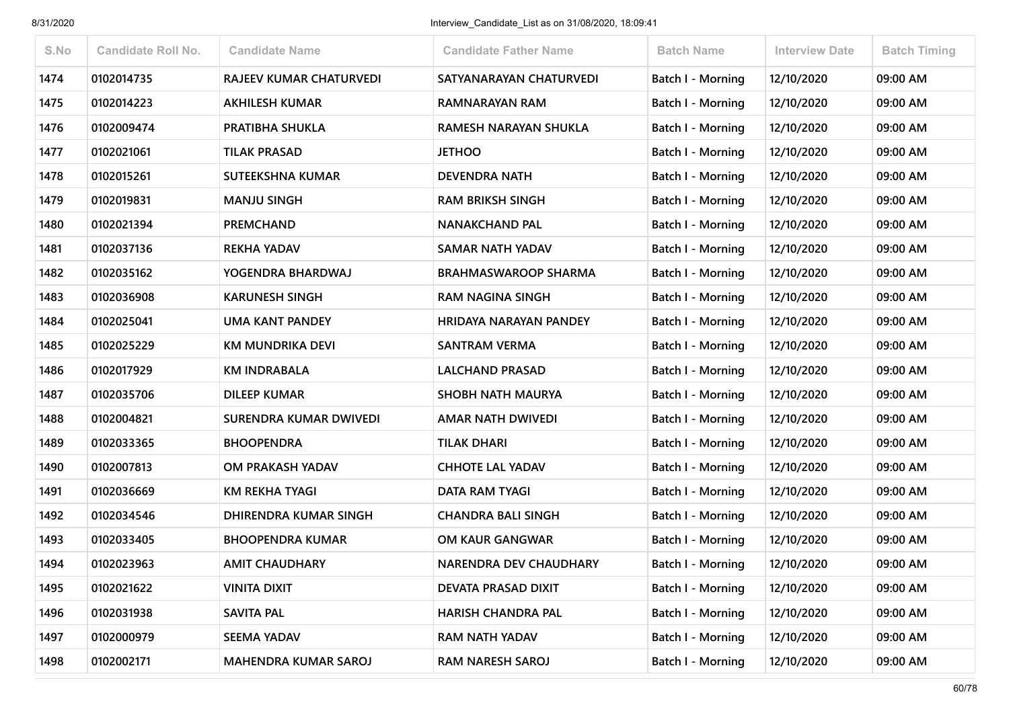| S.No | <b>Candidate Roll No.</b> | <b>Candidate Name</b>          | <b>Candidate Father Name</b>  | <b>Batch Name</b>        | <b>Interview Date</b> | <b>Batch Timing</b> |
|------|---------------------------|--------------------------------|-------------------------------|--------------------------|-----------------------|---------------------|
| 1474 | 0102014735                | <b>RAJEEV KUMAR CHATURVEDI</b> | SATYANARAYAN CHATURVEDI       | <b>Batch I - Morning</b> | 12/10/2020            | 09:00 AM            |
| 1475 | 0102014223                | <b>AKHILESH KUMAR</b>          | RAMNARAYAN RAM                | <b>Batch I - Morning</b> | 12/10/2020            | 09:00 AM            |
| 1476 | 0102009474                | PRATIBHA SHUKLA                | RAMESH NARAYAN SHUKLA         | <b>Batch I - Morning</b> | 12/10/2020            | 09:00 AM            |
| 1477 | 0102021061                | <b>TILAK PRASAD</b>            | <b>JETHOO</b>                 | Batch I - Morning        | 12/10/2020            | 09:00 AM            |
| 1478 | 0102015261                | SUTEEKSHNA KUMAR               | <b>DEVENDRA NATH</b>          | Batch I - Morning        | 12/10/2020            | 09:00 AM            |
| 1479 | 0102019831                | <b>MANJU SINGH</b>             | <b>RAM BRIKSH SINGH</b>       | <b>Batch I - Morning</b> | 12/10/2020            | 09:00 AM            |
| 1480 | 0102021394                | <b>PREMCHAND</b>               | <b>NANAKCHAND PAL</b>         | Batch I - Morning        | 12/10/2020            | 09:00 AM            |
| 1481 | 0102037136                | <b>REKHA YADAV</b>             | <b>SAMAR NATH YADAV</b>       | Batch I - Morning        | 12/10/2020            | 09:00 AM            |
| 1482 | 0102035162                | YOGENDRA BHARDWAJ              | <b>BRAHMASWAROOP SHARMA</b>   | <b>Batch I - Morning</b> | 12/10/2020            | 09:00 AM            |
| 1483 | 0102036908                | <b>KARUNESH SINGH</b>          | <b>RAM NAGINA SINGH</b>       | Batch I - Morning        | 12/10/2020            | 09:00 AM            |
| 1484 | 0102025041                | <b>UMA KANT PANDEY</b>         | HRIDAYA NARAYAN PANDEY        | <b>Batch I - Morning</b> | 12/10/2020            | 09:00 AM            |
| 1485 | 0102025229                | KM MUNDRIKA DEVI               | <b>SANTRAM VERMA</b>          | <b>Batch I - Morning</b> | 12/10/2020            | 09:00 AM            |
| 1486 | 0102017929                | <b>KM INDRABALA</b>            | <b>LALCHAND PRASAD</b>        | Batch I - Morning        | 12/10/2020            | 09:00 AM            |
| 1487 | 0102035706                | <b>DILEEP KUMAR</b>            | <b>SHOBH NATH MAURYA</b>      | Batch I - Morning        | 12/10/2020            | 09:00 AM            |
| 1488 | 0102004821                | SURENDRA KUMAR DWIVEDI         | AMAR NATH DWIVEDI             | Batch I - Morning        | 12/10/2020            | 09:00 AM            |
| 1489 | 0102033365                | <b>BHOOPENDRA</b>              | <b>TILAK DHARI</b>            | <b>Batch I - Morning</b> | 12/10/2020            | 09:00 AM            |
| 1490 | 0102007813                | OM PRAKASH YADAV               | <b>CHHOTE LAL YADAV</b>       | Batch I - Morning        | 12/10/2020            | 09:00 AM            |
| 1491 | 0102036669                | <b>KM REKHA TYAGI</b>          | <b>DATA RAM TYAGI</b>         | Batch I - Morning        | 12/10/2020            | 09:00 AM            |
| 1492 | 0102034546                | <b>DHIRENDRA KUMAR SINGH</b>   | <b>CHANDRA BALI SINGH</b>     | <b>Batch I - Morning</b> | 12/10/2020            | 09:00 AM            |
| 1493 | 0102033405                | <b>BHOOPENDRA KUMAR</b>        | OM KAUR GANGWAR               | Batch I - Morning        | 12/10/2020            | 09:00 AM            |
| 1494 | 0102023963                | <b>AMIT CHAUDHARY</b>          | <b>NARENDRA DEV CHAUDHARY</b> | Batch I - Morning        | 12/10/2020            | 09:00 AM            |
| 1495 | 0102021622                | <b>VINITA DIXIT</b>            | <b>DEVATA PRASAD DIXIT</b>    | <b>Batch I - Morning</b> | 12/10/2020            | 09:00 AM            |
| 1496 | 0102031938                | SAVITA PAL                     | HARISH CHANDRA PAL            | <b>Batch I - Morning</b> | 12/10/2020            | 09:00 AM            |
| 1497 | 0102000979                | <b>SEEMA YADAV</b>             | <b>RAM NATH YADAV</b>         | <b>Batch I - Morning</b> | 12/10/2020            | 09:00 AM            |
| 1498 | 0102002171                | <b>MAHENDRA KUMAR SAROJ</b>    | <b>RAM NARESH SAROJ</b>       | <b>Batch I - Morning</b> | 12/10/2020            | 09:00 AM            |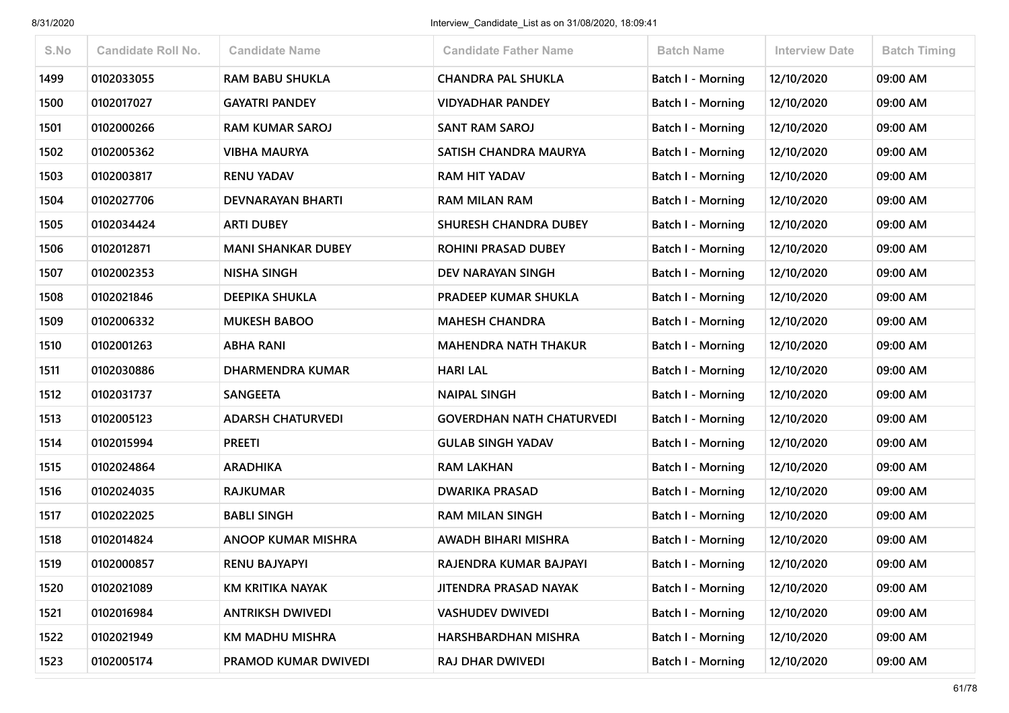| S.No | <b>Candidate Roll No.</b> | <b>Candidate Name</b>     | <b>Candidate Father Name</b>     | <b>Batch Name</b>        | Interview Date | <b>Batch Timing</b> |
|------|---------------------------|---------------------------|----------------------------------|--------------------------|----------------|---------------------|
| 1499 | 0102033055                | <b>RAM BABU SHUKLA</b>    | <b>CHANDRA PAL SHUKLA</b>        | <b>Batch I - Morning</b> | 12/10/2020     | 09:00 AM            |
| 1500 | 0102017027                | <b>GAYATRI PANDEY</b>     | VIDYADHAR PANDEY                 | Batch I - Morning        | 12/10/2020     | 09:00 AM            |
| 1501 | 0102000266                | <b>RAM KUMAR SAROJ</b>    | <b>SANT RAM SAROJ</b>            | <b>Batch I - Morning</b> | 12/10/2020     | 09:00 AM            |
| 1502 | 0102005362                | <b>VIBHA MAURYA</b>       | SATISH CHANDRA MAURYA            | Batch I - Morning        | 12/10/2020     | 09:00 AM            |
| 1503 | 0102003817                | <b>RENU YADAV</b>         | <b>RAM HIT YADAV</b>             | <b>Batch I - Morning</b> | 12/10/2020     | 09:00 AM            |
| 1504 | 0102027706                | <b>DEVNARAYAN BHARTI</b>  | <b>RAM MILAN RAM</b>             | <b>Batch I - Morning</b> | 12/10/2020     | 09:00 AM            |
| 1505 | 0102034424                | <b>ARTI DUBEY</b>         | <b>SHURESH CHANDRA DUBEY</b>     | Batch I - Morning        | 12/10/2020     | 09:00 AM            |
| 1506 | 0102012871                | <b>MANI SHANKAR DUBEY</b> | <b>ROHINI PRASAD DUBEY</b>       | Batch I - Morning        | 12/10/2020     | 09:00 AM            |
| 1507 | 0102002353                | <b>NISHA SINGH</b>        | DEV NARAYAN SINGH                | Batch I - Morning        | 12/10/2020     | 09:00 AM            |
| 1508 | 0102021846                | <b>DEEPIKA SHUKLA</b>     | <b>PRADEEP KUMAR SHUKLA</b>      | Batch I - Morning        | 12/10/2020     | 09:00 AM            |
| 1509 | 0102006332                | <b>MUKESH BABOO</b>       | <b>MAHESH CHANDRA</b>            | Batch I - Morning        | 12/10/2020     | 09:00 AM            |
| 1510 | 0102001263                | <b>ABHA RANI</b>          | <b>MAHENDRA NATH THAKUR</b>      | <b>Batch I - Morning</b> | 12/10/2020     | 09:00 AM            |
| 1511 | 0102030886                | DHARMENDRA KUMAR          | <b>HARI LAL</b>                  | Batch I - Morning        | 12/10/2020     | 09:00 AM            |
| 1512 | 0102031737                | <b>SANGEETA</b>           | <b>NAIPAL SINGH</b>              | <b>Batch I - Morning</b> | 12/10/2020     | 09:00 AM            |
| 1513 | 0102005123                | <b>ADARSH CHATURVEDI</b>  | <b>GOVERDHAN NATH CHATURVEDI</b> | Batch I - Morning        | 12/10/2020     | 09:00 AM            |
| 1514 | 0102015994                | <b>PREETI</b>             | <b>GULAB SINGH YADAV</b>         | <b>Batch I - Morning</b> | 12/10/2020     | 09:00 AM            |
| 1515 | 0102024864                | <b>ARADHIKA</b>           | <b>RAM LAKHAN</b>                | Batch I - Morning        | 12/10/2020     | 09:00 AM            |
| 1516 | 0102024035                | <b>RAJKUMAR</b>           | <b>DWARIKA PRASAD</b>            | Batch I - Morning        | 12/10/2020     | 09:00 AM            |
| 1517 | 0102022025                | <b>BABLI SINGH</b>        | <b>RAM MILAN SINGH</b>           | <b>Batch I - Morning</b> | 12/10/2020     | 09:00 AM            |
| 1518 | 0102014824                | <b>ANOOP KUMAR MISHRA</b> | AWADH BIHARI MISHRA              | Batch I - Morning        | 12/10/2020     | 09:00 AM            |
| 1519 | 0102000857                | <b>RENU BAJYAPYI</b>      | RAJENDRA KUMAR BAJPAYI           | Batch I - Morning        | 12/10/2020     | 09:00 AM            |
| 1520 | 0102021089                | KM KRITIKA NAYAK          | JITENDRA PRASAD NAYAK            | Batch I - Morning        | 12/10/2020     | 09:00 AM            |
| 1521 | 0102016984                | <b>ANTRIKSH DWIVEDI</b>   | <b>VASHUDEV DWIVEDI</b>          | Batch I - Morning        | 12/10/2020     | 09:00 AM            |
| 1522 | 0102021949                | KM MADHU MISHRA           | HARSHBARDHAN MISHRA              | <b>Batch I - Morning</b> | 12/10/2020     | 09:00 AM            |
| 1523 | 0102005174                | PRAMOD KUMAR DWIVEDI      | <b>RAJ DHAR DWIVEDI</b>          | <b>Batch I - Morning</b> | 12/10/2020     | 09:00 AM            |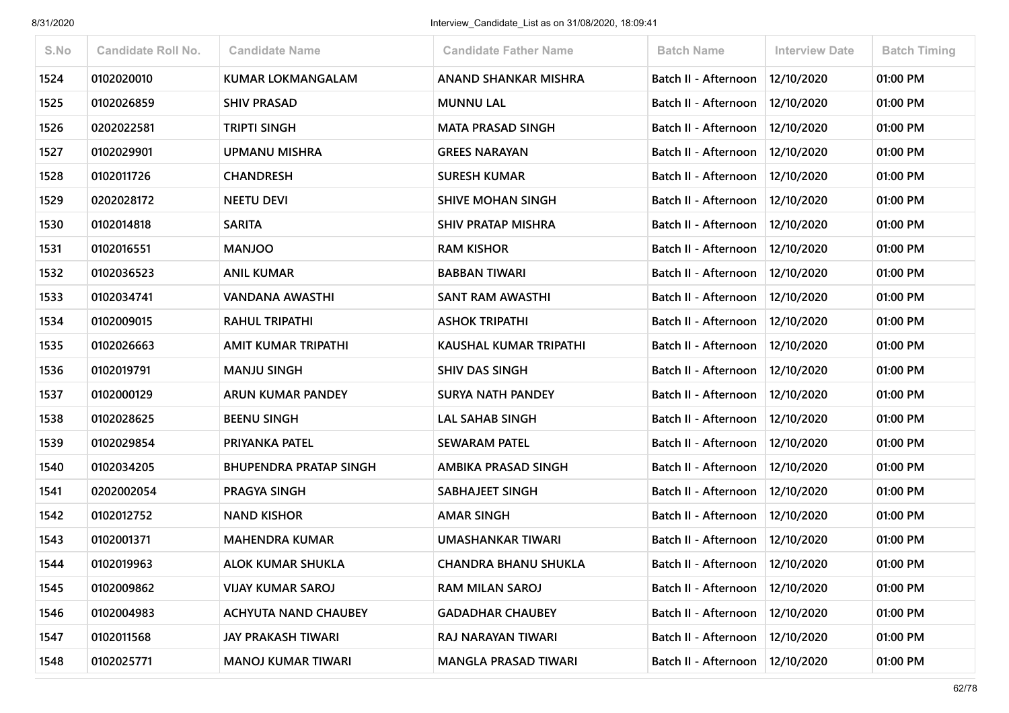| S.No | <b>Candidate Roll No.</b> | <b>Candidate Name</b>         | <b>Candidate Father Name</b> | <b>Batch Name</b>                 | <b>Interview Date</b> | <b>Batch Timing</b> |
|------|---------------------------|-------------------------------|------------------------------|-----------------------------------|-----------------------|---------------------|
| 1524 | 0102020010                | <b>KUMAR LOKMANGALAM</b>      | ANAND SHANKAR MISHRA         | Batch II - Afternoon              | 12/10/2020            | 01:00 PM            |
| 1525 | 0102026859                | <b>SHIV PRASAD</b>            | <b>MUNNU LAL</b>             | Batch II - Afternoon              | 12/10/2020            | 01:00 PM            |
| 1526 | 0202022581                | <b>TRIPTI SINGH</b>           | <b>MATA PRASAD SINGH</b>     | Batch II - Afternoon              | 12/10/2020            | 01:00 PM            |
| 1527 | 0102029901                | UPMANU MISHRA                 | <b>GREES NARAYAN</b>         | Batch II - Afternoon              | 12/10/2020            | 01:00 PM            |
| 1528 | 0102011726                | <b>CHANDRESH</b>              | <b>SURESH KUMAR</b>          | Batch II - Afternoon              | 12/10/2020            | 01:00 PM            |
| 1529 | 0202028172                | <b>NEETU DEVI</b>             | <b>SHIVE MOHAN SINGH</b>     | Batch II - Afternoon              | 12/10/2020            | 01:00 PM            |
| 1530 | 0102014818                | <b>SARITA</b>                 | <b>SHIV PRATAP MISHRA</b>    | Batch II - Afternoon              | 12/10/2020            | 01:00 PM            |
| 1531 | 0102016551                | <b>MANJOO</b>                 | <b>RAM KISHOR</b>            | Batch II - Afternoon              | 12/10/2020            | 01:00 PM            |
| 1532 | 0102036523                | <b>ANIL KUMAR</b>             | <b>BABBAN TIWARI</b>         | Batch II - Afternoon   12/10/2020 |                       | 01:00 PM            |
| 1533 | 0102034741                | VANDANA AWASTHI               | <b>SANT RAM AWASTHI</b>      | Batch II - Afternoon              | 12/10/2020            | 01:00 PM            |
| 1534 | 0102009015                | <b>RAHUL TRIPATHI</b>         | <b>ASHOK TRIPATHI</b>        | Batch II - Afternoon              | 12/10/2020            | 01:00 PM            |
| 1535 | 0102026663                | AMIT KUMAR TRIPATHI           | KAUSHAL KUMAR TRIPATHI       | Batch II - Afternoon              | 12/10/2020            | 01:00 PM            |
| 1536 | 0102019791                | <b>MANJU SINGH</b>            | <b>SHIV DAS SINGH</b>        | Batch II - Afternoon              | 12/10/2020            | 01:00 PM            |
| 1537 | 0102000129                | ARUN KUMAR PANDEY             | <b>SURYA NATH PANDEY</b>     | Batch II - Afternoon              | 12/10/2020            | 01:00 PM            |
| 1538 | 0102028625                | <b>BEENU SINGH</b>            | <b>LAL SAHAB SINGH</b>       | Batch II - Afternoon              | 12/10/2020            | 01:00 PM            |
| 1539 | 0102029854                | PRIYANKA PATEL                | <b>SEWARAM PATEL</b>         | Batch II - Afternoon              | 12/10/2020            | 01:00 PM            |
| 1540 | 0102034205                | <b>BHUPENDRA PRATAP SINGH</b> | AMBIKA PRASAD SINGH          | Batch II - Afternoon              | 12/10/2020            | 01:00 PM            |
| 1541 | 0202002054                | PRAGYA SINGH                  | <b>SABHAJEET SINGH</b>       | Batch II - Afternoon              | 12/10/2020            | 01:00 PM            |
| 1542 | 0102012752                | <b>NAND KISHOR</b>            | <b>AMAR SINGH</b>            | Batch II - Afternoon              | 12/10/2020            | 01:00 PM            |
| 1543 | 0102001371                | <b>MAHENDRA KUMAR</b>         | UMASHANKAR TIWARI            | Batch II - Afternoon   12/10/2020 |                       | 01:00 PM            |
| 1544 | 0102019963                | <b>ALOK KUMAR SHUKLA</b>      | <b>CHANDRA BHANU SHUKLA</b>  | Batch II - Afternoon   12/10/2020 |                       | 01:00 PM            |
| 1545 | 0102009862                | <b>VIJAY KUMAR SAROJ</b>      | <b>RAM MILAN SAROJ</b>       | Batch II - Afternoon              | 12/10/2020            | 01:00 PM            |
| 1546 | 0102004983                | <b>ACHYUTA NAND CHAUBEY</b>   | <b>GADADHAR CHAUBEY</b>      | Batch II - Afternoon              | 12/10/2020            | 01:00 PM            |
| 1547 | 0102011568                | <b>JAY PRAKASH TIWARI</b>     | RAJ NARAYAN TIWARI           | Batch II - Afternoon              | 12/10/2020            | 01:00 PM            |
| 1548 | 0102025771                | <b>MANOJ KUMAR TIWARI</b>     | <b>MANGLA PRASAD TIWARI</b>  | Batch II - Afternoon              | 12/10/2020            | 01:00 PM            |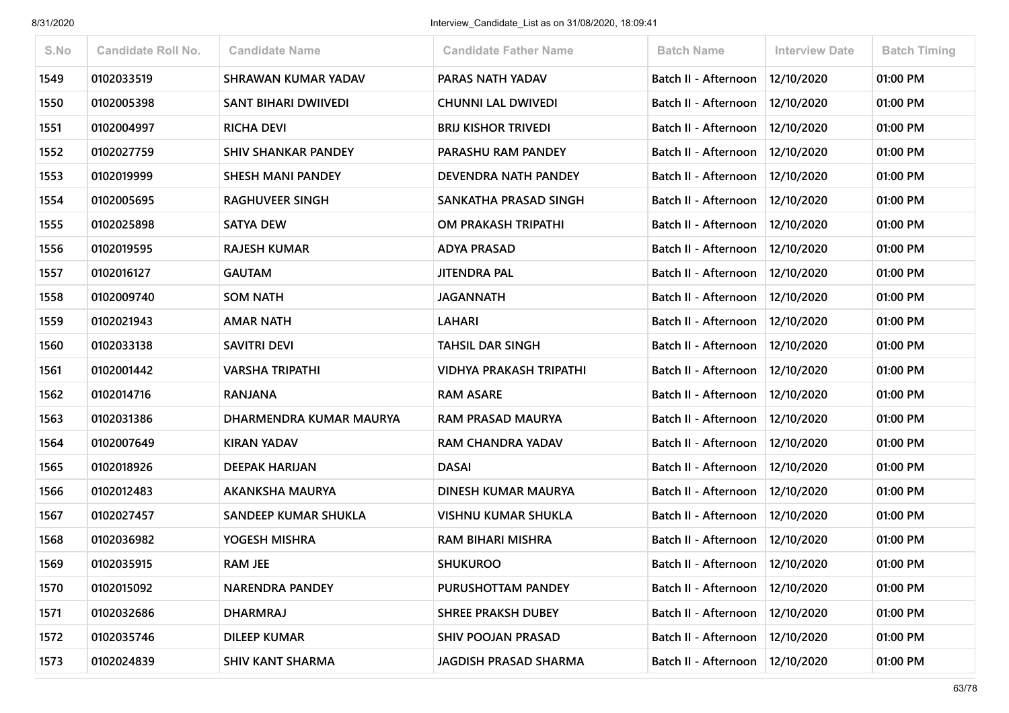| S.No | <b>Candidate Roll No.</b> | <b>Candidate Name</b>      | <b>Candidate Father Name</b> | <b>Batch Name</b>                 | <b>Interview Date</b> | <b>Batch Timing</b> |
|------|---------------------------|----------------------------|------------------------------|-----------------------------------|-----------------------|---------------------|
| 1549 | 0102033519                | <b>SHRAWAN KUMAR YADAV</b> | PARAS NATH YADAV             | Batch II - Afternoon              | 12/10/2020            | 01:00 PM            |
| 1550 | 0102005398                | SANT BIHARI DWIIVEDI       | <b>CHUNNI LAL DWIVEDI</b>    | Batch II - Afternoon              | 12/10/2020            | 01:00 PM            |
| 1551 | 0102004997                | <b>RICHA DEVI</b>          | <b>BRIJ KISHOR TRIVEDI</b>   | Batch II - Afternoon              | 12/10/2020            | 01:00 PM            |
| 1552 | 0102027759                | <b>SHIV SHANKAR PANDEY</b> | PARASHU RAM PANDEY           | Batch II - Afternoon              | 12/10/2020            | 01:00 PM            |
| 1553 | 0102019999                | <b>SHESH MANI PANDEY</b>   | DEVENDRA NATH PANDEY         | Batch II - Afternoon              | 12/10/2020            | 01:00 PM            |
| 1554 | 0102005695                | <b>RAGHUVEER SINGH</b>     | SANKATHA PRASAD SINGH        | Batch II - Afternoon              | 12/10/2020            | 01:00 PM            |
| 1555 | 0102025898                | <b>SATYA DEW</b>           | OM PRAKASH TRIPATHI          | Batch II - Afternoon              | 12/10/2020            | 01:00 PM            |
| 1556 | 0102019595                | <b>RAJESH KUMAR</b>        | <b>ADYA PRASAD</b>           | Batch II - Afternoon              | 12/10/2020            | 01:00 PM            |
| 1557 | 0102016127                | <b>GAUTAM</b>              | JITENDRA PAL                 | Batch II - Afternoon              | 12/10/2020            | 01:00 PM            |
| 1558 | 0102009740                | <b>SOM NATH</b>            | <b>JAGANNATH</b>             | Batch II - Afternoon              | 12/10/2020            | 01:00 PM            |
| 1559 | 0102021943                | <b>AMAR NATH</b>           | <b>LAHARI</b>                | Batch II - Afternoon              | 12/10/2020            | 01:00 PM            |
| 1560 | 0102033138                | SAVITRI DEVI               | <b>TAHSIL DAR SINGH</b>      | Batch II - Afternoon              | 12/10/2020            | 01:00 PM            |
| 1561 | 0102001442                | <b>VARSHA TRIPATHI</b>     | VIDHYA PRAKASH TRIPATHI      | Batch II - Afternoon              | 12/10/2020            | 01:00 PM            |
| 1562 | 0102014716                | <b>RANJANA</b>             | <b>RAM ASARE</b>             | Batch II - Afternoon              | 12/10/2020            | 01:00 PM            |
| 1563 | 0102031386                | DHARMENDRA KUMAR MAURYA    | <b>RAM PRASAD MAURYA</b>     | Batch II - Afternoon              | 12/10/2020            | 01:00 PM            |
| 1564 | 0102007649                | <b>KIRAN YADAV</b>         | <b>RAM CHANDRA YADAV</b>     | Batch II - Afternoon              | 12/10/2020            | 01:00 PM            |
| 1565 | 0102018926                | <b>DEEPAK HARIJAN</b>      | <b>DASAI</b>                 | Batch II - Afternoon              | 12/10/2020            | 01:00 PM            |
| 1566 | 0102012483                | AKANKSHA MAURYA            | DINESH KUMAR MAURYA          | Batch II - Afternoon              | 12/10/2020            | 01:00 PM            |
| 1567 | 0102027457                | SANDEEP KUMAR SHUKLA       | <b>VISHNU KUMAR SHUKLA</b>   | Batch II - Afternoon              | 12/10/2020            | 01:00 PM            |
| 1568 | 0102036982                | YOGESH MISHRA              | <b>RAM BIHARI MISHRA</b>     | Batch II - Afternoon              | 12/10/2020            | 01:00 PM            |
| 1569 | 0102035915                | <b>RAM JEE</b>             | <b>SHUKUROO</b>              | Batch II - Afternoon   12/10/2020 |                       | 01:00 PM            |
| 1570 | 0102015092                | <b>NARENDRA PANDEY</b>     | PURUSHOTTAM PANDEY           | Batch II - Afternoon              | 12/10/2020            | 01:00 PM            |
| 1571 | 0102032686                | <b>DHARMRAJ</b>            | <b>SHREE PRAKSH DUBEY</b>    | Batch II - Afternoon              | 12/10/2020            | 01:00 PM            |
| 1572 | 0102035746                | <b>DILEEP KUMAR</b>        | <b>SHIV POOJAN PRASAD</b>    | Batch II - Afternoon              | 12/10/2020            | 01:00 PM            |
| 1573 | 0102024839                | <b>SHIV KANT SHARMA</b>    | <b>JAGDISH PRASAD SHARMA</b> | Batch II - Afternoon              | 12/10/2020            | 01:00 PM            |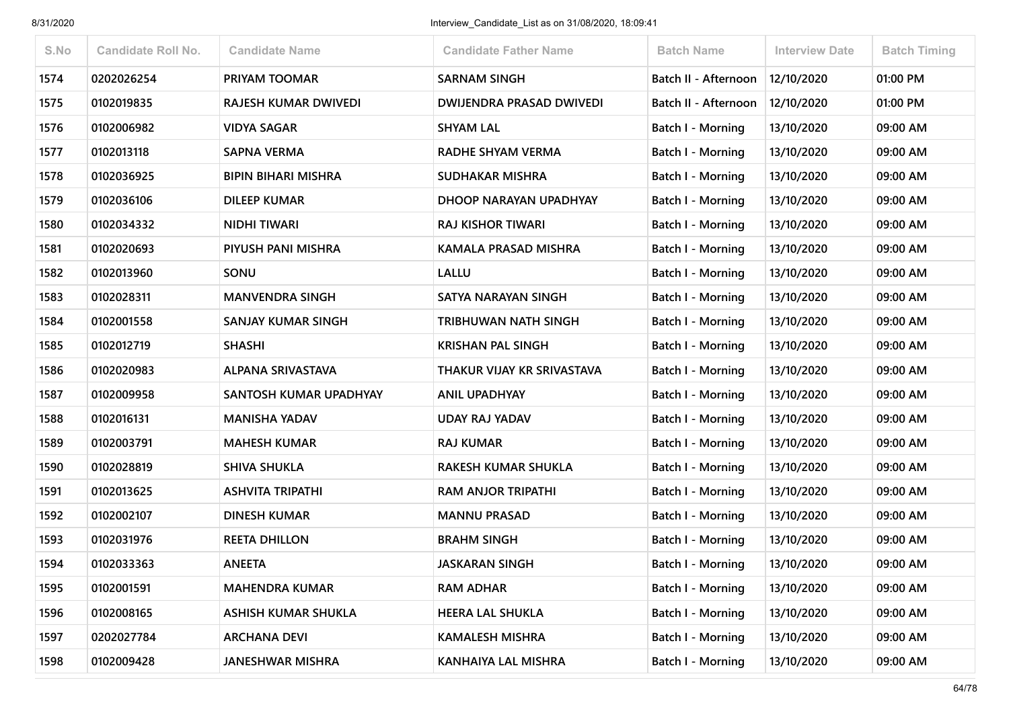| S.No | <b>Candidate Roll No.</b> | <b>Candidate Name</b>      | <b>Candidate Father Name</b>    | <b>Batch Name</b>           | <b>Interview Date</b> | <b>Batch Timing</b> |
|------|---------------------------|----------------------------|---------------------------------|-----------------------------|-----------------------|---------------------|
| 1574 | 0202026254                | PRIYAM TOOMAR              | <b>SARNAM SINGH</b>             | <b>Batch II - Afternoon</b> | 12/10/2020            | 01:00 PM            |
| 1575 | 0102019835                | RAJESH KUMAR DWIVEDI       | <b>DWIJENDRA PRASAD DWIVEDI</b> | <b>Batch II - Afternoon</b> | 12/10/2020            | 01:00 PM            |
| 1576 | 0102006982                | <b>VIDYA SAGAR</b>         | <b>SHYAM LAL</b>                | <b>Batch I - Morning</b>    | 13/10/2020            | 09:00 AM            |
| 1577 | 0102013118                | <b>SAPNA VERMA</b>         | RADHE SHYAM VERMA               | Batch I - Morning           | 13/10/2020            | 09:00 AM            |
| 1578 | 0102036925                | <b>BIPIN BIHARI MISHRA</b> | <b>SUDHAKAR MISHRA</b>          | Batch I - Morning           | 13/10/2020            | 09:00 AM            |
| 1579 | 0102036106                | <b>DILEEP KUMAR</b>        | DHOOP NARAYAN UPADHYAY          | Batch I - Morning           | 13/10/2020            | 09:00 AM            |
| 1580 | 0102034332                | <b>NIDHI TIWARI</b>        | <b>RAJ KISHOR TIWARI</b>        | Batch I - Morning           | 13/10/2020            | 09:00 AM            |
| 1581 | 0102020693                | PIYUSH PANI MISHRA         | <b>KAMALA PRASAD MISHRA</b>     | Batch I - Morning           | 13/10/2020            | 09:00 AM            |
| 1582 | 0102013960                | SONU                       | <b>LALLU</b>                    | <b>Batch I - Morning</b>    | 13/10/2020            | 09:00 AM            |
| 1583 | 0102028311                | <b>MANVENDRA SINGH</b>     | SATYA NARAYAN SINGH             | Batch I - Morning           | 13/10/2020            | 09:00 AM            |
| 1584 | 0102001558                | SANJAY KUMAR SINGH         | TRIBHUWAN NATH SINGH            | Batch I - Morning           | 13/10/2020            | 09:00 AM            |
| 1585 | 0102012719                | <b>SHASHI</b>              | <b>KRISHAN PAL SINGH</b>        | <b>Batch I - Morning</b>    | 13/10/2020            | 09:00 AM            |
| 1586 | 0102020983                | ALPANA SRIVASTAVA          | THAKUR VIJAY KR SRIVASTAVA      | Batch I - Morning           | 13/10/2020            | 09:00 AM            |
| 1587 | 0102009958                | SANTOSH KUMAR UPADHYAY     | <b>ANIL UPADHYAY</b>            | Batch I - Morning           | 13/10/2020            | 09:00 AM            |
| 1588 | 0102016131                | <b>MANISHA YADAV</b>       | <b>UDAY RAJ YADAV</b>           | <b>Batch I - Morning</b>    | 13/10/2020            | 09:00 AM            |
| 1589 | 0102003791                | <b>MAHESH KUMAR</b>        | <b>RAJ KUMAR</b>                | Batch I - Morning           | 13/10/2020            | 09:00 AM            |
| 1590 | 0102028819                | <b>SHIVA SHUKLA</b>        | <b>RAKESH KUMAR SHUKLA</b>      | Batch I - Morning           | 13/10/2020            | 09:00 AM            |
| 1591 | 0102013625                | <b>ASHVITA TRIPATHI</b>    | <b>RAM ANJOR TRIPATHI</b>       | Batch I - Morning           | 13/10/2020            | 09:00 AM            |
| 1592 | 0102002107                | <b>DINESH KUMAR</b>        | <b>MANNU PRASAD</b>             | <b>Batch I - Morning</b>    | 13/10/2020            | 09:00 AM            |
| 1593 | 0102031976                | <b>REETA DHILLON</b>       | <b>BRAHM SINGH</b>              | Batch I - Morning           | 13/10/2020            | 09:00 AM            |
| 1594 | 0102033363                | <b>ANEETA</b>              | <b>JASKARAN SINGH</b>           | Batch I - Morning           | 13/10/2020            | 09:00 AM            |
| 1595 | 0102001591                | <b>MAHENDRA KUMAR</b>      | <b>RAM ADHAR</b>                | Batch I - Morning           | 13/10/2020            | 09:00 AM            |
| 1596 | 0102008165                | ASHISH KUMAR SHUKLA        | <b>HEERA LAL SHUKLA</b>         | Batch I - Morning           | 13/10/2020            | 09:00 AM            |
| 1597 | 0202027784                | <b>ARCHANA DEVI</b>        | <b>KAMALESH MISHRA</b>          | <b>Batch I - Morning</b>    | 13/10/2020            | 09:00 AM            |
| 1598 | 0102009428                | <b>JANESHWAR MISHRA</b>    | KANHAIYA LAL MISHRA             | Batch I - Morning           | 13/10/2020            | 09:00 AM            |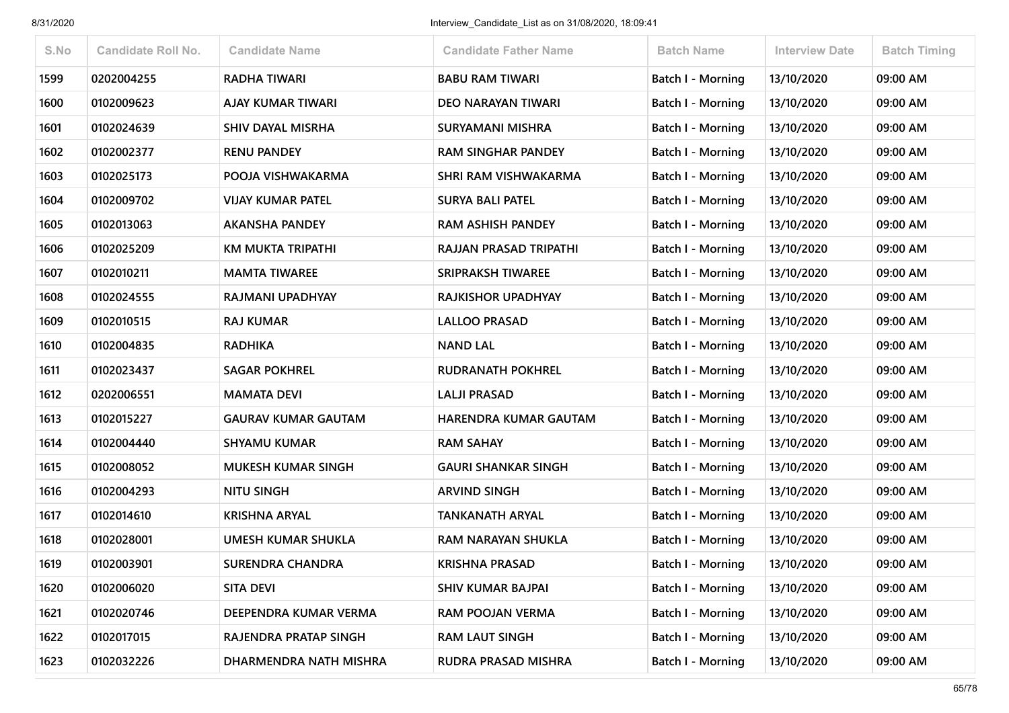| S.No | <b>Candidate Roll No.</b> | <b>Candidate Name</b>      | <b>Candidate Father Name</b> | <b>Batch Name</b>        | <b>Interview Date</b> | <b>Batch Timing</b> |
|------|---------------------------|----------------------------|------------------------------|--------------------------|-----------------------|---------------------|
| 1599 | 0202004255                | <b>RADHA TIWARI</b>        | <b>BABU RAM TIWARI</b>       | Batch I - Morning        | 13/10/2020            | 09:00 AM            |
| 1600 | 0102009623                | AJAY KUMAR TIWARI          | <b>DEO NARAYAN TIWARI</b>    | <b>Batch I - Morning</b> | 13/10/2020            | 09:00 AM            |
| 1601 | 0102024639                | SHIV DAYAL MISRHA          | SURYAMANI MISHRA             | Batch I - Morning        | 13/10/2020            | 09:00 AM            |
| 1602 | 0102002377                | <b>RENU PANDEY</b>         | <b>RAM SINGHAR PANDEY</b>    | Batch I - Morning        | 13/10/2020            | 09:00 AM            |
| 1603 | 0102025173                | POOJA VISHWAKARMA          | SHRI RAM VISHWAKARMA         | <b>Batch I - Morning</b> | 13/10/2020            | 09:00 AM            |
| 1604 | 0102009702                | <b>VIJAY KUMAR PATEL</b>   | <b>SURYA BALI PATEL</b>      | <b>Batch I - Morning</b> | 13/10/2020            | 09:00 AM            |
| 1605 | 0102013063                | <b>AKANSHA PANDEY</b>      | <b>RAM ASHISH PANDEY</b>     | <b>Batch I - Morning</b> | 13/10/2020            | 09:00 AM            |
| 1606 | 0102025209                | <b>KM MUKTA TRIPATHI</b>   | RAJJAN PRASAD TRIPATHI       | Batch I - Morning        | 13/10/2020            | 09:00 AM            |
| 1607 | 0102010211                | <b>MAMTA TIWAREE</b>       | <b>SRIPRAKSH TIWAREE</b>     | <b>Batch I - Morning</b> | 13/10/2020            | 09:00 AM            |
| 1608 | 0102024555                | RAJMANI UPADHYAY           | RAJKISHOR UPADHYAY           | Batch I - Morning        | 13/10/2020            | 09:00 AM            |
| 1609 | 0102010515                | <b>RAJ KUMAR</b>           | <b>LALLOO PRASAD</b>         | Batch I - Morning        | 13/10/2020            | 09:00 AM            |
| 1610 | 0102004835                | <b>RADHIKA</b>             | <b>NAND LAL</b>              | <b>Batch I - Morning</b> | 13/10/2020            | 09:00 AM            |
| 1611 | 0102023437                | <b>SAGAR POKHREL</b>       | <b>RUDRANATH POKHREL</b>     | Batch I - Morning        | 13/10/2020            | 09:00 AM            |
| 1612 | 0202006551                | <b>MAMATA DEVI</b>         | <b>LALJI PRASAD</b>          | Batch I - Morning        | 13/10/2020            | 09:00 AM            |
| 1613 | 0102015227                | <b>GAURAV KUMAR GAUTAM</b> | <b>HARENDRA KUMAR GAUTAM</b> | Batch I - Morning        | 13/10/2020            | 09:00 AM            |
| 1614 | 0102004440                | <b>SHYAMU KUMAR</b>        | <b>RAM SAHAY</b>             | Batch I - Morning        | 13/10/2020            | 09:00 AM            |
| 1615 | 0102008052                | <b>MUKESH KUMAR SINGH</b>  | <b>GAURI SHANKAR SINGH</b>   | Batch I - Morning        | 13/10/2020            | 09:00 AM            |
| 1616 | 0102004293                | <b>NITU SINGH</b>          | <b>ARVIND SINGH</b>          | <b>Batch I - Morning</b> | 13/10/2020            | 09:00 AM            |
| 1617 | 0102014610                | <b>KRISHNA ARYAL</b>       | <b>TANKANATH ARYAL</b>       | Batch I - Morning        | 13/10/2020            | 09:00 AM            |
| 1618 | 0102028001                | <b>UMESH KUMAR SHUKLA</b>  | RAM NARAYAN SHUKLA           | Batch I - Morning        | 13/10/2020            | 09:00 AM            |
| 1619 | 0102003901                | <b>SURENDRA CHANDRA</b>    | <b>KRISHNA PRASAD</b>        | <b>Batch I - Morning</b> | 13/10/2020            | 09:00 AM            |
| 1620 | 0102006020                | <b>SITA DEVI</b>           | <b>SHIV KUMAR BAJPAI</b>     | Batch I - Morning        | 13/10/2020            | 09:00 AM            |
| 1621 | 0102020746                | DEEPENDRA KUMAR VERMA      | RAM POOJAN VERMA             | <b>Batch I - Morning</b> | 13/10/2020            | 09:00 AM            |
| 1622 | 0102017015                | RAJENDRA PRATAP SINGH      | <b>RAM LAUT SINGH</b>        | <b>Batch I - Morning</b> | 13/10/2020            | 09:00 AM            |
| 1623 | 0102032226                | DHARMENDRA NATH MISHRA     | RUDRA PRASAD MISHRA          | <b>Batch I - Morning</b> | 13/10/2020            | 09:00 AM            |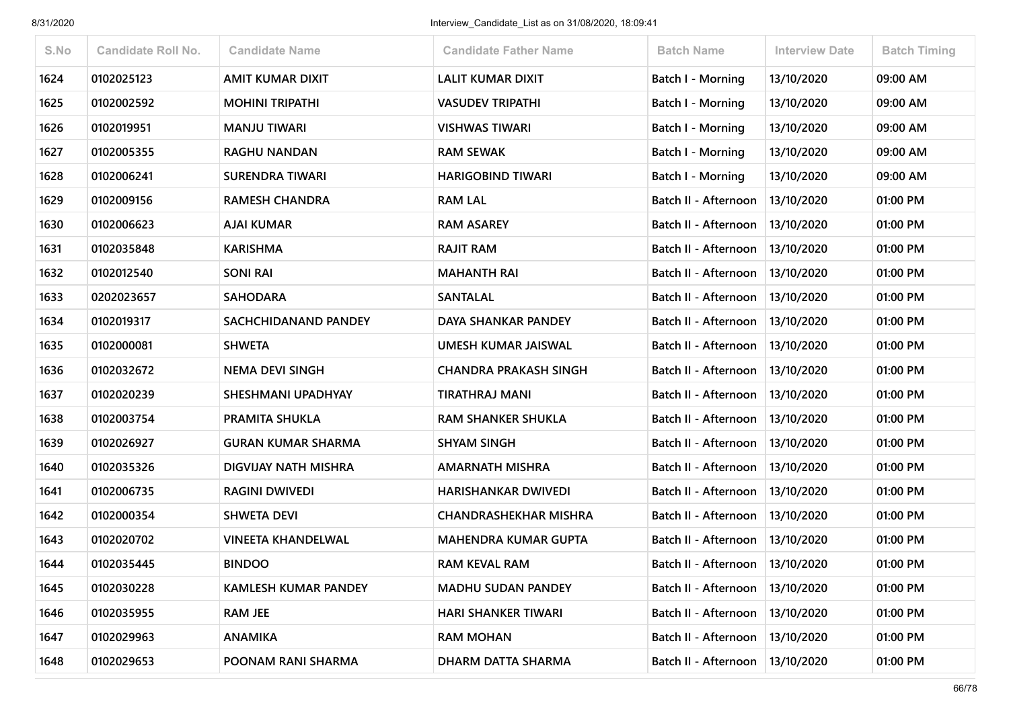| S.No | <b>Candidate Roll No.</b> | <b>Candidate Name</b>     | <b>Candidate Father Name</b> | <b>Batch Name</b>                 | <b>Interview Date</b> | <b>Batch Timing</b> |
|------|---------------------------|---------------------------|------------------------------|-----------------------------------|-----------------------|---------------------|
| 1624 | 0102025123                | <b>AMIT KUMAR DIXIT</b>   | <b>LALIT KUMAR DIXIT</b>     | Batch I - Morning                 | 13/10/2020            | 09:00 AM            |
| 1625 | 0102002592                | <b>MOHINI TRIPATHI</b>    | <b>VASUDEV TRIPATHI</b>      | Batch I - Morning                 | 13/10/2020            | 09:00 AM            |
| 1626 | 0102019951                | <b>MANJU TIWARI</b>       | <b>VISHWAS TIWARI</b>        | Batch I - Morning                 | 13/10/2020            | 09:00 AM            |
| 1627 | 0102005355                | <b>RAGHU NANDAN</b>       | <b>RAM SEWAK</b>             | <b>Batch I - Morning</b>          | 13/10/2020            | 09:00 AM            |
| 1628 | 0102006241                | <b>SURENDRA TIWARI</b>    | <b>HARIGOBIND TIWARI</b>     | Batch I - Morning                 | 13/10/2020            | 09:00 AM            |
| 1629 | 0102009156                | <b>RAMESH CHANDRA</b>     | <b>RAM LAL</b>               | Batch II - Afternoon              | 13/10/2020            | 01:00 PM            |
| 1630 | 0102006623                | <b>AJAI KUMAR</b>         | <b>RAM ASAREY</b>            | Batch II - Afternoon              | 13/10/2020            | 01:00 PM            |
| 1631 | 0102035848                | <b>KARISHMA</b>           | <b>RAJIT RAM</b>             | Batch II - Afternoon              | 13/10/2020            | 01:00 PM            |
| 1632 | 0102012540                | <b>SONI RAI</b>           | <b>MAHANTH RAI</b>           | Batch II - Afternoon   13/10/2020 |                       | 01:00 PM            |
| 1633 | 0202023657                | <b>SAHODARA</b>           | <b>SANTALAL</b>              | Batch II - Afternoon              | 13/10/2020            | 01:00 PM            |
| 1634 | 0102019317                | SACHCHIDANAND PANDEY      | DAYA SHANKAR PANDEY          | Batch II - Afternoon              | 13/10/2020            | 01:00 PM            |
| 1635 | 0102000081                | <b>SHWETA</b>             | UMESH KUMAR JAISWAL          | Batch II - Afternoon              | 13/10/2020            | 01:00 PM            |
| 1636 | 0102032672                | <b>NEMA DEVI SINGH</b>    | <b>CHANDRA PRAKASH SINGH</b> | Batch II - Afternoon              | 13/10/2020            | 01:00 PM            |
| 1637 | 0102020239                | SHESHMANI UPADHYAY        | TIRATHRAJ MANI               | Batch II - Afternoon              | 13/10/2020            | 01:00 PM            |
| 1638 | 0102003754                | PRAMITA SHUKLA            | <b>RAM SHANKER SHUKLA</b>    | Batch II - Afternoon              | 13/10/2020            | 01:00 PM            |
| 1639 | 0102026927                | <b>GURAN KUMAR SHARMA</b> | <b>SHYAM SINGH</b>           | Batch II - Afternoon              | 13/10/2020            | 01:00 PM            |
| 1640 | 0102035326                | DIGVIJAY NATH MISHRA      | <b>AMARNATH MISHRA</b>       | Batch II - Afternoon              | 13/10/2020            | 01:00 PM            |
| 1641 | 0102006735                | <b>RAGINI DWIVEDI</b>     | <b>HARISHANKAR DWIVEDI</b>   | Batch II - Afternoon              | 13/10/2020            | 01:00 PM            |
| 1642 | 0102000354                | <b>SHWETA DEVI</b>        | <b>CHANDRASHEKHAR MISHRA</b> | Batch II - Afternoon              | 13/10/2020            | 01:00 PM            |
| 1643 | 0102020702                | <b>VINEETA KHANDELWAL</b> | <b>MAHENDRA KUMAR GUPTA</b>  | Batch II - Afternoon   13/10/2020 |                       | 01:00 PM            |
| 1644 | 0102035445                | <b>BINDOO</b>             | <b>RAM KEVAL RAM</b>         | Batch II - Afternoon   13/10/2020 |                       | 01:00 PM            |
| 1645 | 0102030228                | KAMLESH KUMAR PANDEY      | <b>MADHU SUDAN PANDEY</b>    | Batch II - Afternoon              | 13/10/2020            | 01:00 PM            |
| 1646 | 0102035955                | <b>RAM JEE</b>            | <b>HARI SHANKER TIWARI</b>   | Batch II - Afternoon              | 13/10/2020            | 01:00 PM            |
| 1647 | 0102029963                | <b>ANAMIKA</b>            | <b>RAM MOHAN</b>             | Batch II - Afternoon              | 13/10/2020            | 01:00 PM            |
| 1648 | 0102029653                | POONAM RANI SHARMA        | DHARM DATTA SHARMA           | Batch II - Afternoon              | 13/10/2020            | 01:00 PM            |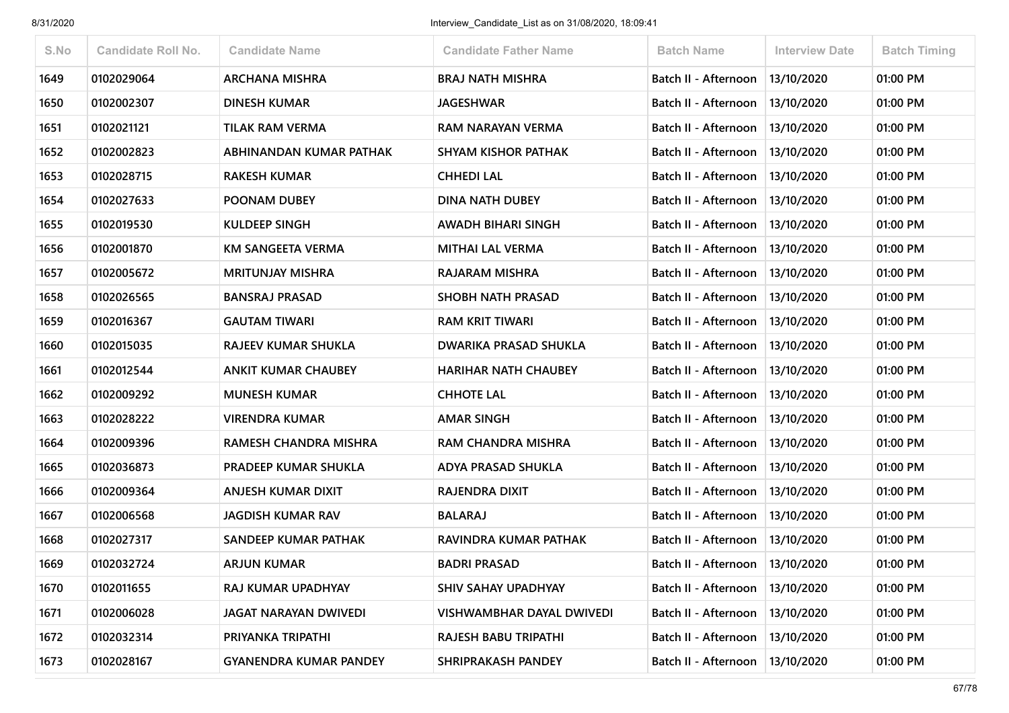| S.No | <b>Candidate Roll No.</b> | <b>Candidate Name</b>         | <b>Candidate Father Name</b> | <b>Batch Name</b>           | <b>Interview Date</b> | <b>Batch Timing</b> |
|------|---------------------------|-------------------------------|------------------------------|-----------------------------|-----------------------|---------------------|
| 1649 | 0102029064                | <b>ARCHANA MISHRA</b>         | <b>BRAJ NATH MISHRA</b>      | Batch II - Afternoon        | 13/10/2020            | 01:00 PM            |
| 1650 | 0102002307                | <b>DINESH KUMAR</b>           | <b>JAGESHWAR</b>             | Batch II - Afternoon        | 13/10/2020            | 01:00 PM            |
| 1651 | 0102021121                | <b>TILAK RAM VERMA</b>        | RAM NARAYAN VERMA            | <b>Batch II - Afternoon</b> | 13/10/2020            | 01:00 PM            |
| 1652 | 0102002823                | ABHINANDAN KUMAR PATHAK       | <b>SHYAM KISHOR PATHAK</b>   | Batch II - Afternoon        | 13/10/2020            | 01:00 PM            |
| 1653 | 0102028715                | <b>RAKESH KUMAR</b>           | <b>CHHEDI LAL</b>            | Batch II - Afternoon        | 13/10/2020            | 01:00 PM            |
| 1654 | 0102027633                | <b>POONAM DUBEY</b>           | <b>DINA NATH DUBEY</b>       | Batch II - Afternoon        | 13/10/2020            | 01:00 PM            |
| 1655 | 0102019530                | <b>KULDEEP SINGH</b>          | AWADH BIHARI SINGH           | Batch II - Afternoon        | 13/10/2020            | 01:00 PM            |
| 1656 | 0102001870                | <b>KM SANGEETA VERMA</b>      | <b>MITHAI LAL VERMA</b>      | Batch II - Afternoon        | 13/10/2020            | 01:00 PM            |
| 1657 | 0102005672                | <b>MRITUNJAY MISHRA</b>       | RAJARAM MISHRA               | Batch II - Afternoon        | 13/10/2020            | 01:00 PM            |
| 1658 | 0102026565                | <b>BANSRAJ PRASAD</b>         | <b>SHOBH NATH PRASAD</b>     | Batch II - Afternoon        | 13/10/2020            | 01:00 PM            |
| 1659 | 0102016367                | <b>GAUTAM TIWARI</b>          | <b>RAM KRIT TIWARI</b>       | Batch II - Afternoon        | 13/10/2020            | 01:00 PM            |
| 1660 | 0102015035                | RAJEEV KUMAR SHUKLA           | <b>DWARIKA PRASAD SHUKLA</b> | Batch II - Afternoon        | 13/10/2020            | 01:00 PM            |
| 1661 | 0102012544                | <b>ANKIT KUMAR CHAUBEY</b>    | <b>HARIHAR NATH CHAUBEY</b>  | Batch II - Afternoon        | 13/10/2020            | 01:00 PM            |
| 1662 | 0102009292                | <b>MUNESH KUMAR</b>           | <b>CHHOTE LAL</b>            | Batch II - Afternoon        | 13/10/2020            | 01:00 PM            |
| 1663 | 0102028222                | <b>VIRENDRA KUMAR</b>         | <b>AMAR SINGH</b>            | Batch II - Afternoon        | 13/10/2020            | 01:00 PM            |
| 1664 | 0102009396                | RAMESH CHANDRA MISHRA         | <b>RAM CHANDRA MISHRA</b>    | Batch II - Afternoon        | 13/10/2020            | 01:00 PM            |
| 1665 | 0102036873                | PRADEEP KUMAR SHUKLA          | ADYA PRASAD SHUKLA           | Batch II - Afternoon        | 13/10/2020            | 01:00 PM            |
| 1666 | 0102009364                | <b>ANJESH KUMAR DIXIT</b>     | RAJENDRA DIXIT               | Batch II - Afternoon        | 13/10/2020            | 01:00 PM            |
| 1667 | 0102006568                | <b>JAGDISH KUMAR RAV</b>      | <b>BALARAJ</b>               | Batch II - Afternoon        | 13/10/2020            | 01:00 PM            |
| 1668 | 0102027317                | SANDEEP KUMAR PATHAK          | RAVINDRA KUMAR PATHAK        | Batch II - Afternoon        | 13/10/2020            | 01:00 PM            |
| 1669 | 0102032724                | <b>ARJUN KUMAR</b>            | <b>BADRI PRASAD</b>          | Batch II - Afternoon        | 13/10/2020            | 01:00 PM            |
| 1670 | 0102011655                | RAJ KUMAR UPADHYAY            | SHIV SAHAY UPADHYAY          | Batch II - Afternoon        | 13/10/2020            | 01:00 PM            |
| 1671 | 0102006028                | <b>JAGAT NARAYAN DWIVEDI</b>  | VISHWAMBHAR DAYAL DWIVEDI    | Batch II - Afternoon        | 13/10/2020            | 01:00 PM            |
| 1672 | 0102032314                | PRIYANKA TRIPATHI             | <b>RAJESH BABU TRIPATHI</b>  | Batch II - Afternoon        | 13/10/2020            | 01:00 PM            |
| 1673 | 0102028167                | <b>GYANENDRA KUMAR PANDEY</b> | SHRIPRAKASH PANDEY           | Batch II - Afternoon        | 13/10/2020            | 01:00 PM            |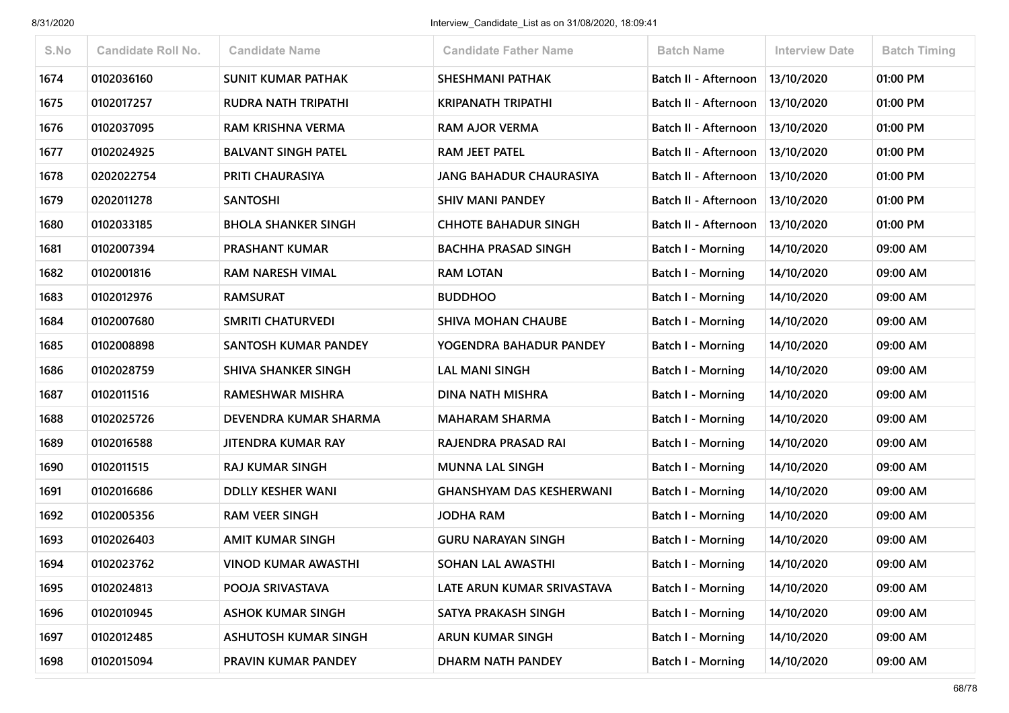| S.No | <b>Candidate Roll No.</b> | <b>Candidate Name</b>       | <b>Candidate Father Name</b>    | <b>Batch Name</b>        | <b>Interview Date</b> | <b>Batch Timing</b> |
|------|---------------------------|-----------------------------|---------------------------------|--------------------------|-----------------------|---------------------|
| 1674 | 0102036160                | <b>SUNIT KUMAR PATHAK</b>   | <b>SHESHMANI PATHAK</b>         | Batch II - Afternoon     | 13/10/2020            | 01:00 PM            |
| 1675 | 0102017257                | <b>RUDRA NATH TRIPATHI</b>  | <b>KRIPANATH TRIPATHI</b>       | Batch II - Afternoon     | 13/10/2020            | 01:00 PM            |
| 1676 | 0102037095                | <b>RAM KRISHNA VERMA</b>    | <b>RAM AJOR VERMA</b>           | Batch II - Afternoon     | 13/10/2020            | 01:00 PM            |
| 1677 | 0102024925                | <b>BALVANT SINGH PATEL</b>  | <b>RAM JEET PATEL</b>           | Batch II - Afternoon     | 13/10/2020            | 01:00 PM            |
| 1678 | 0202022754                | PRITI CHAURASIYA            | <b>JANG BAHADUR CHAURASIYA</b>  | Batch II - Afternoon     | 13/10/2020            | 01:00 PM            |
| 1679 | 0202011278                | <b>SANTOSHI</b>             | <b>SHIV MANI PANDEY</b>         | Batch II - Afternoon     | 13/10/2020            | 01:00 PM            |
| 1680 | 0102033185                | <b>BHOLA SHANKER SINGH</b>  | <b>CHHOTE BAHADUR SINGH</b>     | Batch II - Afternoon     | 13/10/2020            | 01:00 PM            |
| 1681 | 0102007394                | <b>PRASHANT KUMAR</b>       | <b>BACHHA PRASAD SINGH</b>      | <b>Batch I - Morning</b> | 14/10/2020            | 09:00 AM            |
| 1682 | 0102001816                | <b>RAM NARESH VIMAL</b>     | <b>RAM LOTAN</b>                | Batch I - Morning        | 14/10/2020            | 09:00 AM            |
| 1683 | 0102012976                | <b>RAMSURAT</b>             | <b>BUDDHOO</b>                  | Batch I - Morning        | 14/10/2020            | 09:00 AM            |
| 1684 | 0102007680                | <b>SMRITI CHATURVEDI</b>    | <b>SHIVA MOHAN CHAUBE</b>       | <b>Batch I - Morning</b> | 14/10/2020            | 09:00 AM            |
| 1685 | 0102008898                | SANTOSH KUMAR PANDEY        | YOGENDRA BAHADUR PANDEY         | <b>Batch I - Morning</b> | 14/10/2020            | 09:00 AM            |
| 1686 | 0102028759                | <b>SHIVA SHANKER SINGH</b>  | <b>LAL MANI SINGH</b>           | <b>Batch I - Morning</b> | 14/10/2020            | 09:00 AM            |
| 1687 | 0102011516                | <b>RAMESHWAR MISHRA</b>     | <b>DINA NATH MISHRA</b>         | <b>Batch I - Morning</b> | 14/10/2020            | 09:00 AM            |
| 1688 | 0102025726                | DEVENDRA KUMAR SHARMA       | <b>MAHARAM SHARMA</b>           | Batch I - Morning        | 14/10/2020            | 09:00 AM            |
| 1689 | 0102016588                | <b>JITENDRA KUMAR RAY</b>   | RAJENDRA PRASAD RAI             | <b>Batch I - Morning</b> | 14/10/2020            | 09:00 AM            |
| 1690 | 0102011515                | <b>RAJ KUMAR SINGH</b>      | <b>MUNNA LAL SINGH</b>          | Batch I - Morning        | 14/10/2020            | 09:00 AM            |
| 1691 | 0102016686                | <b>DDLLY KESHER WANI</b>    | <b>GHANSHYAM DAS KESHERWANI</b> | <b>Batch I - Morning</b> | 14/10/2020            | 09:00 AM            |
| 1692 | 0102005356                | <b>RAM VEER SINGH</b>       | <b>JODHA RAM</b>                | <b>Batch I - Morning</b> | 14/10/2020            | 09:00 AM            |
| 1693 | 0102026403                | <b>AMIT KUMAR SINGH</b>     | <b>GURU NARAYAN SINGH</b>       | Batch I - Morning        | 14/10/2020            | 09:00 AM            |
| 1694 | 0102023762                | <b>VINOD KUMAR AWASTHI</b>  | <b>SOHAN LAL AWASTHI</b>        | Batch I - Morning        | 14/10/2020            | 09:00 AM            |
| 1695 | 0102024813                | POOJA SRIVASTAVA            | LATE ARUN KUMAR SRIVASTAVA      | <b>Batch I - Morning</b> | 14/10/2020            | 09:00 AM            |
| 1696 | 0102010945                | <b>ASHOK KUMAR SINGH</b>    | SATYA PRAKASH SINGH             | <b>Batch I - Morning</b> | 14/10/2020            | 09:00 AM            |
| 1697 | 0102012485                | <b>ASHUTOSH KUMAR SINGH</b> | <b>ARUN KUMAR SINGH</b>         | <b>Batch I - Morning</b> | 14/10/2020            | 09:00 AM            |
| 1698 | 0102015094                | PRAVIN KUMAR PANDEY         | DHARM NATH PANDEY               | Batch I - Morning        | 14/10/2020            | 09:00 AM            |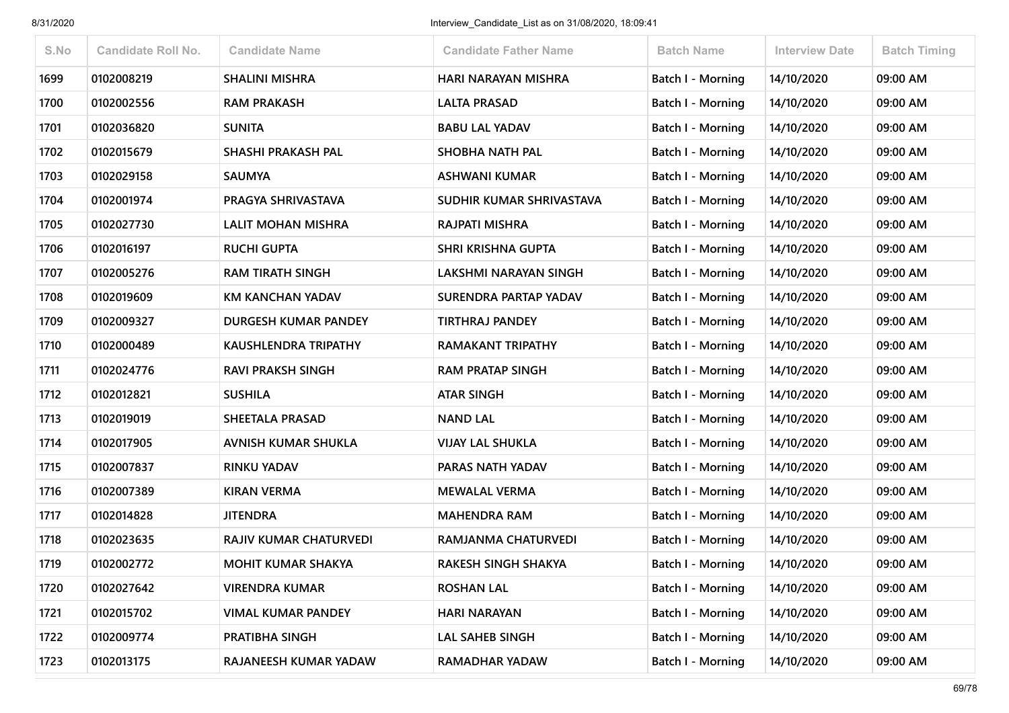| S.No | <b>Candidate Roll No.</b> | <b>Candidate Name</b>       | <b>Candidate Father Name</b> | <b>Batch Name</b>        | Interview Date | <b>Batch Timing</b> |
|------|---------------------------|-----------------------------|------------------------------|--------------------------|----------------|---------------------|
| 1699 | 0102008219                | <b>SHALINI MISHRA</b>       | HARI NARAYAN MISHRA          | Batch I - Morning        | 14/10/2020     | 09:00 AM            |
| 1700 | 0102002556                | <b>RAM PRAKASH</b>          | <b>LALTA PRASAD</b>          | <b>Batch I - Morning</b> | 14/10/2020     | 09:00 AM            |
| 1701 | 0102036820                | <b>SUNITA</b>               | <b>BABU LAL YADAV</b>        | Batch I - Morning        | 14/10/2020     | 09:00 AM            |
| 1702 | 0102015679                | SHASHI PRAKASH PAL          | SHOBHA NATH PAL              | <b>Batch I - Morning</b> | 14/10/2020     | 09:00 AM            |
| 1703 | 0102029158                | <b>SAUMYA</b>               | <b>ASHWANI KUMAR</b>         | Batch I - Morning        | 14/10/2020     | 09:00 AM            |
| 1704 | 0102001974                | PRAGYA SHRIVASTAVA          | SUDHIR KUMAR SHRIVASTAVA     | Batch I - Morning        | 14/10/2020     | 09:00 AM            |
| 1705 | 0102027730                | LALIT MOHAN MISHRA          | RAJPATI MISHRA               | Batch I - Morning        | 14/10/2020     | 09:00 AM            |
| 1706 | 0102016197                | <b>RUCHI GUPTA</b>          | <b>SHRI KRISHNA GUPTA</b>    | Batch I - Morning        | 14/10/2020     | 09:00 AM            |
| 1707 | 0102005276                | <b>RAM TIRATH SINGH</b>     | LAKSHMI NARAYAN SINGH        | Batch I - Morning        | 14/10/2020     | 09:00 AM            |
| 1708 | 0102019609                | <b>KM KANCHAN YADAV</b>     | SURENDRA PARTAP YADAV        | Batch I - Morning        | 14/10/2020     | 09:00 AM            |
| 1709 | 0102009327                | DURGESH KUMAR PANDEY        | <b>TIRTHRAJ PANDEY</b>       | Batch I - Morning        | 14/10/2020     | 09:00 AM            |
| 1710 | 0102000489                | <b>KAUSHLENDRA TRIPATHY</b> | <b>RAMAKANT TRIPATHY</b>     | <b>Batch I - Morning</b> | 14/10/2020     | 09:00 AM            |
| 1711 | 0102024776                | <b>RAVI PRAKSH SINGH</b>    | <b>RAM PRATAP SINGH</b>      | <b>Batch I - Morning</b> | 14/10/2020     | 09:00 AM            |
| 1712 | 0102012821                | <b>SUSHILA</b>              | <b>ATAR SINGH</b>            | Batch I - Morning        | 14/10/2020     | 09:00 AM            |
| 1713 | 0102019019                | <b>SHEETALA PRASAD</b>      | <b>NAND LAL</b>              | <b>Batch I - Morning</b> | 14/10/2020     | 09:00 AM            |
| 1714 | 0102017905                | AVNISH KUMAR SHUKLA         | <b>VIJAY LAL SHUKLA</b>      | <b>Batch I - Morning</b> | 14/10/2020     | 09:00 AM            |
| 1715 | 0102007837                | <b>RINKU YADAV</b>          | PARAS NATH YADAV             | Batch I - Morning        | 14/10/2020     | 09:00 AM            |
| 1716 | 0102007389                | <b>KIRAN VERMA</b>          | <b>MEWALAL VERMA</b>         | Batch I - Morning        | 14/10/2020     | 09:00 AM            |
| 1717 | 0102014828                | <b>JITENDRA</b>             | <b>MAHENDRA RAM</b>          | <b>Batch I - Morning</b> | 14/10/2020     | 09:00 AM            |
| 1718 | 0102023635                | RAJIV KUMAR CHATURVEDI      | RAMJANMA CHATURVEDI          | Batch I - Morning        | 14/10/2020     | 09:00 AM            |
| 1719 | 0102002772                | <b>MOHIT KUMAR SHAKYA</b>   | RAKESH SINGH SHAKYA          | Batch I - Morning        | 14/10/2020     | 09:00 AM            |
| 1720 | 0102027642                | VIRENDRA KUMAR              | <b>ROSHAN LAL</b>            | Batch I - Morning        | 14/10/2020     | 09:00 AM            |
| 1721 | 0102015702                | <b>VIMAL KUMAR PANDEY</b>   | <b>HARI NARAYAN</b>          | Batch I - Morning        | 14/10/2020     | 09:00 AM            |
| 1722 | 0102009774                | PRATIBHA SINGH              | <b>LAL SAHEB SINGH</b>       | <b>Batch I - Morning</b> | 14/10/2020     | 09:00 AM            |
| 1723 | 0102013175                | RAJANEESH KUMAR YADAW       | <b>RAMADHAR YADAW</b>        | <b>Batch I - Morning</b> | 14/10/2020     | 09:00 AM            |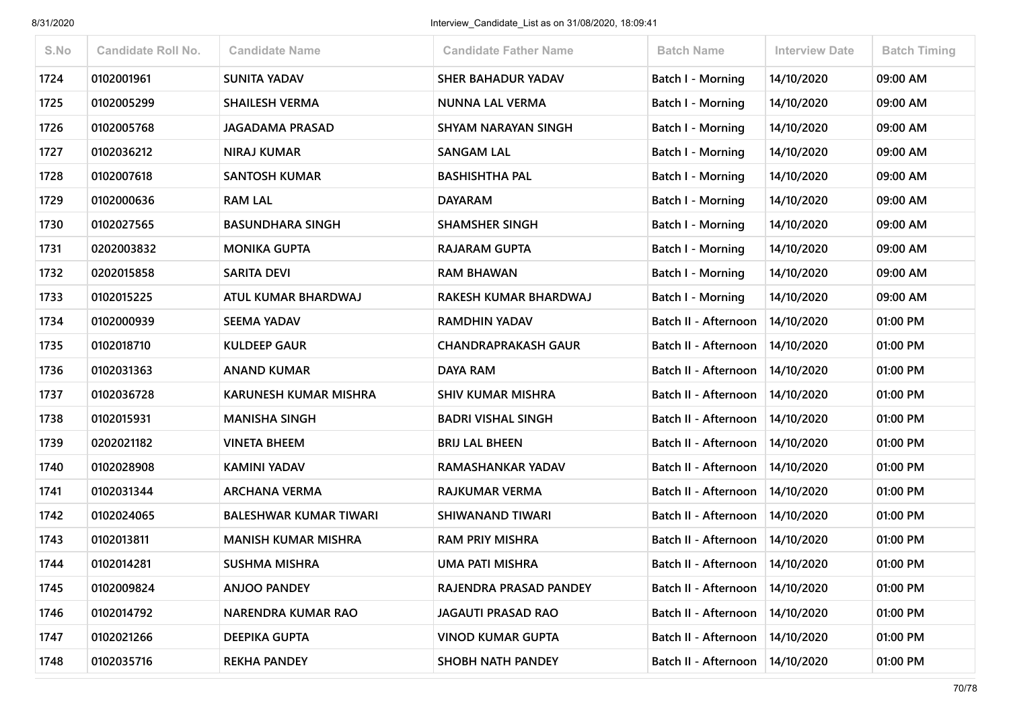| S.No | <b>Candidate Roll No.</b> | <b>Candidate Name</b>         | <b>Candidate Father Name</b> | <b>Batch Name</b>        | <b>Interview Date</b> | <b>Batch Timing</b> |
|------|---------------------------|-------------------------------|------------------------------|--------------------------|-----------------------|---------------------|
| 1724 | 0102001961                | <b>SUNITA YADAV</b>           | SHER BAHADUR YADAV           | <b>Batch I - Morning</b> | 14/10/2020            | 09:00 AM            |
| 1725 | 0102005299                | <b>SHAILESH VERMA</b>         | NUNNA LAL VERMA              | Batch I - Morning        | 14/10/2020            | 09:00 AM            |
| 1726 | 0102005768                | <b>JAGADAMA PRASAD</b>        | SHYAM NARAYAN SINGH          | <b>Batch I - Morning</b> | 14/10/2020            | 09:00 AM            |
| 1727 | 0102036212                | <b>NIRAJ KUMAR</b>            | <b>SANGAM LAL</b>            | Batch I - Morning        | 14/10/2020            | 09:00 AM            |
| 1728 | 0102007618                | <b>SANTOSH KUMAR</b>          | <b>BASHISHTHA PAL</b>        | <b>Batch I - Morning</b> | 14/10/2020            | 09:00 AM            |
| 1729 | 0102000636                | <b>RAM LAL</b>                | <b>DAYARAM</b>               | <b>Batch I - Morning</b> | 14/10/2020            | 09:00 AM            |
| 1730 | 0102027565                | <b>BASUNDHARA SINGH</b>       | <b>SHAMSHER SINGH</b>        | Batch I - Morning        | 14/10/2020            | 09:00 AM            |
| 1731 | 0202003832                | <b>MONIKA GUPTA</b>           | <b>RAJARAM GUPTA</b>         | Batch I - Morning        | 14/10/2020            | 09:00 AM            |
| 1732 | 0202015858                | <b>SARITA DEVI</b>            | <b>RAM BHAWAN</b>            | <b>Batch I - Morning</b> | 14/10/2020            | 09:00 AM            |
| 1733 | 0102015225                | ATUL KUMAR BHARDWAJ           | RAKESH KUMAR BHARDWAJ        | Batch I - Morning        | 14/10/2020            | 09:00 AM            |
| 1734 | 0102000939                | <b>SEEMA YADAV</b>            | <b>RAMDHIN YADAV</b>         | Batch II - Afternoon     | 14/10/2020            | 01:00 PM            |
| 1735 | 0102018710                | <b>KULDEEP GAUR</b>           | <b>CHANDRAPRAKASH GAUR</b>   | Batch II - Afternoon     | 14/10/2020            | 01:00 PM            |
| 1736 | 0102031363                | <b>ANAND KUMAR</b>            | DAYA RAM                     | Batch II - Afternoon     | 14/10/2020            | 01:00 PM            |
| 1737 | 0102036728                | <b>KARUNESH KUMAR MISHRA</b>  | <b>SHIV KUMAR MISHRA</b>     | Batch II - Afternoon     | 14/10/2020            | 01:00 PM            |
| 1738 | 0102015931                | <b>MANISHA SINGH</b>          | <b>BADRI VISHAL SINGH</b>    | Batch II - Afternoon     | 14/10/2020            | 01:00 PM            |
| 1739 | 0202021182                | <b>VINETA BHEEM</b>           | <b>BRIJ LAL BHEEN</b>        | Batch II - Afternoon     | 14/10/2020            | 01:00 PM            |
| 1740 | 0102028908                | <b>KAMINI YADAV</b>           | <b>RAMASHANKAR YADAV</b>     | Batch II - Afternoon     | 14/10/2020            | 01:00 PM            |
| 1741 | 0102031344                | <b>ARCHANA VERMA</b>          | RAJKUMAR VERMA               | Batch II - Afternoon     | 14/10/2020            | 01:00 PM            |
| 1742 | 0102024065                | <b>BALESHWAR KUMAR TIWARI</b> | <b>SHIWANAND TIWARI</b>      | Batch II - Afternoon     | 14/10/2020            | 01:00 PM            |
| 1743 | 0102013811                | <b>MANISH KUMAR MISHRA</b>    | <b>RAM PRIY MISHRA</b>       | Batch II - Afternoon     | 14/10/2020            | 01:00 PM            |
| 1744 | 0102014281                | <b>SUSHMA MISHRA</b>          | <b>UMA PATI MISHRA</b>       | Batch II - Afternoon     | 14/10/2020            | 01:00 PM            |
| 1745 | 0102009824                | <b>ANJOO PANDEY</b>           | RAJENDRA PRASAD PANDEY       | Batch II - Afternoon     | 14/10/2020            | 01:00 PM            |
| 1746 | 0102014792                | NARENDRA KUMAR RAO            | <b>JAGAUTI PRASAD RAO</b>    | Batch II - Afternoon     | 14/10/2020            | 01:00 PM            |
| 1747 | 0102021266                | <b>DEEPIKA GUPTA</b>          | <b>VINOD KUMAR GUPTA</b>     | Batch II - Afternoon     | 14/10/2020            | 01:00 PM            |
| 1748 | 0102035716                | <b>REKHA PANDEY</b>           | SHOBH NATH PANDEY            | Batch II - Afternoon     | 14/10/2020            | 01:00 PM            |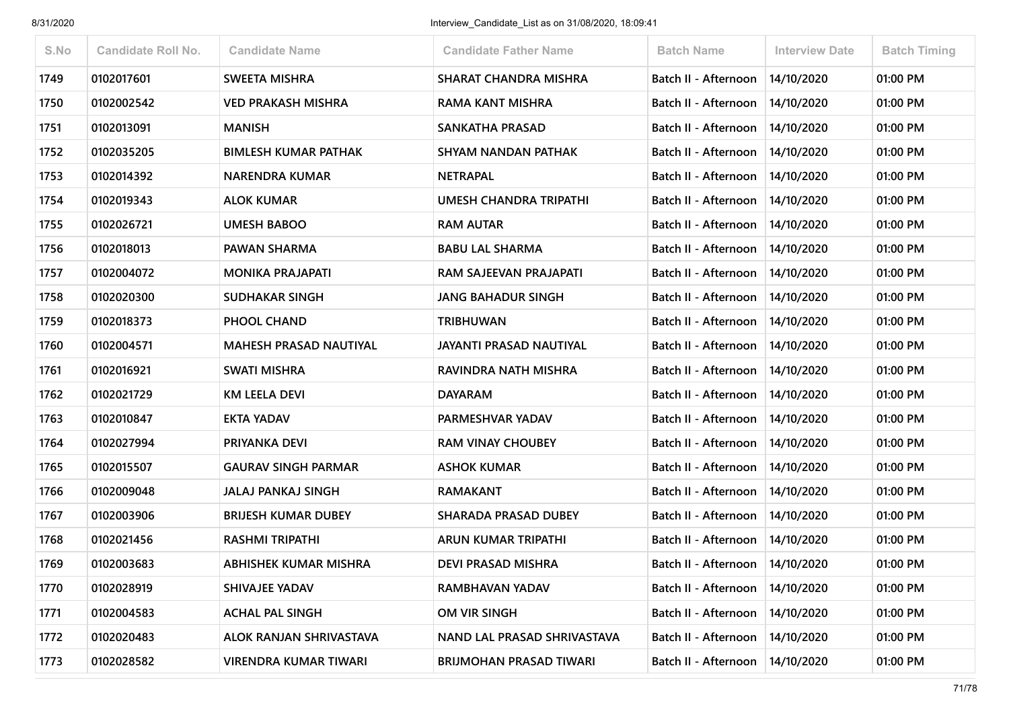| S.No | <b>Candidate Roll No.</b> | <b>Candidate Name</b>         | <b>Candidate Father Name</b>   | <b>Batch Name</b>    | <b>Interview Date</b> | <b>Batch Timing</b> |
|------|---------------------------|-------------------------------|--------------------------------|----------------------|-----------------------|---------------------|
| 1749 | 0102017601                | <b>SWEETA MISHRA</b>          | <b>SHARAT CHANDRA MISHRA</b>   | Batch II - Afternoon | 14/10/2020            | 01:00 PM            |
| 1750 | 0102002542                | <b>VED PRAKASH MISHRA</b>     | <b>RAMA KANT MISHRA</b>        | Batch II - Afternoon | 14/10/2020            | 01:00 PM            |
| 1751 | 0102013091                | <b>MANISH</b>                 | <b>SANKATHA PRASAD</b>         | Batch II - Afternoon | 14/10/2020            | 01:00 PM            |
| 1752 | 0102035205                | <b>BIMLESH KUMAR PATHAK</b>   | SHYAM NANDAN PATHAK            | Batch II - Afternoon | 14/10/2020            | 01:00 PM            |
| 1753 | 0102014392                | <b>NARENDRA KUMAR</b>         | <b>NETRAPAL</b>                | Batch II - Afternoon | 14/10/2020            | 01:00 PM            |
| 1754 | 0102019343                | <b>ALOK KUMAR</b>             | UMESH CHANDRA TRIPATHI         | Batch II - Afternoon | 14/10/2020            | 01:00 PM            |
| 1755 | 0102026721                | <b>UMESH BABOO</b>            | <b>RAM AUTAR</b>               | Batch II - Afternoon | 14/10/2020            | 01:00 PM            |
| 1756 | 0102018013                | PAWAN SHARMA                  | <b>BABU LAL SHARMA</b>         | Batch II - Afternoon | 14/10/2020            | 01:00 PM            |
| 1757 | 0102004072                | <b>MONIKA PRAJAPATI</b>       | RAM SAJEEVAN PRAJAPATI         | Batch II - Afternoon | 14/10/2020            | 01:00 PM            |
| 1758 | 0102020300                | <b>SUDHAKAR SINGH</b>         | <b>JANG BAHADUR SINGH</b>      | Batch II - Afternoon | 14/10/2020            | 01:00 PM            |
| 1759 | 0102018373                | PHOOL CHAND                   | <b>TRIBHUWAN</b>               | Batch II - Afternoon | 14/10/2020            | 01:00 PM            |
| 1760 | 0102004571                | <b>MAHESH PRASAD NAUTIYAL</b> | JAYANTI PRASAD NAUTIYAL        | Batch II - Afternoon | 14/10/2020            | 01:00 PM            |
| 1761 | 0102016921                | <b>SWATI MISHRA</b>           | RAVINDRA NATH MISHRA           | Batch II - Afternoon | 14/10/2020            | 01:00 PM            |
| 1762 | 0102021729                | <b>KM LEELA DEVI</b>          | <b>DAYARAM</b>                 | Batch II - Afternoon | 14/10/2020            | 01:00 PM            |
| 1763 | 0102010847                | EKTA YADAV                    | PARMESHVAR YADAV               | Batch II - Afternoon | 14/10/2020            | 01:00 PM            |
| 1764 | 0102027994                | <b>PRIYANKA DEVI</b>          | <b>RAM VINAY CHOUBEY</b>       | Batch II - Afternoon | 14/10/2020            | 01:00 PM            |
| 1765 | 0102015507                | <b>GAURAV SINGH PARMAR</b>    | <b>ASHOK KUMAR</b>             | Batch II - Afternoon | 14/10/2020            | 01:00 PM            |
| 1766 | 0102009048                | <b>JALAJ PANKAJ SINGH</b>     | <b>RAMAKANT</b>                | Batch II - Afternoon | 14/10/2020            | 01:00 PM            |
| 1767 | 0102003906                | <b>BRIJESH KUMAR DUBEY</b>    | <b>SHARADA PRASAD DUBEY</b>    | Batch II - Afternoon | 14/10/2020            | 01:00 PM            |
| 1768 | 0102021456                | <b>RASHMI TRIPATHI</b>        | ARUN KUMAR TRIPATHI            | Batch II - Afternoon | 14/10/2020            | 01:00 PM            |
| 1769 | 0102003683                | <b>ABHISHEK KUMAR MISHRA</b>  | <b>DEVI PRASAD MISHRA</b>      | Batch II - Afternoon | 14/10/2020            | 01:00 PM            |
| 1770 | 0102028919                | SHIVAJEE YADAV                | RAMBHAVAN YADAV                | Batch II - Afternoon | 14/10/2020            | 01:00 PM            |
| 1771 | 0102004583                | <b>ACHAL PAL SINGH</b>        | OM VIR SINGH                   | Batch II - Afternoon | 14/10/2020            | 01:00 PM            |
| 1772 | 0102020483                | ALOK RANJAN SHRIVASTAVA       | NAND LAL PRASAD SHRIVASTAVA    | Batch II - Afternoon | 14/10/2020            | 01:00 PM            |
| 1773 | 0102028582                | <b>VIRENDRA KUMAR TIWARI</b>  | <b>BRIJMOHAN PRASAD TIWARI</b> | Batch II - Afternoon | 14/10/2020            | 01:00 PM            |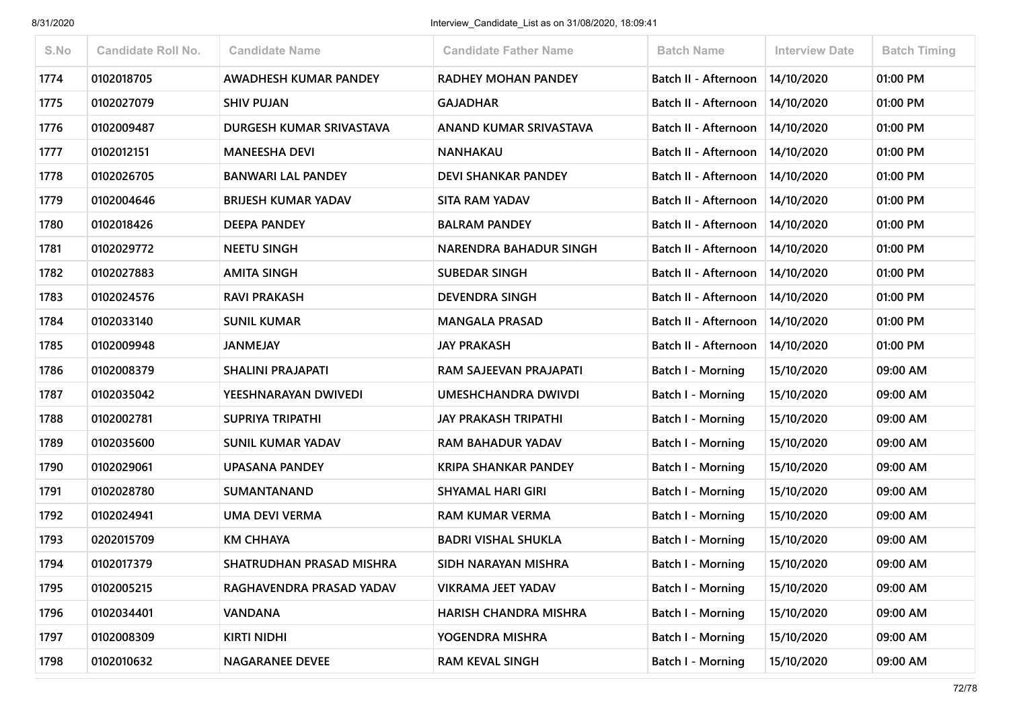| S.No | <b>Candidate Roll No.</b> | <b>Candidate Name</b>      | <b>Candidate Father Name</b>  | <b>Batch Name</b>           | <b>Interview Date</b> | <b>Batch Timing</b> |
|------|---------------------------|----------------------------|-------------------------------|-----------------------------|-----------------------|---------------------|
| 1774 | 0102018705                | AWADHESH KUMAR PANDEY      | <b>RADHEY MOHAN PANDEY</b>    | Batch II - Afternoon        | 14/10/2020            | 01:00 PM            |
| 1775 | 0102027079                | <b>SHIV PUJAN</b>          | <b>GAJADHAR</b>               | Batch II - Afternoon        | 14/10/2020            | 01:00 PM            |
| 1776 | 0102009487                | DURGESH KUMAR SRIVASTAVA   | ANAND KUMAR SRIVASTAVA        | Batch II - Afternoon        | 14/10/2020            | 01:00 PM            |
| 1777 | 0102012151                | <b>MANEESHA DEVI</b>       | <b>NANHAKAU</b>               | Batch II - Afternoon        | 14/10/2020            | 01:00 PM            |
| 1778 | 0102026705                | <b>BANWARI LAL PANDEY</b>  | <b>DEVI SHANKAR PANDEY</b>    | Batch II - Afternoon        | 14/10/2020            | 01:00 PM            |
| 1779 | 0102004646                | <b>BRIJESH KUMAR YADAV</b> | <b>SITA RAM YADAV</b>         | Batch II - Afternoon        | 14/10/2020            | 01:00 PM            |
| 1780 | 0102018426                | <b>DEEPA PANDEY</b>        | <b>BALRAM PANDEY</b>          | Batch II - Afternoon        | 14/10/2020            | 01:00 PM            |
| 1781 | 0102029772                | <b>NEETU SINGH</b>         | <b>NARENDRA BAHADUR SINGH</b> | Batch II - Afternoon        | 14/10/2020            | 01:00 PM            |
| 1782 | 0102027883                | <b>AMITA SINGH</b>         | <b>SUBEDAR SINGH</b>          | <b>Batch II - Afternoon</b> | 14/10/2020            | 01:00 PM            |
| 1783 | 0102024576                | <b>RAVI PRAKASH</b>        | <b>DEVENDRA SINGH</b>         | Batch II - Afternoon        | 14/10/2020            | 01:00 PM            |
| 1784 | 0102033140                | <b>SUNIL KUMAR</b>         | <b>MANGALA PRASAD</b>         | Batch II - Afternoon        | 14/10/2020            | 01:00 PM            |
| 1785 | 0102009948                | <b>JANMEJAY</b>            | <b>JAY PRAKASH</b>            | <b>Batch II - Afternoon</b> | 14/10/2020            | 01:00 PM            |
| 1786 | 0102008379                | <b>SHALINI PRAJAPATI</b>   | RAM SAJEEVAN PRAJAPATI        | Batch I - Morning           | 15/10/2020            | 09:00 AM            |
| 1787 | 0102035042                | YEESHNARAYAN DWIVEDI       | <b>UMESHCHANDRA DWIVDI</b>    | Batch I - Morning           | 15/10/2020            | 09:00 AM            |
| 1788 | 0102002781                | <b>SUPRIYA TRIPATHI</b>    | JAY PRAKASH TRIPATHI          | Batch I - Morning           | 15/10/2020            | 09:00 AM            |
| 1789 | 0102035600                | <b>SUNIL KUMAR YADAV</b>   | <b>RAM BAHADUR YADAV</b>      | Batch I - Morning           | 15/10/2020            | 09:00 AM            |
| 1790 | 0102029061                | <b>UPASANA PANDEY</b>      | <b>KRIPA SHANKAR PANDEY</b>   | Batch I - Morning           | 15/10/2020            | 09:00 AM            |
| 1791 | 0102028780                | <b>SUMANTANAND</b>         | <b>SHYAMAL HARI GIRI</b>      | Batch I - Morning           | 15/10/2020            | 09:00 AM            |
| 1792 | 0102024941                | <b>UMA DEVI VERMA</b>      | <b>RAM KUMAR VERMA</b>        | Batch I - Morning           | 15/10/2020            | 09:00 AM            |
| 1793 | 0202015709                | <b>KM CHHAYA</b>           | <b>BADRI VISHAL SHUKLA</b>    | Batch I - Morning           | 15/10/2020            | 09:00 AM            |
| 1794 | 0102017379                | SHATRUDHAN PRASAD MISHRA   | SIDH NARAYAN MISHRA           | Batch I - Morning           | 15/10/2020            | 09:00 AM            |
| 1795 | 0102005215                | RAGHAVENDRA PRASAD YADAV   | VIKRAMA JEET YADAV            | Batch I - Morning           | 15/10/2020            | 09:00 AM            |
| 1796 | 0102034401                | <b>VANDANA</b>             | HARISH CHANDRA MISHRA         | Batch I - Morning           | 15/10/2020            | 09:00 AM            |
| 1797 | 0102008309                | KIRTI NIDHI                | YOGENDRA MISHRA               | Batch I - Morning           | 15/10/2020            | 09:00 AM            |
| 1798 | 0102010632                | <b>NAGARANEE DEVEE</b>     | <b>RAM KEVAL SINGH</b>        | Batch I - Morning           | 15/10/2020            | 09:00 AM            |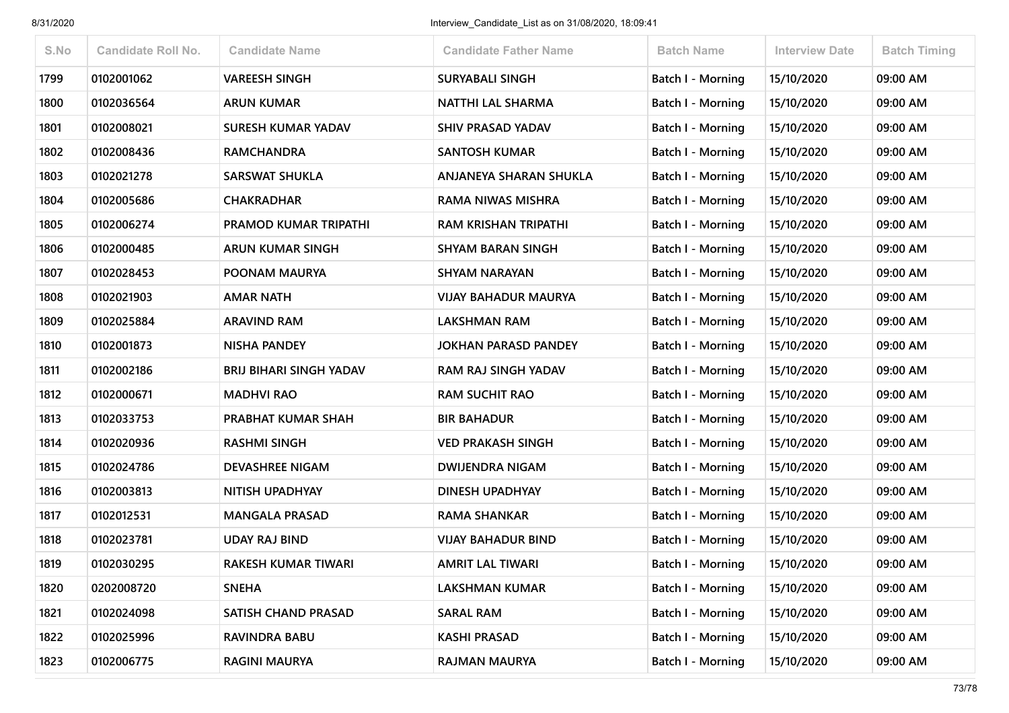| S.No | <b>Candidate Roll No.</b> | <b>Candidate Name</b>          | <b>Candidate Father Name</b> | <b>Batch Name</b>        | <b>Interview Date</b> | <b>Batch Timing</b> |
|------|---------------------------|--------------------------------|------------------------------|--------------------------|-----------------------|---------------------|
| 1799 | 0102001062                | <b>VAREESH SINGH</b>           | <b>SURYABALI SINGH</b>       | <b>Batch I - Morning</b> | 15/10/2020            | 09:00 AM            |
| 1800 | 0102036564                | <b>ARUN KUMAR</b>              | <b>NATTHI LAL SHARMA</b>     | Batch I - Morning        | 15/10/2020            | 09:00 AM            |
| 1801 | 0102008021                | <b>SURESH KUMAR YADAV</b>      | <b>SHIV PRASAD YADAV</b>     | Batch I - Morning        | 15/10/2020            | 09:00 AM            |
| 1802 | 0102008436                | <b>RAMCHANDRA</b>              | <b>SANTOSH KUMAR</b>         | Batch I - Morning        | 15/10/2020            | 09:00 AM            |
| 1803 | 0102021278                | <b>SARSWAT SHUKLA</b>          | ANJANEYA SHARAN SHUKLA       | <b>Batch I - Morning</b> | 15/10/2020            | 09:00 AM            |
| 1804 | 0102005686                | <b>CHAKRADHAR</b>              | RAMA NIWAS MISHRA            | Batch I - Morning        | 15/10/2020            | 09:00 AM            |
| 1805 | 0102006274                | PRAMOD KUMAR TRIPATHI          | RAM KRISHAN TRIPATHI         | Batch I - Morning        | 15/10/2020            | 09:00 AM            |
| 1806 | 0102000485                | <b>ARUN KUMAR SINGH</b>        | <b>SHYAM BARAN SINGH</b>     | Batch I - Morning        | 15/10/2020            | 09:00 AM            |
| 1807 | 0102028453                | POONAM MAURYA                  | <b>SHYAM NARAYAN</b>         | <b>Batch I - Morning</b> | 15/10/2020            | 09:00 AM            |
| 1808 | 0102021903                | <b>AMAR NATH</b>               | <b>VIJAY BAHADUR MAURYA</b>  | <b>Batch I - Morning</b> | 15/10/2020            | 09:00 AM            |
| 1809 | 0102025884                | <b>ARAVIND RAM</b>             | <b>LAKSHMAN RAM</b>          | <b>Batch I - Morning</b> | 15/10/2020            | 09:00 AM            |
| 1810 | 0102001873                | <b>NISHA PANDEY</b>            | <b>JOKHAN PARASD PANDEY</b>  | Batch I - Morning        | 15/10/2020            | 09:00 AM            |
| 1811 | 0102002186                | <b>BRIJ BIHARI SINGH YADAV</b> | RAM RAJ SINGH YADAV          | Batch I - Morning        | 15/10/2020            | 09:00 AM            |
| 1812 | 0102000671                | <b>MADHVI RAO</b>              | <b>RAM SUCHIT RAO</b>        | Batch I - Morning        | 15/10/2020            | 09:00 AM            |
| 1813 | 0102033753                | PRABHAT KUMAR SHAH             | <b>BIR BAHADUR</b>           | Batch I - Morning        | 15/10/2020            | 09:00 AM            |
| 1814 | 0102020936                | <b>RASHMI SINGH</b>            | <b>VED PRAKASH SINGH</b>     | Batch I - Morning        | 15/10/2020            | 09:00 AM            |
| 1815 | 0102024786                | <b>DEVASHREE NIGAM</b>         | <b>DWIJENDRA NIGAM</b>       | <b>Batch I - Morning</b> | 15/10/2020            | 09:00 AM            |
| 1816 | 0102003813                | NITISH UPADHYAY                | DINESH UPADHYAY              | Batch I - Morning        | 15/10/2020            | 09:00 AM            |
| 1817 | 0102012531                | <b>MANGALA PRASAD</b>          | RAMA SHANKAR                 | <b>Batch I - Morning</b> | 15/10/2020            | 09:00 AM            |
| 1818 | 0102023781                | <b>UDAY RAJ BIND</b>           | <b>VIJAY BAHADUR BIND</b>    | Batch I - Morning        | 15/10/2020            | 09:00 AM            |
| 1819 | 0102030295                | <b>RAKESH KUMAR TIWARI</b>     | <b>AMRIT LAL TIWARI</b>      | Batch I - Morning        | 15/10/2020            | 09:00 AM            |
| 1820 | 0202008720                | <b>SNEHA</b>                   | <b>LAKSHMAN KUMAR</b>        | Batch I - Morning        | 15/10/2020            | 09:00 AM            |
| 1821 | 0102024098                | SATISH CHAND PRASAD            | <b>SARAL RAM</b>             | Batch I - Morning        | 15/10/2020            | 09:00 AM            |
| 1822 | 0102025996                | RAVINDRA BABU                  | KASHI PRASAD                 | Batch I - Morning        | 15/10/2020            | 09:00 AM            |
| 1823 | 0102006775                | <b>RAGINI MAURYA</b>           | <b>RAJMAN MAURYA</b>         | <b>Batch I - Morning</b> | 15/10/2020            | 09:00 AM            |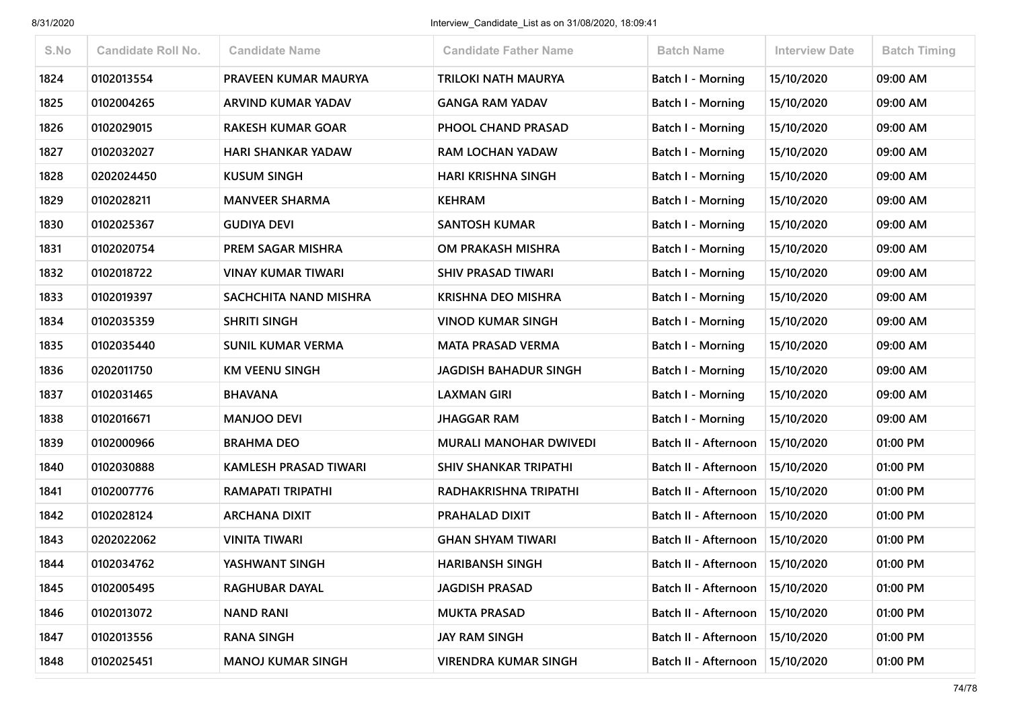| S.No | <b>Candidate Roll No.</b> | <b>Candidate Name</b>        | <b>Candidate Father Name</b>  | <b>Batch Name</b>        | <b>Interview Date</b> | <b>Batch Timing</b> |
|------|---------------------------|------------------------------|-------------------------------|--------------------------|-----------------------|---------------------|
| 1824 | 0102013554                | PRAVEEN KUMAR MAURYA         | <b>TRILOKI NATH MAURYA</b>    | Batch I - Morning        | 15/10/2020            | 09:00 AM            |
| 1825 | 0102004265                | ARVIND KUMAR YADAV           | <b>GANGA RAM YADAV</b>        | Batch I - Morning        | 15/10/2020            | 09:00 AM            |
| 1826 | 0102029015                | <b>RAKESH KUMAR GOAR</b>     | PHOOL CHAND PRASAD            | <b>Batch I - Morning</b> | 15/10/2020            | 09:00 AM            |
| 1827 | 0102032027                | <b>HARI SHANKAR YADAW</b>    | <b>RAM LOCHAN YADAW</b>       | Batch I - Morning        | 15/10/2020            | 09:00 AM            |
| 1828 | 0202024450                | <b>KUSUM SINGH</b>           | HARI KRISHNA SINGH            | Batch I - Morning        | 15/10/2020            | 09:00 AM            |
| 1829 | 0102028211                | <b>MANVEER SHARMA</b>        | <b>KEHRAM</b>                 | <b>Batch I - Morning</b> | 15/10/2020            | 09:00 AM            |
| 1830 | 0102025367                | <b>GUDIYA DEVI</b>           | <b>SANTOSH KUMAR</b>          | Batch I - Morning        | 15/10/2020            | 09:00 AM            |
| 1831 | 0102020754                | PREM SAGAR MISHRA            | OM PRAKASH MISHRA             | Batch I - Morning        | 15/10/2020            | 09:00 AM            |
| 1832 | 0102018722                | <b>VINAY KUMAR TIWARI</b>    | <b>SHIV PRASAD TIWARI</b>     | <b>Batch I - Morning</b> | 15/10/2020            | 09:00 AM            |
| 1833 | 0102019397                | SACHCHITA NAND MISHRA        | <b>KRISHNA DEO MISHRA</b>     | Batch I - Morning        | 15/10/2020            | 09:00 AM            |
| 1834 | 0102035359                | <b>SHRITI SINGH</b>          | <b>VINOD KUMAR SINGH</b>      | Batch I - Morning        | 15/10/2020            | 09:00 AM            |
| 1835 | 0102035440                | <b>SUNIL KUMAR VERMA</b>     | <b>MATA PRASAD VERMA</b>      | Batch I - Morning        | 15/10/2020            | 09:00 AM            |
| 1836 | 0202011750                | <b>KM VEENU SINGH</b>        | <b>JAGDISH BAHADUR SINGH</b>  | Batch I - Morning        | 15/10/2020            | 09:00 AM            |
| 1837 | 0102031465                | <b>BHAVANA</b>               | <b>LAXMAN GIRI</b>            | <b>Batch I - Morning</b> | 15/10/2020            | 09:00 AM            |
| 1838 | 0102016671                | <b>MANJOO DEVI</b>           | <b>JHAGGAR RAM</b>            | Batch I - Morning        | 15/10/2020            | 09:00 AM            |
| 1839 | 0102000966                | <b>BRAHMA DEO</b>            | <b>MURALI MANOHAR DWIVEDI</b> | Batch II - Afternoon     | 15/10/2020            | 01:00 PM            |
| 1840 | 0102030888                | <b>KAMLESH PRASAD TIWARI</b> | <b>SHIV SHANKAR TRIPATHI</b>  | Batch II - Afternoon     | 15/10/2020            | 01:00 PM            |
| 1841 | 0102007776                | <b>RAMAPATI TRIPATHI</b>     | RADHAKRISHNA TRIPATHI         | Batch II - Afternoon     | 15/10/2020            | 01:00 PM            |
| 1842 | 0102028124                | <b>ARCHANA DIXIT</b>         | PRAHALAD DIXIT                | Batch II - Afternoon     | 15/10/2020            | 01:00 PM            |
| 1843 | 0202022062                | <b>VINITA TIWARI</b>         | <b>GHAN SHYAM TIWARI</b>      | Batch II - Afternoon     | 15/10/2020            | 01:00 PM            |
| 1844 | 0102034762                | YASHWANT SINGH               | <b>HARIBANSH SINGH</b>        | Batch II - Afternoon     | 15/10/2020            | 01:00 PM            |
| 1845 | 0102005495                | <b>RAGHUBAR DAYAL</b>        | <b>JAGDISH PRASAD</b>         | Batch II - Afternoon     | 15/10/2020            | 01:00 PM            |
| 1846 | 0102013072                | <b>NAND RANI</b>             | <b>MUKTA PRASAD</b>           | Batch II - Afternoon     | 15/10/2020            | 01:00 PM            |
| 1847 | 0102013556                | <b>RANA SINGH</b>            | JAY RAM SINGH                 | Batch II - Afternoon     | 15/10/2020            | 01:00 PM            |
| 1848 | 0102025451                | <b>MANOJ KUMAR SINGH</b>     | <b>VIRENDRA KUMAR SINGH</b>   | Batch II - Afternoon     | 15/10/2020            | 01:00 PM            |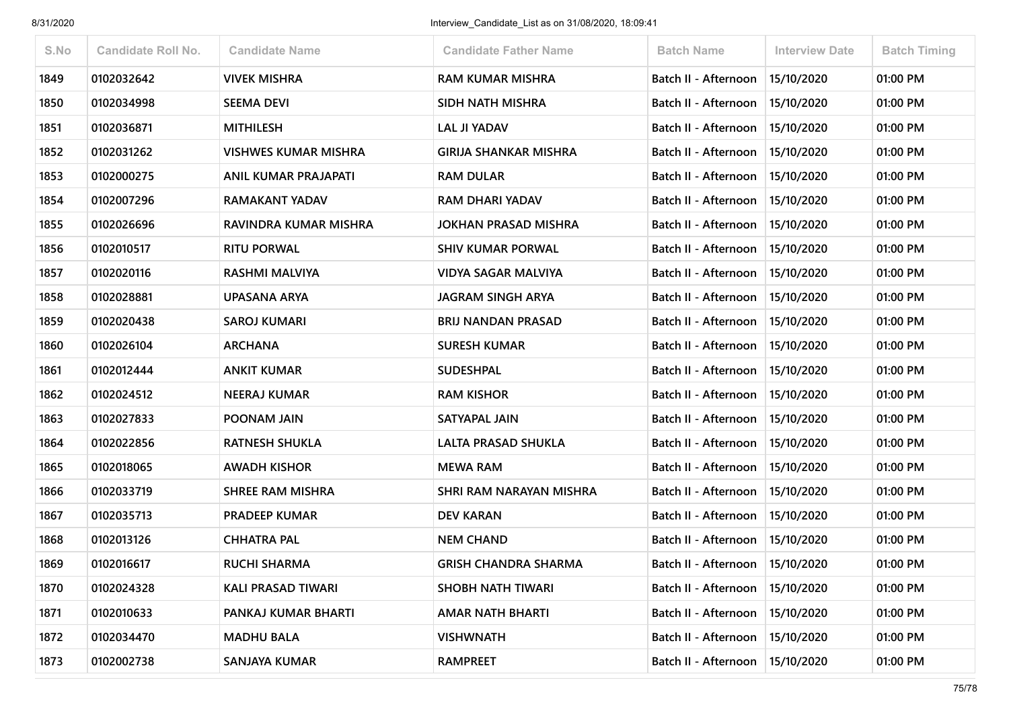| S.No | <b>Candidate Roll No.</b> | <b>Candidate Name</b>       | <b>Candidate Father Name</b> | <b>Batch Name</b>                 | <b>Interview Date</b> | <b>Batch Timing</b> |
|------|---------------------------|-----------------------------|------------------------------|-----------------------------------|-----------------------|---------------------|
| 1849 | 0102032642                | <b>VIVEK MISHRA</b>         | <b>RAM KUMAR MISHRA</b>      | Batch II - Afternoon              | 15/10/2020            | 01:00 PM            |
| 1850 | 0102034998                | <b>SEEMA DEVI</b>           | <b>SIDH NATH MISHRA</b>      | Batch II - Afternoon              | 15/10/2020            | 01:00 PM            |
| 1851 | 0102036871                | <b>MITHILESH</b>            | <b>LAL JI YADAV</b>          | Batch II - Afternoon   15/10/2020 |                       | 01:00 PM            |
| 1852 | 0102031262                | <b>VISHWES KUMAR MISHRA</b> | <b>GIRIJA SHANKAR MISHRA</b> | Batch II - Afternoon              | 15/10/2020            | 01:00 PM            |
| 1853 | 0102000275                | ANIL KUMAR PRAJAPATI        | <b>RAM DULAR</b>             | Batch II - Afternoon              | 15/10/2020            | 01:00 PM            |
| 1854 | 0102007296                | <b>RAMAKANT YADAV</b>       | <b>RAM DHARI YADAV</b>       | Batch II - Afternoon   15/10/2020 |                       | 01:00 PM            |
| 1855 | 0102026696                | RAVINDRA KUMAR MISHRA       | JOKHAN PRASAD MISHRA         | Batch II - Afternoon              | 15/10/2020            | 01:00 PM            |
| 1856 | 0102010517                | <b>RITU PORWAL</b>          | <b>SHIV KUMAR PORWAL</b>     | Batch II - Afternoon              | 15/10/2020            | 01:00 PM            |
| 1857 | 0102020116                | <b>RASHMI MALVIYA</b>       | <b>VIDYA SAGAR MALVIYA</b>   | Batch II - Afternoon              | 15/10/2020            | 01:00 PM            |
| 1858 | 0102028881                | UPASANA ARYA                | <b>JAGRAM SINGH ARYA</b>     | Batch II - Afternoon              | 15/10/2020            | 01:00 PM            |
| 1859 | 0102020438                | <b>SAROJ KUMARI</b>         | <b>BRIJ NANDAN PRASAD</b>    | Batch II - Afternoon              | 15/10/2020            | 01:00 PM            |
| 1860 | 0102026104                | <b>ARCHANA</b>              | <b>SURESH KUMAR</b>          | Batch II - Afternoon              | 15/10/2020            | 01:00 PM            |
| 1861 | 0102012444                | <b>ANKIT KUMAR</b>          | <b>SUDESHPAL</b>             | Batch II - Afternoon              | 15/10/2020            | 01:00 PM            |
| 1862 | 0102024512                | <b>NEERAJ KUMAR</b>         | <b>RAM KISHOR</b>            | Batch II - Afternoon              | 15/10/2020            | 01:00 PM            |
| 1863 | 0102027833                | POONAM JAIN                 | SATYAPAL JAIN                | Batch II - Afternoon              | 15/10/2020            | 01:00 PM            |
| 1864 | 0102022856                | <b>RATNESH SHUKLA</b>       | LALTA PRASAD SHUKLA          | Batch II - Afternoon              | 15/10/2020            | 01:00 PM            |
| 1865 | 0102018065                | <b>AWADH KISHOR</b>         | <b>MEWA RAM</b>              | Batch II - Afternoon              | 15/10/2020            | 01:00 PM            |
| 1866 | 0102033719                | <b>SHREE RAM MISHRA</b>     | SHRI RAM NARAYAN MISHRA      | Batch II - Afternoon              | 15/10/2020            | 01:00 PM            |
| 1867 | 0102035713                | <b>PRADEEP KUMAR</b>        | <b>DEV KARAN</b>             | Batch II - Afternoon   15/10/2020 |                       | 01:00 PM            |
| 1868 | 0102013126                | <b>CHHATRA PAL</b>          | <b>NEM CHAND</b>             | Batch II - Afternoon   15/10/2020 |                       | 01:00 PM            |
| 1869 | 0102016617                | <b>RUCHI SHARMA</b>         | <b>GRISH CHANDRA SHARMA</b>  | Batch II - Afternoon   15/10/2020 |                       | 01:00 PM            |
| 1870 | 0102024328                | <b>KALI PRASAD TIWARI</b>   | <b>SHOBH NATH TIWARI</b>     | Batch II - Afternoon   15/10/2020 |                       | 01:00 PM            |
| 1871 | 0102010633                | PANKAJ KUMAR BHARTI         | <b>AMAR NATH BHARTI</b>      | Batch II - Afternoon   15/10/2020 |                       | 01:00 PM            |
| 1872 | 0102034470                | <b>MADHU BALA</b>           | <b>VISHWNATH</b>             | Batch II - Afternoon   15/10/2020 |                       | 01:00 PM            |
| 1873 | 0102002738                | SANJAYA KUMAR               | <b>RAMPREET</b>              | Batch II - Afternoon   15/10/2020 |                       | 01:00 PM            |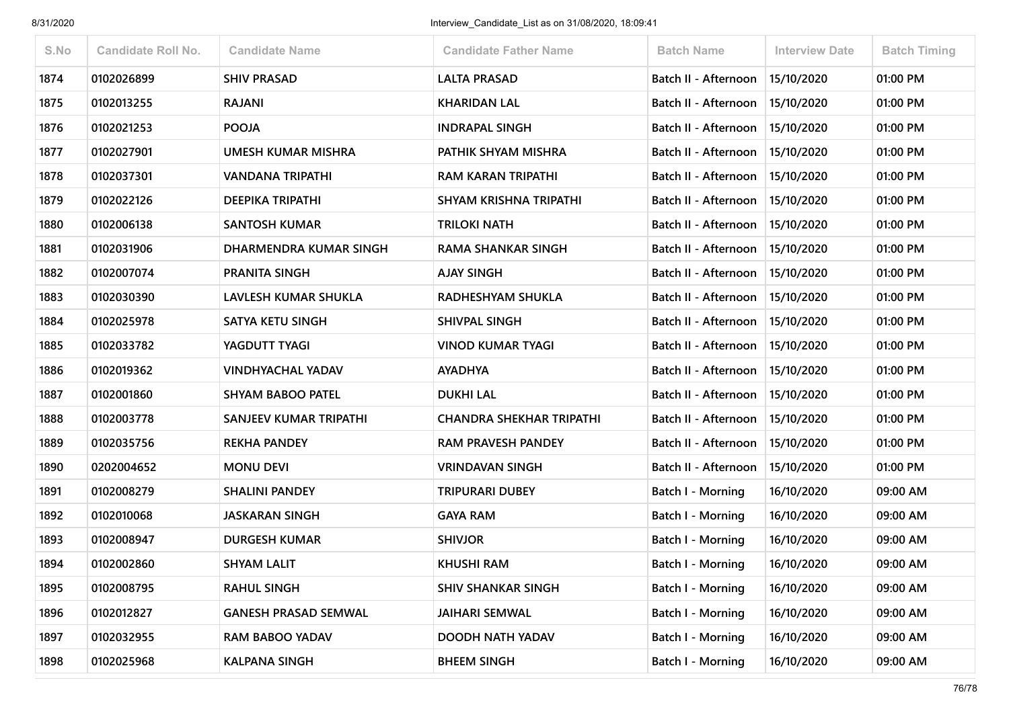| S.No | <b>Candidate Roll No.</b> | <b>Candidate Name</b>       | <b>Candidate Father Name</b>    | <b>Batch Name</b>                 | <b>Interview Date</b> | <b>Batch Timing</b> |
|------|---------------------------|-----------------------------|---------------------------------|-----------------------------------|-----------------------|---------------------|
| 1874 | 0102026899                | <b>SHIV PRASAD</b>          | <b>LALTA PRASAD</b>             | Batch II - Afternoon              | 15/10/2020            | 01:00 PM            |
| 1875 | 0102013255                | <b>RAJANI</b>               | <b>KHARIDAN LAL</b>             | Batch II - Afternoon              | 15/10/2020            | 01:00 PM            |
| 1876 | 0102021253                | <b>POOJA</b>                | <b>INDRAPAL SINGH</b>           | Batch II - Afternoon              | 15/10/2020            | 01:00 PM            |
| 1877 | 0102027901                | UMESH KUMAR MISHRA          | PATHIK SHYAM MISHRA             | Batch II - Afternoon              | 15/10/2020            | 01:00 PM            |
| 1878 | 0102037301                | VANDANA TRIPATHI            | <b>RAM KARAN TRIPATHI</b>       | Batch II - Afternoon              | 15/10/2020            | 01:00 PM            |
| 1879 | 0102022126                | DEEPIKA TRIPATHI            | SHYAM KRISHNA TRIPATHI          | Batch II - Afternoon              | 15/10/2020            | 01:00 PM            |
| 1880 | 0102006138                | <b>SANTOSH KUMAR</b>        | <b>TRILOKI NATH</b>             | Batch II - Afternoon              | 15/10/2020            | 01:00 PM            |
| 1881 | 0102031906                | DHARMENDRA KUMAR SINGH      | <b>RAMA SHANKAR SINGH</b>       | Batch II - Afternoon              | 15/10/2020            | 01:00 PM            |
| 1882 | 0102007074                | PRANITA SINGH               | <b>AJAY SINGH</b>               | Batch II - Afternoon   15/10/2020 |                       | 01:00 PM            |
| 1883 | 0102030390                | LAVLESH KUMAR SHUKLA        | RADHESHYAM SHUKLA               | Batch II - Afternoon              | 15/10/2020            | 01:00 PM            |
| 1884 | 0102025978                | SATYA KETU SINGH            | SHIVPAL SINGH                   | Batch II - Afternoon              | 15/10/2020            | 01:00 PM            |
| 1885 | 0102033782                | YAGDUTT TYAGI               | <b>VINOD KUMAR TYAGI</b>        | Batch II - Afternoon              | 15/10/2020            | 01:00 PM            |
| 1886 | 0102019362                | <b>VINDHYACHAL YADAV</b>    | <b>AYADHYA</b>                  | Batch II - Afternoon              | 15/10/2020            | 01:00 PM            |
| 1887 | 0102001860                | <b>SHYAM BABOO PATEL</b>    | <b>DUKHI LAL</b>                | Batch II - Afternoon              | 15/10/2020            | 01:00 PM            |
| 1888 | 0102003778                | SANJEEV KUMAR TRIPATHI      | <b>CHANDRA SHEKHAR TRIPATHI</b> | Batch II - Afternoon              | 15/10/2020            | 01:00 PM            |
| 1889 | 0102035756                | <b>REKHA PANDEY</b>         | <b>RAM PRAVESH PANDEY</b>       | Batch II - Afternoon              | 15/10/2020            | 01:00 PM            |
| 1890 | 0202004652                | <b>MONU DEVI</b>            | <b>VRINDAVAN SINGH</b>          | Batch II - Afternoon              | 15/10/2020            | 01:00 PM            |
| 1891 | 0102008279                | <b>SHALINI PANDEY</b>       | <b>TRIPURARI DUBEY</b>          | Batch I - Morning                 | 16/10/2020            | 09:00 AM            |
| 1892 | 0102010068                | <b>JASKARAN SINGH</b>       | <b>GAYA RAM</b>                 | Batch I - Morning                 | 16/10/2020            | 09:00 AM            |
| 1893 | 0102008947                | <b>DURGESH KUMAR</b>        | <b>SHIVJOR</b>                  | <b>Batch I - Morning</b>          | 16/10/2020            | 09:00 AM            |
| 1894 | 0102002860                | <b>SHYAM LALIT</b>          | <b>KHUSHI RAM</b>               | <b>Batch I - Morning</b>          | 16/10/2020            | 09:00 AM            |
| 1895 | 0102008795                | <b>RAHUL SINGH</b>          | <b>SHIV SHANKAR SINGH</b>       | Batch I - Morning                 | 16/10/2020            | 09:00 AM            |
| 1896 | 0102012827                | <b>GANESH PRASAD SEMWAL</b> | <b>JAIHARI SEMWAL</b>           | <b>Batch I - Morning</b>          | 16/10/2020            | 09:00 AM            |
| 1897 | 0102032955                | <b>RAM BABOO YADAV</b>      | DOODH NATH YADAV                | <b>Batch I - Morning</b>          | 16/10/2020            | 09:00 AM            |
| 1898 | 0102025968                | <b>KALPANA SINGH</b>        | <b>BHEEM SINGH</b>              | <b>Batch I - Morning</b>          | 16/10/2020            | 09:00 AM            |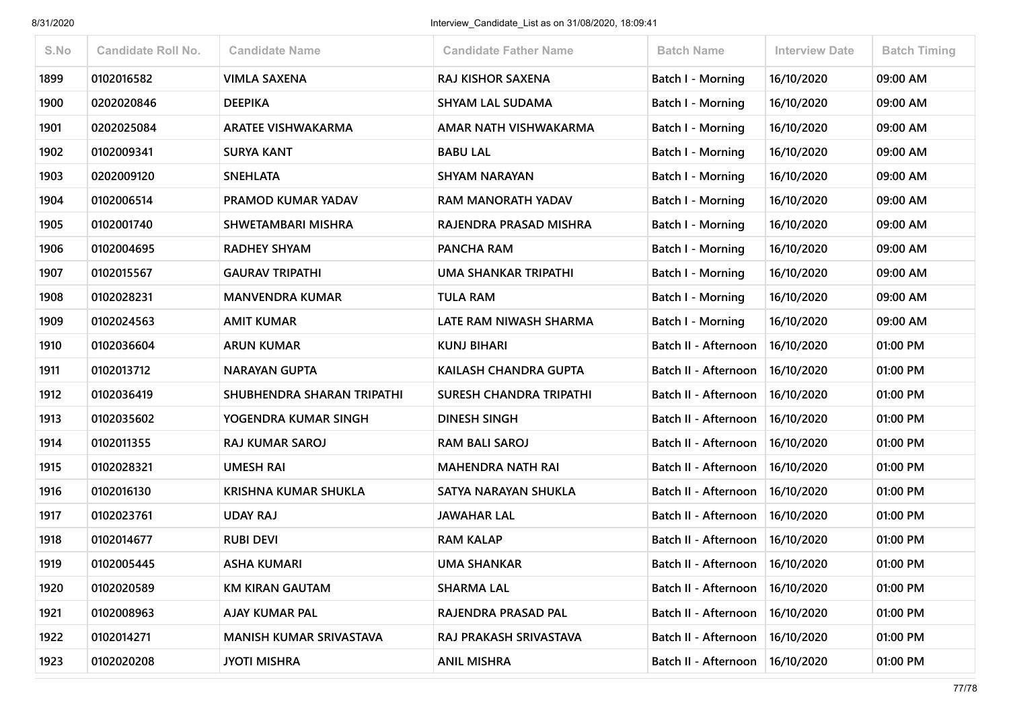| S.No | <b>Candidate Roll No.</b> | <b>Candidate Name</b>       | <b>Candidate Father Name</b>   | <b>Batch Name</b>           | <b>Interview Date</b> | <b>Batch Timing</b> |
|------|---------------------------|-----------------------------|--------------------------------|-----------------------------|-----------------------|---------------------|
| 1899 | 0102016582                | <b>VIMLA SAXENA</b>         | RAJ KISHOR SAXENA              | Batch I - Morning           | 16/10/2020            | 09:00 AM            |
| 1900 | 0202020846                | <b>DEEPIKA</b>              | <b>SHYAM LAL SUDAMA</b>        | Batch I - Morning           | 16/10/2020            | 09:00 AM            |
| 1901 | 0202025084                | <b>ARATEE VISHWAKARMA</b>   | AMAR NATH VISHWAKARMA          | Batch I - Morning           | 16/10/2020            | 09:00 AM            |
| 1902 | 0102009341                | <b>SURYA KANT</b>           | <b>BABU LAL</b>                | Batch I - Morning           | 16/10/2020            | 09:00 AM            |
| 1903 | 0202009120                | <b>SNEHLATA</b>             | <b>SHYAM NARAYAN</b>           | Batch I - Morning           | 16/10/2020            | 09:00 AM            |
| 1904 | 0102006514                | PRAMOD KUMAR YADAV          | RAM MANORATH YADAV             | Batch I - Morning           | 16/10/2020            | 09:00 AM            |
| 1905 | 0102001740                | SHWETAMBARI MISHRA          | RAJENDRA PRASAD MISHRA         | Batch I - Morning           | 16/10/2020            | 09:00 AM            |
| 1906 | 0102004695                | <b>RADHEY SHYAM</b>         | PANCHA RAM                     | Batch I - Morning           | 16/10/2020            | 09:00 AM            |
| 1907 | 0102015567                | <b>GAURAV TRIPATHI</b>      | <b>UMA SHANKAR TRIPATHI</b>    | Batch I - Morning           | 16/10/2020            | 09:00 AM            |
| 1908 | 0102028231                | <b>MANVENDRA KUMAR</b>      | <b>TULA RAM</b>                | Batch I - Morning           | 16/10/2020            | 09:00 AM            |
| 1909 | 0102024563                | <b>AMIT KUMAR</b>           | LATE RAM NIWASH SHARMA         | Batch I - Morning           | 16/10/2020            | 09:00 AM            |
| 1910 | 0102036604                | <b>ARUN KUMAR</b>           | <b>KUNJ BIHARI</b>             | Batch II - Afternoon        | 16/10/2020            | 01:00 PM            |
| 1911 | 0102013712                | <b>NARAYAN GUPTA</b>        | <b>KAILASH CHANDRA GUPTA</b>   | Batch II - Afternoon        | 16/10/2020            | 01:00 PM            |
| 1912 | 0102036419                | SHUBHENDRA SHARAN TRIPATHI  | <b>SURESH CHANDRA TRIPATHI</b> | Batch II - Afternoon        | 16/10/2020            | 01:00 PM            |
| 1913 | 0102035602                | YOGENDRA KUMAR SINGH        | <b>DINESH SINGH</b>            | <b>Batch II - Afternoon</b> | 16/10/2020            | 01:00 PM            |
| 1914 | 0102011355                | <b>RAJ KUMAR SAROJ</b>      | <b>RAM BALI SAROJ</b>          | <b>Batch II - Afternoon</b> | 16/10/2020            | 01:00 PM            |
| 1915 | 0102028321                | <b>UMESH RAI</b>            | <b>MAHENDRA NATH RAI</b>       | Batch II - Afternoon        | 16/10/2020            | 01:00 PM            |
| 1916 | 0102016130                | <b>KRISHNA KUMAR SHUKLA</b> | SATYA NARAYAN SHUKLA           | Batch II - Afternoon        | 16/10/2020            | 01:00 PM            |
| 1917 | 0102023761                | <b>UDAY RAJ</b>             | <b>JAWAHAR LAL</b>             | Batch II - Afternoon        | 16/10/2020            | 01:00 PM            |
| 1918 | 0102014677                | <b>RUBI DEVI</b>            | <b>RAM KALAP</b>               | Batch II - Afternoon        | 16/10/2020            | 01:00 PM            |
| 1919 | 0102005445                | <b>ASHA KUMARI</b>          | <b>UMA SHANKAR</b>             | Batch II - Afternoon        | 16/10/2020            | 01:00 PM            |
| 1920 | 0102020589                | <b>KM KIRAN GAUTAM</b>      | <b>SHARMA LAL</b>              | Batch II - Afternoon        | 16/10/2020            | 01:00 PM            |
| 1921 | 0102008963                | AJAY KUMAR PAL              | RAJENDRA PRASAD PAL            | Batch II - Afternoon        | 16/10/2020            | 01:00 PM            |
| 1922 | 0102014271                | MANISH KUMAR SRIVASTAVA     | RAJ PRAKASH SRIVASTAVA         | Batch II - Afternoon        | 16/10/2020            | 01:00 PM            |
| 1923 | 0102020208                | <b>JYOTI MISHRA</b>         | <b>ANIL MISHRA</b>             | Batch II - Afternoon        | 16/10/2020            | 01:00 PM            |